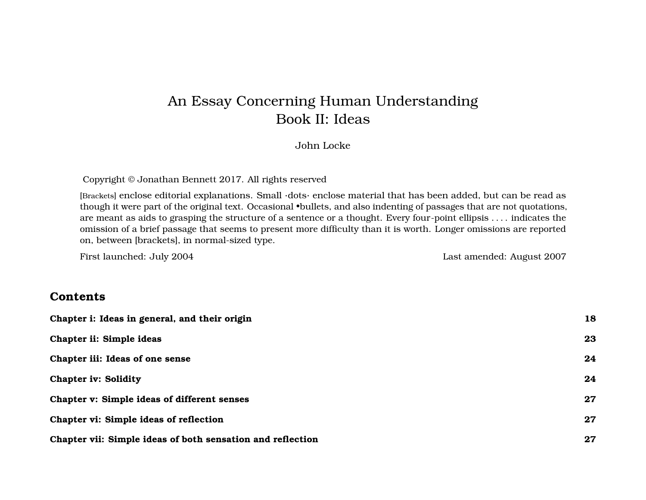# An Essay Concerning Human Understanding Book II: Ideas

John Locke

Copyright © Jonathan Bennett 2017. All rights reserved

[Brackets] enclose editorial explanations. Small ·dots· enclose material that has been added, but can be read as though it were part of the original text. Occasional •bullets, and also indenting of passages that are not quotations, are meant as aids to grasping the structure of a sentence or a thought. Every four-point ellipsis . . . . indicates the omission of a brief passage that seems to present more difficulty than it is worth. Longer omissions are reported on, between [brackets], in normal-sized type.

First launched: July 2004 Last amended: August 2007

# **Contents**

| Chapter i: Ideas in general, and their origin              | 18     |
|------------------------------------------------------------|--------|
| Chapter ii: Simple ideas                                   | 23     |
| Chapter iii: Ideas of one sense                            | 24     |
| <b>Chapter iv: Solidity</b>                                | 24     |
| Chapter v: Simple ideas of different senses                | $27\,$ |
| Chapter vi: Simple ideas of reflection                     | 27     |
| Chapter vii: Simple ideas of both sensation and reflection | 27     |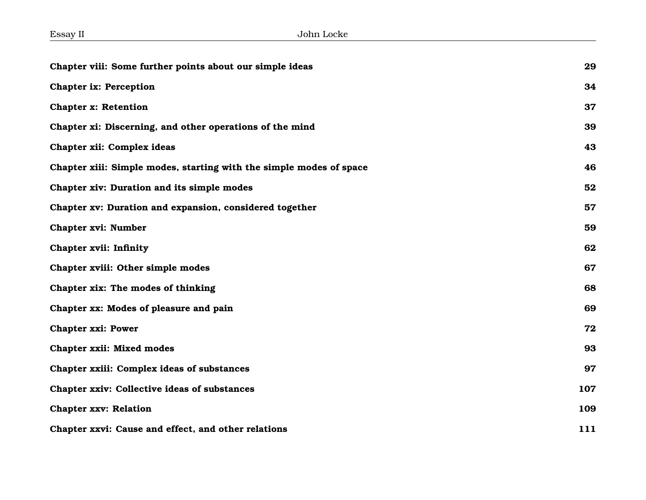| Chapter viii: Some further points about our simple ideas            | 29  |
|---------------------------------------------------------------------|-----|
| <b>Chapter ix: Perception</b>                                       | 34  |
| <b>Chapter x: Retention</b>                                         | 37  |
| Chapter xi: Discerning, and other operations of the mind            | 39  |
| Chapter xii: Complex ideas                                          | 43  |
| Chapter xiii: Simple modes, starting with the simple modes of space | 46  |
| Chapter xiv: Duration and its simple modes                          | 52  |
| Chapter xv: Duration and expansion, considered together             | 57  |
| Chapter xvi: Number                                                 | 59  |
| <b>Chapter xvii: Infinity</b>                                       | 62  |
| Chapter xviii: Other simple modes                                   | 67  |
| Chapter xix: The modes of thinking                                  | 68  |
| Chapter xx: Modes of pleasure and pain                              | 69  |
| <b>Chapter xxi: Power</b>                                           | 72  |
| <b>Chapter xxii: Mixed modes</b>                                    | 93  |
| Chapter xxiii: Complex ideas of substances                          | 97  |
| Chapter xxiv: Collective ideas of substances                        | 107 |
| <b>Chapter xxv: Relation</b>                                        | 109 |
| Chapter xxvi: Cause and effect, and other relations                 | 111 |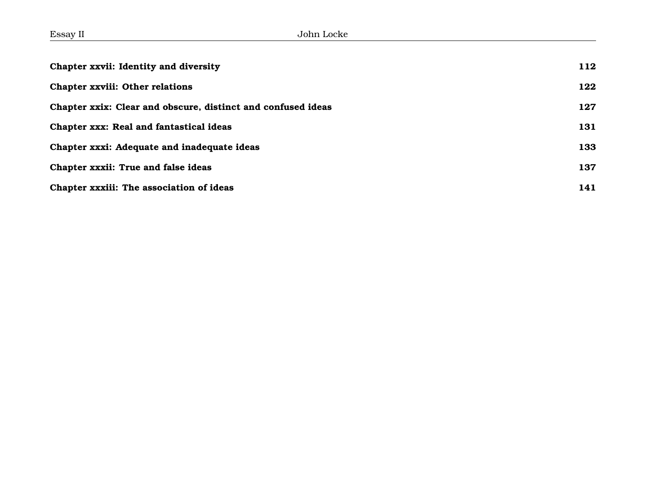| Chapter xxvii: Identity and diversity                        | 112 |
|--------------------------------------------------------------|-----|
| Chapter xxviii: Other relations                              | 122 |
| Chapter xxix: Clear and obscure, distinct and confused ideas | 127 |
| Chapter xxx: Real and fantastical ideas                      | 131 |
| Chapter xxxi: Adequate and inadequate ideas                  | 133 |
| Chapter xxxii: True and false ideas                          | 137 |
| Chapter xxxiii: The association of ideas                     | 141 |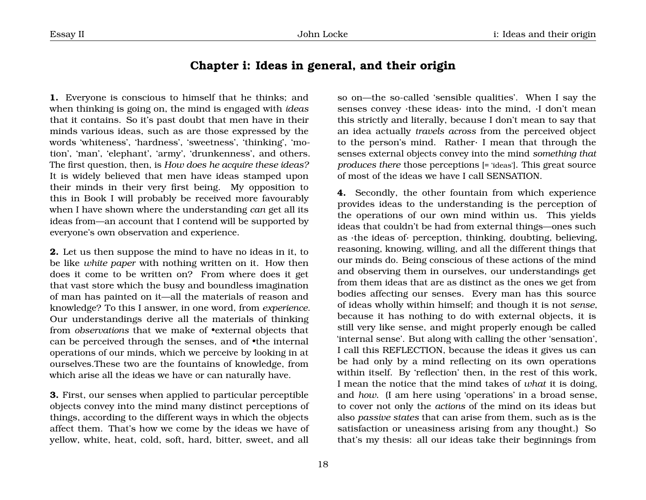# <span id="page-3-0"></span>**Chapter i: Ideas in general, and their origin**

**1.** Everyone is conscious to himself that he thinks; and when thinking is going on, the mind is engaged with *ideas* that it contains. So it's past doubt that men have in their minds various ideas, such as are those expressed by the words 'whiteness', 'hardness', 'sweetness', 'thinking', 'motion', 'man', 'elephant', 'army', 'drunkenness', and others. The first question, then, is *How does he acquire these ideas?* It is widely believed that men have ideas stamped upon their minds in their very first being. My opposition to this in Book I will probably be received more favourably when I have shown where the understanding *can* get all its ideas from—an account that I contend will be supported by everyone's own observation and experience.

**2.** Let us then suppose the mind to have no ideas in it, to be like *white paper* with nothing written on it. How then does it come to be written on? From where does it get that vast store which the busy and boundless imagination of man has painted on it—all the materials of reason and knowledge? To this I answer, in one word, from *experience*. Our understandings derive all the materials of thinking from *observations* that we make of •external objects that can be perceived through the senses, and of •the internal operations of our minds, which we perceive by looking in at ourselves.These two are the fountains of knowledge, from which arise all the ideas we have or can naturally have.

**3.** First, our senses when applied to particular perceptible objects convey into the mind many distinct perceptions of things, according to the different ways in which the objects affect them. That's how we come by the ideas we have of yellow, white, heat, cold, soft, hard, bitter, sweet, and all

so on—the so-called 'sensible qualities'. When I say the senses convey ·these ideas· into the mind, ·I don't mean this strictly and literally, because I don't mean to say that an idea actually *travels across* from the perceived object to the person's mind. Rather· I mean that through the senses external objects convey into the mind *something that produces there* those perceptions [= 'ideas']. This great source of most of the ideas we have I call SENSATION.

**4.** Secondly, the other fountain from which experience provides ideas to the understanding is the perception of the operations of our own mind within us. This yields ideas that couldn't be had from external things—ones such as ·the ideas of· perception, thinking, doubting, believing, reasoning, knowing, willing, and all the different things that our minds do. Being conscious of these actions of the mind and observing them in ourselves, our understandings get from them ideas that are as distinct as the ones we get from bodies affecting our senses. Every man has this source of ideas wholly within himself; and though it is not *sense*, because it has nothing to do with external objects, it is still very like sense, and might properly enough be called 'internal sense'. But along with calling the other 'sensation', I call this REFLECTION, because the ideas it gives us can be had only by a mind reflecting on its own operations within itself. By 'reflection' then, in the rest of this work, I mean the notice that the mind takes of *what* it is doing, and *how*. (I am here using 'operations' in a broad sense, to cover not only the *actions* of the mind on its ideas but also *passive states* that can arise from them, such as is the satisfaction or uneasiness arising from any thought.) So that's my thesis: all our ideas take their beginnings from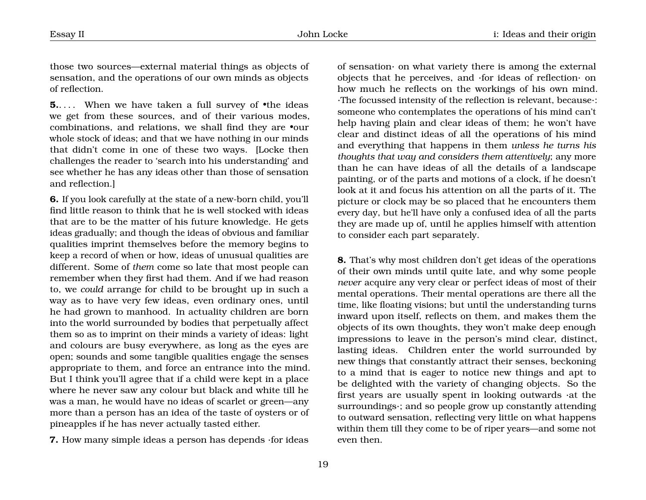those two sources—external material things as objects of sensation, and the operations of our own minds as objects of reflection.

**5....** When we have taken a full survey of •the ideas we get from these sources, and of their various modes, combinations, and relations, we shall find they are **•**our whole stock of ideas; and that we have nothing in our minds that didn't come in one of these two ways. [Locke then challenges the reader to 'search into his understanding' and see whether he has any ideas other than those of sensation and reflection.]

**6.** If you look carefully at the state of a new-born child, you'll find little reason to think that he is well stocked with ideas that are to be the matter of his future knowledge. He gets ideas gradually; and though the ideas of obvious and familiar qualities imprint themselves before the memory begins to keep a record of when or how, ideas of unusual qualities are different. Some of *them* come so late that most people can remember when they first had them. And if we had reason to, we *could* arrange for child to be brought up in such a way as to have very few ideas, even ordinary ones, until he had grown to manhood. In actuality children are born into the world surrounded by bodies that perpetually affect them so as to imprint on their minds a variety of ideas: light and colours are busy everywhere, as long as the eyes are open; sounds and some tangible qualities engage the senses appropriate to them, and force an entrance into the mind. But I think you'll agree that if a child were kept in a place where he never saw any colour but black and white till he was a man, he would have no ideas of scarlet or green—any more than a person has an idea of the taste of oysters or of pineapples if he has never actually tasted either.

**7.** How many simple ideas a person has depends ·for ideas

of sensation· on what variety there is among the external objects that he perceives, and ·for ideas of reflection· on how much he reflects on the workings of his own mind. ·The focussed intensity of the reflection is relevant, because·: someone who contemplates the operations of his mind can't help having plain and clear ideas of them; he won't have clear and distinct ideas of all the operations of his mind and everything that happens in them *unless he turns his thoughts that way and considers them attentively*; any more than he can have ideas of all the details of a landscape painting, or of the parts and motions of a clock, if he doesn't look at it and focus his attention on all the parts of it. The picture or clock may be so placed that he encounters them every day, but he'll have only a confused idea of all the parts they are made up of, until he applies himself with attention to consider each part separately.

**8.** That's why most children don't get ideas of the operations of their own minds until quite late, and why some people *never* acquire any very clear or perfect ideas of most of their mental operations. Their mental operations are there all the time, like floating visions; but until the understanding turns inward upon itself, reflects on them, and makes them the objects of its own thoughts, they won't make deep enough impressions to leave in the person's mind clear, distinct, lasting ideas. Children enter the world surrounded by new things that constantly attract their senses, beckoning to a mind that is eager to notice new things and apt to be delighted with the variety of changing objects. So the first years are usually spent in looking outwards ·at the surroundings·; and so people grow up constantly attending to outward sensation, reflecting very little on what happens within them till they come to be of riper years—and some not even then.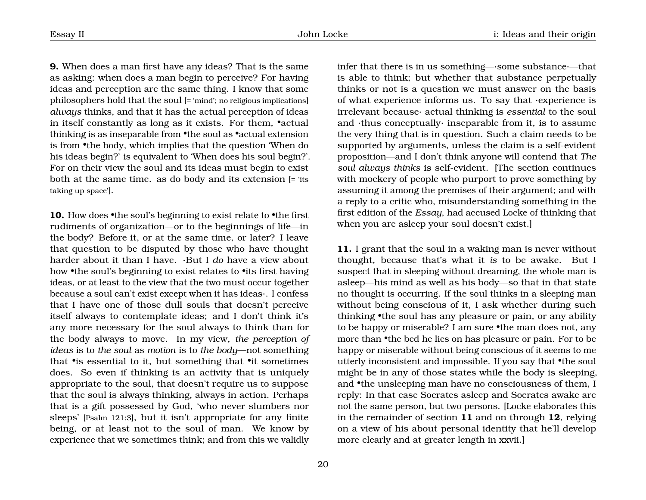**9.** When does a man first have any ideas? That is the same as asking: when does a man begin to perceive? For having ideas and perception are the same thing. I know that some philosophers hold that the soul [= 'mind'; no religious implications] *always* thinks, and that it has the actual perception of ideas in itself constantly as long as it exists. For them, •actual thinking is as inseparable from •the soul as •actual extension is from •the body, which implies that the question 'When do his ideas begin?' is equivalent to 'When does his soul begin?'. For on their view the soul and its ideas must begin to exist both at the same time. as do body and its extension [= 'its taking up space'].

10. How does •the soul's beginning to exist relate to •the first rudiments of organization—or to the beginnings of life—in the body? Before it, or at the same time, or later? I leave that question to be disputed by those who have thought harder about it than I have. ·But I *do* have a view about how •the soul's beginning to exist relates to •its first having ideas, or at least to the view that the two must occur together because a soul can't exist except when it has ideas·. I confess that I have one of those dull souls that doesn't perceive itself always to contemplate ideas; and I don't think it's any more necessary for the soul always to think than for the body always to move. In my view, *the perception of ideas* is to *the soul* as *motion* is to *the body*—not something that •is essential to it, but something that •it sometimes does. So even if thinking is an activity that is uniquely appropriate to the soul, that doesn't require us to suppose that the soul is always thinking, always in action. Perhaps that is a gift possessed by God, 'who never slumbers nor sleeps' [Psalm 121:3], but it isn't appropriate for any finite being, or at least not to the soul of man. We know by experience that we sometimes think; and from this we validly

infer that there is in us something—·some substance·—that is able to think; but whether that substance perpetually thinks or not is a question we must answer on the basis of what experience informs us. To say that ·experience is irrelevant because· actual thinking is *essential* to the soul and ·thus conceptually· inseparable from it, is to assume the very thing that is in question. Such a claim needs to be supported by arguments, unless the claim is a self-evident proposition—and I don't think anyone will contend that *The soul always thinks* is self-evident. [The section continues with mockery of people who purport to prove something by assuming it among the premises of their argument; and with a reply to a critic who, misunderstanding something in the first edition of the *Essay*, had accused Locke of thinking that when you are asleep your soul doesn't exist.]

**11.** I grant that the soul in a waking man is never without thought, because that's what it *is* to be awake. But I suspect that in sleeping without dreaming, the whole man is asleep—his mind as well as his body—so that in that state no thought is occurring. If the soul thinks in a sleeping man without being conscious of it, I ask whether during such thinking •the soul has any pleasure or pain, or any ability to be happy or miserable? I am sure •the man does not, any more than •the bed he lies on has pleasure or pain. For to be happy or miserable without being conscious of it seems to me utterly inconsistent and impossible. If you say that •the soul might be in any of those states while the body is sleeping, and •the unsleeping man have no consciousness of them, I reply: In that case Socrates asleep and Socrates awake are not the same person, but two persons. [Locke elaborates this in the remainder of section **11** and on through **12**, relying on a view of his about personal identity that he'll develop more clearly and at greater length in xxvii.]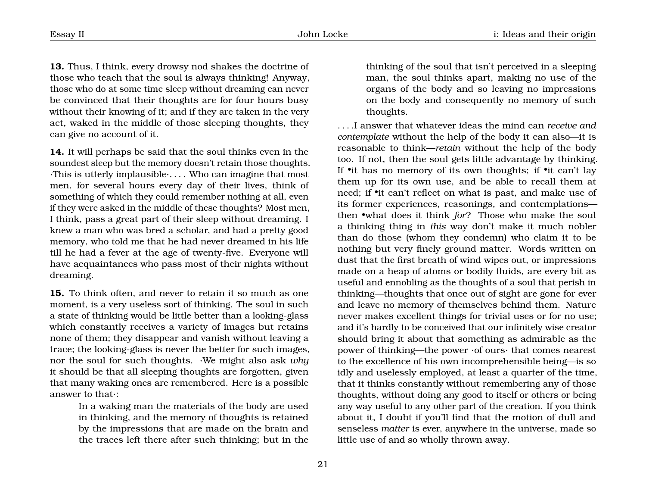**13.** Thus, I think, every drowsy nod shakes the doctrine of those who teach that the soul is always thinking! Anyway, those who do at some time sleep without dreaming can never be convinced that their thoughts are for four hours busy without their knowing of it; and if they are taken in the very act, waked in the middle of those sleeping thoughts, they can give no account of it.

**14.** It will perhaps be said that the soul thinks even in the soundest sleep but the memory doesn't retain those thoughts. ·This is utterly implausible·. . . . Who can imagine that most men, for several hours every day of their lives, think of something of which they could remember nothing at all, even if they were asked in the middle of these thoughts? Most men, I think, pass a great part of their sleep without dreaming. I knew a man who was bred a scholar, and had a pretty good memory, who told me that he had never dreamed in his life till he had a fever at the age of twenty-five. Everyone will have acquaintances who pass most of their nights without dreaming.

**15.** To think often, and never to retain it so much as one moment, is a very useless sort of thinking. The soul in such a state of thinking would be little better than a looking-glass which constantly receives a variety of images but retains none of them; they disappear and vanish without leaving a trace; the looking-glass is never the better for such images, nor the soul for such thoughts. ·We might also ask *why* it should be that all sleeping thoughts are forgotten, given that many waking ones are remembered. Here is a possible answer to that·:

> In a waking man the materials of the body are used in thinking, and the memory of thoughts is retained by the impressions that are made on the brain and the traces left there after such thinking; but in the

thinking of the soul that isn't perceived in a sleeping man, the soul thinks apart, making no use of the organs of the body and so leaving no impressions on the body and consequently no memory of such thoughts.

. . . .I answer that whatever ideas the mind can *receive and contemplate* without the help of the body it can also—it is reasonable to think—*retain* without the help of the body too. If not, then the soul gets little advantage by thinking. If •it has no memory of its own thoughts; if •it can't lay them up for its own use, and be able to recall them at need; if •it can't reflect on what is past, and make use of its former experiences, reasonings, and contemplations then •what does it think *for*? Those who make the soul a thinking thing in *this* way don't make it much nobler than do those (whom they condemn) who claim it to be nothing but very finely ground matter. Words written on dust that the first breath of wind wipes out, or impressions made on a heap of atoms or bodily fluids, are every bit as useful and ennobling as the thoughts of a soul that perish in thinking—thoughts that once out of sight are gone for ever and leave no memory of themselves behind them. Nature never makes excellent things for trivial uses or for no use; and it's hardly to be conceived that our infinitely wise creator should bring it about that something as admirable as the power of thinking—the power ·of ours· that comes nearest to the excellence of his own incomprehensible being—is so idly and uselessly employed, at least a quarter of the time, that it thinks constantly without remembering any of those thoughts, without doing any good to itself or others or being any way useful to any other part of the creation. If you think about it, I doubt if you'll find that the motion of dull and senseless *matter* is ever, anywhere in the universe, made so little use of and so wholly thrown away.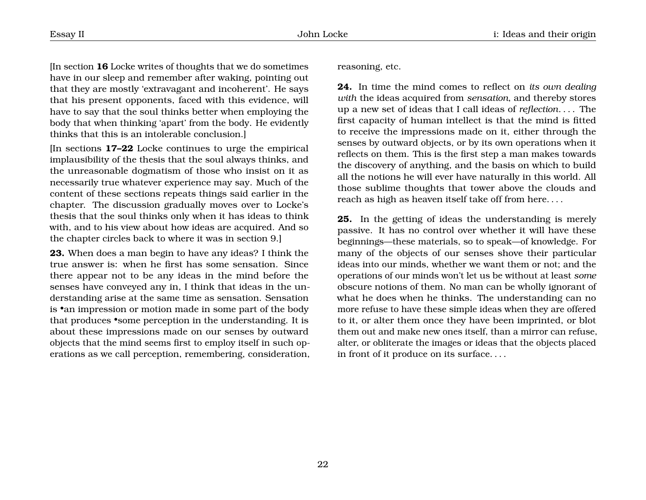[In section **16** Locke writes of thoughts that we do sometimes have in our sleep and remember after waking, pointing out that they are mostly 'extravagant and incoherent'. He says that his present opponents, faced with this evidence, will have to say that the soul thinks better when employing the body that when thinking 'apart' from the body. He evidently thinks that this is an intolerable conclusion.]

[In sections **17–22** Locke continues to urge the empirical implausibility of the thesis that the soul always thinks, and the unreasonable dogmatism of those who insist on it as necessarily true whatever experience may say. Much of the content of these sections repeats things said earlier in the chapter. The discussion gradually moves over to Locke's thesis that the soul thinks only when it has ideas to think with, and to his view about how ideas are acquired. And so the chapter circles back to where it was in section 9.]

**23.** When does a man begin to have any ideas? I think the true answer is: when he first has some sensation. Since there appear not to be any ideas in the mind before the senses have conveyed any in, I think that ideas in the understanding arise at the same time as sensation. Sensation is •an impression or motion made in some part of the body that produces •some perception in the understanding. It is about these impressions made on our senses by outward objects that the mind seems first to employ itself in such operations as we call perception, remembering, consideration, reasoning, etc.

**24.** In time the mind comes to reflect on *its own dealing with* the ideas acquired from *sensation*, and thereby stores up a new set of ideas that I call ideas of *reflection*. . . . The first capacity of human intellect is that the mind is fitted to receive the impressions made on it, either through the senses by outward objects, or by its own operations when it reflects on them. This is the first step a man makes towards the discovery of anything, and the basis on which to build all the notions he will ever have naturally in this world. All those sublime thoughts that tower above the clouds and reach as high as heaven itself take off from here. . . .

**25.** In the getting of ideas the understanding is merely passive. It has no control over whether it will have these beginnings—these materials, so to speak—of knowledge. For many of the objects of our senses shove their particular ideas into our minds, whether we want them or not; and the operations of our minds won't let us be without at least *some* obscure notions of them. No man can be wholly ignorant of what he does when he thinks. The understanding can no more refuse to have these simple ideas when they are offered to it, or alter them once they have been imprinted, or blot them out and make new ones itself, than a mirror can refuse, alter, or obliterate the images or ideas that the objects placed in front of it produce on its surface. . . .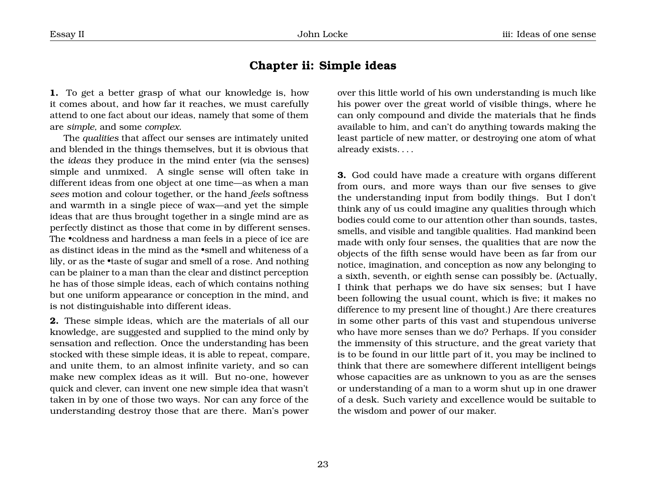# <span id="page-8-0"></span>**Chapter ii: Simple ideas**

**1.** To get a better grasp of what our knowledge is, how it comes about, and how far it reaches, we must carefully attend to one fact about our ideas, namely that some of them are *simple,* and some *complex*.

The *qualities* that affect our senses are intimately united and blended in the things themselves, but it is obvious that the *ideas* they produce in the mind enter (via the senses) simple and unmixed. A single sense will often take in different ideas from one object at one time—as when a man *sees* motion and colour together, or the hand *feels* softness and warmth in a single piece of wax—and yet the simple ideas that are thus brought together in a single mind are as perfectly distinct as those that come in by different senses. The •coldness and hardness a man feels in a piece of ice are as distinct ideas in the mind as the •smell and whiteness of a lily, or as the •taste of sugar and smell of a rose. And nothing can be plainer to a man than the clear and distinct perception he has of those simple ideas, each of which contains nothing but one uniform appearance or conception in the mind, and is not distinguishable into different ideas.

**2.** These simple ideas, which are the materials of all our knowledge, are suggested and supplied to the mind only by sensation and reflection. Once the understanding has been stocked with these simple ideas, it is able to repeat, compare, and unite them, to an almost infinite variety, and so can make new complex ideas as it will. But no-one, however quick and clever, can invent one new simple idea that wasn't taken in by one of those two ways. Nor can any force of the understanding destroy those that are there. Man's power

over this little world of his own understanding is much like his power over the great world of visible things, where he can only compound and divide the materials that he finds available to him, and can't do anything towards making the least particle of new matter, or destroying one atom of what already exists. . . .

**3.** God could have made a creature with organs different from ours, and more ways than our five senses to give the understanding input from bodily things. But I don't think any of us could imagine any qualities through which bodies could come to our attention other than sounds, tastes, smells, and visible and tangible qualities. Had mankind been made with only four senses, the qualities that are now the objects of the fifth sense would have been as far from our notice, imagination, and conception as now any belonging to a sixth, seventh, or eighth sense can possibly be. (Actually, I think that perhaps we do have six senses; but I have been following the usual count, which is five; it makes no difference to my present line of thought.) Are there creatures in some other parts of this vast and stupendous universe who have more senses than we do? Perhaps. If you consider the immensity of this structure, and the great variety that is to be found in our little part of it, you may be inclined to think that there are somewhere different intelligent beings whose capacities are as unknown to you as are the senses or understanding of a man to a worm shut up in one drawer of a desk. Such variety and excellence would be suitable to the wisdom and power of our maker.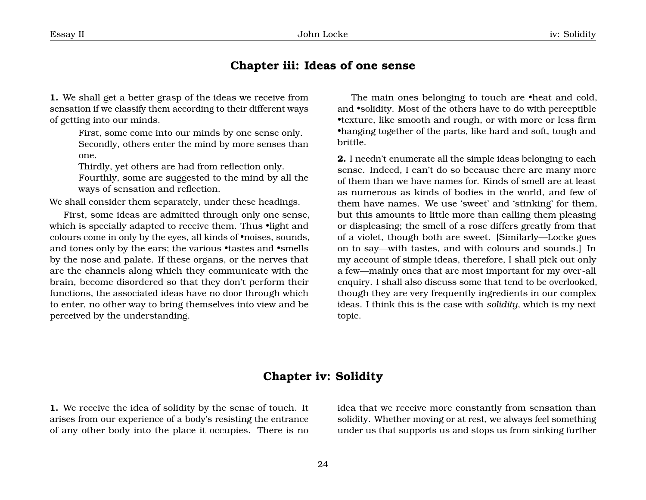#### <span id="page-9-0"></span>**Chapter iii: Ideas of one sense**

**1.** We shall get a better grasp of the ideas we receive from sensation if we classify them according to their different ways of getting into our minds.

> First, some come into our minds by one sense only. Secondly, others enter the mind by more senses than one.

Thirdly, yet others are had from reflection only.

Fourthly, some are suggested to the mind by all the ways of sensation and reflection.

We shall consider them separately, under these headings.

First, some ideas are admitted through only one sense, which is specially adapted to receive them. Thus •light and colours come in only by the eyes, all kinds of •noises, sounds, and tones only by the ears; the various •tastes and •smells by the nose and palate. If these organs, or the nerves that are the channels along which they communicate with the brain, become disordered so that they don't perform their functions, the associated ideas have no door through which to enter, no other way to bring themselves into view and be perceived by the understanding.

The main ones belonging to touch are •heat and cold, and •solidity. Most of the others have to do with perceptible •texture, like smooth and rough, or with more or less firm •hanging together of the parts, like hard and soft, tough and brittle.

**2.** I needn't enumerate all the simple ideas belonging to each sense. Indeed, I can't do so because there are many more of them than we have names for. Kinds of smell are at least as numerous as kinds of bodies in the world, and few of them have names. We use 'sweet' and 'stinking' for them, but this amounts to little more than calling them pleasing or displeasing; the smell of a rose differs greatly from that of a violet, though both are sweet. [Similarly—Locke goes on to say—with tastes, and with colours and sounds.] In my account of simple ideas, therefore, I shall pick out only a few—mainly ones that are most important for my over-all enquiry. I shall also discuss some that tend to be overlooked, though they are very frequently ingredients in our complex ideas. I think this is the case with *solidity*, which is my next topic.

#### <span id="page-9-1"></span>**Chapter iv: Solidity**

**1.** We receive the idea of solidity by the sense of touch. It arises from our experience of a body's resisting the entrance of any other body into the place it occupies. There is no

idea that we receive more constantly from sensation than solidity. Whether moving or at rest, we always feel something under us that supports us and stops us from sinking further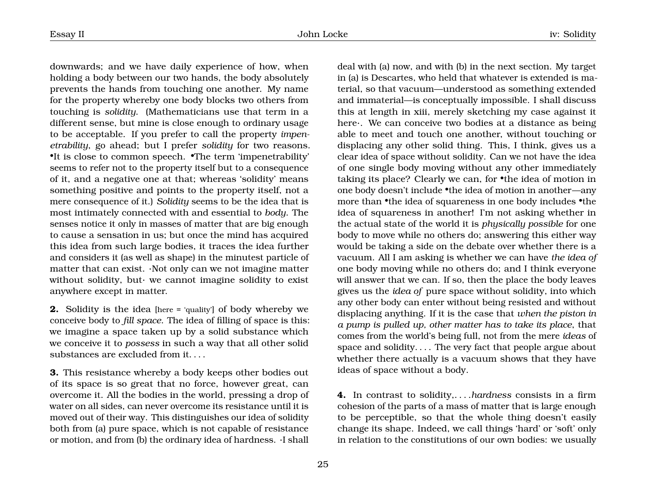downwards; and we have daily experience of how, when holding a body between our two hands, the body absolutely prevents the hands from touching one another. My name for the property whereby one body blocks two others from touching is *solidity*. (Mathematicians use that term in a different sense, but mine is close enough to ordinary usage to be acceptable. If you prefer to call the property *impenetrability*, go ahead; but I prefer *solidity* for two reasons. •It is close to common speech. •The term 'impenetrability' seems to refer not to the property itself but to a consequence of it, and a negative one at that; whereas 'solidity' means something positive and points to the property itself, not a mere consequence of it.) *Solidity* seems to be the idea that is most intimately connected with and essential to *body*. The senses notice it only in masses of matter that are big enough to cause a sensation in us; but once the mind has acquired this idea from such large bodies, it traces the idea further and considers it (as well as shape) in the minutest particle of matter that can exist.  $\cdot$  Not only can we not imagine matter without solidity, but· we cannot imagine solidity to exist anywhere except in matter.

**2.** Solidity is the idea [here = 'quality'] of body whereby we conceive body to *fill space*. The idea of filling of space is this: we imagine a space taken up by a solid substance which we conceive it to *possess* in such a way that all other solid substances are excluded from it. . . .

**3.** This resistance whereby a body keeps other bodies out of its space is so great that no force, however great, can overcome it. All the bodies in the world, pressing a drop of water on all sides, can never overcome its resistance until it is moved out of their way. This distinguishes our idea of solidity both from (a) pure space, which is not capable of resistance or motion, and from (b) the ordinary idea of hardness. ·I shall deal with (a) now, and with (b) in the next section. My target in (a) is Descartes, who held that whatever is extended is material, so that vacuum—understood as something extended and immaterial—is conceptually impossible. I shall discuss this at length in xiii, merely sketching my case against it here·. We can conceive two bodies at a distance as being able to meet and touch one another, without touching or displacing any other solid thing. This, I think, gives us a clear idea of space without solidity. Can we not have the idea of one single body moving without any other immediately taking its place? Clearly we can, for •the idea of motion in one body doesn't include •the idea of motion in another—any more than •the idea of squareness in one body includes •the idea of squareness in another! I'm not asking whether in the actual state of the world it is *physically possible* for one body to move while no others do; answering this either way would be taking a side on the debate over whether there is a vacuum. All I am asking is whether we can have *the idea of* one body moving while no others do; and I think everyone will answer that we can. If so, then the place the body leaves gives us the *idea of* pure space without solidity, into which any other body can enter without being resisted and without displacing anything. If it is the case that *when the piston in a pump is pulled up, other matter has to take its place*, that comes from the world's being full, not from the mere *ideas* of space and solidity. . . . The very fact that people argue about whether there actually is a vacuum shows that they have ideas of space without a body.

**4.** In contrast to solidity,. . . .*hardness* consists in a firm cohesion of the parts of a mass of matter that is large enough to be perceptible, so that the whole thing doesn't easily change its shape. Indeed, we call things 'hard' or 'soft' only in relation to the constitutions of our own bodies: we usually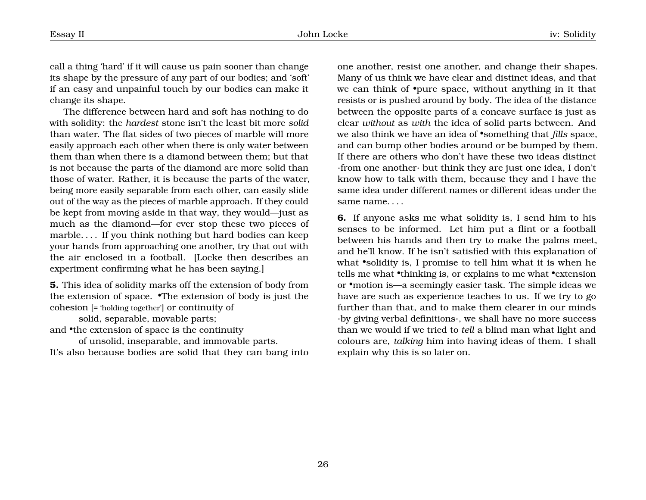call a thing 'hard' if it will cause us pain sooner than change its shape by the pressure of any part of our bodies; and 'soft' if an easy and unpainful touch by our bodies can make it change its shape.

The difference between hard and soft has nothing to do with solidity: the *hardest* stone isn't the least bit more *solid* than water. The flat sides of two pieces of marble will more easily approach each other when there is only water between them than when there is a diamond between them; but that is not because the parts of the diamond are more solid than those of water. Rather, it is because the parts of the water, being more easily separable from each other, can easily slide out of the way as the pieces of marble approach. If they could be kept from moving aside in that way, they would—just as much as the diamond—for ever stop these two pieces of marble. . . . If you think nothing but hard bodies can keep your hands from approaching one another, try that out with the air enclosed in a football. [Locke then describes an experiment confirming what he has been saying.]

**5.** This idea of solidity marks off the extension of body from the extension of space. •The extension of body is just the cohesion [= 'holding together'] or continuity of

solid, separable, movable parts;

and •the extension of space is the continuity

of unsolid, inseparable, and immovable parts. It's also because bodies are solid that they can bang into one another, resist one another, and change their shapes. Many of us think we have clear and distinct ideas, and that we can think of •pure space, without anything in it that resists or is pushed around by body. The idea of the distance between the opposite parts of a concave surface is just as clear *without* as *with* the idea of solid parts between. And we also think we have an idea of •something that *fills* space, and can bump other bodies around or be bumped by them. If there are others who don't have these two ideas distinct ·from one another· but think they are just one idea, I don't know how to talk with them, because they and I have the same idea under different names or different ideas under the same name. . . .

**6.** If anyone asks me what solidity is, I send him to his senses to be informed. Let him put a flint or a football between his hands and then try to make the palms meet, and he'll know. If he isn't satisfied with this explanation of what •solidity is, I promise to tell him what it is when he tells me what •thinking is, or explains to me what •extension or •motion is—a seemingly easier task. The simple ideas we have are such as experience teaches to us. If we try to go further than that, and to make them clearer in our minds ·by giving verbal definitions·, we shall have no more success than we would if we tried to *tell* a blind man what light and colours are, *talking* him into having ideas of them. I shall explain why this is so later on.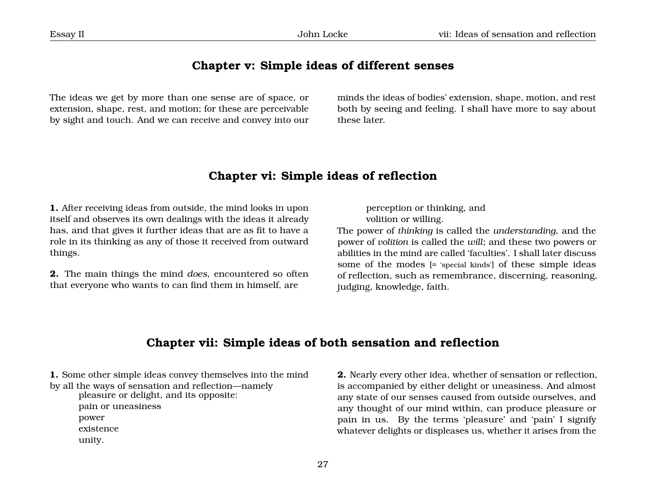#### <span id="page-12-0"></span>**Chapter v: Simple ideas of different senses**

The ideas we get by more than one sense are of space, or extension, shape, rest, and motion; for these are perceivable by sight and touch. And we can receive and convey into our

minds the ideas of bodies' extension, shape, motion, and rest both by seeing and feeling. I shall have more to say about these later.

## <span id="page-12-1"></span>**Chapter vi: Simple ideas of reflection**

**1.** After receiving ideas from outside, the mind looks in upon itself and observes its own dealings with the ideas it already has, and that gives it further ideas that are as fit to have a role in its thinking as any of those it received from outward things.

**2.** The main things the mind *does*, encountered so often that everyone who wants to can find them in himself, are

perception or thinking, and volition or willing.

The power of *thinking* is called the *understanding*, and the power of *volition* is called the *will*; and these two powers or abilities in the mind are called 'faculties'. I shall later discuss some of the modes [= 'special kinds'] of these simple ideas of reflection, such as remembrance, discerning, reasoning, judging, knowledge, faith.

## <span id="page-12-2"></span>**Chapter vii: Simple ideas of both sensation and reflection**

**1.** Some other simple ideas convey themselves into the mind by all the ways of sensation and reflection—namely

> pleasure or delight, and its opposite: pain or uneasiness power existence unity.

**2.** Nearly every other idea, whether of sensation or reflection, is accompanied by either delight or uneasiness. And almost any state of our senses caused from outside ourselves, and any thought of our mind within, can produce pleasure or pain in us. By the terms 'pleasure' and 'pain' I signify whatever delights or displeases us, whether it arises from the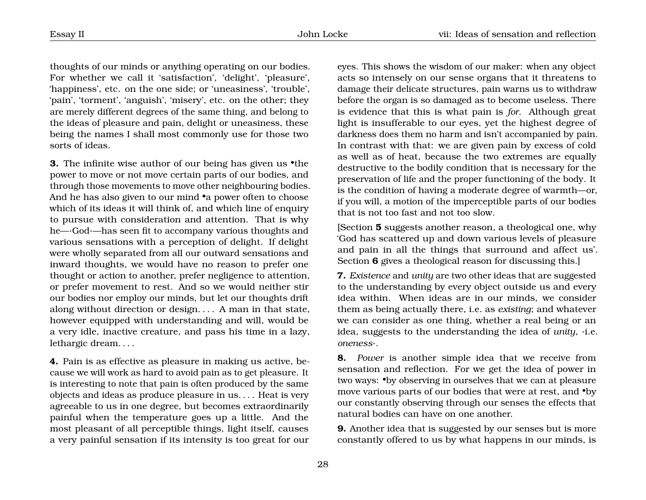thoughts of our minds or anything operating on our bodies. For whether we call it 'satisfaction', 'delight', 'pleasure', 'happiness', etc. on the one side; or 'uneasiness', 'trouble', 'pain', 'torment', 'anguish', 'misery', etc. on the other; they are merely different degrees of the same thing, and belong to the ideas of pleasure and pain, delight or uneasiness, these being the names I shall most commonly use for those two sorts of ideas.

**3.** The infinite wise author of our being has given us •the power to move or not move certain parts of our bodies, and through those movements to move other neighbouring bodies. And he has also given to our mind •a power often to choose which of its ideas it will think of, and which line of enquiry to pursue with consideration and attention. That is why he—·God·—has seen fit to accompany various thoughts and various sensations with a perception of delight. If delight were wholly separated from all our outward sensations and inward thoughts, we would have no reason to prefer one thought or action to another, prefer negligence to attention, or prefer movement to rest. And so we would neither stir our bodies nor employ our minds, but let our thoughts drift along without direction or design. . . . A man in that state, however equipped with understanding and will, would be a very idle, inactive creature, and pass his time in a lazy, lethargic dream. . . .

**4.** Pain is as effective as pleasure in making us active, because we will work as hard to avoid pain as to get pleasure. It is interesting to note that pain is often produced by the same objects and ideas as produce pleasure in us. . . . Heat is very agreeable to us in one degree, but becomes extraordinarily painful when the temperature goes up a little. And the most pleasant of all perceptible things, light itself, causes a very painful sensation if its intensity is too great for our

eyes. This shows the wisdom of our maker: when any object acts so intensely on our sense organs that it threatens to damage their delicate structures, pain warns us to withdraw before the organ is so damaged as to become useless. There is evidence that this is what pain is *for*. Although great light is insufferable to our eyes, yet the highest degree of darkness does them no harm and isn't accompanied by pain. In contrast with that: we are given pain by excess of cold as well as of heat, because the two extremes are equally destructive to the bodily condition that is necessary for the preservation of life and the proper functioning of the body. It is the condition of having a moderate degree of warmth—or, if you will, a motion of the imperceptible parts of our bodies that is not too fast and not too slow.

[Section **5** suggests another reason, a theological one, why 'God has scattered up and down various levels of pleasure and pain in all the things that surround and affect us'. Section **6** gives a theological reason for discussing this.]

**7.** *Existence* and *unity* are two other ideas that are suggested to the understanding by every object outside us and every idea within. When ideas are in our minds, we consider them as being actually there, i.e. as *existing*; and whatever we can consider as one thing, whether a real being or an idea, suggests to the understanding the idea of *unity*, ·i.e. *oneness*·.

**8.** *Power* is another simple idea that we receive from sensation and reflection. For we get the idea of power in two ways: •by observing in ourselves that we can at pleasure move various parts of our bodies that were at rest, and •by our constantly observing through our senses the effects that natural bodies can have on one another.

**9.** Another idea that is suggested by our senses but is more constantly offered to us by what happens in our minds, is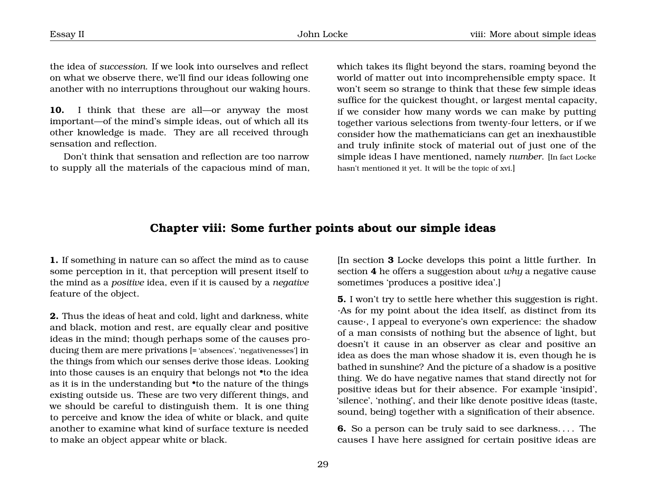the idea of *succession*. If we look into ourselves and reflect on what we observe there, we'll find our ideas following one another with no interruptions throughout our waking hours.

**10.** I think that these are all—or anyway the most important—of the mind's simple ideas, out of which all its other knowledge is made. They are all received through sensation and reflection.

Don't think that sensation and reflection are too narrow to supply all the materials of the capacious mind of man, which takes its flight beyond the stars, roaming beyond the world of matter out into incomprehensible empty space. It won't seem so strange to think that these few simple ideas suffice for the quickest thought, or largest mental capacity, if we consider how many words we can make by putting together various selections from twenty-four letters, or if we consider how the mathematicians can get an inexhaustible and truly infinite stock of material out of just one of the simple ideas I have mentioned, namely *number*. [In fact Locke hasn't mentioned it yet. It will be the topic of xvi.]

#### <span id="page-14-0"></span>**Chapter viii: Some further points about our simple ideas**

**1.** If something in nature can so affect the mind as to cause some perception in it, that perception will present itself to the mind as a *positive* idea, even if it is caused by a *negative* feature of the object.

**2.** Thus the ideas of heat and cold, light and darkness, white and black, motion and rest, are equally clear and positive ideas in the mind; though perhaps some of the causes producing them are mere privations [= 'absences', 'negativenesses'] in the things from which our senses derive those ideas. Looking into those causes is an enquiry that belongs not •to the idea as it is in the understanding but •to the nature of the things existing outside us. These are two very different things, and we should be careful to distinguish them. It is one thing to perceive and know the idea of white or black, and quite another to examine what kind of surface texture is needed to make an object appear white or black.

[In section **3** Locke develops this point a little further. In section **4** he offers a suggestion about *why* a negative cause sometimes 'produces a positive idea'.]

**5.** I won't try to settle here whether this suggestion is right. ·As for my point about the idea itself, as distinct from its cause·, I appeal to everyone's own experience: the shadow of a man consists of nothing but the absence of light, but doesn't it cause in an observer as clear and positive an idea as does the man whose shadow it is, even though he is bathed in sunshine? And the picture of a shadow is a positive thing. We do have negative names that stand directly not for positive ideas but for their absence. For example 'insipid', 'silence', 'nothing', and their like denote positive ideas (taste, sound, being) together with a signification of their absence.

**6.** So a person can be truly said to see darkness.... The causes I have here assigned for certain positive ideas are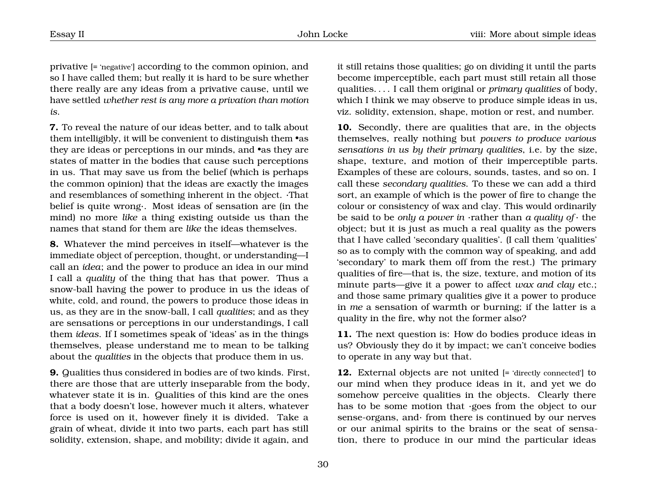privative [= 'negative'] according to the common opinion, and so I have called them; but really it is hard to be sure whether there really are any ideas from a privative cause, until we have settled *whether rest is any more a privation than motion is*.

**7.** To reveal the nature of our ideas better, and to talk about them intelligibly, it will be convenient to distinguish them •as they are ideas or perceptions in our minds, and •as they are states of matter in the bodies that cause such perceptions in us. That may save us from the belief (which is perhaps the common opinion) that the ideas are exactly the images and resemblances of something inherent in the object. ·That belief is quite wrong·. Most ideas of sensation are (in the mind) no more *like* a thing existing outside us than the names that stand for them are *like* the ideas themselves.

**8.** Whatever the mind perceives in itself—whatever is the immediate object of perception, thought, or understanding—I call an *idea*; and the power to produce an idea in our mind I call a *quality* of the thing that has that power. Thus a snow-ball having the power to produce in us the ideas of white, cold, and round, the powers to produce those ideas in us, as they are in the snow-ball, I call *qualities*; and as they are sensations or perceptions in our understandings, I call them *ideas*. If I sometimes speak of 'ideas' as in the things themselves, please understand me to mean to be talking about the *qualities* in the objects that produce them in us.

**9.** Qualities thus considered in bodies are of two kinds. First, there are those that are utterly inseparable from the body, whatever state it is in. Qualities of this kind are the ones that a body doesn't lose, however much it alters, whatever force is used on it, however finely it is divided. Take a grain of wheat, divide it into two parts, each part has still solidity, extension, shape, and mobility; divide it again, and

it still retains those qualities; go on dividing it until the parts become imperceptible, each part must still retain all those qualities. . . . I call them original or *primary qualities* of body, which I think we may observe to produce simple ideas in us, viz. solidity, extension, shape, motion or rest, and number.

**10.** Secondly, there are qualities that are, in the objects themselves, really nothing but *powers to produce various sensations in us by their primary qualities*, i.e. by the size, shape, texture, and motion of their imperceptible parts. Examples of these are colours, sounds, tastes, and so on. I call these *secondary qualities*. To these we can add a third sort, an example of which is the power of fire to change the colour or consistency of wax and clay. This would ordinarily be said to be *only a power in* ·rather than *a quality of* · the object; but it is just as much a real quality as the powers that I have called 'secondary qualities'. (I call them 'qualities' so as to comply with the common way of speaking, and add 'secondary' to mark them off from the rest.) The primary qualities of fire—that is, the size, texture, and motion of its minute parts—give it a power to affect *wax and clay* etc.; and those same primary qualities give it a power to produce in *me* a sensation of warmth or burning; if the latter is a quality in the fire, why not the former also?

**11.** The next question is: How do bodies produce ideas in us? Obviously they do it by impact; we can't conceive bodies to operate in any way but that.

**12.** External objects are not united [= 'directly connected'] to our mind when they produce ideas in it, and yet we do somehow perceive qualities in the objects. Clearly there has to be some motion that ·goes from the object to our sense-organs, and· from there is continued by our nerves or our animal spirits to the brains or the seat of sensation, there to produce in our mind the particular ideas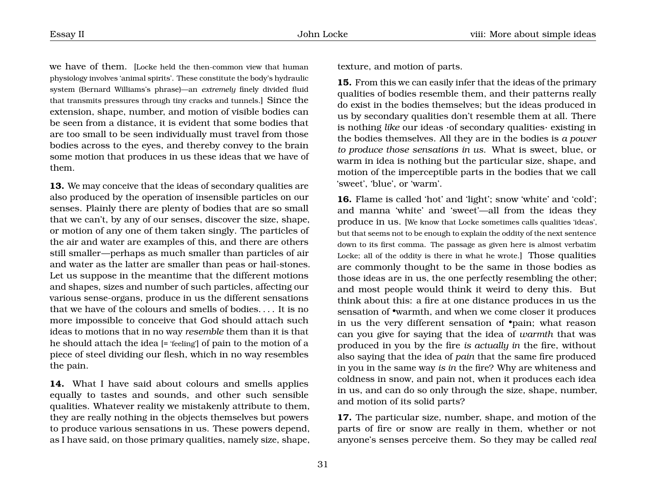we have of them. [Locke held the then-common view that human physiology involves 'animal spirits'. These constitute the body's hydraulic system (Bernard Williams's phrase)—an *extremely* finely divided fluid that transmits pressures through tiny cracks and tunnels.] Since the extension, shape, number, and motion of visible bodies can be seen from a distance, it is evident that some bodies that are too small to be seen individually must travel from those bodies across to the eyes, and thereby convey to the brain some motion that produces in us these ideas that we have of them.

**13.** We may conceive that the ideas of secondary qualities are also produced by the operation of insensible particles on our senses. Plainly there are plenty of bodies that are so small that we can't, by any of our senses, discover the size, shape, or motion of any one of them taken singly. The particles of the air and water are examples of this, and there are others still smaller—perhaps as much smaller than particles of air and water as the latter are smaller than peas or hail-stones. Let us suppose in the meantime that the different motions and shapes, sizes and number of such particles, affecting our various sense-organs, produce in us the different sensations that we have of the colours and smells of bodies. . . . It is no more impossible to conceive that God should attach such ideas to motions that in no way *resemble* them than it is that he should attach the idea [= 'feeling'] of pain to the motion of a piece of steel dividing our flesh, which in no way resembles the pain.

**14.** What I have said about colours and smells applies equally to tastes and sounds, and other such sensible qualities. Whatever reality we mistakenly attribute to them, they are really nothing in the objects themselves but powers to produce various sensations in us. These powers depend, as I have said, on those primary qualities, namely size, shape, texture, and motion of parts.

**15.** From this we can easily infer that the ideas of the primary qualities of bodies resemble them, and their patterns really do exist in the bodies themselves; but the ideas produced in us by secondary qualities don't resemble them at all. There is nothing *like* our ideas ·of secondary qualities· existing in the bodies themselves. All they are in the bodies is *a power to produce those sensations in us*. What is sweet, blue, or warm in idea is nothing but the particular size, shape, and motion of the imperceptible parts in the bodies that we call 'sweet', 'blue', or 'warm'.

**16.** Flame is called 'hot' and 'light'; snow 'white' and 'cold'; and manna 'white' and 'sweet'—all from the ideas they produce in us. [We know that Locke sometimes calls qualities 'ideas', but that seems not to be enough to explain the oddity of the next sentence down to its first comma. The passage as given here is almost verbatim Locke; all of the oddity is there in what he wrote.] Those qualities are commonly thought to be the same in those bodies as those ideas are in us, the one perfectly resembling the other; and most people would think it weird to deny this. But think about this: a fire at one distance produces in us the sensation of •warmth, and when we come closer it produces in us the very different sensation of •pain; what reason can you give for saying that the idea of *warmth* that was produced in you by the fire *is actually in* the fire, without also saying that the idea of *pain* that the same fire produced in you in the same way *is in* the fire? Why are whiteness and coldness in snow, and pain not, when it produces each idea in us, and can do so only through the size, shape, number, and motion of its solid parts?

**17.** The particular size, number, shape, and motion of the parts of fire or snow are really in them, whether or not anyone's senses perceive them. So they may be called *real*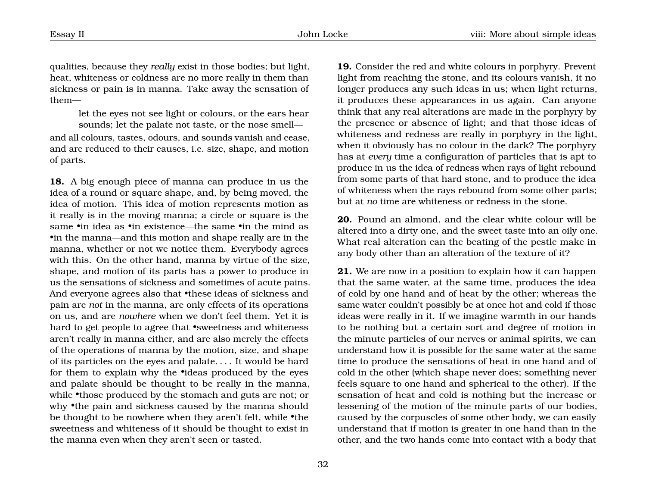qualities, because they *really* exist in those bodies; but light, heat, whiteness or coldness are no more really in them than sickness or pain is in manna. Take away the sensation of them—

> let the eyes not see light or colours, or the ears hear sounds; let the palate not taste, or the nose smell—

and all colours, tastes, odours, and sounds vanish and cease, and are reduced to their causes, i.e. size, shape, and motion of parts.

**18.** A big enough piece of manna can produce in us the idea of a round or square shape, and, by being moved, the idea of motion. This idea of motion represents motion as it really is in the moving manna; a circle or square is the same •in idea as •in existence—the same •in the mind as •in the manna—and this motion and shape really are in the manna, whether or not we notice them. Everybody agrees with this. On the other hand, manna by virtue of the size, shape, and motion of its parts has a power to produce in us the sensations of sickness and sometimes of acute pains. And everyone agrees also that •these ideas of sickness and pain are *not* in the manna, are only effects of its operations on us, and are *nowhere* when we don't feel them. Yet it is hard to get people to agree that •sweetness and whiteness aren't really in manna either, and are also merely the effects of the operations of manna by the motion, size, and shape of its particles on the eyes and palate. . . . It would be hard for them to explain why the •ideas produced by the eyes and palate should be thought to be really in the manna, while •those produced by the stomach and guts are not; or why •the pain and sickness caused by the manna should be thought to be nowhere when they aren't felt, while •the sweetness and whiteness of it should be thought to exist in the manna even when they aren't seen or tasted.

**19.** Consider the red and white colours in porphyry. Prevent light from reaching the stone, and its colours vanish, it no longer produces any such ideas in us; when light returns, it produces these appearances in us again. Can anyone think that any real alterations are made in the porphyry by the presence or absence of light; and that those ideas of whiteness and redness are really in porphyry in the light, when it obviously has no colour in the dark? The porphyry has at *every* time a configuration of particles that is apt to produce in us the idea of redness when rays of light rebound from some parts of that hard stone, and to produce the idea of whiteness when the rays rebound from some other parts; but at *no* time are whiteness or redness in the stone.

**20.** Pound an almond, and the clear white colour will be altered into a dirty one, and the sweet taste into an oily one. What real alteration can the beating of the pestle make in any body other than an alteration of the texture of it?

**21.** We are now in a position to explain how it can happen that the same water, at the same time, produces the idea of cold by one hand and of heat by the other; whereas the same water couldn't possibly be at once hot and cold if those ideas were really in it. If we imagine warmth in our hands to be nothing but a certain sort and degree of motion in the minute particles of our nerves or animal spirits, we can understand how it is possible for the same water at the same time to produce the sensations of heat in one hand and of cold in the other (which shape never does; something never feels square to one hand and spherical to the other). If the sensation of heat and cold is nothing but the increase or lessening of the motion of the minute parts of our bodies, caused by the corpuscles of some other body, we can easily understand that if motion is greater in one hand than in the other, and the two hands come into contact with a body that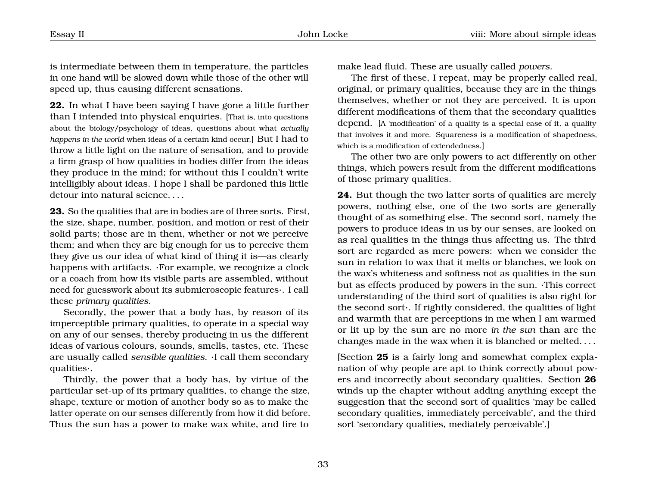is intermediate between them in temperature, the particles in one hand will be slowed down while those of the other will speed up, thus causing different sensations.

**22.** In what I have been saying I have gone a little further than I intended into physical enquiries. [That is, into questions about the biology/psychology of ideas, questions about what *actually happens in the world* when ideas of a certain kind occur.] But I had to throw a little light on the nature of sensation, and to provide a firm grasp of how qualities in bodies differ from the ideas they produce in the mind; for without this I couldn't write intelligibly about ideas. I hope I shall be pardoned this little detour into natural science. . . .

**23.** So the qualities that are in bodies are of three sorts. First, the size, shape, number, position, and motion or rest of their solid parts; those are in them, whether or not we perceive them; and when they are big enough for us to perceive them they give us our idea of what kind of thing it is—as clearly happens with artifacts. ·For example, we recognize a clock or a coach from how its visible parts are assembled, without need for guesswork about its submicroscopic features·. I call these *primary qualities*.

Secondly, the power that a body has, by reason of its imperceptible primary qualities, to operate in a special way on any of our senses, thereby producing in us the different ideas of various colours, sounds, smells, tastes, etc. These are usually called *sensible qualities*. ·I call them secondary qualities·.

Thirdly, the power that a body has, by virtue of the particular set-up of its primary qualities, to change the size, shape, texture or motion of another body so as to make the latter operate on our senses differently from how it did before. Thus the sun has a power to make wax white, and fire to

make lead fluid. These are usually called *powers*.

The first of these, I repeat, may be properly called real, original, or primary qualities, because they are in the things themselves, whether or not they are perceived. It is upon different modifications of them that the secondary qualities depend. [A 'modification' of a quality is a special case of it, a quality that involves it and more. Squareness is a modification of shapedness, which is a modification of extendedness.]

The other two are only powers to act differently on other things, which powers result from the different modifications of those primary qualities.

**24.** But though the two latter sorts of qualities are merely powers, nothing else, one of the two sorts are generally thought of as something else. The second sort, namely the powers to produce ideas in us by our senses, are looked on as real qualities in the things thus affecting us. The third sort are regarded as mere powers: when we consider the sun in relation to wax that it melts or blanches, we look on the wax's whiteness and softness not as qualities in the sun but as effects produced by powers in the sun. ·This correct understanding of the third sort of qualities is also right for the second sort·. If rightly considered, the qualities of light and warmth that are perceptions in me when I am warmed or lit up by the sun are no more *in the sun* than are the changes made in the wax when it is blanched or melted. . . .

[Section **25** is a fairly long and somewhat complex explanation of why people are apt to think correctly about powers and incorrectly about secondary qualities. Section **26** winds up the chapter without adding anything except the suggestion that the second sort of qualities 'may be called secondary qualities, immediately perceivable', and the third sort 'secondary qualities, mediately perceivable'.]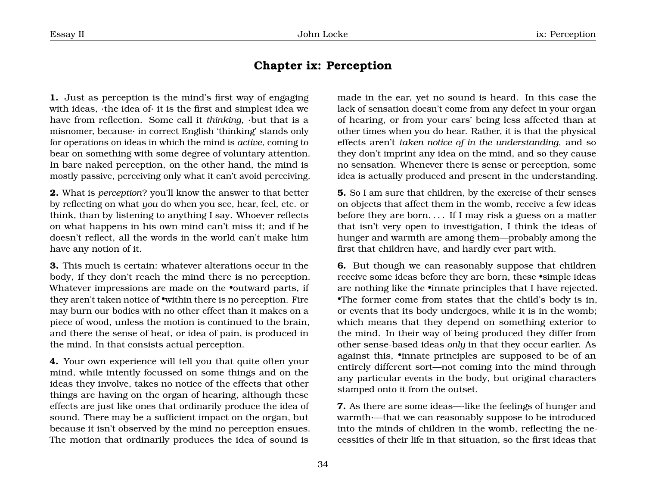## <span id="page-19-0"></span>**Chapter ix: Perception**

**1.** Just as perception is the mind's first way of engaging with ideas, ·the idea of· it is the first and simplest idea we have from reflection. Some call it *thinking*, ·but that is a misnomer, because· in correct English 'thinking' stands only for operations on ideas in which the mind is *active*, coming to bear on something with some degree of voluntary attention. In bare naked perception, on the other hand, the mind is mostly passive, perceiving only what it can't avoid perceiving.

**2.** What is *perception*? you'll know the answer to that better by reflecting on what *you* do when you see, hear, feel, etc. or think, than by listening to anything I say. Whoever reflects on what happens in his own mind can't miss it; and if he doesn't reflect, all the words in the world can't make him have any notion of it.

**3.** This much is certain: whatever alterations occur in the body, if they don't reach the mind there is no perception. Whatever impressions are made on the •outward parts, if they aren't taken notice of •within there is no perception. Fire may burn our bodies with no other effect than it makes on a piece of wood, unless the motion is continued to the brain, and there the sense of heat, or idea of pain, is produced in the mind. In that consists actual perception.

**4.** Your own experience will tell you that quite often your mind, while intently focussed on some things and on the ideas they involve, takes no notice of the effects that other things are having on the organ of hearing, although these effects are just like ones that ordinarily produce the idea of sound. There may be a sufficient impact on the organ, but because it isn't observed by the mind no perception ensues. The motion that ordinarily produces the idea of sound is

made in the ear, yet no sound is heard. In this case the lack of sensation doesn't come from any defect in your organ of hearing, or from your ears' being less affected than at other times when you do hear. Rather, it is that the physical effects aren't *taken notice of in the understanding*, and so they don't imprint any idea on the mind, and so they cause no sensation. Whenever there is sense or perception, some idea is actually produced and present in the understanding.

**5.** So I am sure that children, by the exercise of their senses on objects that affect them in the womb, receive a few ideas before they are born. . . . If I may risk a guess on a matter that isn't very open to investigation, I think the ideas of hunger and warmth are among them—probably among the first that children have, and hardly ever part with.

**6.** But though we can reasonably suppose that children receive some ideas before they are born, these •simple ideas are nothing like the •innate principles that I have rejected. •The former come from states that the child's body is in, or events that its body undergoes, while it is in the womb; which means that they depend on something exterior to the mind. In their way of being produced they differ from other sense-based ideas *only* in that they occur earlier. As against this, •innate principles are supposed to be of an entirely different sort—not coming into the mind through any particular events in the body, but original characters stamped onto it from the outset.

**7.** As there are some ideas—·like the feelings of hunger and warmth·—that we can reasonably suppose to be introduced into the minds of children in the womb, reflecting the necessities of their life in that situation, so the first ideas that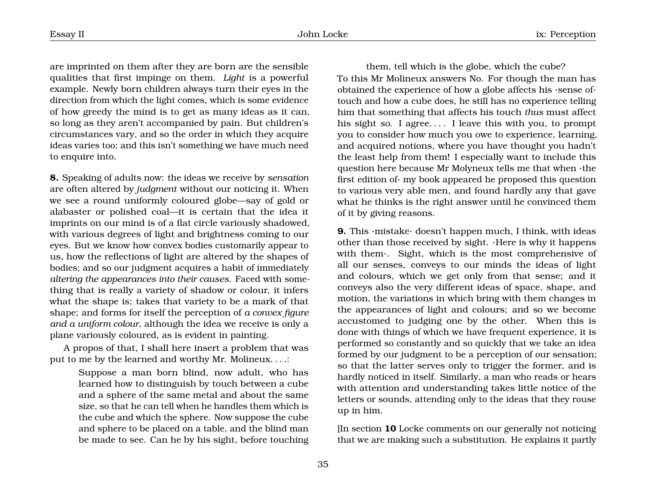are imprinted on them after they are born are the sensible qualities that first impinge on them. *Light* is a powerful example. Newly born children always turn their eyes in the direction from which the light comes, which is some evidence of how greedy the mind is to get as many ideas as it can, so long as they aren't accompanied by pain. But children's circumstances vary, and so the order in which they acquire ideas varies too; and this isn't something we have much need to enquire into.

**8.** Speaking of adults now: the ideas we receive by *sensation* are often altered by *judgment* without our noticing it. When we see a round uniformly coloured globe—say of gold or alabaster or polished coal—it is certain that the idea it imprints on our mind is of a flat circle variously shadowed, with various degrees of light and brightness coming to our eyes. But we know how convex bodies customarily appear to us, how the reflections of light are altered by the shapes of bodies; and so our judgment acquires a habit of immediately *altering the appearances into their causes*. Faced with something that is really a variety of shadow or colour, it infers what the shape is; takes that variety to be a mark of that shape; and forms for itself the perception of *a convex figure and a uniform colour*, although the idea we receive is only a plane variously coloured, as is evident in painting.

A propos of that, I shall here insert a problem that was put to me by the learned and worthy Mr. Molineux. . . .:

> Suppose a man born blind, now adult, who has learned how to distinguish by touch between a cube and a sphere of the same metal and about the same size, so that he can tell when he handles them which is the cube and which the sphere. Now suppose the cube and sphere to be placed on a table, and the blind man be made to see. Can he by his sight, before touching

them, tell which is the globe, which the cube? To this Mr Molineux answers No. For though the man has obtained the experience of how a globe affects his ·sense of· touch and how a cube does, he still has no experience telling him that something that affects his touch *thus* must affect his sight *so*. I agree. . . . I leave this with you, to prompt you to consider how much you owe to experience, learning, and acquired notions, where you have thought you hadn't the least help from them! I especially want to include this question here because Mr Molyneux tells me that when ·the first edition of· my book appeared he proposed this question to various very able men, and found hardly any that gave what he thinks is the right answer until he convinced them of it by giving reasons.

**9.** This ·mistake· doesn't happen much, I think, with ideas other than those received by sight. ·Here is why it happens with them·. Sight, which is the most comprehensive of all our senses, conveys to our minds the ideas of light and colours, which we get only from that sense; and it conveys also the very different ideas of space, shape, and motion, the variations in which bring with them changes in the appearances of light and colours; and so we become accustomed to judging one by the other. When this is done with things of which we have frequent experience, it is performed so constantly and so quickly that we take an idea formed by our judgment to be a perception of our sensation; so that the latter serves only to trigger the former, and is hardly noticed in itself. Similarly, a man who reads or hears with attention and understanding takes little notice of the letters or sounds, attending only to the ideas that they rouse up in him.

[In section **10** Locke comments on our generally not noticing that we are making such a substitution. He explains it partly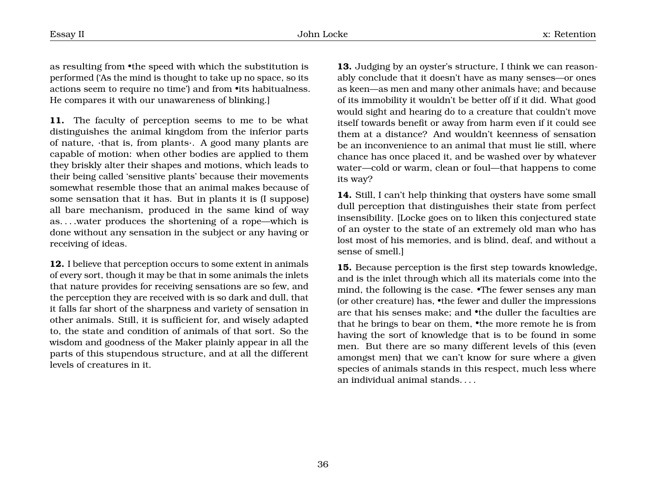as resulting from •the speed with which the substitution is performed ('As the mind is thought to take up no space, so its actions seem to require no time') and from •its habitualness. He compares it with our unawareness of blinking.]

**11.** The faculty of perception seems to me to be what distinguishes the animal kingdom from the inferior parts of nature, ·that is, from plants·. A good many plants are capable of motion: when other bodies are applied to them they briskly alter their shapes and motions, which leads to their being called 'sensitive plants' because their movements somewhat resemble those that an animal makes because of some sensation that it has. But in plants it is (I suppose) all bare mechanism, produced in the same kind of way as. . . .water produces the shortening of a rope—which is done without any sensation in the subject or any having or receiving of ideas.

**12.** I believe that perception occurs to some extent in animals of every sort, though it may be that in some animals the inlets that nature provides for receiving sensations are so few, and the perception they are received with is so dark and dull, that it falls far short of the sharpness and variety of sensation in other animals. Still, it is sufficient for, and wisely adapted to, the state and condition of animals of that sort. So the wisdom and goodness of the Maker plainly appear in all the parts of this stupendous structure, and at all the different levels of creatures in it.

**13.** Judging by an oyster's structure, I think we can reasonably conclude that it doesn't have as many senses—or ones as keen—as men and many other animals have; and because of its immobility it wouldn't be better off if it did. What good would sight and hearing do to a creature that couldn't move itself towards benefit or away from harm even if it could see them at a distance? And wouldn't keenness of sensation be an inconvenience to an animal that must lie still, where chance has once placed it, and be washed over by whatever water—cold or warm, clean or foul—that happens to come its way?

**14.** Still, I can't help thinking that oysters have some small dull perception that distinguishes their state from perfect insensibility. [Locke goes on to liken this conjectured state of an oyster to the state of an extremely old man who has lost most of his memories, and is blind, deaf, and without a sense of smell.]

**15.** Because perception is the first step towards knowledge, and is the inlet through which all its materials come into the mind, the following is the case. •The fewer senses any man (or other creature) has, •the fewer and duller the impressions are that his senses make; and •the duller the faculties are that he brings to bear on them, •the more remote he is from having the sort of knowledge that is to be found in some men. But there are so many different levels of this (even amongst men) that we can't know for sure where a given species of animals stands in this respect, much less where an individual animal stands. . . .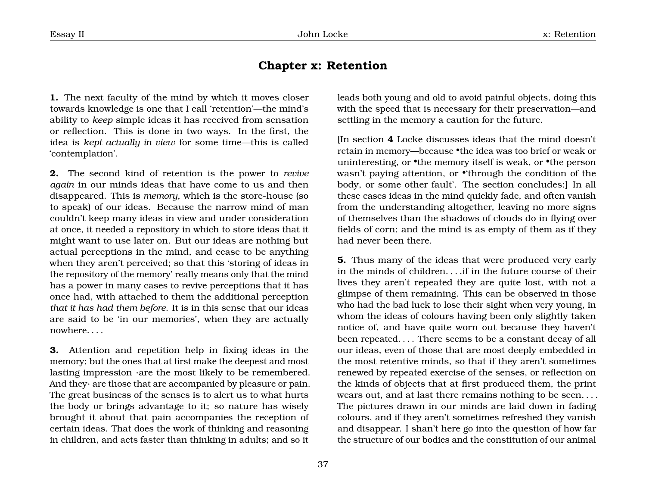#### <span id="page-22-0"></span>**Chapter x: Retention**

**1.** The next faculty of the mind by which it moves closer towards knowledge is one that I call 'retention'—the mind's ability to *keep* simple ideas it has received from sensation or reflection. This is done in two ways. In the first, the idea is *kept actually in view* for some time—this is called 'contemplation'.

**2.** The second kind of retention is the power to *revive again* in our minds ideas that have come to us and then disappeared. This is *memory*, which is the store-house (so to speak) of our ideas. Because the narrow mind of man couldn't keep many ideas in view and under consideration at once, it needed a repository in which to store ideas that it might want to use later on. But our ideas are nothing but actual perceptions in the mind, and cease to be anything when they aren't perceived; so that this 'storing of ideas in the repository of the memory' really means only that the mind has a power in many cases to revive perceptions that it has once had, with attached to them the additional perception *that it has had them before*. It is in this sense that our ideas are said to be 'in our memories', when they are actually nowhere. . . .

**3.** Attention and repetition help in fixing ideas in the memory; but the ones that at first make the deepest and most lasting impression ·are the most likely to be remembered. And they· are those that are accompanied by pleasure or pain. The great business of the senses is to alert us to what hurts the body or brings advantage to it; so nature has wisely brought it about that pain accompanies the reception of certain ideas. That does the work of thinking and reasoning in children, and acts faster than thinking in adults; and so it

leads both young and old to avoid painful objects, doing this with the speed that is necessary for their preservation—and settling in the memory a caution for the future.

[In section **4** Locke discusses ideas that the mind doesn't retain in memory—because •the idea was too brief or weak or uninteresting, or •the memory itself is weak, or •the person wasn't paying attention, or •'through the condition of the body, or some other fault'. The section concludes:] In all these cases ideas in the mind quickly fade, and often vanish from the understanding altogether, leaving no more signs of themselves than the shadows of clouds do in flying over fields of corn; and the mind is as empty of them as if they had never been there.

**5.** Thus many of the ideas that were produced very early in the minds of children. . . .if in the future course of their lives they aren't repeated they are quite lost, with not a glimpse of them remaining. This can be observed in those who had the bad luck to lose their sight when very young, in whom the ideas of colours having been only slightly taken notice of, and have quite worn out because they haven't been repeated. . . . There seems to be a constant decay of all our ideas, even of those that are most deeply embedded in the most retentive minds, so that if they aren't sometimes renewed by repeated exercise of the senses, or reflection on the kinds of objects that at first produced them, the print wears out, and at last there remains nothing to be seen. . . . The pictures drawn in our minds are laid down in fading colours, and if they aren't sometimes refreshed they vanish and disappear. I shan't here go into the question of how far the structure of our bodies and the constitution of our animal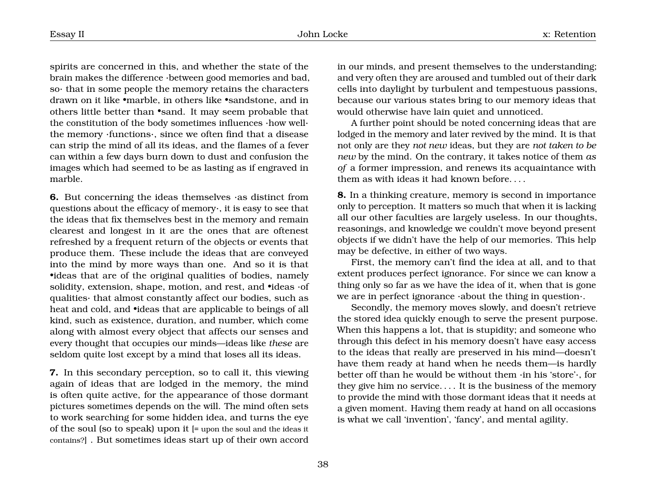spirits are concerned in this, and whether the state of the brain makes the difference ·between good memories and bad, so· that in some people the memory retains the characters drawn on it like •marble, in others like •sandstone, and in others little better than •sand. It may seem probable that the constitution of the body sometimes influences ·how well· the memory ·functions·, since we often find that a disease can strip the mind of all its ideas, and the flames of a fever can within a few days burn down to dust and confusion the images which had seemed to be as lasting as if engraved in marble.

**6.** But concerning the ideas themselves ·as distinct from questions about the efficacy of memory·, it is easy to see that the ideas that fix themselves best in the memory and remain clearest and longest in it are the ones that are oftenest refreshed by a frequent return of the objects or events that produce them. These include the ideas that are conveyed into the mind by more ways than one. And so it is that •ideas that are of the original qualities of bodies, namely solidity, extension, shape, motion, and rest, and *•ideas* ·of qualities· that almost constantly affect our bodies, such as heat and cold, and •ideas that are applicable to beings of all kind, such as existence, duration, and number, which come along with almost every object that affects our senses and every thought that occupies our minds—ideas like *these* are seldom quite lost except by a mind that loses all its ideas.

**7.** In this secondary perception, so to call it, this viewing again of ideas that are lodged in the memory, the mind is often quite active, for the appearance of those dormant pictures sometimes depends on the will. The mind often sets to work searching for some hidden idea, and turns the eye of the soul (so to speak) upon it [= upon the soul and the ideas it contains?] . But sometimes ideas start up of their own accord

in our minds, and present themselves to the understanding; and very often they are aroused and tumbled out of their dark cells into daylight by turbulent and tempestuous passions, because our various states bring to our memory ideas that would otherwise have lain quiet and unnoticed.

A further point should be noted concerning ideas that are lodged in the memory and later revived by the mind. It is that not only are they *not new* ideas, but they are *not taken to be new* by the mind. On the contrary, it takes notice of them *as of* a former impression, and renews its acquaintance with them as with ideas it had known before. . . .

**8.** In a thinking creature, memory is second in importance only to perception. It matters so much that when it is lacking all our other faculties are largely useless. In our thoughts, reasonings, and knowledge we couldn't move beyond present objects if we didn't have the help of our memories. This help may be defective, in either of two ways.

First, the memory can't find the idea at all, and to that extent produces perfect ignorance. For since we can know a thing only so far as we have the idea of it, when that is gone we are in perfect ignorance ·about the thing in question·.

Secondly, the memory moves slowly, and doesn't retrieve the stored idea quickly enough to serve the present purpose. When this happens a lot, that is stupidity; and someone who through this defect in his memory doesn't have easy access to the ideas that really are preserved in his mind—doesn't have them ready at hand when he needs them—is hardly better off than he would be without them ·in his 'store'·, for they give him no service. . . . It is the business of the memory to provide the mind with those dormant ideas that it needs at a given moment. Having them ready at hand on all occasions is what we call 'invention', 'fancy', and mental agility.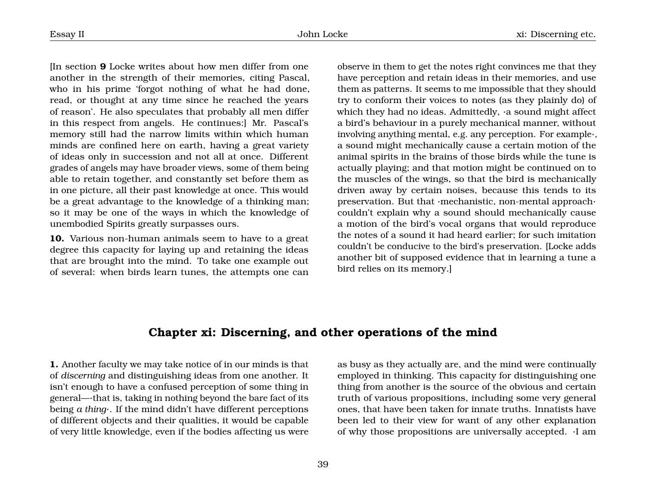[In section **9** Locke writes about how men differ from one another in the strength of their memories, citing Pascal, who in his prime 'forgot nothing of what he had done, read, or thought at any time since he reached the years of reason'. He also speculates that probably all men differ in this respect from angels. He continues:] Mr. Pascal's memory still had the narrow limits within which human minds are confined here on earth, having a great variety of ideas only in succession and not all at once. Different grades of angels may have broader views, some of them being able to retain together, and constantly set before them as in one picture, all their past knowledge at once. This would be a great advantage to the knowledge of a thinking man; so it may be one of the ways in which the knowledge of unembodied Spirits greatly surpasses ours.

**10.** Various non-human animals seem to have to a great degree this capacity for laying up and retaining the ideas that are brought into the mind. To take one example out of several: when birds learn tunes, the attempts one can

observe in them to get the notes right convinces me that they have perception and retain ideas in their memories, and use them as patterns. It seems to me impossible that they should try to conform their voices to notes (as they plainly do) of which they had no ideas. Admittedly, ·a sound might affect a bird's behaviour in a purely mechanical manner, without involving anything mental, e.g. any perception. For example·, a sound might mechanically cause a certain motion of the animal spirits in the brains of those birds while the tune is actually playing; and that motion might be continued on to the muscles of the wings, so that the bird is mechanically driven away by certain noises, because this tends to its preservation. But that ·mechanistic, non-mental approach· couldn't explain why a sound should mechanically cause a motion of the bird's vocal organs that would reproduce the notes of a sound it had heard earlier; for such imitation couldn't be conducive to the bird's preservation. [Locke adds another bit of supposed evidence that in learning a tune a bird relies on its memory.]

#### <span id="page-24-0"></span>**Chapter xi: Discerning, and other operations of the mind**

**1.** Another faculty we may take notice of in our minds is that of *discerning* and distinguishing ideas from one another. It isn't enough to have a confused perception of some thing in general—·that is, taking in nothing beyond the bare fact of its being *a thing*·. If the mind didn't have different perceptions of different objects and their qualities, it would be capable of very little knowledge, even if the bodies affecting us were

as busy as they actually are, and the mind were continually employed in thinking. This capacity for distinguishing one thing from another is the source of the obvious and certain truth of various propositions, including some very general ones, that have been taken for innate truths. Innatists have been led to their view for want of any other explanation of why those propositions are universally accepted. ·I am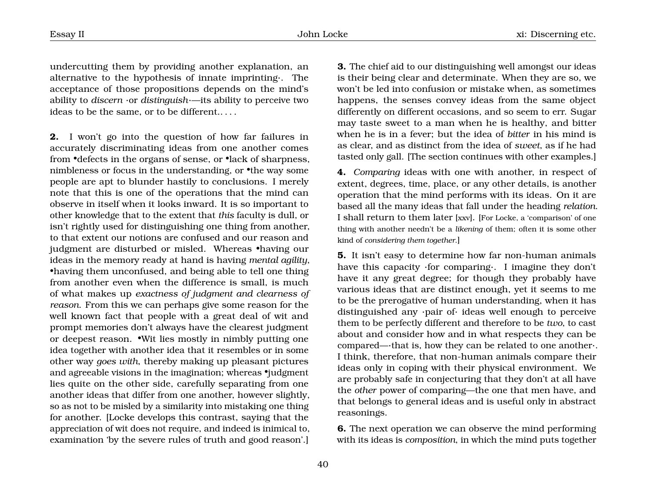undercutting them by providing another explanation, an alternative to the hypothesis of innate imprinting·. The acceptance of those propositions depends on the mind's ability to *discern* ·or *distinguish*·—its ability to perceive two ideas to be the same, or to be different.. . . .

**2.** I won't go into the question of how far failures in accurately discriminating ideas from one another comes from •defects in the organs of sense, or •lack of sharpness, nimbleness or focus in the understanding, or •the way some people are apt to blunder hastily to conclusions. I merely note that this is one of the operations that the mind can observe in itself when it looks inward. It is so important to other knowledge that to the extent that *this* faculty is dull, or isn't rightly used for distinguishing one thing from another, to that extent our notions are confused and our reason and judgment are disturbed or misled. Whereas •having our ideas in the memory ready at hand is having *mental agility*, •having them unconfused, and being able to tell one thing from another even when the difference is small, is much of what makes up *exactness of judgment and clearness of reason*. From this we can perhaps give some reason for the well known fact that people with a great deal of wit and prompt memories don't always have the clearest judgment or deepest reason. •Wit lies mostly in nimbly putting one idea together with another idea that it resembles or in some other way *goes with*, thereby making up pleasant pictures and agreeable visions in the imagination; whereas •judgment lies quite on the other side, carefully separating from one another ideas that differ from one another, however slightly, so as not to be misled by a similarity into mistaking one thing for another. [Locke develops this contrast, saying that the appreciation of wit does not require, and indeed is inimical to, examination 'by the severe rules of truth and good reason'.]

**3.** The chief aid to our distinguishing well amongst our ideas is their being clear and determinate. When they are so, we won't be led into confusion or mistake when, as sometimes happens, the senses convey ideas from the same object differently on different occasions, and so seem to err. Sugar may taste sweet to a man when he is healthy, and bitter when he is in a fever; but the idea of *bitter* in his mind is as clear, and as distinct from the idea of *sweet*, as if he had tasted only gall. [The section continues with other examples.]

**4.** *Comparing* ideas with one with another, in respect of extent, degrees, time, place, or any other details, is another operation that the mind performs with its ideas. On it are based all the many ideas that fall under the heading *relation*. I shall return to them later [xxv]. [For Locke, a 'comparison' of one thing with another needn't be a *likening* of them; often it is some other kind of *considering them together*.]

**5.** It isn't easy to determine how far non-human animals have this capacity ·for comparing·. I imagine they don't have it any great degree; for though they probably have various ideas that are distinct enough, yet it seems to me to be the prerogative of human understanding, when it has distinguished any ·pair of· ideas well enough to perceive them to be perfectly different and therefore to be *two*, to cast about and consider how and in what respects they can be compared—·that is, how they can be related to one another·. I think, therefore, that non-human animals compare their ideas only in coping with their physical environment. We are probably safe in conjecturing that they don't at all have the *other* power of comparing—the one that men have, and that belongs to general ideas and is useful only in abstract reasonings.

**6.** The next operation we can observe the mind performing with its ideas is *composition*, in which the mind puts together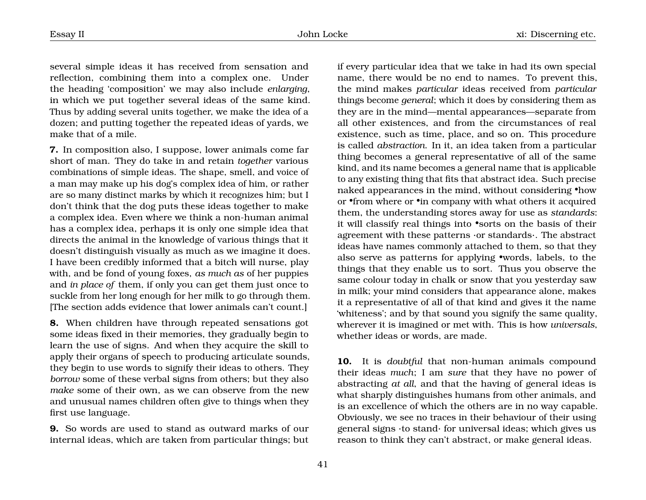several simple ideas it has received from sensation and reflection, combining them into a complex one. Under the heading 'composition' we may also include *enlarging*, in which we put together several ideas of the same kind. Thus by adding several units together, we make the idea of a dozen; and putting together the repeated ideas of yards, we make that of a mile.

**7.** In composition also, I suppose, lower animals come far short of man. They do take in and retain *together* various combinations of simple ideas. The shape, smell, and voice of a man may make up his dog's complex idea of him, or rather are so many distinct marks by which it recognizes him; but I don't think that the dog puts these ideas together to make a complex idea. Even where we think a non-human animal has a complex idea, perhaps it is only one simple idea that directs the animal in the knowledge of various things that it doesn't distinguish visually as much as we imagine it does. I have been credibly informed that a bitch will nurse, play with, and be fond of young foxes, *as much as* of her puppies and *in place of* them, if only you can get them just once to suckle from her long enough for her milk to go through them. [The section adds evidence that lower animals can't count.]

**8.** When children have through repeated sensations got some ideas fixed in their memories, they gradually begin to learn the use of signs. And when they acquire the skill to apply their organs of speech to producing articulate sounds, they begin to use words to signify their ideas to others. They *borrow* some of these verbal signs from others; but they also *make* some of their own, as we can observe from the new and unusual names children often give to things when they first use language.

**9.** So words are used to stand as outward marks of our internal ideas, which are taken from particular things; but if every particular idea that we take in had its own special name, there would be no end to names. To prevent this, the mind makes *particular* ideas received from *particular* things become *general*; which it does by considering them as they are in the mind—mental appearances—separate from all other existences, and from the circumstances of real existence, such as time, place, and so on. This procedure is called *abstraction*. In it, an idea taken from a particular thing becomes a general representative of all of the same kind, and its name becomes a general name that is applicable to any existing thing that fits that abstract idea. Such precise naked appearances in the mind, without considering •how or •from where or •in company with what others it acquired them, the understanding stores away for use as *standards*: it will classify real things into •sorts on the basis of their agreement with these patterns ·or standards·. The abstract ideas have names commonly attached to them, so that they also serve as patterns for applying •words, labels, to the things that they enable us to sort. Thus you observe the same colour today in chalk or snow that you yesterday saw in milk; your mind considers that appearance alone, makes it a representative of all of that kind and gives it the name 'whiteness'; and by that sound you signify the same quality, wherever it is imagined or met with. This is how *universals*, whether ideas or words, are made.

**10.** It is *doubtful* that non-human animals compound their ideas *much*; I am *sure* that they have no power of abstracting *at all*, and that the having of general ideas is what sharply distinguishes humans from other animals, and is an excellence of which the others are in no way capable. Obviously, we see no traces in their behaviour of their using general signs ·to stand· for universal ideas; which gives us reason to think they can't abstract, or make general ideas.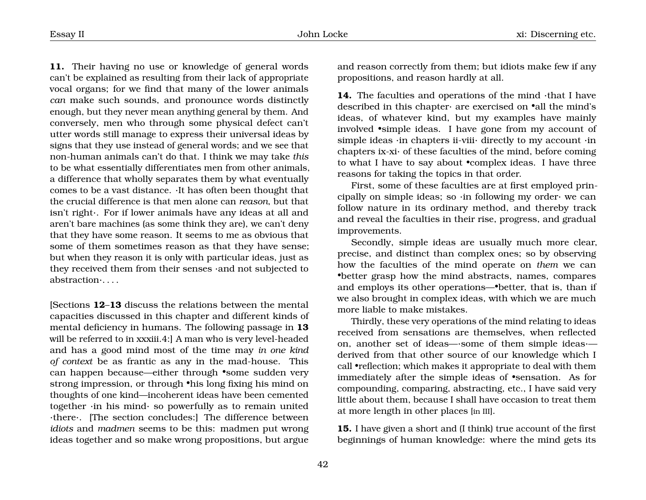**11.** Their having no use or knowledge of general words can't be explained as resulting from their lack of appropriate vocal organs; for we find that many of the lower animals *can* make such sounds, and pronounce words distinctly enough, but they never mean anything general by them. And conversely, men who through some physical defect can't utter words still manage to express their universal ideas by signs that they use instead of general words; and we see that non-human animals can't do that. I think we may take *this* to be what essentially differentiates men from other animals, a difference that wholly separates them by what eventually comes to be a vast distance. ·It has often been thought that the crucial difference is that men alone can *reason*, but that isn't right·. For if lower animals have any ideas at all and aren't bare machines (as some think they are), we can't deny that they have some reason. It seems to me as obvious that some of them sometimes reason as that they have sense; but when they reason it is only with particular ideas, just as they received them from their senses ·and not subjected to abstraction·. . . .

[Sections **12**–**13** discuss the relations between the mental capacities discussed in this chapter and different kinds of mental deficiency in humans. The following passage in **13** will be referred to in xxxiii.4:] A man who is very level-headed and has a good mind most of the time may *in one kind of context* be as frantic as any in the mad-house. This can happen because—either through •some sudden very strong impression, or through •his long fixing his mind on thoughts of one kind—incoherent ideas have been cemented together ·in his mind· so powerfully as to remain united ·there·. [The section concludes:] The difference between *idiots* and *madmen* seems to be this: madmen put wrong ideas together and so make wrong propositions, but argue

and reason correctly from them; but idiots make few if any propositions, and reason hardly at all.

**14.** The faculties and operations of the mind ·that I have described in this chapter· are exercised on •all the mind's ideas, of whatever kind, but my examples have mainly involved •simple ideas. I have gone from my account of simple ideas ·in chapters ii-viii· directly to my account ·in chapters ix-xi· of these faculties of the mind, before coming to what I have to say about •complex ideas. I have three reasons for taking the topics in that order.

First, some of these faculties are at first employed principally on simple ideas; so  $\cdot$ in following my order $\cdot$  we can follow nature in its ordinary method, and thereby track and reveal the faculties in their rise, progress, and gradual improvements.

Secondly, simple ideas are usually much more clear, precise, and distinct than complex ones; so by observing how the faculties of the mind operate on *them* we can •better grasp how the mind abstracts, names, compares and employs its other operations—•better, that is, than if we also brought in complex ideas, with which we are much more liable to make mistakes.

Thirdly, these very operations of the mind relating to ideas received from sensations are themselves, when reflected on, another set of ideas—·some of them simple ideas· derived from that other source of our knowledge which I call •reflection; which makes it appropriate to deal with them immediately after the simple ideas of •sensation. As for compounding, comparing, abstracting, etc., I have said very little about them, because I shall have occasion to treat them at more length in other places [in III].

**15.** I have given a short and (I think) true account of the first beginnings of human knowledge: where the mind gets its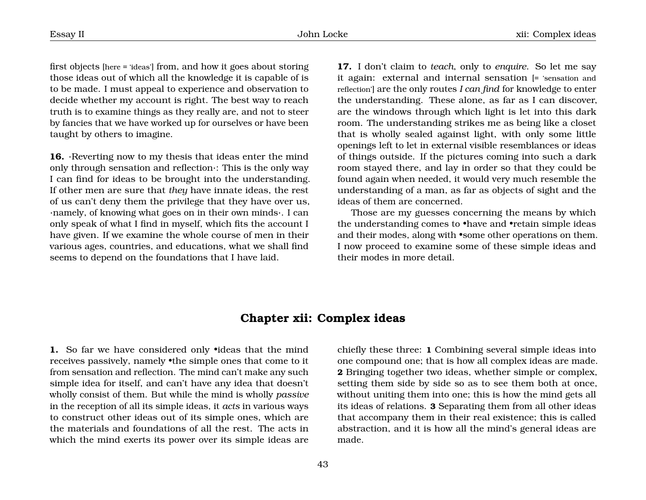first objects [here = 'ideas'] from, and how it goes about storing those ideas out of which all the knowledge it is capable of is to be made. I must appeal to experience and observation to decide whether my account is right. The best way to reach truth is to examine things as they really are, and not to steer by fancies that we have worked up for ourselves or have been taught by others to imagine.

**16.** ·Reverting now to my thesis that ideas enter the mind only through sensation and reflection·: This is the only way I can find for ideas to be brought into the understanding. If other men are sure that *they* have innate ideas, the rest of us can't deny them the privilege that they have over us, ·namely, of knowing what goes on in their own minds·. I can only speak of what I find in myself, which fits the account I have given. If we examine the whole course of men in their various ages, countries, and educations, what we shall find seems to depend on the foundations that I have laid.

**17.** I don't claim to *teach*, only to *enquire*. So let me say it again: external and internal sensation [= 'sensation and reflection'] are the only routes *I can find* for knowledge to enter the understanding. These alone, as far as I can discover, are the windows through which light is let into this dark room. The understanding strikes me as being like a closet that is wholly sealed against light, with only some little openings left to let in external visible resemblances or ideas of things outside. If the pictures coming into such a dark room stayed there, and lay in order so that they could be found again when needed, it would very much resemble the understanding of a man, as far as objects of sight and the ideas of them are concerned.

Those are my guesses concerning the means by which the understanding comes to •have and •retain simple ideas and their modes, along with •some other operations on them. I now proceed to examine some of these simple ideas and their modes in more detail.

#### <span id="page-28-0"></span>**Chapter xii: Complex ideas**

**1.** So far we have considered only •ideas that the mind receives passively, namely •the simple ones that come to it from sensation and reflection. The mind can't make any such simple idea for itself, and can't have any idea that doesn't wholly consist of them. But while the mind is wholly *passive* in the reception of all its simple ideas, it *acts* in various ways to construct other ideas out of its simple ones, which are the materials and foundations of all the rest. The acts in which the mind exerts its power over its simple ideas are

chiefly these three: **1** Combining several simple ideas into one compound one; that is how all complex ideas are made. **2** Bringing together two ideas, whether simple or complex, setting them side by side so as to see them both at once, without uniting them into one; this is how the mind gets all its ideas of relations. **3** Separating them from all other ideas that accompany them in their real existence; this is called abstraction, and it is how all the mind's general ideas are made.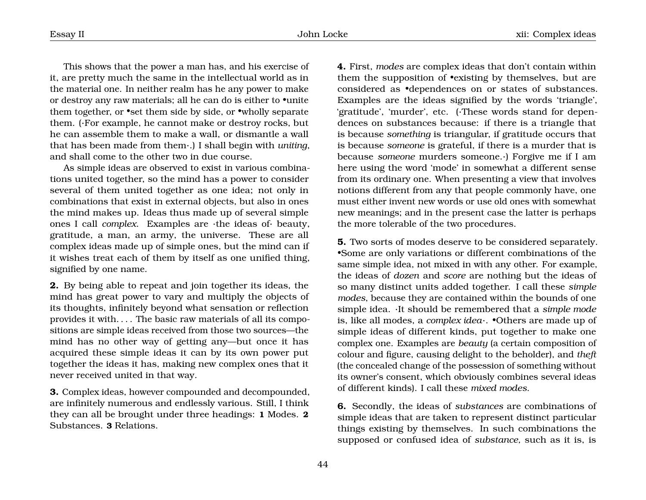This shows that the power a man has, and his exercise of it, are pretty much the same in the intellectual world as in the material one. In neither realm has he any power to make or destroy any raw materials; all he can do is either to •unite them together, or •set them side by side, or •wholly separate them. (·For example, he cannot make or destroy rocks, but he can assemble them to make a wall, or dismantle a wall that has been made from them·.) I shall begin with *uniting*, and shall come to the other two in due course.

As simple ideas are observed to exist in various combinations united together, so the mind has a power to consider several of them united together as one idea; not only in combinations that exist in external objects, but also in ones the mind makes up. Ideas thus made up of several simple ones I call *complex*. Examples are ·the ideas of· beauty, gratitude, a man, an army, the universe. These are all complex ideas made up of simple ones, but the mind can if it wishes treat each of them by itself as one unified thing, signified by one name.

**2.** By being able to repeat and join together its ideas, the mind has great power to vary and multiply the objects of its thoughts, infinitely beyond what sensation or reflection provides it with. . . . The basic raw materials of all its compositions are simple ideas received from those two sources—the mind has no other way of getting any—but once it has acquired these simple ideas it can by its own power put together the ideas it has, making new complex ones that it never received united in that way.

**3.** Complex ideas, however compounded and decompounded, are infinitely numerous and endlessly various. Still, I think they can all be brought under three headings: **1** Modes. **2** Substances. **3** Relations.

**4.** First, *modes* are complex ideas that don't contain within them the supposition of •existing by themselves, but are considered as •dependences on or states of substances. Examples are the ideas signified by the words 'triangle', 'gratitude', 'murder', etc. (·These words stand for dependences on substances because: if there is a triangle that is because *something* is triangular, if gratitude occurs that is because *someone* is grateful, if there is a murder that is because *someone* murders someone.·) Forgive me if I am here using the word 'mode' in somewhat a different sense from its ordinary one. When presenting a view that involves notions different from any that people commonly have, one must either invent new words or use old ones with somewhat new meanings; and in the present case the latter is perhaps the more tolerable of the two procedures.

**5.** Two sorts of modes deserve to be considered separately. •Some are only variations or different combinations of the same simple idea, not mixed in with any other. For example, the ideas of *dozen* and *score* are nothing but the ideas of so many distinct units added together. I call these *simple modes*, because they are contained within the bounds of one simple idea. ·It should be remembered that a *simple mode* is, like all modes, a *complex idea*·. •Others are made up of simple ideas of different kinds, put together to make one complex one. Examples are *beauty* (a certain composition of colour and figure, causing delight to the beholder), and *theft* (the concealed change of the possession of something without its owner's consent, which obviously combines several ideas of different kinds). I call these *mixed modes*.

**6.** Secondly, the ideas of *substances* are combinations of simple ideas that are taken to represent distinct particular things existing by themselves. In such combinations the supposed or confused idea of *substance,* such as it is, is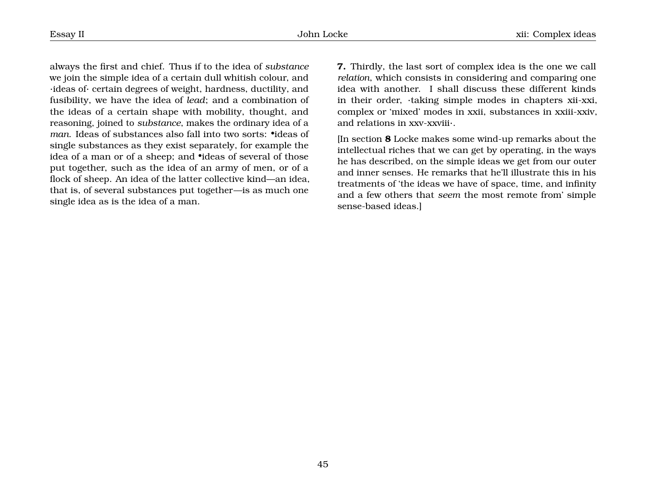always the first and chief. Thus if to the idea of *substance* we join the simple idea of a certain dull whitish colour, and ·ideas of· certain degrees of weight, hardness, ductility, and fusibility, we have the idea of *lead*; and a combination of the ideas of a certain shape with mobility, thought, and reasoning, joined to *substance*, makes the ordinary idea of a *man*. Ideas of substances also fall into two sorts: •ideas of single substances as they exist separately, for example the idea of a man or of a sheep; and •ideas of several of those put together, such as the idea of an army of men, or of a flock of sheep. An idea of the latter collective kind—an idea, that is, of several substances put together—is as much one single idea as is the idea of a man.

**7.** Thirdly, the last sort of complex idea is the one we call *relation*, which consists in considering and comparing one idea with another. I shall discuss these different kinds in their order, ·taking simple modes in chapters xii-xxi, complex or 'mixed' modes in xxii, substances in xxiii-xxiv, and relations in xxv-xxviii·.

[In section **8** Locke makes some wind-up remarks about the intellectual riches that we can get by operating, in the ways he has described, on the simple ideas we get from our outer and inner senses. He remarks that he'll illustrate this in his treatments of 'the ideas we have of space, time, and infinity and a few others that *seem* the most remote from' simple sense-based ideas.]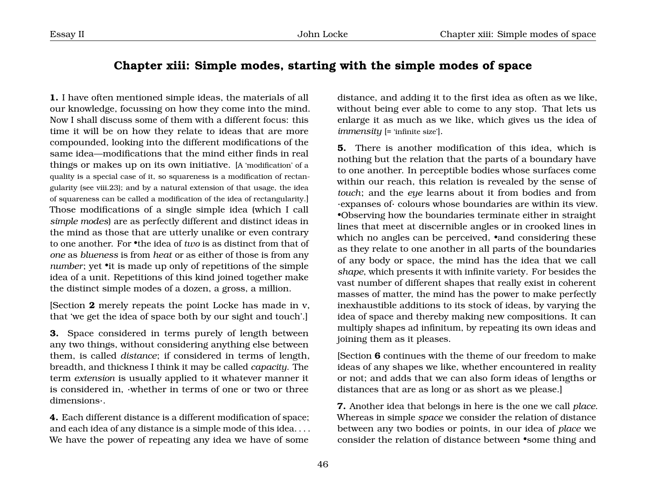## <span id="page-31-0"></span>**Chapter xiii: Simple modes, starting with the simple modes of space**

**1.** I have often mentioned simple ideas, the materials of all our knowledge, focussing on how they come into the mind. Now I shall discuss some of them with a different focus: this time it will be on how they relate to ideas that are more compounded, looking into the different modifications of the same idea—modifications that the mind either finds in real things or makes up on its own initiative. [A 'modification' of a quality is a special case of it, so squareness is a modification of rectangularity (see viii.23); and by a natural extension of that usage, the idea of squareness can be called a modification of the idea of rectangularity.] Those modifications of a single simple idea (which I call *simple modes*) are as perfectly different and distinct ideas in the mind as those that are utterly unalike or even contrary to one another. For •the idea of *two* is as distinct from that of *one* as *blueness* is from *heat* or as either of those is from any *number*; yet •it is made up only of repetitions of the simple idea of a unit. Repetitions of this kind joined together make the distinct simple modes of a dozen, a gross, a million.

[Section **2** merely repeats the point Locke has made in v, that 'we get the idea of space both by our sight and touch'.]

**3.** Space considered in terms purely of length between any two things, without considering anything else between them, is called *distance*; if considered in terms of length, breadth, and thickness I think it may be called *capacity*. The term *extension* is usually applied to it whatever manner it is considered in, ·whether in terms of one or two or three dimensions·.

**4.** Each different distance is a different modification of space; and each idea of any distance is a simple mode of this idea. . . . We have the power of repeating any idea we have of some

distance, and adding it to the first idea as often as we like, without being ever able to come to any stop. That lets us enlarge it as much as we like, which gives us the idea of *immensity* [= 'infinite size'].

**5.** There is another modification of this idea, which is nothing but the relation that the parts of a boundary have to one another. In perceptible bodies whose surfaces come within our reach, this relation is revealed by the sense of *touch*; and the *eye* learns about it from bodies and from ·expanses of· colours whose boundaries are within its view. •Observing how the boundaries terminate either in straight lines that meet at discernible angles or in crooked lines in which no angles can be perceived, •and considering these as they relate to one another in all parts of the boundaries of any body or space, the mind has the idea that we call *shape*, which presents it with infinite variety. For besides the vast number of different shapes that really exist in coherent masses of matter, the mind has the power to make perfectly inexhaustible additions to its stock of ideas, by varying the idea of space and thereby making new compositions. It can multiply shapes ad infinitum, by repeating its own ideas and joining them as it pleases.

[Section **6** continues with the theme of our freedom to make ideas of any shapes we like, whether encountered in reality or not; and adds that we can also form ideas of lengths or distances that are as long or as short as we please.]

**7.** Another idea that belongs in here is the one we call *place*. Whereas in simple *space* we consider the relation of distance between any two bodies or points, in our idea of *place* we consider the relation of distance between •some thing and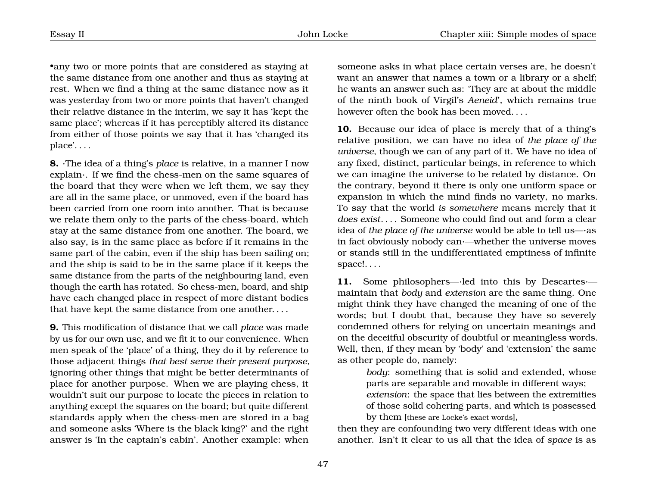•any two or more points that are considered as staying at the same distance from one another and thus as staying at rest. When we find a thing at the same distance now as it was yesterday from two or more points that haven't changed their relative distance in the interim, we say it has 'kept the same place'; whereas if it has perceptibly altered its distance from either of those points we say that it has 'changed its place'. . . .

**8.** ·The idea of a thing's *place* is relative, in a manner I now explain·. If we find the chess-men on the same squares of the board that they were when we left them, we say they are all in the same place, or unmoved, even if the board has been carried from one room into another. That is because we relate them only to the parts of the chess-board, which stay at the same distance from one another. The board, we also say, is in the same place as before if it remains in the same part of the cabin, even if the ship has been sailing on; and the ship is said to be in the same place if it keeps the same distance from the parts of the neighbouring land, even though the earth has rotated. So chess-men, board, and ship have each changed place in respect of more distant bodies that have kept the same distance from one another. . . .

**9.** This modification of distance that we call *place* was made by us for our own use, and we fit it to our convenience. When men speak of the 'place' of a thing, they do it by reference to those adjacent things *that best serve their present purpose*, ignoring other things that might be better determinants of place for another purpose. When we are playing chess, it wouldn't suit our purpose to locate the pieces in relation to anything except the squares on the board; but quite different standards apply when the chess-men are stored in a bag and someone asks 'Where is the black king?' and the right answer is 'In the captain's cabin'. Another example: when

someone asks in what place certain verses are, he doesn't want an answer that names a town or a library or a shelf; he wants an answer such as: 'They are at about the middle of the ninth book of Virgil's *Aeneid*', which remains true however often the book has been moved....

**10.** Because our idea of place is merely that of a thing's relative position, we can have no idea of *the place of the universe*, though we can of any part of it. We have no idea of any fixed, distinct, particular beings, in reference to which we can imagine the universe to be related by distance. On the contrary, beyond it there is only one uniform space or expansion in which the mind finds no variety, no marks. To say that the world *is somewhere* means merely that it *does exist*. . . . Someone who could find out and form a clear idea of *the place of the universe* would be able to tell us—·as in fact obviously nobody can·—whether the universe moves or stands still in the undifferentiated emptiness of infinite space!. . . .

11. Some philosophers—led into this by Descartes maintain that *body* and *extension* are the same thing. One might think they have changed the meaning of one of the words; but I doubt that, because they have so severely condemned others for relying on uncertain meanings and on the deceitful obscurity of doubtful or meaningless words. Well, then, if they mean by 'body' and 'extension' the same as other people do, namely:

> *body*: something that is solid and extended, whose parts are separable and movable in different ways; *extension*: the space that lies between the extremities of those solid cohering parts, and which is possessed by them [these are Locke's exact words],

then they are confounding two very different ideas with one another. Isn't it clear to us all that the idea of *space* is as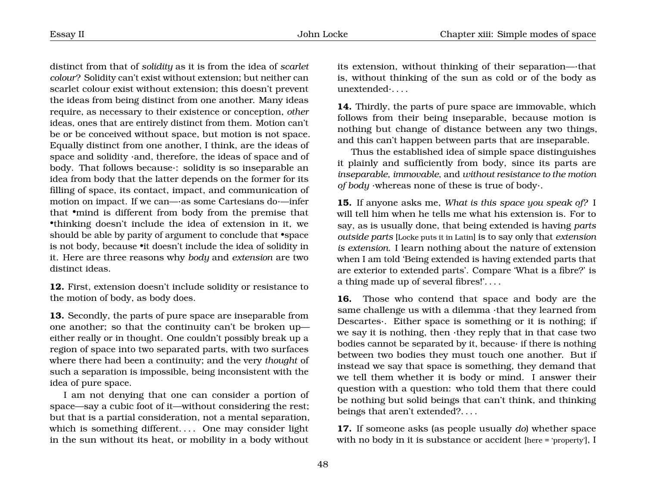distinct from that of *solidity* as it is from the idea of *scarlet colour*? Solidity can't exist without extension; but neither can scarlet colour exist without extension; this doesn't prevent the ideas from being distinct from one another. Many ideas require, as necessary to their existence or conception, *other* ideas, ones that are entirely distinct from them. Motion can't be or be conceived without space, but motion is not space. Equally distinct from one another, I think, are the ideas of space and solidity ·and, therefore, the ideas of space and of body. That follows because·: solidity is so inseparable an idea from body that the latter depends on the former for its filling of space, its contact, impact, and communication of motion on impact. If we can—·as some Cartesians do·—infer that •mind is different from body from the premise that •thinking doesn't include the idea of extension in it, we should be able by parity of argument to conclude that • space is not body, because •it doesn't include the idea of solidity in it. Here are three reasons why *body* and *extension* are two distinct ideas.

**12.** First, extension doesn't include solidity or resistance to the motion of body, as body does.

**13.** Secondly, the parts of pure space are inseparable from one another; so that the continuity can't be broken up either really or in thought. One couldn't possibly break up a region of space into two separated parts, with two surfaces where there had been a continuity; and the very *thought* of such a separation is impossible, being inconsistent with the idea of pure space.

I am not denying that one can consider a portion of space—say a cubic foot of it—without considering the rest; but that is a partial consideration, not a mental separation, which is something different.... One may consider light in the sun without its heat, or mobility in a body without its extension, without thinking of their separation—·that is, without thinking of the sun as cold or of the body as unextended·. . . .

**14.** Thirdly, the parts of pure space are immovable, which follows from their being inseparable, because motion is nothing but change of distance between any two things, and this can't happen between parts that are inseparable.

Thus the established idea of simple space distinguishes it plainly and sufficiently from body, since its parts are *inseparable*, *immovable*, and *without resistance to the motion of body* ·whereas none of these is true of body·.

**15.** If anyone asks me, *What is this space you speak of?* I will tell him when he tells me what his extension is. For to say, as is usually done, that being extended is having *parts outside parts* [Locke puts it in Latin] is to say only that *extension is extension*. I learn nothing about the nature of extension when I am told 'Being extended is having extended parts that are exterior to extended parts'. Compare 'What is a fibre?' is a thing made up of several fibres!'. . . .

**16.** Those who contend that space and body are the same challenge us with a dilemma ·that they learned from Descartes·. Either space is something or it is nothing; if we say it is nothing, then ·they reply that in that case two bodies cannot be separated by it, because· if there is nothing between two bodies they must touch one another. But if instead we say that space is something, they demand that we tell them whether it is body or mind. I answer their question with a question: who told them that there could be nothing but solid beings that can't think, and thinking beings that aren't extended?. . . .

**17.** If someone asks (as people usually *do*) whether space with no body in it is substance or accident [here = 'property'], I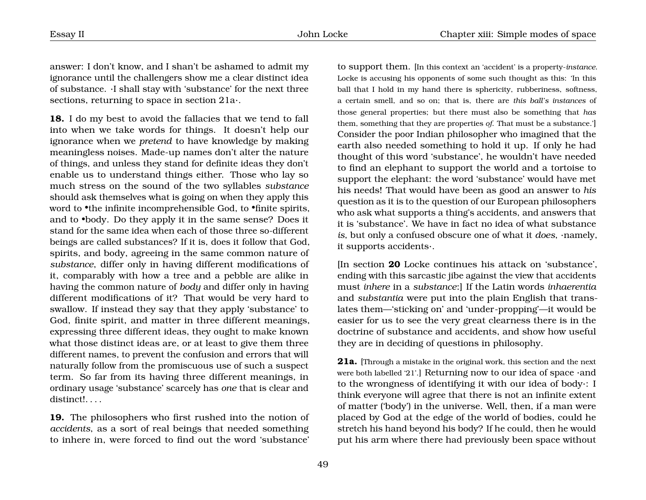answer: I don't know, and I shan't be ashamed to admit my ignorance until the challengers show me a clear distinct idea of substance. ·I shall stay with 'substance' for the next three sections, returning to space in section  $21a \cdot$ .

**18.** I do my best to avoid the fallacies that we tend to fall into when we take words for things. It doesn't help our ignorance when we *pretend* to have knowledge by making meaningless noises. Made-up names don't alter the nature of things, and unless they stand for definite ideas they don't enable us to understand things either. Those who lay so much stress on the sound of the two syllables *substance* should ask themselves what is going on when they apply this word to •the infinite incomprehensible God, to •finite spirits, and to •body. Do they apply it in the same sense? Does it stand for the same idea when each of those three so-different beings are called substances? If it is, does it follow that God, spirits, and body, agreeing in the same common nature of *substance*, differ only in having different modifications of it, comparably with how a tree and a pebble are alike in having the common nature of *body* and differ only in having different modifications of it? That would be very hard to swallow. If instead they say that they apply 'substance' to God, finite spirit, and matter in three different meanings, expressing three different ideas, they ought to make known what those distinct ideas are, or at least to give them three different names, to prevent the confusion and errors that will naturally follow from the promiscuous use of such a suspect term. So far from its having three different meanings, in ordinary usage 'substance' scarcely has *one* that is clear and distinct!....

**19.** The philosophers who first rushed into the notion of *accidents*, as a sort of real beings that needed something to inhere in, were forced to find out the word 'substance'

to support them. [In this context an 'accident' is a property-*instance*. Locke is accusing his opponents of some such thought as this: 'In this ball that I hold in my hand there is sphericity, rubberiness, softness, a certain smell, and so on; that is, there are *this ball's instances* of those general properties; but there must also be something that *has* them, something that they are properties *of*. That must be a substance.'] Consider the poor Indian philosopher who imagined that the earth also needed something to hold it up. If only he had thought of this word 'substance', he wouldn't have needed to find an elephant to support the world and a tortoise to support the elephant: the word 'substance' would have met his needs! That would have been as good an answer to *his* question as it is to the question of our European philosophers who ask what supports a thing's accidents, and answers that it is 'substance'. We have in fact no idea of what substance *is*, but only a confused obscure one of what it *does*, ·namely, it supports accidents·.

[In section **20** Locke continues his attack on 'substance', ending with this sarcastic jibe against the view that accidents must *inhere* in a *substance*:] If the Latin words *inhaerentia* and *substantia* were put into the plain English that translates them—'sticking on' and 'under-propping'—it would be easier for us to see the very great clearness there is in the doctrine of substance and accidents, and show how useful they are in deciding of questions in philosophy.

**21a.** [Through a mistake in the original work, this section and the next were both labelled '21'.] Returning now to our idea of space ·and to the wrongness of identifying it with our idea of body·: I think everyone will agree that there is not an infinite extent of matter ('body') in the universe. Well, then, if a man were placed by God at the edge of the world of bodies, could he stretch his hand beyond his body? If he could, then he would put his arm where there had previously been space without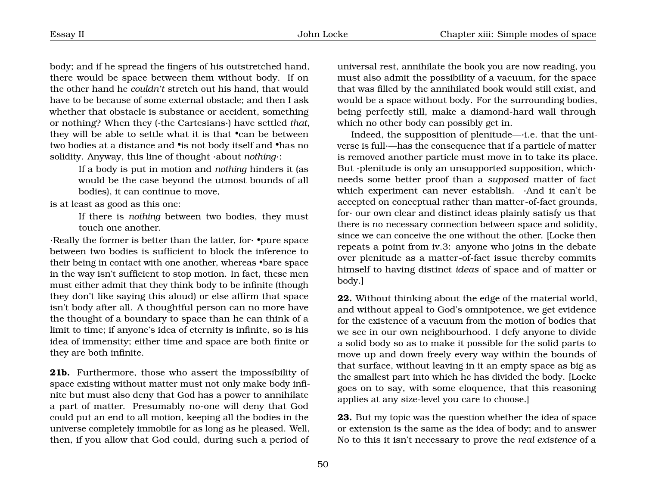body; and if he spread the fingers of his outstretched hand, there would be space between them without body. If on the other hand he *couldn't* stretch out his hand, that would have to be because of some external obstacle; and then I ask whether that obstacle is substance or accident, something or nothing? When they (·the Cartesians·) have settled *that*, they will be able to settle what it is that •can be between two bodies at a distance and •is not body itself and •has no solidity. Anyway, this line of thought ·about *nothing*·:

> If a body is put in motion and *nothing* hinders it (as would be the case beyond the utmost bounds of all bodies), it can continue to move,

is at least as good as this one:

If there is *nothing* between two bodies, they must touch one another.

·Really the former is better than the latter, for· •pure space between two bodies is sufficient to block the inference to their being in contact with one another, whereas •bare space in the way isn't sufficient to stop motion. In fact, these men must either admit that they think body to be infinite (though they don't like saying this aloud) or else affirm that space isn't body after all. A thoughtful person can no more have the thought of a boundary to space than he can think of a limit to time; if anyone's idea of eternity is infinite, so is his idea of immensity; either time and space are both finite or they are both infinite.

**21b.** Furthermore, those who assert the impossibility of space existing without matter must not only make body infinite but must also deny that God has a power to annihilate a part of matter. Presumably no-one will deny that God could put an end to all motion, keeping all the bodies in the universe completely immobile for as long as he pleased. Well, then, if you allow that God could, during such a period of

universal rest, annihilate the book you are now reading, you must also admit the possibility of a vacuum, for the space that was filled by the annihilated book would still exist, and would be a space without body. For the surrounding bodies, being perfectly still, make a diamond-hard wall through which no other body can possibly get in.

Indeed, the supposition of plenitude—·i.e. that the universe is full·—has the consequence that if a particle of matter is removed another particle must move in to take its place. But ·plenitude is only an unsupported supposition, which· needs some better proof than a *supposed* matter of fact which experiment can never establish. ·And it can't be accepted on conceptual rather than matter-of-fact grounds, for· our own clear and distinct ideas plainly satisfy us that there is no necessary connection between space and solidity, since we can conceive the one without the other. [Locke then repeats a point from iv.3: anyone who joins in the debate over plenitude as a matter-of-fact issue thereby commits himself to having distinct *ideas* of space and of matter or body.]

**22.** Without thinking about the edge of the material world, and without appeal to God's omnipotence, we get evidence for the existence of a vacuum from the motion of bodies that we see in our own neighbourhood. I defy anyone to divide a solid body so as to make it possible for the solid parts to move up and down freely every way within the bounds of that surface, without leaving in it an empty space as big as the smallest part into which he has divided the body. [Locke goes on to say, with some eloquence, that this reasoning applies at any size-level you care to choose.]

**23.** But my topic was the question whether the idea of space or extension is the same as the idea of body; and to answer No to this it isn't necessary to prove the *real existence* of a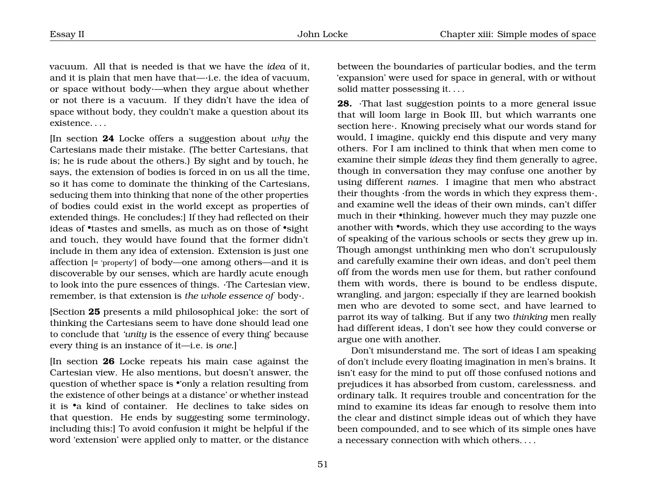vacuum. All that is needed is that we have the *idea* of it, and it is plain that men have that—·i.e. the idea of vacuum, or space without body·—when they argue about whether or not there is a vacuum. If they didn't have the idea of space without body, they couldn't make a question about its existence. . . .

[In section **24** Locke offers a suggestion about *why* the Cartesians made their mistake. (The better Cartesians, that is; he is rude about the others.) By sight and by touch, he says, the extension of bodies is forced in on us all the time, so it has come to dominate the thinking of the Cartesians, seducing them into thinking that none of the other properties of bodies could exist in the world except as properties of extended things. He concludes:] If they had reflected on their ideas of •tastes and smells, as much as on those of •sight and touch, they would have found that the former didn't include in them any idea of extension. Extension is just one affection [= 'property'] of body—one among others—and it is discoverable by our senses, which are hardly acute enough to look into the pure essences of things. ·The Cartesian view, remember, is that extension is *the whole essence of* body·.

[Section **25** presents a mild philosophical joke: the sort of thinking the Cartesians seem to have done should lead one to conclude that *'unity* is the essence of every thing' because every thing is an instance of it—i.e. is *one*.]

[In section **26** Locke repeats his main case against the Cartesian view. He also mentions, but doesn't answer, the question of whether space is •'only a relation resulting from the existence of other beings at a distance' or whether instead it is •a kind of container. He declines to take sides on that question. He ends by suggesting some terminology, including this:] To avoid confusion it might be helpful if the word 'extension' were applied only to matter, or the distance

between the boundaries of particular bodies, and the term 'expansion' were used for space in general, with or without solid matter possessing it. . . .

**28.** ·That last suggestion points to a more general issue that will loom large in Book III, but which warrants one section here·. Knowing precisely what our words stand for would, I imagine, quickly end this dispute and very many others. For I am inclined to think that when men come to examine their simple *ideas* they find them generally to agree, though in conversation they may confuse one another by using different *names*. I imagine that men who abstract their thoughts ·from the words in which they express them·, and examine well the ideas of their own minds, can't differ much in their •thinking, however much they may puzzle one another with •words, which they use according to the ways of speaking of the various schools or sects they grew up in. Though amongst unthinking men who don't scrupulously and carefully examine their own ideas, and don't peel them off from the words men use for them, but rather confound them with words, there is bound to be endless dispute, wrangling, and jargon; especially if they are learned bookish men who are devoted to some sect, and have learned to parrot its way of talking. But if any two *thinking* men really had different ideas, I don't see how they could converse or argue one with another.

Don't misunderstand me. The sort of ideas I am speaking of don't include every floating imagination in men's brains. It isn't easy for the mind to put off those confused notions and prejudices it has absorbed from custom, carelessness. and ordinary talk. It requires trouble and concentration for the mind to examine its ideas far enough to resolve them into the clear and distinct simple ideas out of which they have been compounded, and to see which of its simple ones have a necessary connection with which others. . . .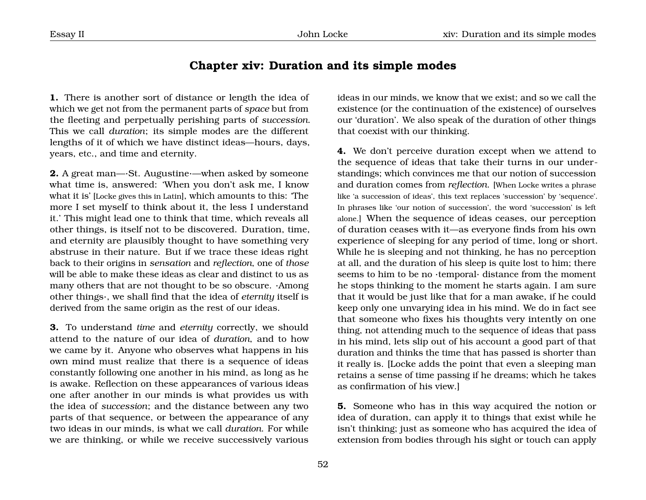# **Chapter xiv: Duration and its simple modes**

**1.** There is another sort of distance or length the idea of which we get not from the permanent parts of *space* but from the fleeting and perpetually perishing parts of *succession*. This we call *duration*; its simple modes are the different lengths of it of which we have distinct ideas—hours, days, years, etc., and time and eternity.

**2.** A great man—·St. Augustine·—when asked by someone what time is, answered: 'When you don't ask me, I know what it is' [Locke gives this in Latin], which amounts to this: 'The more I set myself to think about it, the less I understand it.' This might lead one to think that time, which reveals all other things, is itself not to be discovered. Duration, time, and eternity are plausibly thought to have something very abstruse in their nature. But if we trace these ideas right back to their origins in *sensation* and *reflection*, one of *those* will be able to make these ideas as clear and distinct to us as many others that are not thought to be so obscure. ·Among other things·, we shall find that the idea of *eternity* itself is derived from the same origin as the rest of our ideas.

**3.** To understand *time* and *eternity* correctly, we should attend to the nature of our idea of *duration*, and to how we came by it. Anyone who observes what happens in his own mind must realize that there is a sequence of ideas constantly following one another in his mind, as long as he is awake. Reflection on these appearances of various ideas one after another in our minds is what provides us with the idea of *succession*; and the distance between any two parts of that sequence, or between the appearance of any two ideas in our minds, is what we call *duration*. For while we are thinking, or while we receive successively various

ideas in our minds, we know that we exist; and so we call the existence (or the continuation of the existence) of ourselves our 'duration'. We also speak of the duration of other things that coexist with our thinking.

**4.** We don't perceive duration except when we attend to the sequence of ideas that take their turns in our understandings; which convinces me that our notion of succession and duration comes from *reflection*. [When Locke writes a phrase like 'a succession of ideas', this text replaces 'succession' by 'sequence'. In phrases like 'our notion of succession', the word 'succession' is left alone.] When the sequence of ideas ceases, our perception of duration ceases with it—as everyone finds from his own experience of sleeping for any period of time, long or short. While he is sleeping and not thinking, he has no perception at all, and the duration of his sleep is quite lost to him; there seems to him to be no ·temporal· distance from the moment he stops thinking to the moment he starts again. I am sure that it would be just like that for a man awake, if he could keep only one unvarying idea in his mind. We do in fact see that someone who fixes his thoughts very intently on one thing, not attending much to the sequence of ideas that pass in his mind, lets slip out of his account a good part of that duration and thinks the time that has passed is shorter than it really is. [Locke adds the point that even a sleeping man retains a sense of time passing if he dreams; which he takes as confirmation of his view.]

**5.** Someone who has in this way acquired the notion or idea of duration, can apply it to things that exist while he isn't thinking; just as someone who has acquired the idea of extension from bodies through his sight or touch can apply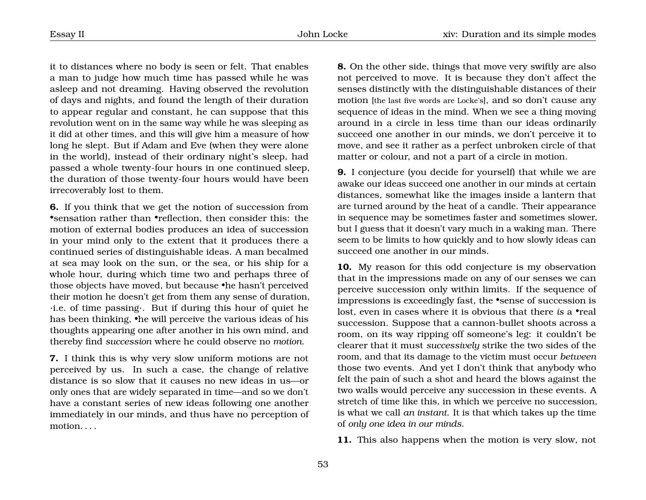it to distances where no body is seen or felt. That enables a man to judge how much time has passed while he was asleep and not dreaming. Having observed the revolution of days and nights, and found the length of their duration to appear regular and constant, he can suppose that this revolution went on in the same way while he was sleeping as it did at other times, and this will give him a measure of how long he slept. But if Adam and Eve (when they were alone in the world), instead of their ordinary night's sleep, had passed a whole twenty-four hours in one continued sleep, the duration of those twenty-four hours would have been irrecoverably lost to them.

**6.** If you think that we get the notion of succession from •sensation rather than •reflection, then consider this: the motion of external bodies produces an idea of succession in your mind only to the extent that it produces there a continued series of distinguishable ideas. A man becalmed at sea may look on the sun, or the sea, or his ship for a whole hour, during which time two and perhaps three of those objects have moved, but because •he hasn't perceived their motion he doesn't get from them any sense of duration, ·i.e. of time passing·. But if during this hour of quiet he has been thinking, •he will perceive the various ideas of his thoughts appearing one after another in his own mind, and thereby find *succession* where he could observe no *motion*.

**7.** I think this is why very slow uniform motions are not perceived by us. In such a case, the change of relative distance is so slow that it causes no new ideas in us—or only ones that are widely separated in time—and so we don't have a constant series of new ideas following one another immediately in our minds, and thus have no perception of motion. . . .

**8.** On the other side, things that move very swiftly are also not perceived to move. It is because they don't affect the senses distinctly with the distinguishable distances of their motion [the last five words are Locke's], and so don't cause any sequence of ideas in the mind. When we see a thing moving around in a circle in less time than our ideas ordinarily succeed one another in our minds, we don't perceive it to move, and see it rather as a perfect unbroken circle of that matter or colour, and not a part of a circle in motion.

**9.** I conjecture (you decide for yourself) that while we are awake our ideas succeed one another in our minds at certain distances, somewhat like the images inside a lantern that are turned around by the heat of a candle. Their appearance in sequence may be sometimes faster and sometimes slower, but I guess that it doesn't vary much in a waking man. There seem to be limits to how quickly and to how slowly ideas can succeed one another in our minds.

**10.** My reason for this odd conjecture is my observation that in the impressions made on any of our senses we can perceive succession only within limits. If the sequence of impressions is exceedingly fast, the •sense of succession is lost, even in cases where it is obvious that there *is* a •real succession. Suppose that a cannon-bullet shoots across a room, on its way ripping off someone's leg: it couldn't be clearer that it must *successively* strike the two sides of the room, and that its damage to the victim must occur *between* those two events. And yet I don't think that anybody who felt the pain of such a shot and heard the blows against the two walls would perceive any succession in these events. A stretch of time like this, in which we perceive no succession, is what we call *an instant*. It is that which takes up the time of *only one idea in our minds*.

**11.** This also happens when the motion is very slow, not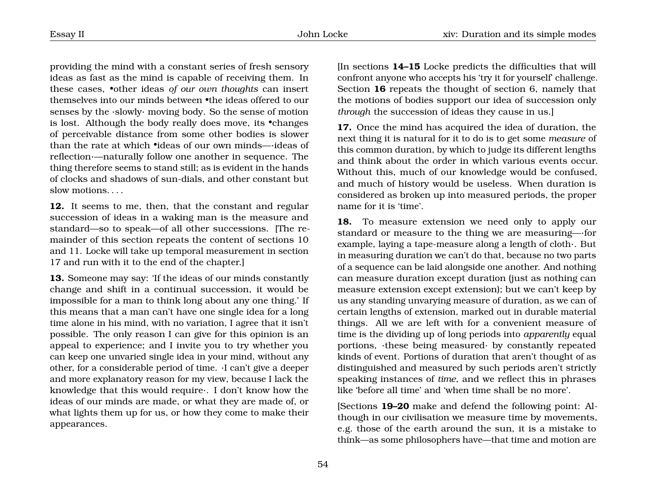providing the mind with a constant series of fresh sensory ideas as fast as the mind is capable of receiving them. In these cases, •other ideas *of our own thoughts* can insert themselves into our minds between •the ideas offered to our senses by the ·slowly· moving body. So the sense of motion is lost. Although the body really does move, its •changes of perceivable distance from some other bodies is slower than the rate at which •ideas of our own minds—·ideas of reflection·—naturally follow one another in sequence. The thing therefore seems to stand still; as is evident in the hands of clocks and shadows of sun-dials, and other constant but slow motions. . . .

**12.** It seems to me, then, that the constant and regular succession of ideas in a waking man is the measure and standard—so to speak—of all other successions. [The remainder of this section repeats the content of sections 10 and 11. Locke will take up temporal measurement in section 17 and run with it to the end of the chapter.]

**13.** Someone may say: 'If the ideas of our minds constantly change and shift in a continual succession, it would be impossible for a man to think long about any one thing.' If this means that a man can't have one single idea for a long time alone in his mind, with no variation, I agree that it isn't possible. The only reason I can give for this opinion is an appeal to experience; and I invite you to try whether you can keep one unvaried single idea in your mind, without any other, for a considerable period of time. ·I can't give a deeper and more explanatory reason for my view, because I lack the knowledge that this would require·. I don't know how the ideas of our minds are made, or what they are made of, or what lights them up for us, or how they come to make their appearances.

[In sections **14–15** Locke predicts the difficulties that will confront anyone who accepts his 'try it for yourself' challenge. Section **16** repeats the thought of section 6, namely that the motions of bodies support our idea of succession only *through* the succession of ideas they cause in us.]

**17.** Once the mind has acquired the idea of duration, the next thing it is natural for it to do is to get some *measure* of this common duration, by which to judge its different lengths and think about the order in which various events occur. Without this, much of our knowledge would be confused, and much of history would be useless. When duration is considered as broken up into measured periods, the proper name for it is 'time'.

**18.** To measure extension we need only to apply our standard or measure to the thing we are measuring—·for example, laying a tape-measure along a length of cloth·. But in measuring duration we can't do that, because no two parts of a sequence can be laid alongside one another. And nothing can measure duration except duration (just as nothing can measure extension except extension); but we can't keep by us any standing unvarying measure of duration, as we can of certain lengths of extension, marked out in durable material things. All we are left with for a convenient measure of time is the dividing up of long periods into *apparently* equal portions, ·these being measured· by constantly repeated kinds of event. Portions of duration that aren't thought of as distinguished and measured by such periods aren't strictly speaking instances of *time*, and we reflect this in phrases like 'before all time' and 'when time shall be no more'.

[Sections **19–20** make and defend the following point: Although in our civilisation we measure time by movements, e.g. those of the earth around the sun, it is a mistake to think—as some philosophers have—that time and motion are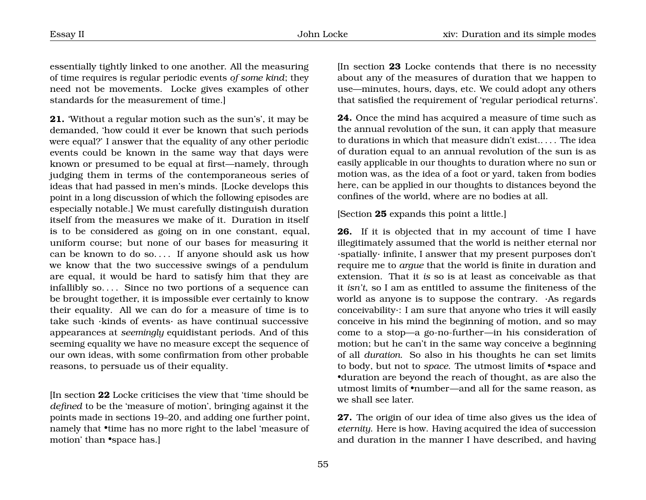essentially tightly linked to one another. All the measuring of time requires is regular periodic events *of some kind*; they need not be movements. Locke gives examples of other standards for the measurement of time.]

**21.** 'Without a regular motion such as the sun's', it may be demanded, 'how could it ever be known that such periods were equal?' I answer that the equality of any other periodic events could be known in the same way that days were known or presumed to be equal at first—namely, through judging them in terms of the contemporaneous series of ideas that had passed in men's minds. [Locke develops this point in a long discussion of which the following episodes are especially notable.] We must carefully distinguish duration itself from the measures we make of it. Duration in itself is to be considered as going on in one constant, equal, uniform course; but none of our bases for measuring it can be known to do so.... If anyone should ask us how we know that the two successive swings of a pendulum are equal, it would be hard to satisfy him that they are infallibly so. . . . Since no two portions of a sequence can be brought together, it is impossible ever certainly to know their equality. All we can do for a measure of time is to take such ·kinds of events· as have continual successive appearances at *seemingly* equidistant periods. And of this seeming equality we have no measure except the sequence of our own ideas, with some confirmation from other probable reasons, to persuade us of their equality.

[In section **22** Locke criticises the view that 'time should be *defined* to be the 'measure of motion', bringing against it the points made in sections 19–20, and adding one further point, namely that •time has no more right to the label 'measure of motion' than •space has.]

[In section **23** Locke contends that there is no necessity about any of the measures of duration that we happen to use—minutes, hours, days, etc. We could adopt any others that satisfied the requirement of 'regular periodical returns'.

**24.** Once the mind has acquired a measure of time such as the annual revolution of the sun, it can apply that measure to durations in which that measure didn't exist.. . . . The idea of duration equal to an annual revolution of the sun is as easily applicable in our thoughts to duration where no sun or motion was, as the idea of a foot or yard, taken from bodies here, can be applied in our thoughts to distances beyond the confines of the world, where are no bodies at all.

[Section **25** expands this point a little.]

**26.** If it is objected that in my account of time I have illegitimately assumed that the world is neither eternal nor ·spatially· infinite, I answer that my present purposes don't require me to *argue* that the world is finite in duration and extension. That it *is* so is at least as conceivable as that it *isn't*, so I am as entitled to assume the finiteness of the world as anyone is to suppose the contrary. ·As regards conceivability·: I am sure that anyone who tries it will easily conceive in his mind the beginning of motion, and so may come to a stop—a go-no-further—in his consideration of motion; but he can't in the same way conceive a beginning of all *duration*. So also in his thoughts he can set limits to body, but not to *space*. The utmost limits of •space and •duration are beyond the reach of thought, as are also the utmost limits of •number—and all for the same reason, as we shall see later.

**27.** The origin of our idea of time also gives us the idea of *eternity*. Here is how. Having acquired the idea of succession and duration in the manner I have described, and having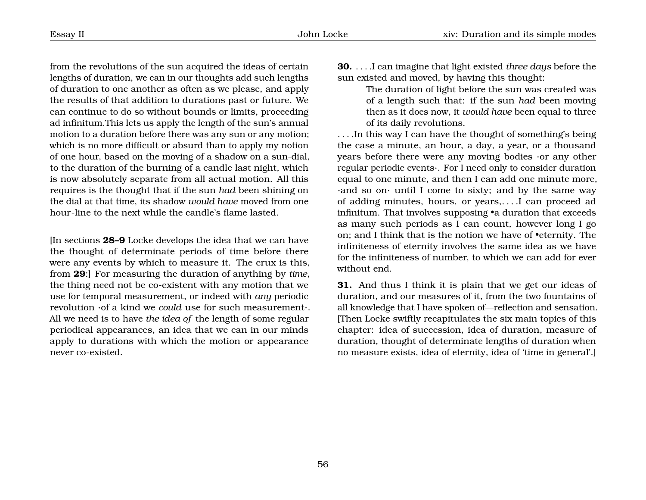from the revolutions of the sun acquired the ideas of certain lengths of duration, we can in our thoughts add such lengths of duration to one another as often as we please, and apply the results of that addition to durations past or future. We can continue to do so without bounds or limits, proceeding ad infinitum.This lets us apply the length of the sun's annual motion to a duration before there was any sun or any motion; which is no more difficult or absurd than to apply my notion of one hour, based on the moving of a shadow on a sun-dial, to the duration of the burning of a candle last night, which is now absolutely separate from all actual motion. All this requires is the thought that if the sun *had* been shining on the dial at that time, its shadow *would have* moved from one hour-line to the next while the candle's flame lasted.

[In sections **28–9** Locke develops the idea that we can have the thought of determinate periods of time before there were any events by which to measure it. The crux is this, from **29**:] For measuring the duration of anything by *time*, the thing need not be co-existent with any motion that we use for temporal measurement, or indeed with *any* periodic revolution ·of a kind we *could* use for such measurement·. All we need is to have *the idea of* the length of some regular periodical appearances, an idea that we can in our minds apply to durations with which the motion or appearance never co-existed.

**30.** . . . .I can imagine that light existed *three days* before the sun existed and moved, by having this thought:

> The duration of light before the sun was created was of a length such that: if the sun *had* been moving then as it does now, it *would have* been equal to three of its daily revolutions.

. . . .In this way I can have the thought of something's being the case a minute, an hour, a day, a year, or a thousand years before there were any moving bodies ·or any other regular periodic events·. For I need only to consider duration equal to one minute, and then I can add one minute more, ·and so on· until I come to sixty; and by the same way of adding minutes, hours, or years,. . . .I can proceed ad infinitum. That involves supposing •a duration that exceeds as many such periods as I can count, however long I go on; and I think that is the notion we have of •eternity. The infiniteness of eternity involves the same idea as we have for the infiniteness of number, to which we can add for ever without end.

**31.** And thus I think it is plain that we get our ideas of duration, and our measures of it, from the two fountains of all knowledge that I have spoken of—reflection and sensation. [Then Locke swiftly recapitulates the six main topics of this chapter: idea of succession, idea of duration, measure of duration, thought of determinate lengths of duration when no measure exists, idea of eternity, idea of 'time in general'.]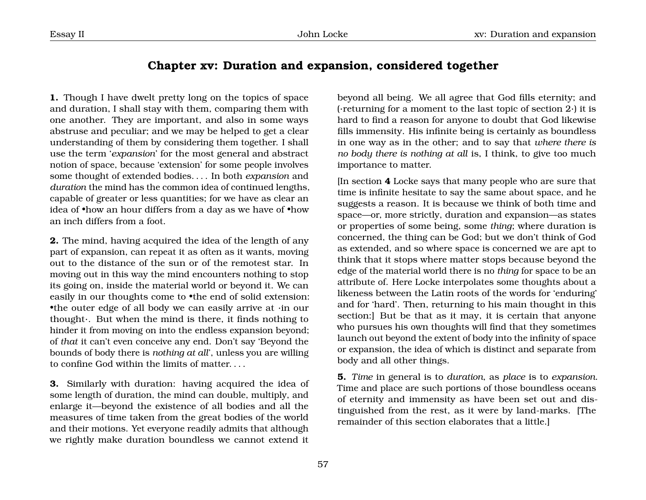# **Chapter xv: Duration and expansion, considered together**

**1.** Though I have dwelt pretty long on the topics of space and duration, I shall stay with them, comparing them with one another. They are important, and also in some ways abstruse and peculiar; and we may be helped to get a clear understanding of them by considering them together. I shall use the term '*expansion*' for the most general and abstract notion of space, because 'extension' for some people involves some thought of extended bodies. . . . In both *expansion* and *duration* the mind has the common idea of continued lengths, capable of greater or less quantities; for we have as clear an idea of •how an hour differs from a day as we have of •how an inch differs from a foot.

**2.** The mind, having acquired the idea of the length of any part of expansion, can repeat it as often as it wants, moving out to the distance of the sun or of the remotest star. In moving out in this way the mind encounters nothing to stop its going on, inside the material world or beyond it. We can easily in our thoughts come to •the end of solid extension: •the outer edge of all body we can easily arrive at ·in our thought·. But when the mind is there, it finds nothing to hinder it from moving on into the endless expansion beyond; of *that* it can't even conceive any end. Don't say 'Beyond the bounds of body there is *nothing at all*', unless you are willing to confine God within the limits of matter. . . .

**3.** Similarly with duration: having acquired the idea of some length of duration, the mind can double, multiply, and enlarge it—beyond the existence of all bodies and all the measures of time taken from the great bodies of the world and their motions. Yet everyone readily admits that although we rightly make duration boundless we cannot extend it beyond all being. We all agree that God fills eternity; and (·returning for a moment to the last topic of section 2·) it is hard to find a reason for anyone to doubt that God likewise fills immensity. His infinite being is certainly as boundless in one way as in the other; and to say that *where there is no body there is nothing at all* is, I think, to give too much importance to matter.

[In section **4** Locke says that many people who are sure that time is infinite hesitate to say the same about space, and he suggests a reason. It is because we think of both time and space—or, more strictly, duration and expansion—as states or properties of some being, some *thing*; where duration is concerned, the thing can be God; but we don't think of God as extended, and so where space is concerned we are apt to think that it stops where matter stops because beyond the edge of the material world there is no *thing* for space to be an attribute of. Here Locke interpolates some thoughts about a likeness between the Latin roots of the words for 'enduring' and for 'hard'. Then, returning to his main thought in this section:] But be that as it may, it is certain that anyone who pursues his own thoughts will find that they sometimes launch out beyond the extent of body into the infinity of space or expansion, the idea of which is distinct and separate from body and all other things.

**5.** *Time* in general is to *duration*, as *place* is to *expansion*. Time and place are such portions of those boundless oceans of eternity and immensity as have been set out and distinguished from the rest, as it were by land-marks. [The remainder of this section elaborates that a little.]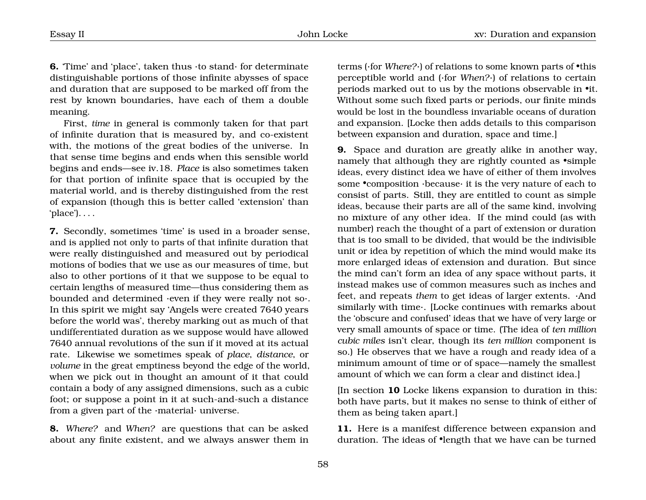**6.** 'Time' and 'place', taken thus ·to stand· for determinate distinguishable portions of those infinite abysses of space and duration that are supposed to be marked off from the rest by known boundaries, have each of them a double meaning.

First, *time* in general is commonly taken for that part of infinite duration that is measured by, and co-existent with, the motions of the great bodies of the universe. In that sense time begins and ends when this sensible world begins and ends—see iv.18. *Place* is also sometimes taken for that portion of infinite space that is occupied by the material world, and is thereby distinguished from the rest of expansion (though this is better called 'extension' than  $'place$ )....

**7.** Secondly, sometimes 'time' is used in a broader sense, and is applied not only to parts of that infinite duration that were really distinguished and measured out by periodical motions of bodies that we use as our measures of time, but also to other portions of it that we suppose to be equal to certain lengths of measured time—thus considering them as bounded and determined ·even if they were really not so·. In this spirit we might say 'Angels were created 7640 years before the world was', thereby marking out as much of that undifferentiated duration as we suppose would have allowed 7640 annual revolutions of the sun if it moved at its actual rate. Likewise we sometimes speak of *place*, *distance*, or *volume* in the great emptiness beyond the edge of the world, when we pick out in thought an amount of it that could contain a body of any assigned dimensions, such as a cubic foot; or suppose a point in it at such-and-such a distance from a given part of the ·material· universe.

**8.** *Where?* and *When?* are questions that can be asked about any finite existent, and we always answer them in terms (·for *Where?*·) of relations to some known parts of •this perceptible world and (·for *When?*·) of relations to certain periods marked out to us by the motions observable in •it. Without some such fixed parts or periods, our finite minds would be lost in the boundless invariable oceans of duration and expansion. [Locke then adds details to this comparison between expansion and duration, space and time.]

**9.** Space and duration are greatly alike in another way, namely that although they are rightly counted as •simple ideas, every distinct idea we have of either of them involves some •composition ·because· it is the very nature of each to consist of parts. Still, they are entitled to count as simple ideas, because their parts are all of the same kind, involving no mixture of any other idea. If the mind could (as with number) reach the thought of a part of extension or duration that is too small to be divided, that would be the indivisible unit or idea by repetition of which the mind would make its more enlarged ideas of extension and duration. But since the mind can't form an idea of any space without parts, it instead makes use of common measures such as inches and feet, and repeats *them* to get ideas of larger extents. ·And similarly with time·. [Locke continues with remarks about the 'obscure and confused' ideas that we have of very large or very small amounts of space or time. (The idea of *ten million cubic miles* isn't clear, though its *ten million* component is so.) He observes that we have a rough and ready idea of a minimum amount of time or of space—namely the smallest amount of which we can form a clear and distinct idea.]

[In section **10** Locke likens expansion to duration in this: both have parts, but it makes no sense to think of either of them as being taken apart.]

**11.** Here is a manifest difference between expansion and duration. The ideas of •length that we have can be turned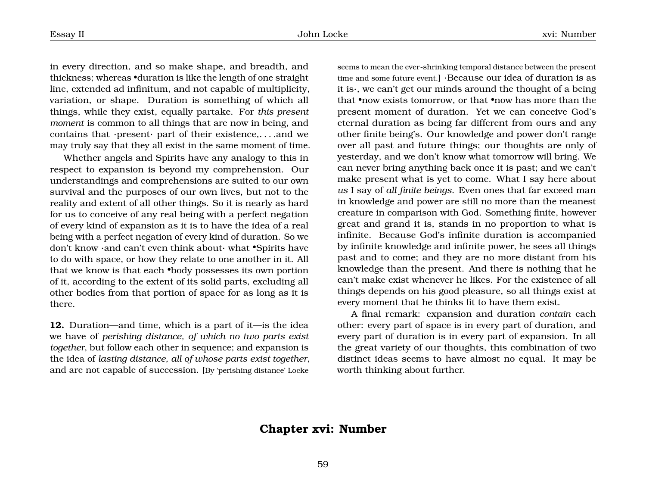in every direction, and so make shape, and breadth, and thickness; whereas •duration is like the length of one straight line, extended ad infinitum, and not capable of multiplicity, variation, or shape. Duration is something of which all things, while they exist, equally partake. For *this present moment* is common to all things that are now in being, and contains that ·present· part of their existence,. . . .and we may truly say that they all exist in the same moment of time.

Whether angels and Spirits have any analogy to this in respect to expansion is beyond my comprehension. Our understandings and comprehensions are suited to our own survival and the purposes of our own lives, but not to the reality and extent of all other things. So it is nearly as hard for us to conceive of any real being with a perfect negation of every kind of expansion as it is to have the idea of a real being with a perfect negation of every kind of duration. So we don't know ·and can't even think about· what •Spirits have to do with space, or how they relate to one another in it. All that we know is that each •body possesses its own portion of it, according to the extent of its solid parts, excluding all other bodies from that portion of space for as long as it is there.

**12.** Duration—and time, which is a part of it—is the idea we have of *perishing distance, of which no two parts exist together*, but follow each other in sequence; and expansion is the idea of *lasting distance, all of whose parts exist together*, and are not capable of succession. [By 'perishing distance' Locke

seems to mean the ever-shrinking temporal distance between the present time and some future event.] ·Because our idea of duration is as it is·, we can't get our minds around the thought of a being that •now exists tomorrow, or that •now has more than the present moment of duration. Yet we can conceive God's eternal duration as being far different from ours and any other finite being's. Our knowledge and power don't range over all past and future things; our thoughts are only of yesterday, and we don't know what tomorrow will bring. We can never bring anything back once it is past; and we can't make present what is yet to come. What I say here about *us* I say of *all finite beings*. Even ones that far exceed man in knowledge and power are still no more than the meanest creature in comparison with God. Something finite, however great and grand it is, stands in no proportion to what is infinite. Because God's infinite duration is accompanied by infinite knowledge and infinite power, he sees all things past and to come; and they are no more distant from his knowledge than the present. And there is nothing that he can't make exist whenever he likes. For the existence of all things depends on his good pleasure, so all things exist at every moment that he thinks fit to have them exist.

A final remark: expansion and duration *contain* each other: every part of space is in every part of duration, and every part of duration is in every part of expansion. In all the great variety of our thoughts, this combination of two distinct ideas seems to have almost no equal. It may be worth thinking about further.

## **Chapter xvi: Number**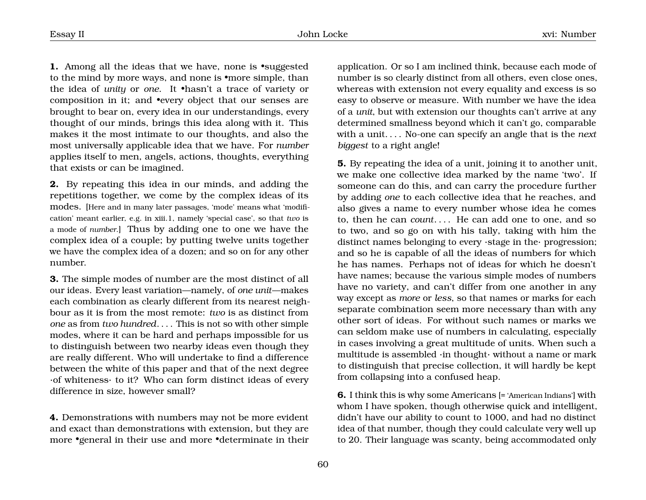**1.** Among all the ideas that we have, none is •suggested to the mind by more ways, and none is •more simple, than the idea of *unity* or *one*. It •hasn't a trace of variety or composition in it; and •every object that our senses are brought to bear on, every idea in our understandings, every thought of our minds, brings this idea along with it. This makes it the most intimate to our thoughts, and also the most universally applicable idea that we have. For *number* applies itself to men, angels, actions, thoughts, everything that exists or can be imagined.

**2.** By repeating this idea in our minds, and adding the repetitions together, we come by the complex ideas of its modes. [Here and in many later passages, 'mode' means what 'modification' meant earlier, e.g. in xiii.1, namely 'special case', so that *two* is a mode of *number*.] Thus by adding one to one we have the complex idea of a couple; by putting twelve units together we have the complex idea of a dozen; and so on for any other number.

**3.** The simple modes of number are the most distinct of all our ideas. Every least variation—namely, of *one unit*—makes each combination as clearly different from its nearest neighbour as it is from the most remote: *two* is as distinct from *one* as from *two hundred*. . . . This is not so with other simple modes, where it can be hard and perhaps impossible for us to distinguish between two nearby ideas even though they are really different. Who will undertake to find a difference between the white of this paper and that of the next degree ·of whiteness· to it? Who can form distinct ideas of every difference in size, however small?

**4.** Demonstrations with numbers may not be more evident and exact than demonstrations with extension, but they are more •general in their use and more •determinate in their application. Or so I am inclined think, because each mode of number is so clearly distinct from all others, even close ones, whereas with extension not every equality and excess is so easy to observe or measure. With number we have the idea of a *unit*, but with extension our thoughts can't arrive at any determined smallness beyond which it can't go, comparable with a unit. . . . No-one can specify an angle that is the *next biggest* to a right angle!

**5.** By repeating the idea of a unit, joining it to another unit, we make one collective idea marked by the name 'two'. If someone can do this, and can carry the procedure further by adding *one* to each collective idea that he reaches, and also gives a name to every number whose idea he comes to, then he can *count*.... He can add one to one, and so to two, and so go on with his tally, taking with him the distinct names belonging to every ·stage in the· progression; and so he is capable of all the ideas of numbers for which he has names. Perhaps not of ideas for which he doesn't have names; because the various simple modes of numbers have no variety, and can't differ from one another in any way except as *more* or *less*, so that names or marks for each separate combination seem more necessary than with any other sort of ideas. For without such names or marks we can seldom make use of numbers in calculating, especially in cases involving a great multitude of units. When such a multitude is assembled ·in thought· without a name or mark to distinguish that precise collection, it will hardly be kept from collapsing into a confused heap.

**6.** I think this is why some Americans [= 'American Indians'] with whom I have spoken, though otherwise quick and intelligent, didn't have our ability to count to 1000, and had no distinct idea of that number, though they could calculate very well up to 20. Their language was scanty, being accommodated only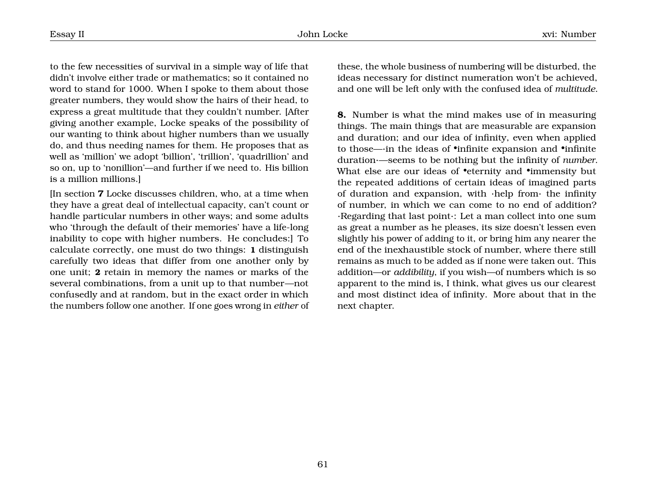to the few necessities of survival in a simple way of life that didn't involve either trade or mathematics; so it contained no word to stand for 1000. When I spoke to them about those greater numbers, they would show the hairs of their head, to express a great multitude that they couldn't number. [After giving another example, Locke speaks of the possibility of our wanting to think about higher numbers than we usually do, and thus needing names for them. He proposes that as well as 'million' we adopt 'billion', 'trillion', 'quadrillion' and so on, up to 'nonillion'—and further if we need to. His billion is a million millions.]

[In section **7** Locke discusses children, who, at a time when they have a great deal of intellectual capacity, can't count or handle particular numbers in other ways; and some adults who 'through the default of their memories' have a life-long inability to cope with higher numbers. He concludes:] To calculate correctly, one must do two things: **1** distinguish carefully two ideas that differ from one another only by one unit; **2** retain in memory the names or marks of the several combinations, from a unit up to that number—not confusedly and at random, but in the exact order in which the numbers follow one another. If one goes wrong in *either* of these, the whole business of numbering will be disturbed, the ideas necessary for distinct numeration won't be achieved, and one will be left only with the confused idea of *multitude*.

**8.** Number is what the mind makes use of in measuring things. The main things that are measurable are expansion and duration; and our idea of infinity, even when applied to those—·in the ideas of •infinite expansion and •infinite duration·—seems to be nothing but the infinity of *number*. What else are our ideas of •eternity and •immensity but the repeated additions of certain ideas of imagined parts of duration and expansion, with ·help from· the infinity of number, in which we can come to no end of addition? ·Regarding that last point·: Let a man collect into one sum as great a number as he pleases, its size doesn't lessen even slightly his power of adding to it, or bring him any nearer the end of the inexhaustible stock of number, where there still remains as much to be added as if none were taken out. This addition—or *addibility*, if you wish—of numbers which is so apparent to the mind is, I think, what gives us our clearest and most distinct idea of infinity. More about that in the next chapter.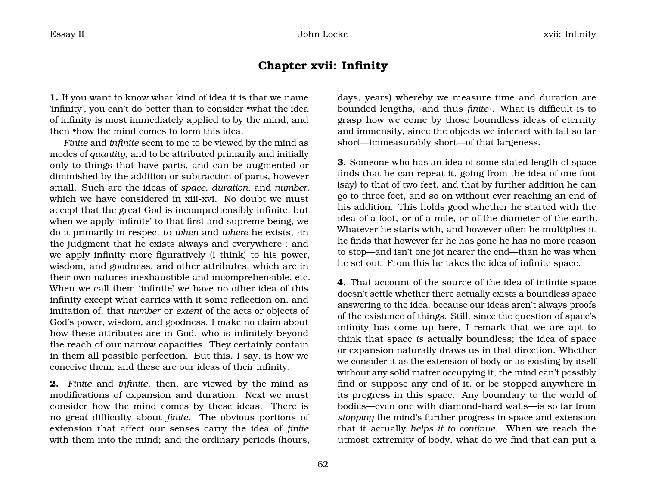## **Chapter xvii: Infinity**

**1.** If you want to know what kind of idea it is that we name 'infinity', you can't do better than to consider •what the idea of infinity is most immediately applied to by the mind, and then •how the mind comes to form this idea.

*Finite* and *infinite* seem to me to be viewed by the mind as modes of *quantity*, and to be attributed primarily and initially only to things that have parts, and can be augmented or diminished by the addition or subtraction of parts, however small. Such are the ideas of *space*, *duration*, and *number*, which we have considered in xiii-xvi. No doubt we must accept that the great God is incomprehensibly infinite; but when we apply 'infinite' to that first and supreme being, we do it primarily in respect to *when* and *where* he exists, ·in the judgment that he exists always and everywhere·; and we apply infinity more figuratively (I think) to his power, wisdom, and goodness, and other attributes, which are in their own natures inexhaustible and incomprehensible, etc. When we call them 'infinite' we have no other idea of this infinity except what carries with it some reflection on, and imitation of, that *number* or *extent* of the acts or objects of God's power, wisdom, and goodness. I make no claim about how these attributes are in God, who is infinitely beyond the reach of our narrow capacities. They certainly contain in them all possible perfection. But this, I say, is how we conceive them, and these are our ideas of their infinity.

**2.** *Finite* and *infinite*, then, are viewed by the mind as modifications of expansion and duration. Next we must consider how the mind comes by these ideas. There is no great difficulty about *finite*. The obvious portions of extension that affect our senses carry the idea of *finite* with them into the mind; and the ordinary periods (hours,

days, years) whereby we measure time and duration are bounded lengths, ·and thus *finite*·. What is difficult is to grasp how we come by those boundless ideas of eternity and immensity, since the objects we interact with fall so far short—immeasurably short—of that largeness.

**3.** Someone who has an idea of some stated length of space finds that he can repeat it, going from the idea of one foot (say) to that of two feet, and that by further addition he can go to three feet, and so on without ever reaching an end of his addition. This holds good whether he started with the idea of a foot, or of a mile, or of the diameter of the earth. Whatever he starts with, and however often he multiplies it, he finds that however far he has gone he has no more reason to stop—and isn't one jot nearer the end—than he was when he set out. From this he takes the idea of infinite space.

**4.** That account of the source of the idea of infinite space doesn't settle whether there actually exists a boundless space answering to the idea, because our ideas aren't always proofs of the existence of things. Still, since the question of space's infinity has come up here, I remark that we are apt to think that space *is* actually boundless; the idea of space or expansion naturally draws us in that direction. Whether we consider it as the extension of body or as existing by itself without any solid matter occupying it, the mind can't possibly find or suppose any end of it, or be stopped anywhere in its progress in this space. Any boundary to the world of bodies—even one with diamond-hard walls—is so far from *stopping* the mind's further progress in space and extension that it actually *helps it to continue*. When we reach the utmost extremity of body, what do we find that can put a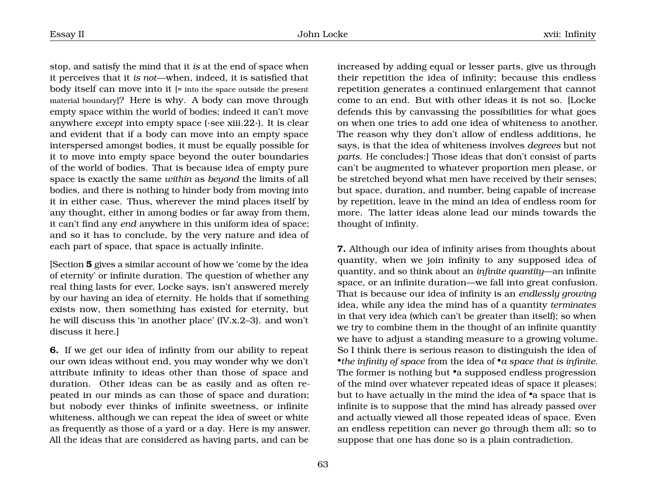stop, and satisfy the mind that it *is* at the end of space when it perceives that it *is not*—when, indeed, it is satisfied that body itself can move into it [= into the space outside the present material boundary]? Here is why. A body can move through empty space within the world of bodies; indeed it can't move anywhere *except* into empty space (·see xiii.22·). It is clear and evident that if a body can move into an empty space interspersed amongst bodies, it must be equally possible for it to move into empty space beyond the outer boundaries of the world of bodies. That is because idea of empty pure space is exactly the same *within* as *beyond* the limits of all bodies, and there is nothing to hinder body from moving into it in either case. Thus, wherever the mind places itself by any thought, either in among bodies or far away from them, it can't find any *end* anywhere in this uniform idea of space; and so it has to conclude, by the very nature and idea of each part of space, that space is actually infinite.

[Section **5** gives a similar account of how we 'come by the idea of eternity' or infinite duration. The question of whether any real thing lasts for ever, Locke says, isn't answered merely by our having an idea of eternity. He holds that if something exists now, then something has existed for eternity, but he will discuss this 'in another place' (IV.x.2–3). and won't discuss it here.]

**6.** If we get our idea of infinity from our ability to repeat our own ideas without end, you may wonder why we don't attribute infinity to ideas other than those of space and duration. Other ideas can be as easily and as often repeated in our minds as can those of space and duration; but nobody ever thinks of infinite sweetness, or infinite whiteness, although we can repeat the idea of sweet or white as frequently as those of a yard or a day. Here is my answer. All the ideas that are considered as having parts, and can be

increased by adding equal or lesser parts, give us through their repetition the idea of infinity; because this endless repetition generates a continued enlargement that cannot come to an end. But with other ideas it is not so. [Locke defends this by canvassing the possibilities for what goes on when one tries to add one idea of whiteness to another. The reason why they don't allow of endless additions, he says, is that the idea of whiteness involves *degrees* but not *parts*. He concludes:] Those ideas that don't consist of parts can't be augmented to whatever proportion men please, or be stretched beyond what men have received by their senses; but space, duration, and number, being capable of increase by repetition, leave in the mind an idea of endless room for more. The latter ideas alone lead our minds towards the thought of infinity.

**7.** Although our idea of infinity arises from thoughts about quantity, when we join infinity to any supposed idea of quantity, and so think about an *infinite quantity*—an infinite space, or an infinite duration—we fall into great confusion. That is because our idea of infinity is an *endlessly growing* idea, while any idea the mind has of a quantity *terminates* in that very idea (which can't be greater than itself); so when we try to combine them in the thought of an infinite quantity we have to adjust a standing measure to a growing volume. So I think there is serious reason to distinguish the idea of •*the infinity of space* from the idea of •*a space that is infinite*. The former is nothing but •a supposed endless progression of the mind over whatever repeated ideas of space it pleases; but to have actually in the mind the idea of •a space that is infinite is to suppose that the mind has already passed over and actually viewed all those repeated ideas of space. Even an endless repetition can never go through them all; so to suppose that one has done so is a plain contradiction.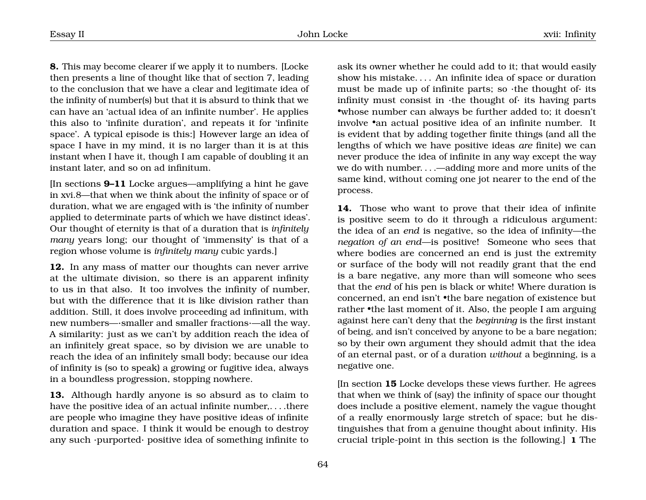**8.** This may become clearer if we apply it to numbers. [Locke then presents a line of thought like that of section 7, leading to the conclusion that we have a clear and legitimate idea of the infinity of number(s) but that it is absurd to think that we can have an 'actual idea of an infinite number'. He applies this also to 'infinite duration', and repeats it for 'infinite space'. A typical episode is this:] However large an idea of space I have in my mind, it is no larger than it is at this instant when I have it, though I am capable of doubling it an instant later, and so on ad infinitum.

[In sections **9–11** Locke argues—amplifying a hint he gave in xvi.8—that when we think about the infinity of space or of duration, what we are engaged with is 'the infinity of number applied to determinate parts of which we have distinct ideas'. Our thought of eternity is that of a duration that is *infinitely many* years long; our thought of 'immensity' is that of a region whose volume is *infinitely many* cubic yards.]

**12.** In any mass of matter our thoughts can never arrive at the ultimate division, so there is an apparent infinity to us in that also. It too involves the infinity of number, but with the difference that it is like division rather than addition. Still, it does involve proceeding ad infinitum, with new numbers—·smaller and smaller fractions·—all the way. A similarity: just as we can't by addition reach the idea of an infinitely great space, so by division we are unable to reach the idea of an infinitely small body; because our idea of infinity is (so to speak) a growing or fugitive idea, always in a boundless progression, stopping nowhere.

**13.** Although hardly anyone is so absurd as to claim to have the positive idea of an actual infinite number,. . . .there are people who imagine they have positive ideas of infinite duration and space. I think it would be enough to destroy any such ·purported· positive idea of something infinite to

ask its owner whether he could add to it; that would easily show his mistake. . . . An infinite idea of space or duration must be made up of infinite parts; so ·the thought of· its infinity must consist in ·the thought of· its having parts •whose number can always be further added to; it doesn't involve •an actual positive idea of an infinite number. It is evident that by adding together finite things (and all the lengths of which we have positive ideas *are* finite) we can never produce the idea of infinite in any way except the way we do with number. . . .—adding more and more units of the same kind, without coming one jot nearer to the end of the process.

**14.** Those who want to prove that their idea of infinite is positive seem to do it through a ridiculous argument: the idea of an *end* is negative, so the idea of infinity—the *negation of an end*—is positive! Someone who sees that where bodies are concerned an end is just the extremity or surface of the body will not readily grant that the end is a bare negative, any more than will someone who sees that the *end* of his pen is black or white! Where duration is concerned, an end isn't •the bare negation of existence but rather •the last moment of it. Also, the people I am arguing against here can't deny that the *beginning* is the first instant of being, and isn't conceived by anyone to be a bare negation; so by their own argument they should admit that the idea of an eternal past, or of a duration *without* a beginning, is a negative one.

[In section **15** Locke develops these views further. He agrees that when we think of (say) the infinity of space our thought does include a positive element, namely the vague thought of a really enormously large stretch of space; but he distinguishes that from a genuine thought about infinity. His crucial triple-point in this section is the following.] **1** The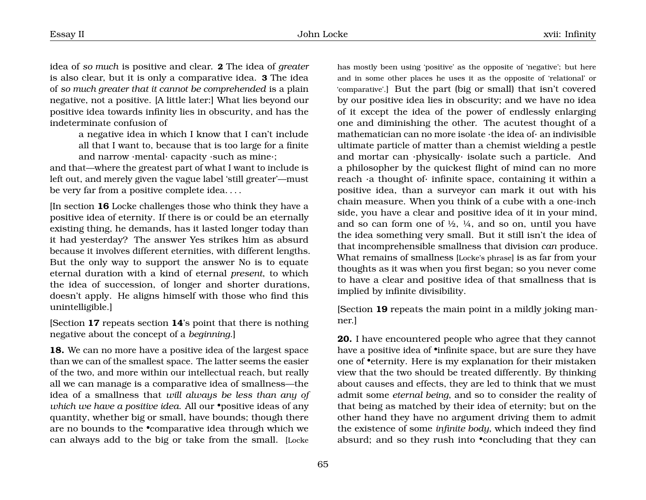idea of *so much* is positive and clear. **2** The idea of *greater* is also clear, but it is only a comparative idea. **3** The idea of *so much greater that it cannot be comprehended* is a plain negative, not a positive. [A little later:] What lies beyond our positive idea towards infinity lies in obscurity, and has the indeterminate confusion of

> a negative idea in which I know that I can't include all that I want to, because that is too large for a finite and narrow ·mental· capacity ·such as mine·;

and that—where the greatest part of what I want to include is left out, and merely given the vague label 'still greater'—must be very far from a positive complete idea. . . .

[In section **16** Locke challenges those who think they have a positive idea of eternity. If there is or could be an eternally existing thing, he demands, has it lasted longer today than it had yesterday? The answer Yes strikes him as absurd because it involves different eternities, with different lengths. But the only way to support the answer No is to equate eternal duration with a kind of eternal *present*, to which the idea of succession, of longer and shorter durations, doesn't apply. He aligns himself with those who find this unintelligible.]

[Section **17** repeats section **14**'s point that there is nothing negative about the concept of a *beginning*.]

**18.** We can no more have a positive idea of the largest space than we can of the smallest space. The latter seems the easier of the two, and more within our intellectual reach, but really all we can manage is a comparative idea of smallness—the idea of a smallness that *will always be less than any of which we have a positive idea*. All our •positive ideas of any quantity, whether big or small, have bounds; though there are no bounds to the •comparative idea through which we can always add to the big or take from the small. [Locke

has mostly been using 'positive' as the opposite of 'negative'; but here and in some other places he uses it as the opposite of 'relational' or 'comparative'.] But the part (big or small) that isn't covered by our positive idea lies in obscurity; and we have no idea of it except the idea of the power of endlessly enlarging one and diminishing the other. The acutest thought of a mathematician can no more isolate ·the idea of· an indivisible ultimate particle of matter than a chemist wielding a pestle and mortar can ·physically· isolate such a particle. And a philosopher by the quickest flight of mind can no more reach ·a thought of· infinite space, containing it within a positive idea, than a surveyor can mark it out with his chain measure. When you think of a cube with a one-inch side, you have a clear and positive idea of it in your mind, and so can form one of  $\frac{1}{2}$ ,  $\frac{1}{4}$ , and so on, until you have the idea something very small. But it still isn't the idea of that incomprehensible smallness that division *can* produce. What remains of smallness [Locke's phrase] is as far from your thoughts as it was when you first began; so you never come to have a clear and positive idea of that smallness that is implied by infinite divisibility.

[Section **19** repeats the main point in a mildly joking manner.]

**20.** I have encountered people who agree that they cannot have a positive idea of •infinite space, but are sure they have one of •eternity. Here is my explanation for their mistaken view that the two should be treated differently. By thinking about causes and effects, they are led to think that we must admit some *eternal being*, and so to consider the reality of that being as matched by their idea of eternity; but on the other hand they have no argument driving them to admit the existence of some *infinite body*, which indeed they find absurd; and so they rush into •concluding that they can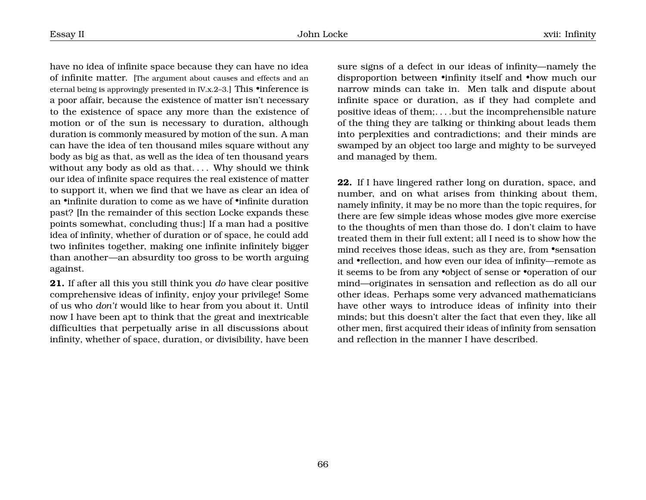have no idea of infinite space because they can have no idea of infinite matter. [The argument about causes and effects and an eternal being is approvingly presented in  $IV.x.2-3$ . This •inference is a poor affair, because the existence of matter isn't necessary to the existence of space any more than the existence of motion or of the sun is necessary to duration, although duration is commonly measured by motion of the sun. A man can have the idea of ten thousand miles square without any body as big as that, as well as the idea of ten thousand years without any body as old as that.... Why should we think our idea of infinite space requires the real existence of matter to support it, when we find that we have as clear an idea of an •infinite duration to come as we have of •infinite duration past? [In the remainder of this section Locke expands these points somewhat, concluding thus:] If a man had a positive idea of infinity, whether of duration or of space, he could add two infinites together, making one infinite infinitely bigger than another—an absurdity too gross to be worth arguing against.

**21.** If after all this you still think you *do* have clear positive comprehensive ideas of infinity, enjoy your privilege! Some of us who *don't* would like to hear from you about it. Until now I have been apt to think that the great and inextricable difficulties that perpetually arise in all discussions about infinity, whether of space, duration, or divisibility, have been sure signs of a defect in our ideas of infinity—namely the disproportion between •infinity itself and •how much our narrow minds can take in. Men talk and dispute about infinite space or duration, as if they had complete and positive ideas of them;. . . .but the incomprehensible nature of the thing they are talking or thinking about leads them into perplexities and contradictions; and their minds are swamped by an object too large and mighty to be surveyed and managed by them.

**22.** If I have lingered rather long on duration, space, and number, and on what arises from thinking about them, namely infinity, it may be no more than the topic requires, for there are few simple ideas whose modes give more exercise to the thoughts of men than those do. I don't claim to have treated them in their full extent; all I need is to show how the mind receives those ideas, such as they are, from •sensation and •reflection, and how even our idea of infinity—remote as it seems to be from any •object of sense or •operation of our mind—originates in sensation and reflection as do all our other ideas. Perhaps some very advanced mathematicians have other ways to introduce ideas of infinity into their minds; but this doesn't alter the fact that even they, like all other men, first acquired their ideas of infinity from sensation and reflection in the manner I have described.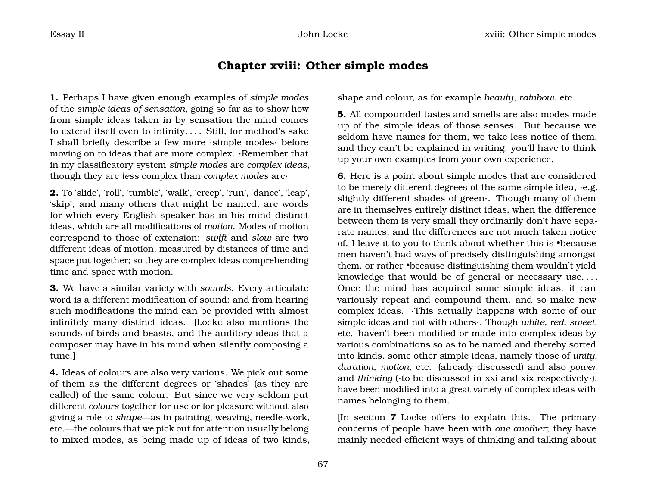# **Chapter xviii: Other simple modes**

**1.** Perhaps I have given enough examples of *simple modes* of the *simple ideas of sensation*, going so far as to show how from simple ideas taken in by sensation the mind comes to extend itself even to infinity. . . . Still, for method's sake I shall briefly describe a few more ·simple modes· before moving on to ideas that are more complex. ·Remember that in my classificatory system *simple modes* are *complex ideas*, though they are *less* complex than *complex modes* are·

**2.** To 'slide', 'roll', 'tumble', 'walk', 'creep', 'run', 'dance', 'leap', 'skip', and many others that might be named, are words for which every English-speaker has in his mind distinct ideas, which are all modifications of *motion*. Modes of motion correspond to those of extension: *swift* and *slow* are two different ideas of motion, measured by distances of time and space put together; so they are complex ideas comprehending time and space with motion.

**3.** We have a similar variety with *sounds*. Every articulate word is a different modification of sound; and from hearing such modifications the mind can be provided with almost infinitely many distinct ideas. [Locke also mentions the sounds of birds and beasts, and the auditory ideas that a composer may have in his mind when silently composing a tune.]

**4.** Ideas of colours are also very various. We pick out some of them as the different degrees or 'shades' (as they are called) of the same colour. But since we very seldom put different *colours* together for use or for pleasure without also giving a role to *shape*—as in painting, weaving, needle-work, etc.—the colours that we pick out for attention usually belong to mixed modes, as being made up of ideas of two kinds, shape and colour, as for example *beauty*, *rainbow*, etc.

**5.** All compounded tastes and smells are also modes made up of the simple ideas of those senses. But because we seldom have names for them, we take less notice of them, and they can't be explained in writing. you'll have to think up your own examples from your own experience.

**6.** Here is a point about simple modes that are considered to be merely different degrees of the same simple idea, ·e.g. slightly different shades of green·. Though many of them are in themselves entirely distinct ideas, when the difference between them is very small they ordinarily don't have separate names, and the differences are not much taken notice of. I leave it to you to think about whether this is •because men haven't had ways of precisely distinguishing amongst them, or rather •because distinguishing them wouldn't yield knowledge that would be of general or necessary use. . . . Once the mind has acquired some simple ideas, it can variously repeat and compound them, and so make new complex ideas. ·This actually happens with some of our simple ideas and not with others·. Though *white*, *red*, *sweet*, etc. haven't been modified or made into complex ideas by various combinations so as to be named and thereby sorted into kinds, some other simple ideas, namely those of *unity*, *duration*, *motion*, etc. (already discussed) and also *power* and *thinking* (·to be discussed in xxi and xix respectively·), have been modified into a great variety of complex ideas with names belonging to them.

[In section **7** Locke offers to explain this. The primary concerns of people have been with *one another*; they have mainly needed efficient ways of thinking and talking about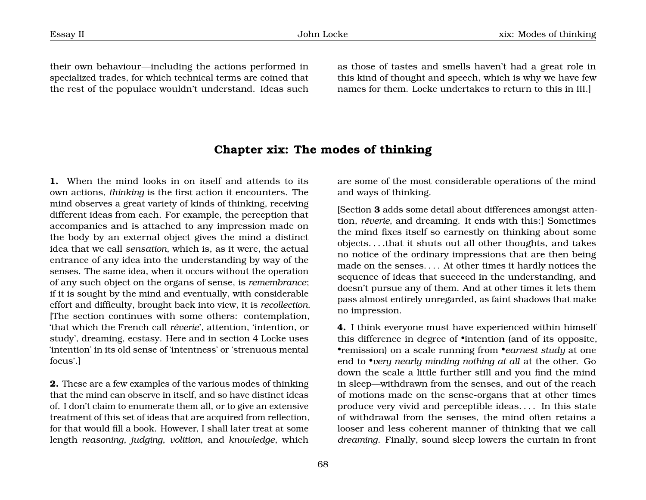their own behaviour—including the actions performed in specialized trades, for which technical terms are coined that the rest of the populace wouldn't understand. Ideas such

as those of tastes and smells haven't had a great role in this kind of thought and speech, which is why we have few names for them. Locke undertakes to return to this in III.]

## **Chapter xix: The modes of thinking**

**1.** When the mind looks in on itself and attends to its own actions, *thinking* is the first action it encounters. The mind observes a great variety of kinds of thinking, receiving different ideas from each. For example, the perception that accompanies and is attached to any impression made on the body by an external object gives the mind a distinct idea that we call *sensation*, which is, as it were, the actual entrance of any idea into the understanding by way of the senses. The same idea, when it occurs without the operation of any such object on the organs of sense, is *remembrance*; if it is sought by the mind and eventually, with considerable effort and difficulty, brought back into view, it is *recollection*. [The section continues with some others: contemplation, 'that which the French call *rêverie*', attention, 'intention, or study', dreaming, ecstasy. Here and in section 4 Locke uses 'intention' in its old sense of 'intentness' or 'strenuous mental focus'.]

**2.** These are a few examples of the various modes of thinking that the mind can observe in itself, and so have distinct ideas of. I don't claim to enumerate them all, or to give an extensive treatment of this set of ideas that are acquired from reflection, for that would fill a book. However, I shall later treat at some length *reasoning*, *judging*, *volition*, and *knowledge*, which are some of the most considerable operations of the mind and ways of thinking.

[Section **3** adds some detail about differences amongst attention, *rêverie*, and dreaming. It ends with this:] Sometimes the mind fixes itself so earnestly on thinking about some objects. . . .that it shuts out all other thoughts, and takes no notice of the ordinary impressions that are then being made on the senses. . . . At other times it hardly notices the sequence of ideas that succeed in the understanding, and doesn't pursue any of them. And at other times it lets them pass almost entirely unregarded, as faint shadows that make no impression.

**4.** I think everyone must have experienced within himself this difference in degree of •intention (and of its opposite, •remission) on a scale running from •*earnest study* at one end to •*very nearly minding nothing at all* at the other. Go down the scale a little further still and you find the mind in sleep—withdrawn from the senses, and out of the reach of motions made on the sense-organs that at other times produce very vivid and perceptible ideas. . . . In this state of withdrawal from the senses, the mind often retains a looser and less coherent manner of thinking that we call *dreaming*. Finally, sound sleep lowers the curtain in front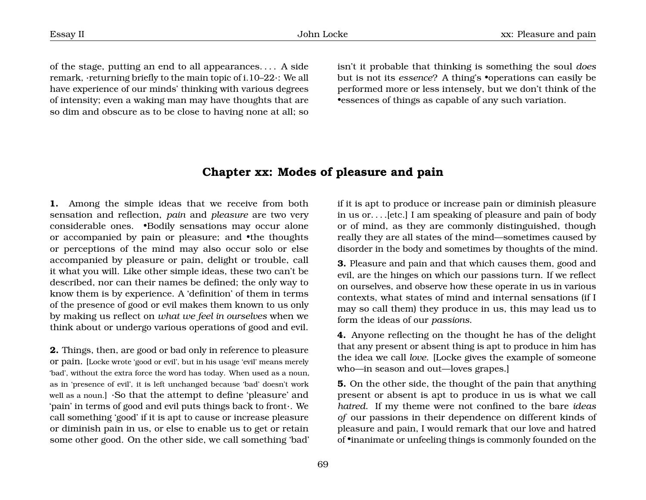of the stage, putting an end to all appearances. . . . A side remark, ·returning briefly to the main topic of i.10–22·: We all have experience of our minds' thinking with various degrees of intensity; even a waking man may have thoughts that are so dim and obscure as to be close to having none at all; so

isn't it probable that thinking is something the soul *does* but is not its *essence*? A thing's •operations can easily be performed more or less intensely, but we don't think of the •essences of things as capable of any such variation.

#### **Chapter xx: Modes of pleasure and pain**

**1.** Among the simple ideas that we receive from both sensation and reflection, *pain* and *pleasure* are two very considerable ones. •Bodily sensations may occur alone or accompanied by pain or pleasure; and •the thoughts or perceptions of the mind may also occur solo or else accompanied by pleasure or pain, delight or trouble, call it what you will. Like other simple ideas, these two can't be described, nor can their names be defined; the only way to know them is by experience. A 'definition' of them in terms of the presence of good or evil makes them known to us only by making us reflect on *what we feel in ourselves* when we think about or undergo various operations of good and evil.

**2.** Things, then, are good or bad only in reference to pleasure or pain. [Locke wrote 'good or evil', but in his usage 'evil' means merely 'bad', without the extra force the word has today. When used as a noun, as in 'presence of evil', it is left unchanged because 'bad' doesn't work well as a noun.] ·So that the attempt to define 'pleasure' and 'pain' in terms of good and evil puts things back to front·. We call something 'good' if it is apt to cause or increase pleasure or diminish pain in us, or else to enable us to get or retain some other good. On the other side, we call something 'bad' if it is apt to produce or increase pain or diminish pleasure in us or. . . .[etc.] I am speaking of pleasure and pain of body or of mind, as they are commonly distinguished, though really they are all states of the mind—sometimes caused by disorder in the body and sometimes by thoughts of the mind.

**3.** Pleasure and pain and that which causes them, good and evil, are the hinges on which our passions turn. If we reflect on ourselves, and observe how these operate in us in various contexts, what states of mind and internal sensations (if I may so call them) they produce in us, this may lead us to form the ideas of our *passions*.

**4.** Anyone reflecting on the thought he has of the delight that any present or absent thing is apt to produce in him has the idea we call *love*. [Locke gives the example of someone who—in season and out—loves grapes.]

**5.** On the other side, the thought of the pain that anything present or absent is apt to produce in us is what we call *hatred*. If my theme were not confined to the bare *ideas of* our passions in their dependence on different kinds of pleasure and pain, I would remark that our love and hatred of •inanimate or unfeeling things is commonly founded on the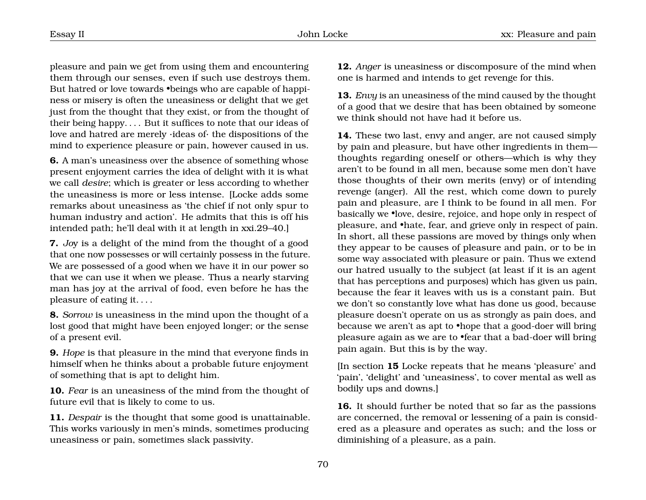pleasure and pain we get from using them and encountering them through our senses, even if such use destroys them. But hatred or love towards •beings who are capable of happiness or misery is often the uneasiness or delight that we get just from the thought that they exist, or from the thought of their being happy. . . . But it suffices to note that our ideas of love and hatred are merely ·ideas of· the dispositions of the mind to experience pleasure or pain, however caused in us.

**6.** A man's uneasiness over the absence of something whose present enjoyment carries the idea of delight with it is what we call *desire*; which is greater or less according to whether the uneasiness is more or less intense. [Locke adds some remarks about uneasiness as 'the chief if not only spur to human industry and action'. He admits that this is off his intended path; he'll deal with it at length in xxi.29–40.]

**7.** *Jo*y is a delight of the mind from the thought of a good that one now possesses or will certainly possess in the future. We are possessed of a good when we have it in our power so that we can use it when we please. Thus a nearly starving man has joy at the arrival of food, even before he has the pleasure of eating it. . . .

**8.** *Sorrow* is uneasiness in the mind upon the thought of a lost good that might have been enjoyed longer; or the sense of a present evil.

**9.** *Hope* is that pleasure in the mind that everyone finds in himself when he thinks about a probable future enjoyment of something that is apt to delight him.

**10.** *Fear* is an uneasiness of the mind from the thought of future evil that is likely to come to us.

**11.** *Despair* is the thought that some good is unattainable. This works variously in men's minds, sometimes producing uneasiness or pain, sometimes slack passivity.

**12.** *Anger* is uneasiness or discomposure of the mind when one is harmed and intends to get revenge for this.

**13.** *Envy* is an uneasiness of the mind caused by the thought of a good that we desire that has been obtained by someone we think should not have had it before us.

**14.** These two last, envy and anger, are not caused simply by pain and pleasure, but have other ingredients in them thoughts regarding oneself or others—which is why they aren't to be found in all men, because some men don't have those thoughts of their own merits (envy) or of intending revenge (anger). All the rest, which come down to purely pain and pleasure, are I think to be found in all men. For basically we •love, desire, rejoice, and hope only in respect of pleasure, and •hate, fear, and grieve only in respect of pain. In short, all these passions are moved by things only when they appear to be causes of pleasure and pain, or to be in some way associated with pleasure or pain. Thus we extend our hatred usually to the subject (at least if it is an agent that has perceptions and purposes) which has given us pain, because the fear it leaves with us is a constant pain. But we don't so constantly love what has done us good, because pleasure doesn't operate on us as strongly as pain does, and because we aren't as apt to •hope that a good-doer will bring pleasure again as we are to •fear that a bad-doer will bring pain again. But this is by the way.

[In section **15** Locke repeats that he means 'pleasure' and 'pain', 'delight' and 'uneasiness', to cover mental as well as bodily ups and downs.]

**16.** It should further be noted that so far as the passions are concerned, the removal or lessening of a pain is considered as a pleasure and operates as such; and the loss or diminishing of a pleasure, as a pain.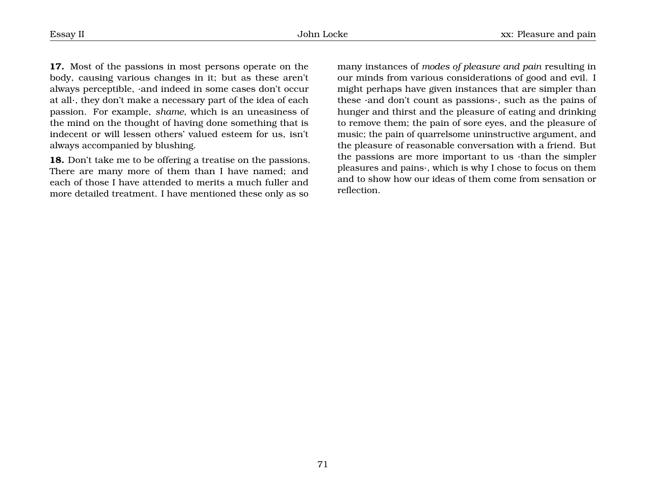**17.** Most of the passions in most persons operate on the body, causing various changes in it; but as these aren't always perceptible, ·and indeed in some cases don't occur at all·, they don't make a necessary part of the idea of each passion. For example, *shame*, which is an uneasiness of the mind on the thought of having done something that is indecent or will lessen others' valued esteem for us, isn't always accompanied by blushing.

**18.** Don't take me to be offering a treatise on the passions. There are many more of them than I have named; and each of those I have attended to merits a much fuller and more detailed treatment. I have mentioned these only as so

many instances of *modes of pleasure and pain* resulting in our minds from various considerations of good and evil. I might perhaps have given instances that are simpler than these ·and don't count as passions·, such as the pains of hunger and thirst and the pleasure of eating and drinking to remove them; the pain of sore eyes, and the pleasure of music; the pain of quarrelsome uninstructive argument, and the pleasure of reasonable conversation with a friend. But the passions are more important to us ·than the simpler pleasures and pains·, which is why I chose to focus on them and to show how our ideas of them come from sensation or reflection.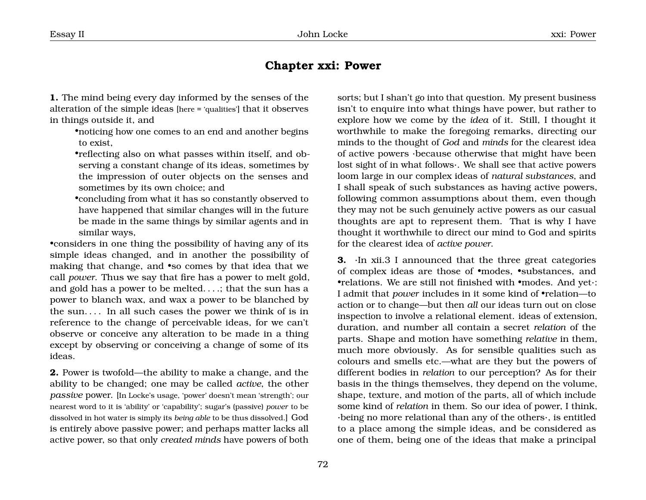## **Chapter xxi: Power**

**1.** The mind being every day informed by the senses of the alteration of the simple ideas [here = 'qualities'] that it observes in things outside it, and

- •noticing how one comes to an end and another begins to exist,
- •reflecting also on what passes within itself, and observing a constant change of its ideas, sometimes by the impression of outer objects on the senses and sometimes by its own choice; and
- •concluding from what it has so constantly observed to have happened that similar changes will in the future be made in the same things by similar agents and in similar ways,

•considers in one thing the possibility of having any of its simple ideas changed, and in another the possibility of making that change, and •so comes by that idea that we call *power*. Thus we say that fire has a power to melt gold, and gold has a power to be melted. . . .; that the sun has a power to blanch wax, and wax a power to be blanched by the sun. . . . In all such cases the power we think of is in reference to the change of perceivable ideas, for we can't observe or conceive any alteration to be made in a thing except by observing or conceiving a change of some of its ideas.

**2.** Power is twofold—the ability to make a change, and the ability to be changed; one may be called *active*, the other *passive* power. [In Locke's usage, 'power' doesn't mean 'strength'; our nearest word to it is 'ability' or 'capability'; sugar's (passive) *power* to be dissolved in hot water is simply its *being able* to be thus dissolved.] God is entirely above passive power; and perhaps matter lacks all active power, so that only *created minds* have powers of both

sorts; but I shan't go into that question. My present business isn't to enquire into what things have power, but rather to explore how we come by the *idea* of it. Still, I thought it worthwhile to make the foregoing remarks, directing our minds to the thought of *God* and *minds* for the clearest idea of active powers ·because otherwise that might have been lost sight of in what follows·. We shall see that active powers loom large in our complex ideas of *natural substances*, and I shall speak of such substances as having active powers, following common assumptions about them, even though they may not be such genuinely active powers as our casual thoughts are apt to represent them. That is why I have thought it worthwhile to direct our mind to God and spirits for the clearest idea of *active power*.

**3.** ·In xii.3 I announced that the three great categories of complex ideas are those of •modes, •substances, and •relations. We are still not finished with •modes. And yet·: I admit that *power* includes in it some kind of •relation—to action or to change—but then *all* our ideas turn out on close inspection to involve a relational element. ideas of extension, duration, and number all contain a secret *relation* of the parts. Shape and motion have something *relative* in them, much more obviously. As for sensible qualities such as colours and smells etc.—what are they but the powers of different bodies in *relation* to our perception? As for their basis in the things themselves, they depend on the volume, shape, texture, and motion of the parts, all of which include some kind of *relation* in them. So our idea of power, I think, ·being no more relational than any of the others·, is entitled to a place among the simple ideas, and be considered as one of them, being one of the ideas that make a principal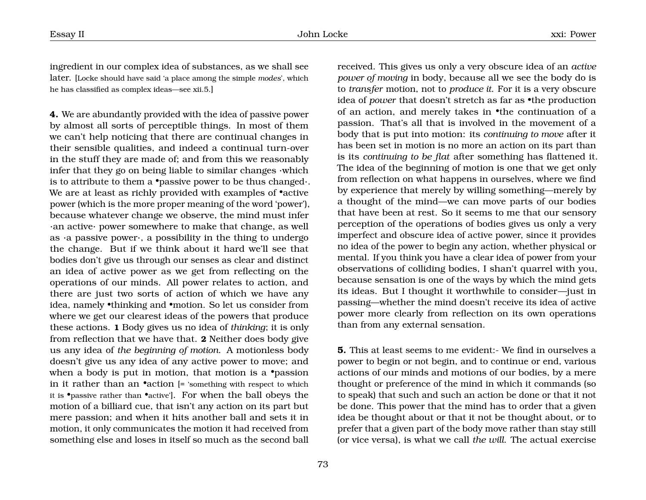ingredient in our complex idea of substances, as we shall see later. [Locke should have said 'a place among the simple *modes*', which he has classified as complex ideas—see xii.5.]

**4.** We are abundantly provided with the idea of passive power by almost all sorts of perceptible things. In most of them we can't help noticing that there are continual changes in their sensible qualities, and indeed a continual turn-over in the stuff they are made of; and from this we reasonably infer that they go on being liable to similar changes ·which is to attribute to them a •passive power to be thus changed $\cdot$ . We are at least as richly provided with examples of •active power (which is the more proper meaning of the word 'power'), because whatever change we observe, the mind must infer ·an active· power somewhere to make that change, as well as ·a passive power·, a possibility in the thing to undergo the change. But if we think about it hard we'll see that bodies don't give us through our senses as clear and distinct an idea of active power as we get from reflecting on the operations of our minds. All power relates to action, and there are just two sorts of action of which we have any idea, namely •thinking and •motion. So let us consider from where we get our clearest ideas of the powers that produce these actions. **1** Body gives us no idea of *thinking*; it is only from reflection that we have that. **2** Neither does body give us any idea of *the beginning of motion*. A motionless body doesn't give us any idea of any active power to move; and when a body is put in motion, that motion is a *•passion* in it rather than an •action [= 'something with respect to which it is •passive rather than •active']. For when the ball obeys the motion of a billiard cue, that isn't any action on its part but mere passion; and when it hits another ball and sets it in motion, it only communicates the motion it had received from something else and loses in itself so much as the second ball

received. This gives us only a very obscure idea of an *active power of moving* in body, because all we see the body do is to *transfer* motion, not to *produce it*. For it is a very obscure idea of *power* that doesn't stretch as far as •the production of an action, and merely takes in •the continuation of a passion. That's all that is involved in the movement of a body that is put into motion: its *continuing to move* after it has been set in motion is no more an action on its part than is its *continuing to be flat* after something has flattened it. The idea of the beginning of motion is one that we get only from reflection on what happens in ourselves, where we find by experience that merely by willing something—merely by a thought of the mind—we can move parts of our bodies that have been at rest. So it seems to me that our sensory perception of the operations of bodies gives us only a very imperfect and obscure idea of active power, since it provides no idea of the power to begin any action, whether physical or mental. If you think you have a clear idea of power from your observations of colliding bodies, I shan't quarrel with you, because sensation is one of the ways by which the mind gets its ideas. But I thought it worthwhile to consider—just in passing—whether the mind doesn't receive its idea of active power more clearly from reflection on its own operations than from any external sensation.

**5.** This at least seems to me evident:- We find in ourselves a power to begin or not begin, and to continue or end, various actions of our minds and motions of our bodies, by a mere thought or preference of the mind in which it commands (so to speak) that such and such an action be done or that it not be done. This power that the mind has to order that a given idea be thought about or that it not be thought about, or to prefer that a given part of the body move rather than stay still (or vice versa), is what we call *the will*. The actual exercise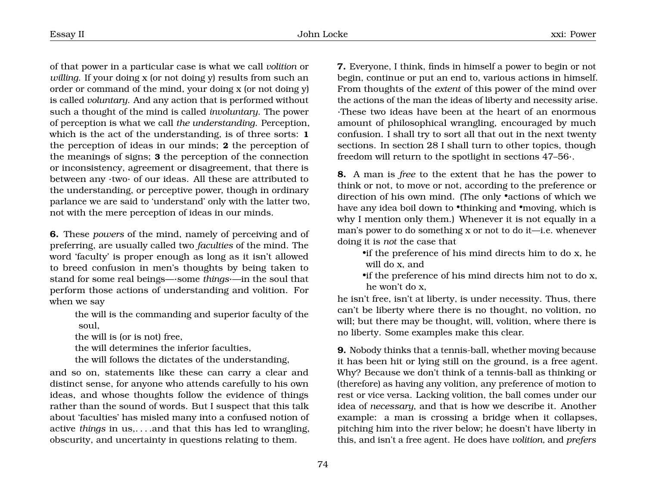of that power in a particular case is what we call *volition* or *willing*. If your doing x (or not doing y) results from such an order or command of the mind, your doing x (or not doing y) is called *voluntary*. And any action that is performed without such a thought of the mind is called *involuntary*. The power of perception is what we call *the understanding*. Perception, which is the act of the understanding, is of three sorts: **1** the perception of ideas in our minds; **2** the perception of the meanings of signs; **3** the perception of the connection or inconsistency, agreement or disagreement, that there is between any ·two· of our ideas. All these are attributed to the understanding, or perceptive power, though in ordinary parlance we are said to 'understand' only with the latter two, not with the mere perception of ideas in our minds.

**6.** These *powers* of the mind, namely of perceiving and of preferring, are usually called two *faculties* of the mind. The word 'faculty' is proper enough as long as it isn't allowed to breed confusion in men's thoughts by being taken to stand for some real beings—·some *things*·—in the soul that perform those actions of understanding and volition. For when we say

the will is the commanding and superior faculty of the soul,

the will is (or is not) free,

the will determines the inferior faculties,

the will follows the dictates of the understanding,

and so on, statements like these can carry a clear and distinct sense, for anyone who attends carefully to his own ideas, and whose thoughts follow the evidence of things rather than the sound of words. But I suspect that this talk about 'faculties' has misled many into a confused notion of active *things* in us,. . . .and that this has led to wrangling, obscurity, and uncertainty in questions relating to them.

**7.** Everyone, I think, finds in himself a power to begin or not begin, continue or put an end to, various actions in himself. From thoughts of the *extent* of this power of the mind over the actions of the man the ideas of liberty and necessity arise. ·These two ideas have been at the heart of an enormous amount of philosophical wrangling, encouraged by much confusion. I shall try to sort all that out in the next twenty sections. In section 28 I shall turn to other topics, though freedom will return to the spotlight in sections 47–56·.

**8.** A man is *free* to the extent that he has the power to think or not, to move or not, according to the preference or direction of his own mind. (The only •actions of which we have any idea boil down to •thinking and •moving, which is why I mention only them.) Whenever it is not equally in a man's power to do something x or not to do it—i.e. whenever doing it is *not* the case that

•if the preference of his mind directs him to do x, he will do x, and

•if the preference of his mind directs him not to do x, he won't do x,

he isn't free, isn't at liberty, is under necessity. Thus, there can't be liberty where there is no thought, no volition, no will; but there may be thought, will, volition, where there is no liberty. Some examples make this clear.

**9.** Nobody thinks that a tennis-ball, whether moving because it has been hit or lying still on the ground, is a free agent. Why? Because we don't think of a tennis-ball as thinking or (therefore) as having any volition, any preference of motion to rest or vice versa. Lacking volition, the ball comes under our idea of *necessary*, and that is how we describe it. Another example: a man is crossing a bridge when it collapses, pitching him into the river below; he doesn't have liberty in this, and isn't a free agent. He does have *volition,* and *prefers*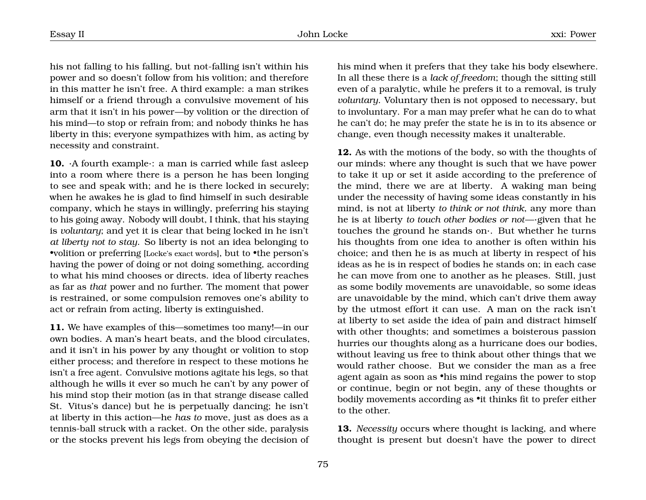his not falling to his falling, but not-falling isn't within his power and so doesn't follow from his volition; and therefore in this matter he isn't free. A third example: a man strikes himself or a friend through a convulsive movement of his arm that it isn't in his power—by volition or the direction of his mind—to stop or refrain from; and nobody thinks he has liberty in this; everyone sympathizes with him, as acting by necessity and constraint.

**10.** ·A fourth example·: a man is carried while fast asleep into a room where there is a person he has been longing to see and speak with; and he is there locked in securely; when he awakes he is glad to find himself in such desirable company, which he stays in willingly, preferring his staying to his going away. Nobody will doubt, I think, that his staying is *voluntary*; and yet it is clear that being locked in he isn't *at liberty not to stay*. So liberty is not an idea belonging to •volition or preferring [Locke's exact words], but to •the person's having the power of doing or not doing something, according to what his mind chooses or directs. idea of liberty reaches as far as *that* power and no further. The moment that power is restrained, or some compulsion removes one's ability to act or refrain from acting, liberty is extinguished.

**11.** We have examples of this—sometimes too many!—in our own bodies. A man's heart beats, and the blood circulates, and it isn't in his power by any thought or volition to stop either process; and therefore in respect to these motions he isn't a free agent. Convulsive motions agitate his legs, so that although he wills it ever so much he can't by any power of his mind stop their motion (as in that strange disease called St. Vitus's dance) but he is perpetually dancing; he isn't at liberty in this action—he *has to* move, just as does as a tennis-ball struck with a racket. On the other side, paralysis or the stocks prevent his legs from obeying the decision of his mind when it prefers that they take his body elsewhere. In all these there is a *lack of freedom*; though the sitting still even of a paralytic, while he prefers it to a removal, is truly *voluntary*. Voluntary then is not opposed to necessary, but to involuntary. For a man may prefer what he can do to what he can't do; he may prefer the state he is in to its absence or change, even though necessity makes it unalterable.

**12.** As with the motions of the body, so with the thoughts of our minds: where any thought is such that we have power to take it up or set it aside according to the preference of the mind, there we are at liberty. A waking man being under the necessity of having some ideas constantly in his mind, is not at liberty *to think or not think*, any more than he is at liberty *to touch other bodies or not*—·given that he touches the ground he stands on·. But whether he turns his thoughts from one idea to another is often within his choice; and then he is as much at liberty in respect of his ideas as he is in respect of bodies he stands on; in each case he can move from one to another as he pleases. Still, just as some bodily movements are unavoidable, so some ideas are unavoidable by the mind, which can't drive them away by the utmost effort it can use. A man on the rack isn't at liberty to set aside the idea of pain and distract himself with other thoughts; and sometimes a boisterous passion hurries our thoughts along as a hurricane does our bodies, without leaving us free to think about other things that we would rather choose. But we consider the man as a free agent again as soon as •his mind regains the power to stop or continue, begin or not begin, any of these thoughts or bodily movements according as •it thinks fit to prefer either to the other.

**13.** *Necessity* occurs where thought is lacking, and where thought is present but doesn't have the power to direct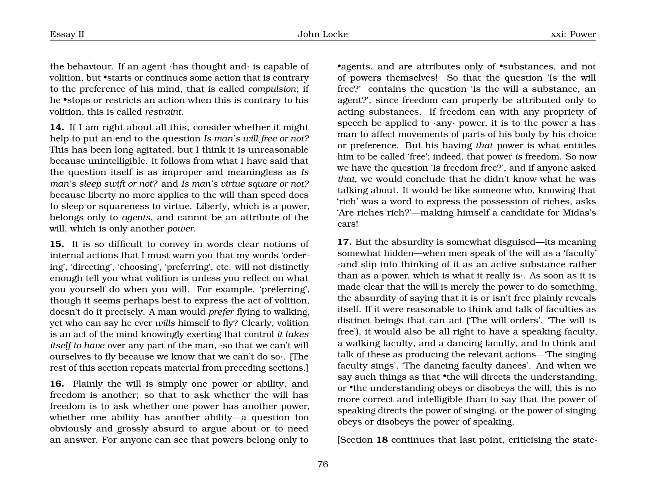the behaviour. If an agent ·has thought and· is capable of volition, but •starts or continues some action that is contrary to the preference of his mind, that is called *compulsion*; if he •stops or restricts an action when this is contrary to his volition, this is called *restraint*.

**14.** If I am right about all this, consider whether it might help to put an end to the question *Is man's will free or not?* This has been long agitated, but I think it is unreasonable because unintelligible. It follows from what I have said that the question itself is as improper and meaningless as *Is man's sleep swift or not?* and *Is man's virtue square or not?* because liberty no more applies to the will than speed does to sleep or squareness to virtue. Liberty, which is a power, belongs only to *agents*, and cannot be an attribute of the will, which is only another *power*.

**15.** It is so difficult to convey in words clear notions of internal actions that I must warn you that my words 'ordering', 'directing', 'choosing', 'preferring', etc. will not distinctly enough tell you what volition is unless you reflect on what you yourself do when you will. For example, 'preferring', though it seems perhaps best to express the act of volition, doesn't do it precisely. A man would *prefer* flying to walking, yet who can say he ever *wills* himself to fly? Clearly, volition is an act of the mind knowingly exerting that control *it takes itself to have* over any part of the man, ·so that we can't will ourselves to fly because we know that we can't do so·. [The rest of this section repeats material from preceding sections.]

**16.** Plainly the will is simply one power or ability, and freedom is another; so that to ask whether the will has freedom is to ask whether one power has another power, whether one ability has another ability—a question too obviously and grossly absurd to argue about or to need an answer. For anyone can see that powers belong only to

•agents, and are attributes only of •substances, and not of powers themselves! So that the question 'Is the will free?' contains the question 'Is the will a substance, an agent?', since freedom can properly be attributed only to acting substances. If freedom can with any propriety of speech be applied to  $\cdot$ any $\cdot$  power, it is to the power a has man to affect movements of parts of his body by his choice or preference. But his having *that* power is what entitles him to be called 'free'; indeed, that power *is* freedom. So now we have the question 'Is freedom free?', and if anyone asked *that*, we would conclude that he didn't know what he was talking about. It would be like someone who, knowing that 'rich' was a word to express the possession of riches, asks 'Are riches rich?'—making himself a candidate for Midas's ears!

**17.** But the absurdity is somewhat disguised—its meaning somewhat hidden—when men speak of the will as a 'faculty' ·and slip into thinking of it as an active substance rather than as a power, which is what it really is·. As soon as it is made clear that the will is merely the power to do something, the absurdity of saying that it is or isn't free plainly reveals itself. If it were reasonable to think and talk of faculties as distinct beings that can act ('The will orders', 'The will is free'), it would also be all right to have a speaking faculty, a walking faculty, and a dancing faculty, and to think and talk of these as producing the relevant actions—'The singing faculty sings', 'The dancing faculty dances'. And when we say such things as that •the will directs the understanding, or •the understanding obeys or disobeys the will, this is no more correct and intelligible than to say that the power of speaking directs the power of singing, or the power of singing obeys or disobeys the power of speaking.

[Section **18** continues that last point, criticising the state-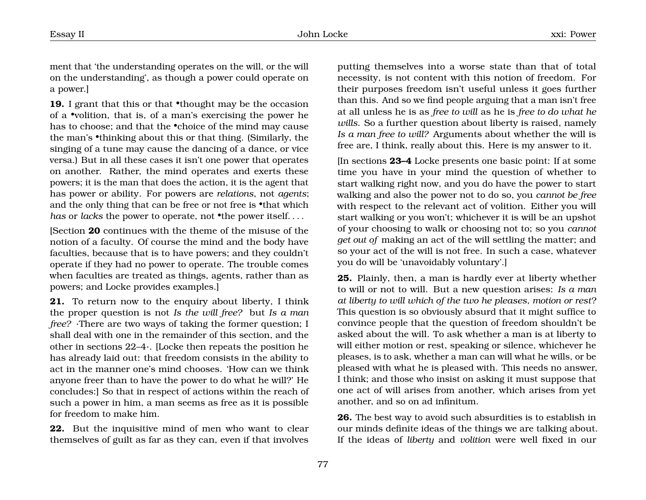ment that 'the understanding operates on the will, or the will on the understanding', as though a power could operate on a power.]

**19.** I grant that this or that •thought may be the occasion of a •volition, that is, of a man's exercising the power he has to choose; and that the •choice of the mind may cause the man's •thinking about this or that thing. (Similarly, the singing of a tune may cause the dancing of a dance, or vice versa.) But in all these cases it isn't one power that operates on another. Rather, the mind operates and exerts these powers; it is the man that does the action, it is the agent that has power or ability. For powers are *relations*, not *agents*; and the only thing that can be free or not free is •that which *has* or *lacks* the power to operate, not •the power itself. . . .

[Section **20** continues with the theme of the misuse of the notion of a faculty. Of course the mind and the body have faculties, because that is to have powers; and they couldn't operate if they had no power to operate. The trouble comes when faculties are treated as things, agents, rather than as powers; and Locke provides examples.]

**21.** To return now to the enquiry about liberty, I think the proper question is not *Is the will free?* but *Is a man free?* ·There are two ways of taking the former question; I shall deal with one in the remainder of this section, and the other in sections 22–4·. [Locke then repeats the position he has already laid out: that freedom consists in the ability to act in the manner one's mind chooses. 'How can we think anyone freer than to have the power to do what he will?' He concludes:] So that in respect of actions within the reach of such a power in him, a man seems as free as it is possible for freedom to make him.

**22.** But the inquisitive mind of men who want to clear themselves of guilt as far as they can, even if that involves

putting themselves into a worse state than that of total necessity, is not content with this notion of freedom. For their purposes freedom isn't useful unless it goes further than this. And so we find people arguing that a man isn't free at all unless he is as *free to will* as he is *free to do what he wills*. So a further question about liberty is raised, namely *Is a man free to will?* Arguments about whether the will is free are, I think, really about this. Here is my answer to it.

[In sections **23–4** Locke presents one basic point: If at some time you have in your mind the question of whether to start walking right now, and you do have the power to start walking and also the power not to do so, you *cannot be free* with respect to the relevant act of volition. Either you will start walking or you won't; whichever it is will be an upshot of your choosing to walk or choosing not to; so you *cannot get out of* making an act of the will settling the matter; and so your act of the will is not free. In such a case, whatever you do will be 'unavoidably voluntary'.]

**25.** Plainly, then, a man is hardly ever at liberty whether to will or not to will. But a new question arises: *Is a man at liberty to will which of the two he pleases, motion or rest*? This question is so obviously absurd that it might suffice to convince people that the question of freedom shouldn't be asked about the will. To ask whether a man is at liberty to will either motion or rest, speaking or silence, whichever he pleases, is to ask, whether a man can will what he wills, or be pleased with what he is pleased with. This needs no answer, I think; and those who insist on asking it must suppose that one act of will arises from another, which arises from yet another, and so on ad infinitum.

**26.** The best way to avoid such absurdities is to establish in our minds definite ideas of the things we are talking about. If the ideas of *liberty* and *volition* were well fixed in our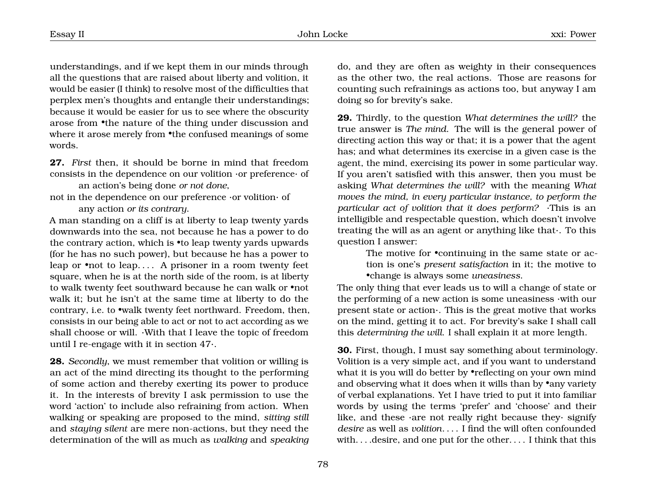understandings, and if we kept them in our minds through all the questions that are raised about liberty and volition, it would be easier (I think) to resolve most of the difficulties that perplex men's thoughts and entangle their understandings; because it would be easier for us to see where the obscurity arose from •the nature of the thing under discussion and where it arose merely from  $*$ the confused meanings of some words.

**27.** *First* then, it should be borne in mind that freedom consists in the dependence on our volition ·or preference· of

an action's being done *or not done*,

not in the dependence on our preference ·or volition· of

#### any action *or its contrary*.

A man standing on a cliff is at liberty to leap twenty yards downwards into the sea, not because he has a power to do the contrary action, which is •to leap twenty yards upwards (for he has no such power), but because he has a power to leap or •not to leap.... A prisoner in a room twenty feet square, when he is at the north side of the room, is at liberty to walk twenty feet southward because he can walk or •not walk it; but he isn't at the same time at liberty to do the contrary, i.e. to •walk twenty feet northward. Freedom, then, consists in our being able to act or not to act according as we shall choose or will. ·With that I leave the topic of freedom until I re-engage with it in section  $47$ .

**28.** *Secondly*, we must remember that volition or willing is an act of the mind directing its thought to the performing of some action and thereby exerting its power to produce it. In the interests of brevity I ask permission to use the word 'action' to include also refraining from action. When walking or speaking are proposed to the mind, *sitting still* and *staying silent* are mere non-actions, but they need the determination of the will as much as *walking* and *speaking*

do, and they are often as weighty in their consequences as the other two, the real actions. Those are reasons for counting such refrainings as actions too, but anyway I am doing so for brevity's sake.

**29.** Thirdly, to the question *What determines the will?* the true answer is *The mind*. The will is the general power of directing action this way or that; it is a power that the agent has; and what determines its exercise in a given case is the agent, the mind, exercising its power in some particular way. If you aren't satisfied with this answer, then you must be asking *What determines the will?* with the meaning *What moves the mind, in every particular instance, to perform the particular act of volition that it does perform?* ·This is an intelligible and respectable question, which doesn't involve treating the will as an agent or anything like that·. To this question I answer:

> The motive for •continuing in the same state or action is one's *present satisfaction* in it; the motive to •change is always some *uneasiness*.

The only thing that ever leads us to will a change of state or the performing of a new action is some uneasiness ·with our present state or action·. This is the great motive that works on the mind, getting it to act. For brevity's sake I shall call this *determining the will*. I shall explain it at more length.

**30.** First, though, I must say something about terminology. Volition is a very simple act, and if you want to understand what it is you will do better by "reflecting on your own mind and observing what it does when it wills than by •any variety of verbal explanations. Yet I have tried to put it into familiar words by using the terms 'prefer' and 'choose' and their like, and these  $\cdot$ are not really right because they $\cdot$  signify *desire* as well as *volition*. . . . I find the will often confounded with. . . .desire, and one put for the other. . . . I think that this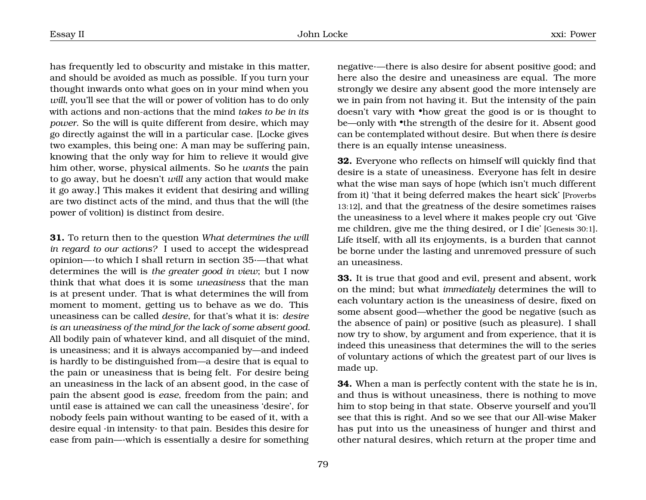has frequently led to obscurity and mistake in this matter, and should be avoided as much as possible. If you turn your thought inwards onto what goes on in your mind when you *will*, you'll see that the will or power of volition has to do only with actions and non-actions that the mind *takes to be in its power*. So the will is quite different from desire, which may go directly against the will in a particular case. [Locke gives two examples, this being one: A man may be suffering pain, knowing that the only way for him to relieve it would give him other, worse, physical ailments. So he *wants* the pain to go away, but he doesn't *will* any action that would make it go away.] This makes it evident that desiring and willing are two distinct acts of the mind, and thus that the will (the power of volition) is distinct from desire.

**31.** To return then to the question *What determines the will in regard to our actions?* I used to accept the widespread opinion—·to which I shall return in section 35·—that what determines the will is *the greater good in view*; but I now think that what does it is some *uneasiness* that the man is at present under. That is what determines the will from moment to moment, getting us to behave as we do. This uneasiness can be called *desire*, for that's what it is: *desire is an uneasiness of the mind for the lack of some absent good*. All bodily pain of whatever kind, and all disquiet of the mind, is uneasiness; and it is always accompanied by—and indeed is hardly to be distinguished from—a desire that is equal to the pain or uneasiness that is being felt. For desire being an uneasiness in the lack of an absent good, in the case of pain the absent good is *ease*, freedom from the pain; and until ease is attained we can call the uneasiness 'desire', for nobody feels pain without wanting to be eased of it, with a desire equal ·in intensity· to that pain. Besides this desire for ease from pain—·which is essentially a desire for something

negative·—there is also desire for absent positive good; and here also the desire and uneasiness are equal. The more strongly we desire any absent good the more intensely are we in pain from not having it. But the intensity of the pain doesn't vary with •how great the good is or is thought to be—only with •the strength of the desire for it. Absent good can be contemplated without desire. But when there *is* desire there is an equally intense uneasiness.

**32.** Everyone who reflects on himself will quickly find that desire is a state of uneasiness. Everyone has felt in desire what the wise man says of hope (which isn't much different from it) 'that it being deferred makes the heart sick' [Proverbs 13:12], and that the greatness of the desire sometimes raises the uneasiness to a level where it makes people cry out 'Give me children, give me the thing desired, or I die' [Genesis 30:1]. Life itself, with all its enjoyments, is a burden that cannot be borne under the lasting and unremoved pressure of such an uneasiness.

**33.** It is true that good and evil, present and absent, work on the mind; but what *immediately* determines the will to each voluntary action is the uneasiness of desire, fixed on some absent good—whether the good be negative (such as the absence of pain) or positive (such as pleasure). I shall now try to show, by argument and from experience, that it is indeed this uneasiness that determines the will to the series of voluntary actions of which the greatest part of our lives is made up.

**34.** When a man is perfectly content with the state he is in, and thus is without uneasiness, there is nothing to move him to stop being in that state. Observe yourself and you'll see that this is right. And so we see that our All-wise Maker has put into us the uneasiness of hunger and thirst and other natural desires, which return at the proper time and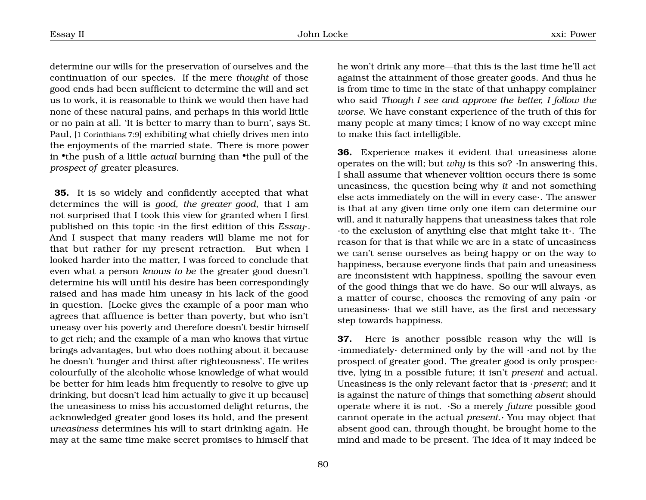determine our wills for the preservation of ourselves and the continuation of our species. If the mere *thought* of those good ends had been sufficient to determine the will and set us to work, it is reasonable to think we would then have had none of these natural pains, and perhaps in this world little or no pain at all. 'It is better to marry than to burn', says St. Paul, [1 Corinthians 7:9] exhibiting what chiefly drives men into the enjoyments of the married state. There is more power in •the push of a little *actual* burning than •the pull of the *prospect of* greater pleasures.

**35.** It is so widely and confidently accepted that what determines the will is *good, the greater good*, that I am not surprised that I took this view for granted when I first published on this topic ·in the first edition of this *Essay*·. And I suspect that many readers will blame me not for that but rather for my present retraction. But when I looked harder into the matter, I was forced to conclude that even what a person *knows to be* the greater good doesn't determine his will until his desire has been correspondingly raised and has made him uneasy in his lack of the good in question. [Locke gives the example of a poor man who agrees that affluence is better than poverty, but who isn't uneasy over his poverty and therefore doesn't bestir himself to get rich; and the example of a man who knows that virtue brings advantages, but who does nothing about it because he doesn't 'hunger and thirst after righteousness'. He writes colourfully of the alcoholic whose knowledge of what would be better for him leads him frequently to resolve to give up drinking, but doesn't lead him actually to give it up because] the uneasiness to miss his accustomed delight returns, the acknowledged greater good loses its hold, and the present *uneasiness* determines his will to start drinking again. He may at the same time make secret promises to himself that

he won't drink any more—that this is the last time he'll act against the attainment of those greater goods. And thus he is from time to time in the state of that unhappy complainer who said *Though I see and approve the better, I follow the worse*. We have constant experience of the truth of this for many people at many times; I know of no way except mine to make this fact intelligible.

**36.** Experience makes it evident that uneasiness alone operates on the will; but *why* is this so? ·In answering this, I shall assume that whenever volition occurs there is some uneasiness, the question being why *it* and not something else acts immediately on the will in every case·. The answer is that at any given time only one item can determine our will, and it naturally happens that uneasiness takes that role ·to the exclusion of anything else that might take it·. The reason for that is that while we are in a state of uneasiness we can't sense ourselves as being happy or on the way to happiness, because everyone finds that pain and uneasiness are inconsistent with happiness, spoiling the savour even of the good things that we do have. So our will always, as a matter of course, chooses the removing of any pain ·or uneasiness· that we still have, as the first and necessary step towards happiness.

**37.** Here is another possible reason why the will is ·immediately· determined only by the will ·and not by the prospect of greater good. The greater good is only prospective, lying in a possible future; it isn't *present* and actual. Uneasiness is the only relevant factor that is ·*present*; and it is against the nature of things that something *absent* should operate where it is not. ·So a merely *future* possible good cannot operate in the actual *present*.· You may object that absent good can, through thought, be brought home to the mind and made to be present. The idea of it may indeed be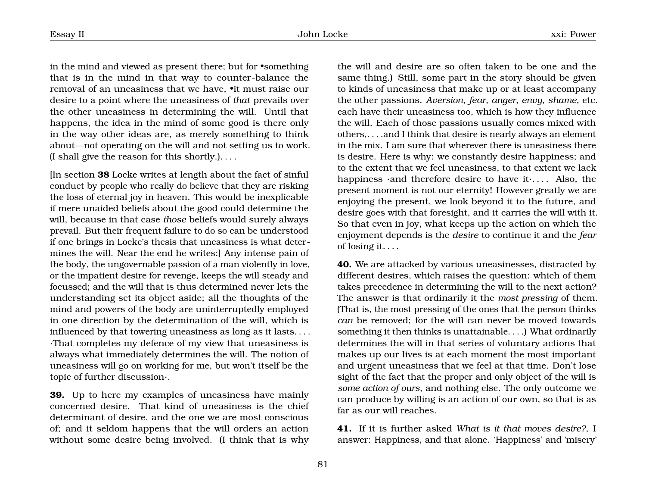in the mind and viewed as present there; but for •something that is in the mind in that way to counter-balance the removal of an uneasiness that we have, •it must raise our desire to a point where the uneasiness of *that* prevails over the other uneasiness in determining the will. Until that happens, the idea in the mind of some good is there only in the way other ideas are, as merely something to think about—not operating on the will and not setting us to work. (I shall give the reason for this shortly.). . . .

[In section **38** Locke writes at length about the fact of sinful conduct by people who really do believe that they are risking the loss of eternal joy in heaven. This would be inexplicable if mere unaided beliefs about the good could determine the will, because in that case *those* beliefs would surely always prevail. But their frequent failure to do so can be understood if one brings in Locke's thesis that uneasiness is what determines the will. Near the end he writes:] Any intense pain of the body, the ungovernable passion of a man violently in love, or the impatient desire for revenge, keeps the will steady and focussed; and the will that is thus determined never lets the understanding set its object aside; all the thoughts of the mind and powers of the body are uninterruptedly employed in one direction by the determination of the will, which is influenced by that towering uneasiness as long as it lasts. . . . ·That completes my defence of my view that uneasiness is always what immediately determines the will. The notion of uneasiness will go on working for me, but won't itself be the topic of further discussion·.

**39.** Up to here my examples of uneasiness have mainly concerned desire. That kind of uneasiness is the chief determinant of desire, and the one we are most conscious of; and it seldom happens that the will orders an action without some desire being involved. (I think that is why

the will and desire are so often taken to be one and the same thing.) Still, some part in the story should be given to kinds of uneasiness that make up or at least accompany the other passions. *Aversion*, *fear*, *anger*, *envy*, *shame*, etc. each have their uneasiness too, which is how they influence the will. Each of those passions usually comes mixed with others,. . . .and I think that desire is nearly always an element in the mix. I am sure that wherever there is uneasiness there is desire. Here is why: we constantly desire happiness; and to the extent that we feel uneasiness, to that extent we lack happiness  $\cdot$  and therefore desire to have it $\dots$ . Also, the present moment is not our eternity! However greatly we are enjoying the present, we look beyond it to the future, and desire goes with that foresight, and it carries the will with it. So that even in joy, what keeps up the action on which the enjoyment depends is the *desire* to continue it and the *fear* of losing it. . . .

**40.** We are attacked by various uneasinesses, distracted by different desires, which raises the question: which of them takes precedence in determining the will to the next action? The answer is that ordinarily it the *most pressing* of them. (That is, the most pressing of the ones that the person thinks *can* be removed; for the will can never be moved towards something it then thinks is unattainable. . . .) What ordinarily determines the will in that series of voluntary actions that makes up our lives is at each moment the most important and urgent uneasiness that we feel at that time. Don't lose sight of the fact that the proper and only object of the will is *some action of ours*, and nothing else. The only outcome we can produce by willing is an action of our own, so that is as far as our will reaches.

**41.** If it is further asked *What is it that moves desire?*, I answer: Happiness, and that alone. 'Happiness' and 'misery'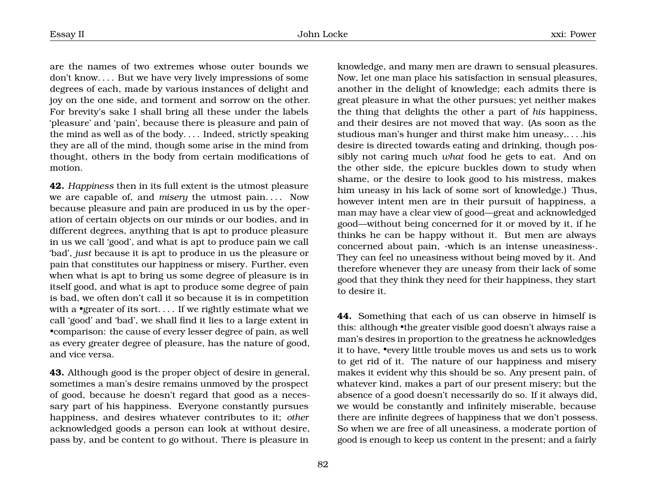are the names of two extremes whose outer bounds we don't know. . . . But we have very lively impressions of some degrees of each, made by various instances of delight and joy on the one side, and torment and sorrow on the other. For brevity's sake I shall bring all these under the labels 'pleasure' and 'pain', because there is pleasure and pain of the mind as well as of the body. . . . Indeed, strictly speaking they are all of the mind, though some arise in the mind from thought, others in the body from certain modifications of motion.

**42.** *Happiness* then in its full extent is the utmost pleasure we are capable of, and *misery* the utmost pain. . . . Now because pleasure and pain are produced in us by the operation of certain objects on our minds or our bodies, and in different degrees, anything that is apt to produce pleasure in us we call 'good', and what is apt to produce pain we call 'bad', *just* because it is apt to produce in us the pleasure or pain that constitutes our happiness or misery. Further, even when what is apt to bring us some degree of pleasure is in itself good, and what is apt to produce some degree of pain is bad, we often don't call it so because it is in competition with a •greater of its sort.... If we rightly estimate what we call 'good' and 'bad', we shall find it lies to a large extent in •comparison: the cause of every lesser degree of pain, as well as every greater degree of pleasure, has the nature of good, and vice versa.

**43.** Although good is the proper object of desire in general, sometimes a man's desire remains unmoved by the prospect of good, because he doesn't regard that good as a necessary part of his happiness. Everyone constantly pursues happiness, and desires whatever contributes to it; *other* acknowledged goods a person can look at without desire, pass by, and be content to go without. There is pleasure in

knowledge, and many men are drawn to sensual pleasures. Now, let one man place his satisfaction in sensual pleasures, another in the delight of knowledge; each admits there is great pleasure in what the other pursues; yet neither makes the thing that delights the other a part of *his* happiness, and their desires are not moved that way. (As soon as the studious man's hunger and thirst make him uneasy,. . . .his desire is directed towards eating and drinking, though possibly not caring much *what* food he gets to eat. And on the other side, the epicure buckles down to study when shame, or the desire to look good to his mistress, makes him uneasy in his lack of some sort of knowledge.) Thus, however intent men are in their pursuit of happiness, a man may have a clear view of good—great and acknowledged good—without being concerned for it or moved by it, if he thinks he can be happy without it. But men are always concerned about pain, ·which is an intense uneasiness·. They can feel no uneasiness without being moved by it. And therefore whenever they are uneasy from their lack of some good that they think they need for their happiness, they start to desire it.

**44.** Something that each of us can observe in himself is this: although •the greater visible good doesn't always raise a man's desires in proportion to the greatness he acknowledges it to have, •every little trouble moves us and sets us to work to get rid of it. The nature of our happiness and misery makes it evident why this should be so. Any present pain, of whatever kind, makes a part of our present misery; but the absence of a good doesn't necessarily do so. If it always did, we would be constantly and infinitely miserable, because there are infinite degrees of happiness that we don't possess. So when we are free of all uneasiness, a moderate portion of good is enough to keep us content in the present; and a fairly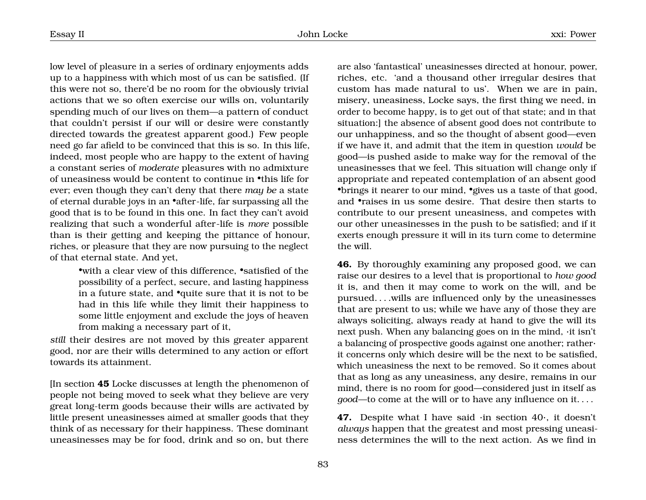low level of pleasure in a series of ordinary enjoyments adds up to a happiness with which most of us can be satisfied. (If this were not so, there'd be no room for the obviously trivial actions that we so often exercise our wills on, voluntarily spending much of our lives on them—a pattern of conduct that couldn't persist if our will or desire were constantly directed towards the greatest apparent good.) Few people need go far afield to be convinced that this is so. In this life, indeed, most people who are happy to the extent of having a constant series of *moderate* pleasures with no admixture of uneasiness would be content to continue in •this life for ever; even though they can't deny that there *may be* a state of eternal durable joys in an •after-life, far surpassing all the good that is to be found in this one. In fact they can't avoid realizing that such a wonderful after-life is *more* possible than is their getting and keeping the pittance of honour, riches, or pleasure that they are now pursuing to the neglect of that eternal state. And yet,

> •with a clear view of this difference, •satisfied of the possibility of a perfect, secure, and lasting happiness in a future state, and •quite sure that it is not to be had in this life while they limit their happiness to some little enjoyment and exclude the joys of heaven from making a necessary part of it,

*still* their desires are not moved by this greater apparent good, nor are their wills determined to any action or effort towards its attainment.

[In section **45** Locke discusses at length the phenomenon of people not being moved to seek what they believe are very great long-term goods because their wills are activated by little present uneasinesses aimed at smaller goods that they think of as necessary for their happiness. These dominant uneasinesses may be for food, drink and so on, but there

are also 'fantastical' uneasinesses directed at honour, power, riches, etc. 'and a thousand other irregular desires that custom has made natural to us'. When we are in pain, misery, uneasiness, Locke says, the first thing we need, in order to become happy, is to get out of that state; and in that situation:] the absence of absent good does not contribute to our unhappiness, and so the thought of absent good—even if we have it, and admit that the item in question *would* be good—is pushed aside to make way for the removal of the uneasinesses that we feel. This situation will change only if appropriate and repeated contemplation of an absent good •brings it nearer to our mind, •gives us a taste of that good, and •raises in us some desire. That desire then starts to contribute to our present uneasiness, and competes with our other uneasinesses in the push to be satisfied; and if it exerts enough pressure it will in its turn come to determine the will.

**46.** By thoroughly examining any proposed good, we can raise our desires to a level that is proportional to *how good* it is, and then it may come to work on the will, and be pursued. . . .wills are influenced only by the uneasinesses that are present to us; while we have any of those they are always soliciting, always ready at hand to give the will its next push. When any balancing goes on in the mind, ·it isn't a balancing of prospective goods against one another; rather· it concerns only which desire will be the next to be satisfied, which uneasiness the next to be removed. So it comes about that as long as any uneasiness, any desire, remains in our mind, there is no room for good—considered just in itself as *good*—to come at the will or to have any influence on it. . . .

**47.** Despite what I have said ·in section 40·, it doesn't *always* happen that the greatest and most pressing uneasiness determines the will to the next action. As we find in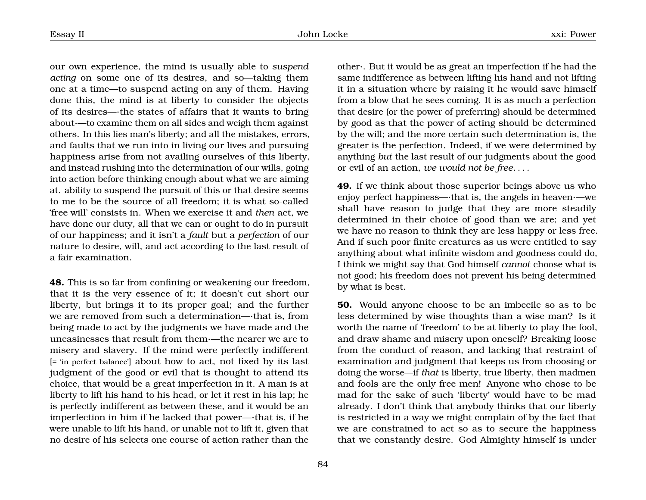our own experience, the mind is usually able to *suspend acting* on some one of its desires, and so—taking them one at a time—to suspend acting on any of them. Having done this, the mind is at liberty to consider the objects of its desires—·the states of affairs that it wants to bring about·—to examine them on all sides and weigh them against others. In this lies man's liberty; and all the mistakes, errors, and faults that we run into in living our lives and pursuing happiness arise from not availing ourselves of this liberty, and instead rushing into the determination of our wills, going into action before thinking enough about what we are aiming at. ability to suspend the pursuit of this or that desire seems to me to be the source of all freedom; it is what so-called 'free will' consists in. When we exercise it and *then* act, we have done our duty, all that we can or ought to do in pursuit of our happiness; and it isn't a *fault* but a *perfection* of our nature to desire, will, and act according to the last result of a fair examination.

**48.** This is so far from confining or weakening our freedom, that it is the very essence of it; it doesn't cut short our liberty, but brings it to its proper goal; and the further we are removed from such a determination—·that is, from being made to act by the judgments we have made and the uneasinesses that result from them·—the nearer we are to misery and slavery. If the mind were perfectly indifferent [= 'in perfect balance'] about how to act, not fixed by its last judgment of the good or evil that is thought to attend its choice, that would be a great imperfection in it. A man is at liberty to lift his hand to his head, or let it rest in his lap; he is perfectly indifferent as between these, and it would be an imperfection in him if he lacked that power—·that is, if he were unable to lift his hand, or unable not to lift it, given that no desire of his selects one course of action rather than the

other·. But it would be as great an imperfection if he had the same indifference as between lifting his hand and not lifting it in a situation where by raising it he would save himself from a blow that he sees coming. It is as much a perfection that desire (or the power of preferring) should be determined by good as that the power of acting should be determined by the will; and the more certain such determination is, the greater is the perfection. Indeed, if we were determined by anything *but* the last result of our judgments about the good or evil of an action, *we would not be free*. . . .

**49.** If we think about those superior beings above us who enjoy perfect happiness—·that is, the angels in heaven·—we shall have reason to judge that they are more steadily determined in their choice of good than we are; and yet we have no reason to think they are less happy or less free. And if such poor finite creatures as us were entitled to say anything about what infinite wisdom and goodness could do, I think we might say that God himself *cannot* choose what is not good; his freedom does not prevent his being determined by what is best.

**50.** Would anyone choose to be an imbecile so as to be less determined by wise thoughts than a wise man? Is it worth the name of 'freedom' to be at liberty to play the fool, and draw shame and misery upon oneself? Breaking loose from the conduct of reason, and lacking that restraint of examination and judgment that keeps us from choosing or doing the worse—if *that* is liberty, true liberty, then madmen and fools are the only free men! Anyone who chose to be mad for the sake of such 'liberty' would have to be mad already. I don't think that anybody thinks that our liberty is restricted in a way we might complain of by the fact that we are constrained to act so as to secure the happiness that we constantly desire. God Almighty himself is under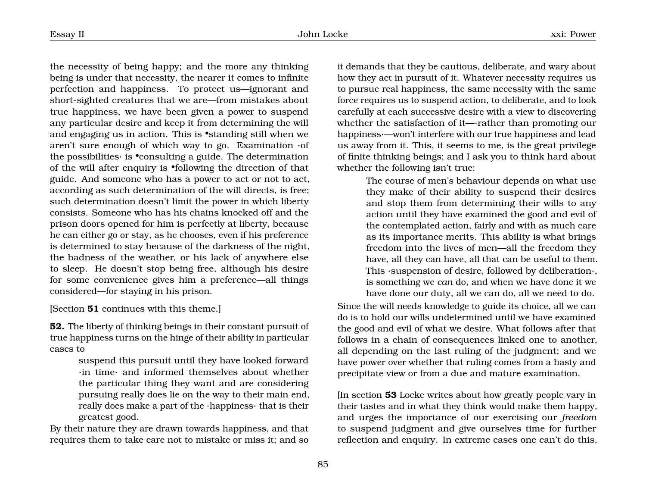the necessity of being happy; and the more any thinking being is under that necessity, the nearer it comes to infinite perfection and happiness. To protect us—ignorant and short-sighted creatures that we are—from mistakes about true happiness, we have been given a power to suspend any particular desire and keep it from determining the will and engaging us in action. This is •standing still when we aren't sure enough of which way to go. Examination ·of

the possibilities  $\cdot$  is  $\cdot$  consulting a guide. The determination of the will after enquiry is •following the direction of that guide. And someone who has a power to act or not to act, according as such determination of the will directs, is free; such determination doesn't limit the power in which liberty consists. Someone who has his chains knocked off and the prison doors opened for him is perfectly at liberty, because he can either go or stay, as he chooses, even if his preference is determined to stay because of the darkness of the night, the badness of the weather, or his lack of anywhere else to sleep. He doesn't stop being free, although his desire for some convenience gives him a preference—all things considered—for staying in his prison.

[Section **51** continues with this theme.]

**52.** The liberty of thinking beings in their constant pursuit of true happiness turns on the hinge of their ability in particular cases to

> suspend this pursuit until they have looked forward ·in time· and informed themselves about whether the particular thing they want and are considering pursuing really does lie on the way to their main end, really does make a part of the ·happiness· that is their greatest good.

By their nature they are drawn towards happiness, and that requires them to take care not to mistake or miss it; and so

it demands that they be cautious, deliberate, and wary about how they act in pursuit of it. Whatever necessity requires us to pursue real happiness, the same necessity with the same force requires us to suspend action, to deliberate, and to look carefully at each successive desire with a view to discovering whether the satisfaction of it—·rather than promoting our happiness·—won't interfere with our true happiness and lead us away from it. This, it seems to me, is the great privilege of finite thinking beings; and I ask you to think hard about whether the following isn't true:

> The course of men's behaviour depends on what use they make of their ability to suspend their desires and stop them from determining their wills to any action until they have examined the good and evil of the contemplated action, fairly and with as much care as its importance merits. This ability is what brings freedom into the lives of men—all the freedom they have, all they can have, all that can be useful to them. This ·suspension of desire, followed by deliberation·, is something we *can* do, and when we have done it we have done our duty, all we can do, all we need to do.

Since the will needs knowledge to guide its choice, all we can do is to hold our wills undetermined until we have examined the good and evil of what we desire. What follows after that follows in a chain of consequences linked one to another, all depending on the last ruling of the judgment; and we have power over whether that ruling comes from a hasty and precipitate view or from a due and mature examination.

[In section **53** Locke writes about how greatly people vary in their tastes and in what they think would make them happy, and urges the importance of our exercising our *freedom* to suspend judgment and give ourselves time for further reflection and enquiry. In extreme cases one can't do this,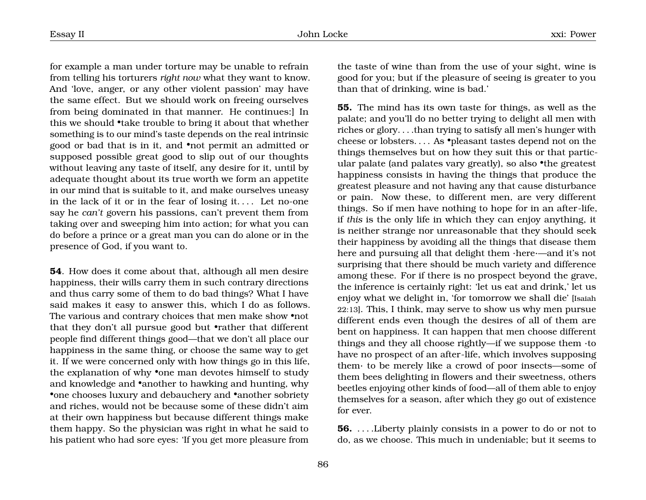for example a man under torture may be unable to refrain from telling his torturers *right now* what they want to know. And 'love, anger, or any other violent passion' may have the same effect. But we should work on freeing ourselves from being dominated in that manner. He continues:] In this we should •take trouble to bring it about that whether something is to our mind's taste depends on the real intrinsic good or bad that is in it, and •not permit an admitted or supposed possible great good to slip out of our thoughts without leaving any taste of itself, any desire for it, until by adequate thought about its true worth we form an appetite in our mind that is suitable to it, and make ourselves uneasy in the lack of it or in the fear of losing it. . . . Let no-one say he *can't* govern his passions, can't prevent them from taking over and sweeping him into action; for what you can do before a prince or a great man you can do alone or in the presence of God, if you want to.

**54**. How does it come about that, although all men desire happiness, their wills carry them in such contrary directions and thus carry some of them to do bad things? What I have said makes it easy to answer this, which I do as follows. The various and contrary choices that men make show •not that they don't all pursue good but •rather that different people find different things good—that we don't all place our happiness in the same thing, or choose the same way to get it. If we were concerned only with how things go in this life, the explanation of why •one man devotes himself to study and knowledge and •another to hawking and hunting, why •one chooses luxury and debauchery and •another sobriety and riches, would not be because some of these didn't aim at their own happiness but because different things make them happy. So the physician was right in what he said to his patient who had sore eyes: 'If you get more pleasure from

the taste of wine than from the use of your sight, wine is good for you; but if the pleasure of seeing is greater to you than that of drinking, wine is bad.'

**55.** The mind has its own taste for things, as well as the palate; and you'll do no better trying to delight all men with riches or glory. . . .than trying to satisfy all men's hunger with cheese or lobsters. . . . As •pleasant tastes depend not on the things themselves but on how they suit this or that particular palate (and palates vary greatly), so also •the greatest happiness consists in having the things that produce the greatest pleasure and not having any that cause disturbance or pain. Now these, to different men, are very different things. So if men have nothing to hope for in an after-life, if *this* is the only life in which they can enjoy anything, it is neither strange nor unreasonable that they should seek their happiness by avoiding all the things that disease them here and pursuing all that delight them ·here·—and it's not surprising that there should be much variety and difference among these. For if there is no prospect beyond the grave, the inference is certainly right: 'let us eat and drink,' let us enjoy what we delight in, 'for tomorrow we shall die' [Isaiah 22:13]. This, I think, may serve to show us why men pursue different ends even though the desires of all of them are bent on happiness. It can happen that men choose different things and they all choose rightly—if we suppose them ·to have no prospect of an after-life, which involves supposing them· to be merely like a crowd of poor insects—some of them bees delighting in flowers and their sweetness, others beetles enjoying other kinds of food—all of them able to enjoy themselves for a season, after which they go out of existence for ever.

**56.** . . . .Liberty plainly consists in a power to do or not to do, as we choose. This much in undeniable; but it seems to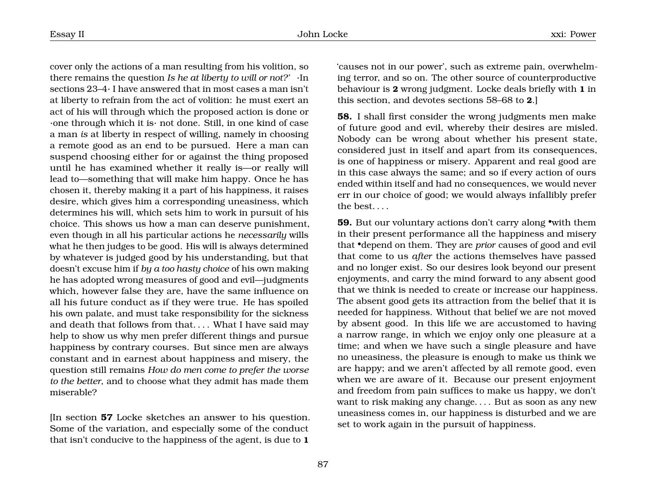cover only the actions of a man resulting from his volition, so there remains the question *Is he at liberty to will or not?'* ·In sections 23–4· I have answered that in most cases a man isn't at liberty to refrain from the act of volition: he must exert an act of his will through which the proposed action is done or ·one through which it is· not done. Still, in one kind of case a man *is* at liberty in respect of willing, namely in choosing a remote good as an end to be pursued. Here a man can suspend choosing either for or against the thing proposed until he has examined whether it really is—or really will lead to—something that will make him happy. Once he has chosen it, thereby making it a part of his happiness, it raises desire, which gives him a corresponding uneasiness, which determines his will, which sets him to work in pursuit of his choice. This shows us how a man can deserve punishment, even though in all his particular actions he *necessarily* wills what he then judges to be good. His will is always determined by whatever is judged good by his understanding, but that doesn't excuse him if *by a too hasty choice* of his own making he has adopted wrong measures of good and evil—judgments which, however false they are, have the same influence on all his future conduct as if they were true. He has spoiled his own palate, and must take responsibility for the sickness and death that follows from that. . . . What I have said may help to show us why men prefer different things and pursue happiness by contrary courses. But since men are always constant and in earnest about happiness and misery, the question still remains *How do men come to prefer the worse to the better*, and to choose what they admit has made them miserable?

[In section **57** Locke sketches an answer to his question. Some of the variation, and especially some of the conduct that isn't conducive to the happiness of the agent, is due to **1**

'causes not in our power', such as extreme pain, overwhelming terror, and so on. The other source of counterproductive behaviour is **2** wrong judgment. Locke deals briefly with **1** in this section, and devotes sections 58–68 to **2**.]

**58.** I shall first consider the wrong judgments men make of future good and evil, whereby their desires are misled. Nobody can be wrong about whether his present state, considered just in itself and apart from its consequences, is one of happiness or misery. Apparent and real good are in this case always the same; and so if every action of ours ended within itself and had no consequences, we would never err in our choice of good; we would always infallibly prefer the best. . . .

**59.** But our voluntary actions don't carry along •with them in their present performance all the happiness and misery that •depend on them. They are *prior* causes of good and evil that come to us *after* the actions themselves have passed and no longer exist. So our desires look beyond our present enjoyments, and carry the mind forward to any absent good that we think is needed to create or increase our happiness. The absent good gets its attraction from the belief that it is needed for happiness. Without that belief we are not moved by absent good. In this life we are accustomed to having a narrow range, in which we enjoy only one pleasure at a time; and when we have such a single pleasure and have no uneasiness, the pleasure is enough to make us think we are happy; and we aren't affected by all remote good, even when we are aware of it. Because our present enjoyment and freedom from pain suffices to make us happy, we don't want to risk making any change. . . . But as soon as any new uneasiness comes in, our happiness is disturbed and we are set to work again in the pursuit of happiness.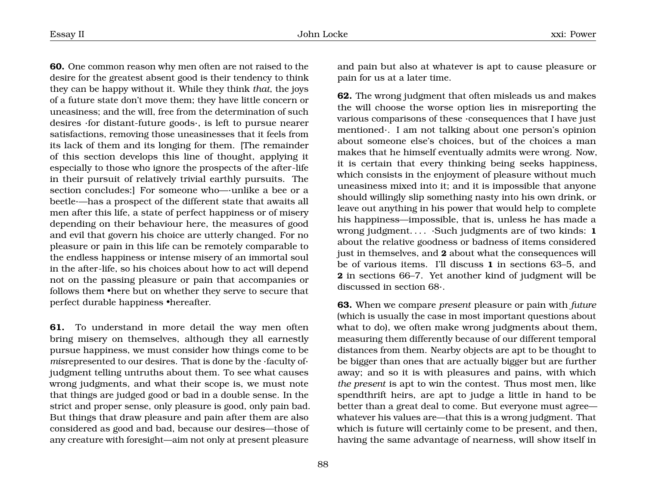**60.** One common reason why men often are not raised to the desire for the greatest absent good is their tendency to think they can be happy without it. While they think *that*, the joys of a future state don't move them; they have little concern or uneasiness; and the will, free from the determination of such desires ·for distant-future goods·, is left to pursue nearer satisfactions, removing those uneasinesses that it feels from its lack of them and its longing for them. [The remainder of this section develops this line of thought, applying it especially to those who ignore the prospects of the after-life in their pursuit of relatively trivial earthly pursuits. The section concludes:] For someone who—·unlike a bee or a beetle·—has a prospect of the different state that awaits all men after this life, a state of perfect happiness or of misery depending on their behaviour here, the measures of good and evil that govern his choice are utterly changed. For no pleasure or pain in this life can be remotely comparable to the endless happiness or intense misery of an immortal soul in the after-life, so his choices about how to act will depend not on the passing pleasure or pain that accompanies or follows them •here but on whether they serve to secure that perfect durable happiness •hereafter.

**61.** To understand in more detail the way men often bring misery on themselves, although they all earnestly pursue happiness, we must consider how things come to be *mis*represented to our desires. That is done by the ·faculty of· judgment telling untruths about them. To see what causes wrong judgments, and what their scope is, we must note that things are judged good or bad in a double sense. In the strict and proper sense, only pleasure is good, only pain bad. But things that draw pleasure and pain after them are also considered as good and bad, because our desires—those of any creature with foresight—aim not only at present pleasure

and pain but also at whatever is apt to cause pleasure or pain for us at a later time.

**62.** The wrong judgment that often misleads us and makes the will choose the worse option lies in misreporting the various comparisons of these ·consequences that I have just mentioned·. I am not talking about one person's opinion about someone else's choices, but of the choices a man makes that he himself eventually admits were wrong. Now, it is certain that every thinking being seeks happiness, which consists in the enjoyment of pleasure without much uneasiness mixed into it; and it is impossible that anyone should willingly slip something nasty into his own drink, or leave out anything in his power that would help to complete his happiness—impossible, that is, unless he has made a wrong judgment. . . . ·Such judgments are of two kinds: **1** about the relative goodness or badness of items considered just in themselves, and **2** about what the consequences will be of various items. I'll discuss **1** in sections 63–5, and **2** in sections 66–7. Yet another kind of judgment will be discussed in section 68·.

**63.** When we compare *present* pleasure or pain with *future* (which is usually the case in most important questions about what to do), we often make wrong judgments about them, measuring them differently because of our different temporal distances from them. Nearby objects are apt to be thought to be bigger than ones that are actually bigger but are further away; and so it is with pleasures and pains, with which *the present* is apt to win the contest. Thus most men, like spendthrift heirs, are apt to judge a little in hand to be better than a great deal to come. But everyone must agree whatever his values are—that this is a wrong judgment. That which is future will certainly come to be present, and then, having the same advantage of nearness, will show itself in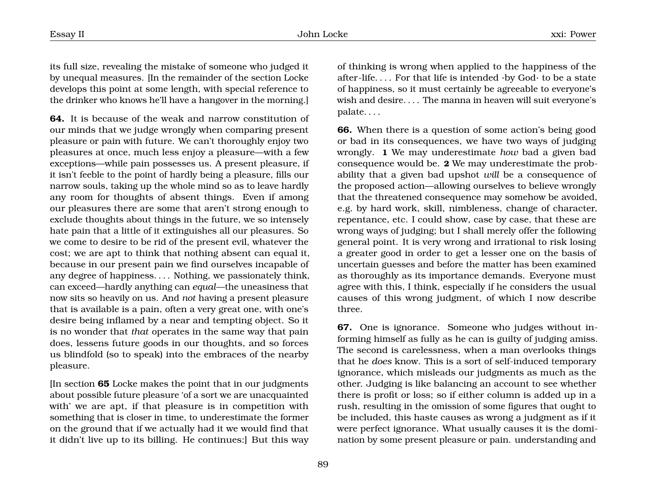its full size, revealing the mistake of someone who judged it by unequal measures. [In the remainder of the section Locke develops this point at some length, with special reference to the drinker who knows he'll have a hangover in the morning.]

**64.** It is because of the weak and narrow constitution of our minds that we judge wrongly when comparing present pleasure or pain with future. We can't thoroughly enjoy two pleasures at once, much less enjoy a pleasure—with a few exceptions—while pain possesses us. A present pleasure, if it isn't feeble to the point of hardly being a pleasure, fills our narrow souls, taking up the whole mind so as to leave hardly any room for thoughts of absent things. Even if among our pleasures there are some that aren't strong enough to exclude thoughts about things in the future, we so intensely hate pain that a little of it extinguishes all our pleasures. So we come to desire to be rid of the present evil, whatever the cost; we are apt to think that nothing absent can equal it, because in our present pain we find ourselves incapable of any degree of happiness. . . . Nothing, we passionately think, can exceed—hardly anything can *equal*—the uneasiness that now sits so heavily on us. And *not* having a present pleasure that is available is a pain, often a very great one, with one's desire being inflamed by a near and tempting object. So it is no wonder that *that* operates in the same way that pain does, lessens future goods in our thoughts, and so forces us blindfold (so to speak) into the embraces of the nearby pleasure.

[In section **65** Locke makes the point that in our judgments about possible future pleasure 'of a sort we are unacquainted with' we are apt, if that pleasure is in competition with something that is closer in time, to underestimate the former on the ground that if we actually had it we would find that it didn't live up to its billing. He continues:] But this way of thinking is wrong when applied to the happiness of the after-life. . . . For that life is intended ·by God· to be a state of happiness, so it must certainly be agreeable to everyone's wish and desire. . . . The manna in heaven will suit everyone's palate. . . .

**66.** When there is a question of some action's being good or bad in its consequences, we have two ways of judging wrongly. **1** We may underestimate *how* bad a given bad consequence would be. **2** We may underestimate the probability that a given bad upshot *will* be a consequence of the proposed action—allowing ourselves to believe wrongly that the threatened consequence may somehow be avoided, e.g. by hard work, skill, nimbleness, change of character, repentance, etc. I could show, case by case, that these are wrong ways of judging; but I shall merely offer the following general point. It is very wrong and irrational to risk losing a greater good in order to get a lesser one on the basis of uncertain guesses and before the matter has been examined as thoroughly as its importance demands. Everyone must agree with this, I think, especially if he considers the usual causes of this wrong judgment, of which I now describe three.

**67.** One is ignorance. Someone who judges without informing himself as fully as he can is guilty of judging amiss. The second is carelessness, when a man overlooks things that he *does* know. This is a sort of self-induced temporary ignorance, which misleads our judgments as much as the other. Judging is like balancing an account to see whether there is profit or loss; so if either column is added up in a rush, resulting in the omission of some figures that ought to be included, this haste causes as wrong a judgment as if it were perfect ignorance. What usually causes it is the domination by some present pleasure or pain. understanding and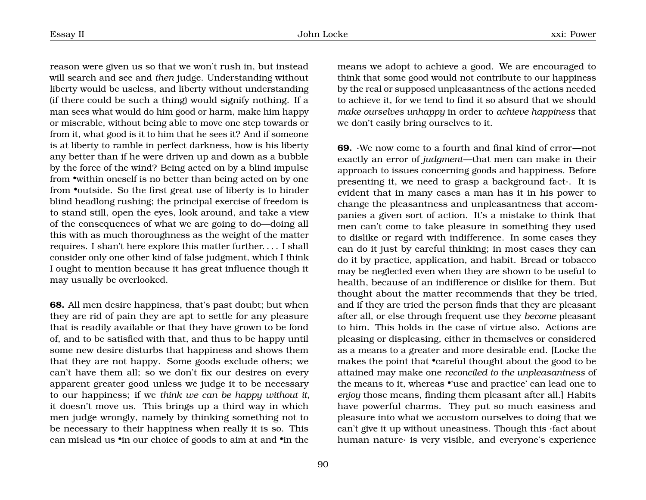reason were given us so that we won't rush in, but instead will search and see and *then* judge. Understanding without liberty would be useless, and liberty without understanding (if there could be such a thing) would signify nothing. If a man sees what would do him good or harm, make him happy or miserable, without being able to move one step towards or from it, what good is it to him that he sees it? And if someone is at liberty to ramble in perfect darkness, how is his liberty any better than if he were driven up and down as a bubble by the force of the wind? Being acted on by a blind impulse from •within oneself is no better than being acted on by one from •outside. So the first great use of liberty is to hinder blind headlong rushing; the principal exercise of freedom is to stand still, open the eyes, look around, and take a view of the consequences of what we are going to do—doing all this with as much thoroughness as the weight of the matter requires. I shan't here explore this matter further. . . . I shall consider only one other kind of false judgment, which I think I ought to mention because it has great influence though it may usually be overlooked.

**68.** All men desire happiness, that's past doubt; but when they are rid of pain they are apt to settle for any pleasure that is readily available or that they have grown to be fond of, and to be satisfied with that, and thus to be happy until some new desire disturbs that happiness and shows them that they are not happy. Some goods exclude others; we can't have them all; so we don't fix our desires on every apparent greater good unless we judge it to be necessary to our happiness; if we *think we can be happy without it*, it doesn't move us. This brings up a third way in which men judge wrongly, namely by thinking something not to be necessary to their happiness when really it is so. This can mislead us •in our choice of goods to aim at and •in the

makes the point that •careful thought about the good to be attained may make one *reconciled to the unpleasantness* of the means to it, whereas •'use and practice' can lead one to *enjoy* those means, finding them pleasant after all.] Habits have powerful charms. They put so much easiness and pleasure into what we accustom ourselves to doing that we can't give it up without uneasiness. Though this ·fact about

human nature· is very visible, and everyone's experience

means we adopt to achieve a good. We are encouraged to think that some good would not contribute to our happiness by the real or supposed unpleasantness of the actions needed to achieve it, for we tend to find it so absurd that we should *make ourselves unhappy* in order to *achieve happiness* that we don't easily bring ourselves to it.

**69.** ·We now come to a fourth and final kind of error—not exactly an error of *judgment*—that men can make in their approach to issues concerning goods and happiness. Before presenting it, we need to grasp a background fact·. It is evident that in many cases a man has it in his power to change the pleasantness and unpleasantness that accompanies a given sort of action. It's a mistake to think that men can't come to take pleasure in something they used to dislike or regard with indifference. In some cases they can do it just by careful thinking; in most cases they can do it by practice, application, and habit. Bread or tobacco may be neglected even when they are shown to be useful to health, because of an indifference or dislike for them. But thought about the matter recommends that they be tried, and if they are tried the person finds that they are pleasant after all, or else through frequent use they *become* pleasant to him. This holds in the case of virtue also. Actions are pleasing or displeasing, either in themselves or considered as a means to a greater and more desirable end. [Locke the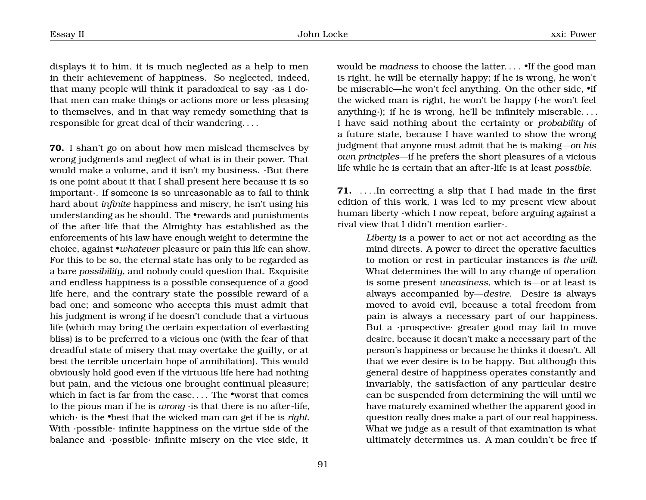displays it to him, it is much neglected as a help to men in their achievement of happiness. So neglected, indeed, that many people will think it paradoxical to say ·as I do· that men can make things or actions more or less pleasing to themselves, and in that way remedy something that is responsible for great deal of their wandering. . . .

**70.** I shan't go on about how men mislead themselves by wrong judgments and neglect of what is in their power. That would make a volume, and it isn't my business. ·But there is one point about it that I shall present here because it is so important·. If someone is so unreasonable as to fail to think hard about *infinite* happiness and misery, he isn't using his understanding as he should. The •rewards and punishments of the after-life that the Almighty has established as the enforcements of his law have enough weight to determine the choice, against •*whatever* pleasure or pain this life can show. For this to be so, the eternal state has only to be regarded as a bare *possibility*, and nobody could question that. Exquisite and endless happiness is a possible consequence of a good life here, and the contrary state the possible reward of a bad one; and someone who accepts this must admit that his judgment is wrong if he doesn't conclude that a virtuous life (which may bring the certain expectation of everlasting bliss) is to be preferred to a vicious one (with the fear of that dreadful state of misery that may overtake the guilty, or at best the terrible uncertain hope of annihilation). This would obviously hold good even if the virtuous life here had nothing but pain, and the vicious one brought continual pleasure; which in fact is far from the case.... The •worst that comes to the pious man if he is *wrong* ·is that there is no after-life, which· is the •best that the wicked man can get if he is *right.* With ·possible· infinite happiness on the virtue side of the balance and ·possible· infinite misery on the vice side, it

would be *madness* to choose the latter. . . . •If the good man is right, he will be eternally happy; if he is wrong, he won't be miserable—he won't feel anything. On the other side, •if the wicked man is right, he won't be happy (·he won't feel anything·); if he is wrong, he'll be infinitely miserable. . . . I have said nothing about the certainty or *probability* of a future state, because I have wanted to show the wrong judgment that anyone must admit that he is making—*on his own principles*—if he prefers the short pleasures of a vicious life while he is certain that an after-life is at least *possible*.

**71.** ... . In correcting a slip that I had made in the first edition of this work, I was led to my present view about human liberty ·which I now repeat, before arguing against a rival view that I didn't mention earlier·.

> *Liberty* is a power to act or not act according as the mind directs. A power to direct the operative faculties to motion or rest in particular instances is *the will*. What determines the will to any change of operation is some present *uneasiness*, which is—or at least is always accompanied by—*desire*. Desire is always moved to avoid evil, because a total freedom from pain is always a necessary part of our happiness. But a ·prospective· greater good may fail to move desire, because it doesn't make a necessary part of the person's happiness or because he thinks it doesn't. All that we ever desire is to be happy. But although this general desire of happiness operates constantly and invariably, the satisfaction of any particular desire can be suspended from determining the will until we have maturely examined whether the apparent good in question really does make a part of our real happiness. What we judge as a result of that examination is what ultimately determines us. A man couldn't be free if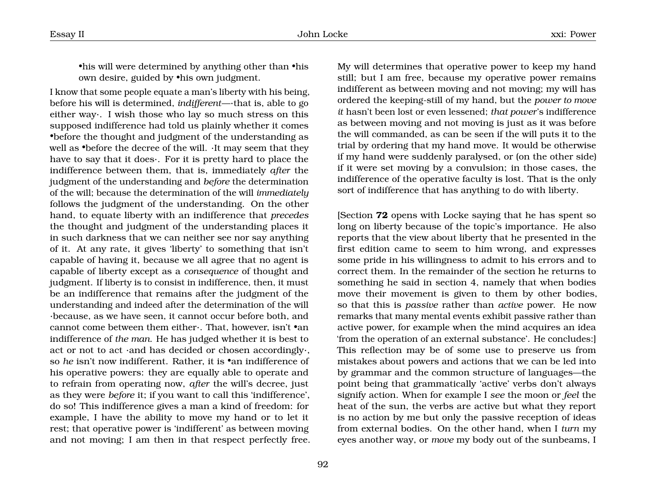•his will were determined by anything other than •his own desire, guided by •his own judgment.

I know that some people equate a man's liberty with his being, before his will is determined, *indifferent*—·that is, able to go either way·. I wish those who lay so much stress on this supposed indifference had told us plainly whether it comes •before the thought and judgment of the understanding as well as •before the decree of the will. ·It may seem that they have to say that it does·. For it is pretty hard to place the indifference between them, that is, immediately *after* the judgment of the understanding and *before* the determination of the will; because the determination of the will *immediately* follows the judgment of the understanding. On the other hand, to equate liberty with an indifference that *precedes* the thought and judgment of the understanding places it in such darkness that we can neither see nor say anything of it. At any rate, it gives 'liberty' to something that isn't capable of having it, because we all agree that no agent is capable of liberty except as a *consequence* of thought and judgment. If liberty is to consist in indifference, then, it must be an indifference that remains after the judgment of the understanding and indeed after the determination of the will ·because, as we have seen, it cannot occur before both, and cannot come between them either ·. That, however, isn't •an indifference of *the man*. He has judged whether it is best to act or not to act ·and has decided or chosen accordingly·, so *he* isn't now indifferent. Rather, it is •an indifference of his operative powers: they are equally able to operate and to refrain from operating now, *after* the will's decree, just as they were *before* it; if you want to call this 'indifference', do so! This indifference gives a man a kind of freedom: for example, I have the ability to move my hand or to let it rest; that operative power is 'indifferent' as between moving and not moving; I am then in that respect perfectly free. My will determines that operative power to keep my hand still; but I am free, because my operative power remains indifferent as between moving and not moving; my will has ordered the keeping-still of my hand, but the *power to move it* hasn't been lost or even lessened; *that power*'s indifference as between moving and not moving is just as it was before the will commanded, as can be seen if the will puts it to the trial by ordering that my hand move. It would be otherwise if my hand were suddenly paralysed, or (on the other side) if it were set moving by a convulsion; in those cases, the indifference of the operative faculty is lost. That is the only sort of indifference that has anything to do with liberty.

[Section **72** opens with Locke saying that he has spent so long on liberty because of the topic's importance. He also reports that the view about liberty that he presented in the first edition came to seem to him wrong, and expresses some pride in his willingness to admit to his errors and to correct them. In the remainder of the section he returns to something he said in section 4, namely that when bodies move their movement is given to them by other bodies, so that this is *passive* rather than *active* power. He now remarks that many mental events exhibit passive rather than active power, for example when the mind acquires an idea 'from the operation of an external substance'. He concludes:] This reflection may be of some use to preserve us from mistakes about powers and actions that we can be led into by grammar and the common structure of languages—the point being that grammatically 'active' verbs don't always signify action. When for example I *see* the moon or *feel* the heat of the sun, the verbs are active but what they report is no action by me but only the passive reception of ideas from external bodies. On the other hand, when I *turn* my eyes another way, or *move* my body out of the sunbeams, I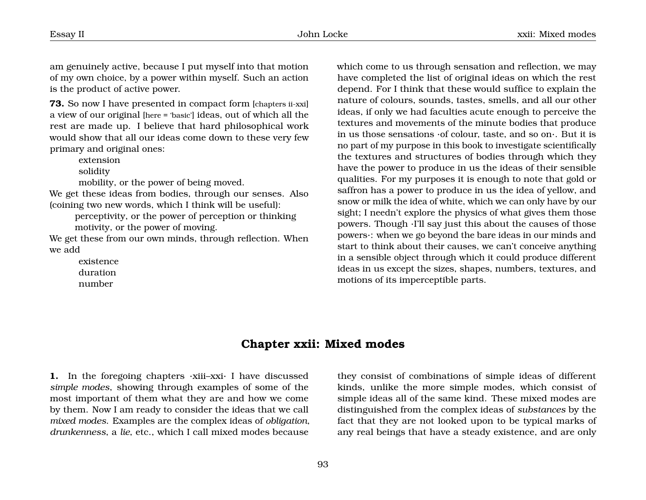am genuinely active, because I put myself into that motion of my own choice, by a power within myself. Such an action is the product of active power.

**73.** So now I have presented in compact form [chapters ii-xxi] a view of our original [here = 'basic'] ideas, out of which all the rest are made up. I believe that hard philosophical work would show that all our ideas come down to these very few primary and original ones:

extension

solidity

mobility, or the power of being moved.

We get these ideas from bodies, through our senses. Also (coining two new words, which I think will be useful):

perceptivity, or the power of perception or thinking motivity, or the power of moving.

We get these from our own minds, through reflection. When we add

> existence duration number

which come to us through sensation and reflection, we may have completed the list of original ideas on which the rest depend. For I think that these would suffice to explain the nature of colours, sounds, tastes, smells, and all our other ideas, if only we had faculties acute enough to perceive the textures and movements of the minute bodies that produce in us those sensations ·of colour, taste, and so on·. But it is no part of my purpose in this book to investigate scientifically the textures and structures of bodies through which they have the power to produce in us the ideas of their sensible qualities. For my purposes it is enough to note that gold or saffron has a power to produce in us the idea of yellow, and snow or milk the idea of white, which we can only have by our sight; I needn't explore the physics of what gives them those powers. Though ·I'll say just this about the causes of those powers·: when we go beyond the bare ideas in our minds and start to think about their causes, we can't conceive anything in a sensible object through which it could produce different ideas in us except the sizes, shapes, numbers, textures, and motions of its imperceptible parts.

## **Chapter xxii: Mixed modes**

**1.** In the foregoing chapters ·xiii–xxi· I have discussed *simple modes*, showing through examples of some of the most important of them what they are and how we come by them. Now I am ready to consider the ideas that we call *mixed modes*. Examples are the complex ideas of *obligation*, *drunkenness*, a *lie*, etc., which I call mixed modes because

they consist of combinations of simple ideas of different kinds, unlike the more simple modes, which consist of simple ideas all of the same kind. These mixed modes are distinguished from the complex ideas of *substances* by the fact that they are not looked upon to be typical marks of any real beings that have a steady existence, and are only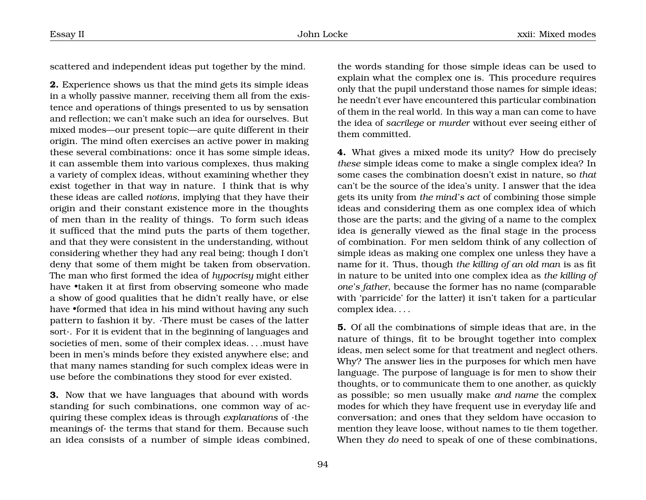scattered and independent ideas put together by the mind.

**2.** Experience shows us that the mind gets its simple ideas in a wholly passive manner, receiving them all from the existence and operations of things presented to us by sensation and reflection; we can't make such an idea for ourselves. But mixed modes—our present topic—are quite different in their origin. The mind often exercises an active power in making these several combinations: once it has some simple ideas, it can assemble them into various complexes, thus making a variety of complex ideas, without examining whether they exist together in that way in nature. I think that is why these ideas are called *notions*, implying that they have their origin and their constant existence more in the thoughts of men than in the reality of things. To form such ideas it sufficed that the mind puts the parts of them together, and that they were consistent in the understanding, without considering whether they had any real being; though I don't deny that some of them might be taken from observation. The man who first formed the idea of *hypocrisy* might either have •taken it at first from observing someone who made a show of good qualities that he didn't really have, or else have •formed that idea in his mind without having any such pattern to fashion it by. ·There must be cases of the latter sort·. For it is evident that in the beginning of languages and societies of men, some of their complex ideas. . . .must have been in men's minds before they existed anywhere else; and that many names standing for such complex ideas were in use before the combinations they stood for ever existed.

**3.** Now that we have languages that abound with words standing for such combinations, one common way of acquiring these complex ideas is through *explanations* of ·the meanings of· the terms that stand for them. Because such an idea consists of a number of simple ideas combined,

the words standing for those simple ideas can be used to explain what the complex one is. This procedure requires only that the pupil understand those names for simple ideas; he needn't ever have encountered this particular combination of them in the real world. In this way a man can come to have the idea of *sacrilege* or *murder* without ever seeing either of them committed.

**4.** What gives a mixed mode its unity? How do precisely *these* simple ideas come to make a single complex idea? In some cases the combination doesn't exist in nature, so *that* can't be the source of the idea's unity. I answer that the idea gets its unity from *the mind's act* of combining those simple ideas and considering them as one complex idea of which those are the parts; and the giving of a name to the complex idea is generally viewed as the final stage in the process of combination. For men seldom think of any collection of simple ideas as making one complex one unless they have a name for it. Thus, though *the killing of an old man* is as fit in nature to be united into one complex idea as *the killing of one's father*, because the former has no name (comparable with 'parricide' for the latter) it isn't taken for a particular complex idea. . . .

**5.** Of all the combinations of simple ideas that are, in the nature of things, fit to be brought together into complex ideas, men select some for that treatment and neglect others. Why? The answer lies in the purposes for which men have language. The purpose of language is for men to show their thoughts, or to communicate them to one another, as quickly as possible; so men usually make *and name* the complex modes for which they have frequent use in everyday life and conversation; and ones that they seldom have occasion to mention they leave loose, without names to tie them together. When they *do* need to speak of one of these combinations,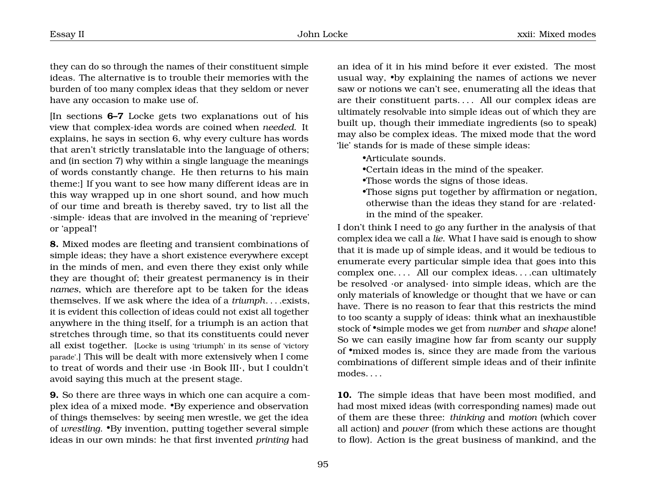they can do so through the names of their constituent simple ideas. The alternative is to trouble their memories with the burden of too many complex ideas that they seldom or never have any occasion to make use of.

[In sections **6–7** Locke gets two explanations out of his view that complex-idea words are coined when *needed*. It explains, he says in section 6, why every culture has words that aren't strictly translatable into the language of others; and (in section 7) why within a single language the meanings of words constantly change. He then returns to his main theme:] If you want to see how many different ideas are in this way wrapped up in one short sound, and how much of our time and breath is thereby saved, try to list all the ·simple· ideas that are involved in the meaning of 'reprieve' or 'appeal'!

**8.** Mixed modes are fleeting and transient combinations of simple ideas; they have a short existence everywhere except in the minds of men, and even there they exist only while they are thought of; their greatest permanency is in their *names*, which are therefore apt to be taken for the ideas themselves. If we ask where the idea of a *triumph*. . . .exists, it is evident this collection of ideas could not exist all together anywhere in the thing itself, for a triumph is an action that stretches through time, so that its constituents could never all exist together. [Locke is using 'triumph' in its sense of 'victory parade'.] This will be dealt with more extensively when I come to treat of words and their use ·in Book III·, but I couldn't avoid saying this much at the present stage.

**9.** So there are three ways in which one can acquire a complex idea of a mixed mode. •By experience and observation of things themselves: by seeing men wrestle, we get the idea of *wrestling*. •By invention, putting together several simple ideas in our own minds: he that first invented *printing* had

an idea of it in his mind before it ever existed. The most usual way, •by explaining the names of actions we never saw or notions we can't see, enumerating all the ideas that are their constituent parts. . . . All our complex ideas are ultimately resolvable into simple ideas out of which they are built up, though their immediate ingredients (so to speak) may also be complex ideas. The mixed mode that the word 'lie' stands for is made of these simple ideas:

•Articulate sounds.

•Certain ideas in the mind of the speaker.

•Those words the signs of those ideas.

•Those signs put together by affirmation or negation, otherwise than the ideas they stand for are ·related· in the mind of the speaker.

I don't think I need to go any further in the analysis of that complex idea we call a *lie*. What I have said is enough to show that it is made up of simple ideas, and it would be tedious to enumerate every particular simple idea that goes into this complex one. . . . All our complex ideas. . . .can ultimately be resolved ·or analysed· into simple ideas, which are the only materials of knowledge or thought that we have or can have. There is no reason to fear that this restricts the mind to too scanty a supply of ideas: think what an inexhaustible stock of •simple modes we get from *number* and *shape* alone! So we can easily imagine how far from scanty our supply of •mixed modes is, since they are made from the various combinations of different simple ideas and of their infinite modes. . . .

**10.** The simple ideas that have been most modified, and had most mixed ideas (with corresponding names) made out of them are these three: *thinking* and *motion* (which cover all action) and *power* (from which these actions are thought to flow). Action is the great business of mankind, and the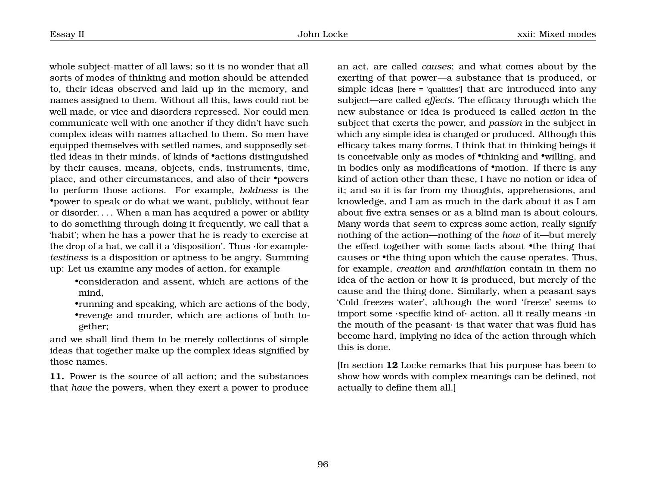whole subject-matter of all laws; so it is no wonder that all sorts of modes of thinking and motion should be attended to, their ideas observed and laid up in the memory, and names assigned to them. Without all this, laws could not be well made, or vice and disorders repressed. Nor could men communicate well with one another if they didn't have such complex ideas with names attached to them. So men have equipped themselves with settled names, and supposedly settled ideas in their minds, of kinds of •actions distinguished by their causes, means, objects, ends, instruments, time, place, and other circumstances, and also of their •powers to perform those actions. For example, *boldness* is the •power to speak or do what we want, publicly, without fear or disorder. . . . When a man has acquired a power or ability to do something through doing it frequently, we call that a 'habit'; when he has a power that he is ready to exercise at the drop of a hat, we call it a 'disposition'. Thus ·for example· *testiness* is a disposition or aptness to be angry. Summing up: Let us examine any modes of action, for example

•consideration and assent, which are actions of the mind,

•running and speaking, which are actions of the body, •revenge and murder, which are actions of both together;

and we shall find them to be merely collections of simple ideas that together make up the complex ideas signified by those names.

**11.** Power is the source of all action; and the substances that *have* the powers, when they exert a power to produce an act, are called *causes*; and what comes about by the exerting of that power—a substance that is produced, or simple ideas [here = 'qualities'] that are introduced into any subject—are called *effects*. The efficacy through which the new substance or idea is produced is called *action* in the subject that exerts the power, and *passion* in the subject in which any simple idea is changed or produced. Although this efficacy takes many forms, I think that in thinking beings it is conceivable only as modes of •thinking and •willing, and in bodies only as modifications of •motion. If there is any kind of action other than these, I have no notion or idea of it; and so it is far from my thoughts, apprehensions, and knowledge, and I am as much in the dark about it as I am about five extra senses or as a blind man is about colours. Many words that *seem* to express some action, really signify nothing of the action—nothing of the *how* of it—but merely the effect together with some facts about •the thing that causes or •the thing upon which the cause operates. Thus, for example, *creation* and *annihilation* contain in them no idea of the action or how it is produced, but merely of the cause and the thing done. Similarly, when a peasant says 'Cold freezes water', although the word 'freeze' seems to import some ·specific kind of· action, all it really means ·in the mouth of the peasant $\cdot$  is that water that was fluid has become hard, implying no idea of the action through which this is done.

[In section **12** Locke remarks that his purpose has been to show how words with complex meanings can be defined, not actually to define them all.]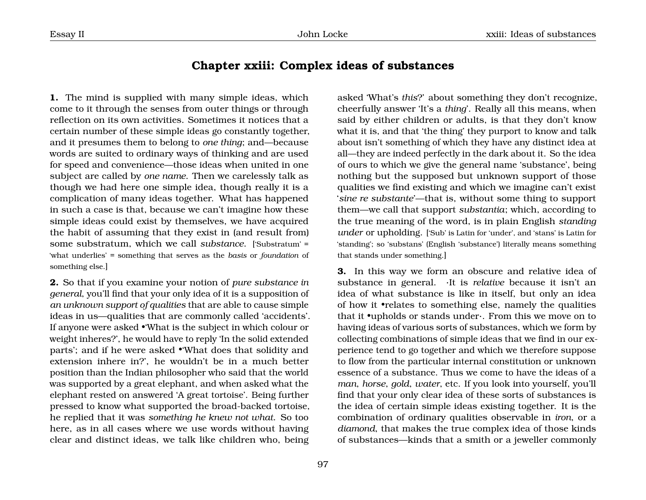# **Chapter xxiii: Complex ideas of substances**

**1.** The mind is supplied with many simple ideas, which come to it through the senses from outer things or through reflection on its own activities. Sometimes it notices that a certain number of these simple ideas go constantly together, and it presumes them to belong to *one thing*; and—because words are suited to ordinary ways of thinking and are used for speed and convenience—those ideas when united in one subject are called by *one name*. Then we carelessly talk as though we had here one simple idea, though really it is a complication of many ideas together. What has happened in such a case is that, because we can't imagine how these simple ideas could exist by themselves, we have acquired the habit of assuming that they exist in (and result from) some substratum, which we call *substance*. ['Substratum' = 'what underlies' = something that serves as the *basis* or *foundation* of something else.]

**2.** So that if you examine your notion of *pure substance in general*, you'll find that your only idea of it is a supposition of *an unknown support of qualities* that are able to cause simple ideas in us—qualities that are commonly called 'accidents'. If anyone were asked •'What is the subject in which colour or weight inheres?', he would have to reply 'In the solid extended parts'; and if he were asked •'What does that solidity and extension inhere in?', he wouldn't be in a much better position than the Indian philosopher who said that the world was supported by a great elephant, and when asked what the elephant rested on answered 'A great tortoise'. Being further pressed to know what supported the broad-backed tortoise, he replied that it was *something he knew not what*. So too here, as in all cases where we use words without having clear and distinct ideas, we talk like children who, being

asked 'What's *this*?' about something they don't recognize, cheerfully answer 'It's a *thing*'. Really all this means, when said by either children or adults, is that they don't know what it is, and that 'the thing' they purport to know and talk about isn't something of which they have any distinct idea at all—they are indeed perfectly in the dark about it. So the idea of ours to which we give the general name 'substance', being nothing but the supposed but unknown support of those qualities we find existing and which we imagine can't exist '*sine re substante*'—that is, without some thing to support them—we call that support *substantia*; which, according to the true meaning of the word, is in plain English *standing under* or upholding. ['Sub' is Latin for 'under', and 'stans' is Latin for 'standing'; so 'substans' (English 'substance') literally means something that stands under something.]

**3.** In this way we form an obscure and relative idea of substance in general. ·It is *relative* because it isn't an idea of what substance is like in itself, but only an idea of how it •relates to something else, namely the qualities that it •upholds or stands under·. From this we move on to having ideas of various sorts of substances, which we form by collecting combinations of simple ideas that we find in our experience tend to go together and which we therefore suppose to flow from the particular internal constitution or unknown essence of a substance. Thus we come to have the ideas of a *man*, *horse*, *gold*, *water*, etc. If you look into yourself, you'll find that your only clear idea of these sorts of substances is the idea of certain simple ideas existing together. It is the combination of ordinary qualities observable in *iron*, or a *diamond*, that makes the true complex idea of those kinds of substances—kinds that a smith or a jeweller commonly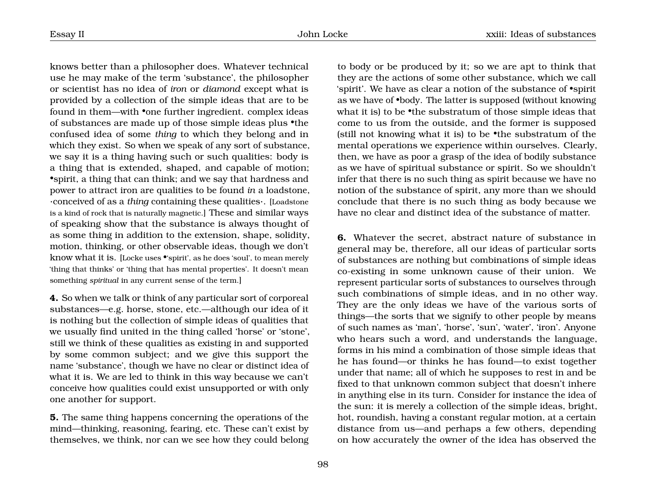knows better than a philosopher does. Whatever technical use he may make of the term 'substance', the philosopher or scientist has no idea of *iron* or *diamond* except what is provided by a collection of the simple ideas that are to be found in them—with •one further ingredient. complex ideas of substances are made up of those simple ideas plus •the confused idea of some *thing* to which they belong and in which they exist. So when we speak of any sort of substance, we say it is a thing having such or such qualities: body is a thing that is extended, shaped, and capable of motion; •spirit, a thing that can think; and we say that hardness and power to attract iron are qualities to be found *in* a loadstone, ·conceived of as a *thing* containing these qualities·. [Loadstone is a kind of rock that is naturally magnetic.] These and similar ways of speaking show that the substance is always thought of as some thing in addition to the extension, shape, solidity, motion, thinking, or other observable ideas, though we don't know what it is. [Locke uses •'spirit', as he does 'soul', to mean merely 'thing that thinks' or 'thing that has mental properties'. It doesn't mean something *spiritual* in any current sense of the term.]

**4.** So when we talk or think of any particular sort of corporeal substances—e.g. horse, stone, etc.—although our idea of it is nothing but the collection of simple ideas of qualities that we usually find united in the thing called 'horse' or 'stone', still we think of these qualities as existing in and supported by some common subject; and we give this support the name 'substance', though we have no clear or distinct idea of what it is. We are led to think in this way because we can't conceive how qualities could exist unsupported or with only one another for support.

**5.** The same thing happens concerning the operations of the mind—thinking, reasoning, fearing, etc. These can't exist by themselves, we think, nor can we see how they could belong

to body or be produced by it; so we are apt to think that they are the actions of some other substance, which we call 'spirit'. We have as clear a notion of the substance of •spirit as we have of •body. The latter is supposed (without knowing what it is) to be •the substratum of those simple ideas that come to us from the outside, and the former is supposed (still not knowing what it is) to be •the substratum of the mental operations we experience within ourselves. Clearly, then, we have as poor a grasp of the idea of bodily substance as we have of spiritual substance or spirit. So we shouldn't infer that there is no such thing as spirit because we have no notion of the substance of spirit, any more than we should conclude that there is no such thing as body because we have no clear and distinct idea of the substance of matter.

**6.** Whatever the secret, abstract nature of substance in general may be, therefore, all our ideas of particular sorts of substances are nothing but combinations of simple ideas co-existing in some unknown cause of their union. We represent particular sorts of substances to ourselves through such combinations of simple ideas, and in no other way. They are the only ideas we have of the various sorts of things—the sorts that we signify to other people by means of such names as 'man', 'horse', 'sun', 'water', 'iron'. Anyone who hears such a word, and understands the language, forms in his mind a combination of those simple ideas that he has found—or thinks he has found—to exist together under that name; all of which he supposes to rest in and be fixed to that unknown common subject that doesn't inhere in anything else in its turn. Consider for instance the idea of the sun: it is merely a collection of the simple ideas, bright, hot, roundish, having a constant regular motion, at a certain distance from us—and perhaps a few others, depending on how accurately the owner of the idea has observed the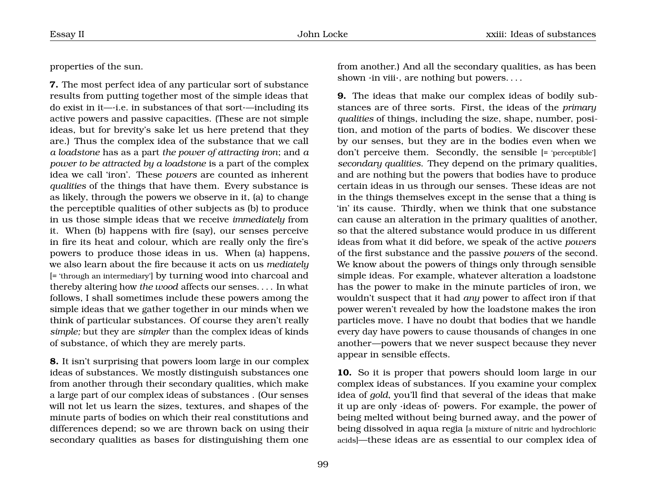properties of the sun.

**7.** The most perfect idea of any particular sort of substance results from putting together most of the simple ideas that do exist in it—·i.e. in substances of that sort·—including its active powers and passive capacities. (These are not simple ideas, but for brevity's sake let us here pretend that they are.) Thus the complex idea of the substance that we call *a loadstone* has as a part *the power of attracting iron*; and *a power to be attracted by a loadstone* is a part of the complex idea we call 'iron'. These *powers* are counted as inherent *qualities* of the things that have them. Every substance is as likely, through the powers we observe in it, (a) to change the perceptible qualities of other subjects as (b) to produce in us those simple ideas that we receive *immediately* from it. When (b) happens with fire (say), our senses perceive in fire its heat and colour, which are really only the fire's powers to produce those ideas in us. When (a) happens, we also learn about the fire because it acts on us *mediately* [= 'through an intermediary'] by turning wood into charcoal and thereby altering how *the wood* affects our senses. . . . In what follows, I shall sometimes include these powers among the simple ideas that we gather together in our minds when we think of particular substances. Of course they aren't really *simple;* but they are *simpler* than the complex ideas of kinds of substance, of which they are merely parts.

**8.** It isn't surprising that powers loom large in our complex ideas of substances. We mostly distinguish substances one from another through their secondary qualities, which make a large part of our complex ideas of substances . (Our senses will not let us learn the sizes, textures, and shapes of the minute parts of bodies on which their real constitutions and differences depend; so we are thrown back on using their secondary qualities as bases for distinguishing them one

from another.) And all the secondary qualities, as has been shown  $\cdot$ in viii $\cdot$ , are nothing but powers....

**9.** The ideas that make our complex ideas of bodily substances are of three sorts. First, the ideas of the *primary qualities* of things, including the size, shape, number, position, and motion of the parts of bodies. We discover these by our senses, but they are in the bodies even when we don't perceive them. Secondly, the sensible [= 'perceptible'] *secondary qualities*. They depend on the primary qualities, and are nothing but the powers that bodies have to produce certain ideas in us through our senses. These ideas are not in the things themselves except in the sense that a thing is 'in' its cause. Thirdly, when we think that one substance can cause an alteration in the primary qualities of another, so that the altered substance would produce in us different ideas from what it did before, we speak of the active *powers* of the first substance and the passive *powers* of the second. We know about the powers of things only through sensible simple ideas. For example, whatever alteration a loadstone has the power to make in the minute particles of iron, we wouldn't suspect that it had *any* power to affect iron if that power weren't revealed by how the loadstone makes the iron particles move. I have no doubt that bodies that we handle every day have powers to cause thousands of changes in one another—powers that we never suspect because they never appear in sensible effects.

**10.** So it is proper that powers should loom large in our complex ideas of substances. If you examine your complex idea of *gold*, you'll find that several of the ideas that make it up are only ·ideas of· powers. For example, the power of being melted without being burned away, and the power of being dissolved in aqua regia [a mixture of nitric and hydrochloric acids]—these ideas are as essential to our complex idea of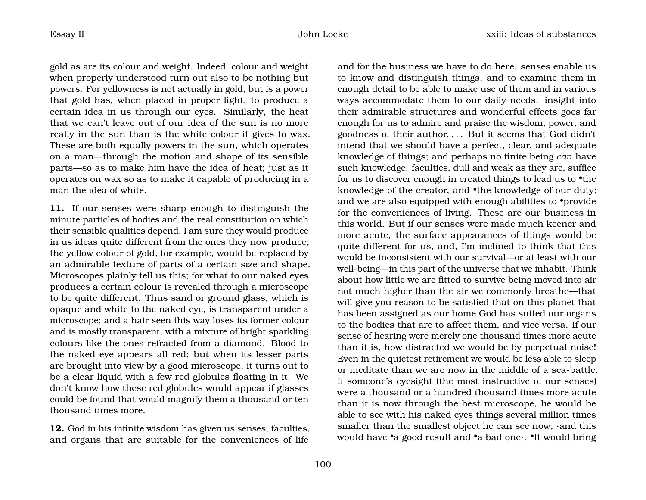gold as are its colour and weight. Indeed, colour and weight when properly understood turn out also to be nothing but powers. For yellowness is not actually in gold, but is a power that gold has, when placed in proper light, to produce a certain idea in us through our eyes. Similarly, the heat that we can't leave out of our idea of the sun is no more really in the sun than is the white colour it gives to wax. These are both equally powers in the sun, which operates on a man—through the motion and shape of its sensible parts—so as to make him have the idea of heat; just as it operates on wax so as to make it capable of producing in a man the idea of white.

**11.** If our senses were sharp enough to distinguish the minute particles of bodies and the real constitution on which their sensible qualities depend, I am sure they would produce in us ideas quite different from the ones they now produce; the yellow colour of gold, for example, would be replaced by an admirable texture of parts of a certain size and shape. Microscopes plainly tell us this; for what to our naked eyes produces a certain colour is revealed through a microscope to be quite different. Thus sand or ground glass, which is opaque and white to the naked eye, is transparent under a microscope; and a hair seen this way loses its former colour and is mostly transparent, with a mixture of bright sparkling colours like the ones refracted from a diamond. Blood to the naked eye appears all red; but when its lesser parts are brought into view by a good microscope, it turns out to be a clear liquid with a few red globules floating in it. We don't know how these red globules would appear if glasses could be found that would magnify them a thousand or ten thousand times more.

**12.** God in his infinite wisdom has given us senses, faculties, and organs that are suitable for the conveniences of life

and for the business we have to do here. senses enable us to know and distinguish things, and to examine them in enough detail to be able to make use of them and in various ways accommodate them to our daily needs. insight into their admirable structures and wonderful effects goes far enough for us to admire and praise the wisdom, power, and goodness of their author. . . . But it seems that God didn't intend that we should have a perfect, clear, and adequate knowledge of things; and perhaps no finite being *can* have such knowledge. faculties, dull and weak as they are, suffice for us to discover enough in created things to lead us to •the knowledge of the creator, and •the knowledge of our duty; and we are also equipped with enough abilities to •provide for the conveniences of living. These are our business in this world. But if our senses were made much keener and more acute, the surface appearances of things would be quite different for us, and, I'm inclined to think that this would be inconsistent with our survival—or at least with our well-being—in this part of the universe that we inhabit. Think about how little we are fitted to survive being moved into air not much higher than the air we commonly breathe—that will give you reason to be satisfied that on this planet that has been assigned as our home God has suited our organs to the bodies that are to affect them, and vice versa. If our sense of hearing were merely one thousand times more acute than it is, how distracted we would be by perpetual noise! Even in the quietest retirement we would be less able to sleep or meditate than we are now in the middle of a sea-battle. If someone's eyesight (the most instructive of our senses) were a thousand or a hundred thousand times more acute than it is now through the best microscope, he would be able to see with his naked eyes things several million times smaller than the smallest object he can see now; ·and this would have •a good result and •a bad one·. •It would bring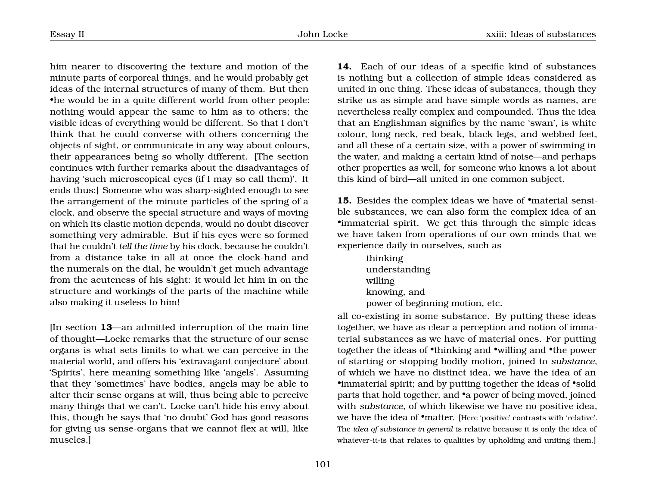him nearer to discovering the texture and motion of the minute parts of corporeal things, and he would probably get ideas of the internal structures of many of them. But then •he would be in a quite different world from other people: nothing would appear the same to him as to others; the visible ideas of everything would be different. So that I don't think that he could converse with others concerning the objects of sight, or communicate in any way about colours, their appearances being so wholly different. [The section continues with further remarks about the disadvantages of having 'such microscopical eyes (if I may so call them)'. It ends thus:] Someone who was sharp-sighted enough to see the arrangement of the minute particles of the spring of a clock, and observe the special structure and ways of moving on which its elastic motion depends, would no doubt discover something very admirable. But if his eyes were so formed that he couldn't *tell the time* by his clock, because he couldn't from a distance take in all at once the clock-hand and the numerals on the dial, he wouldn't get much advantage from the acuteness of his sight: it would let him in on the structure and workings of the parts of the machine while also making it useless to him!

[In section **13**—an admitted interruption of the main line of thought—Locke remarks that the structure of our sense organs is what sets limits to what we can perceive in the material world, and offers his 'extravagant conjecture' about 'Spirits', here meaning something like 'angels'. Assuming that they 'sometimes' have bodies, angels may be able to alter their sense organs at will, thus being able to perceive many things that we can't. Locke can't hide his envy about this, though he says that 'no doubt' God has good reasons for giving us sense-organs that we cannot flex at will, like muscles.]

**14.** Each of our ideas of a specific kind of substances is nothing but a collection of simple ideas considered as united in one thing. These ideas of substances, though they strike us as simple and have simple words as names, are nevertheless really complex and compounded. Thus the idea that an Englishman signifies by the name 'swan', is white colour, long neck, red beak, black legs, and webbed feet, and all these of a certain size, with a power of swimming in the water, and making a certain kind of noise—and perhaps other properties as well, for someone who knows a lot about this kind of bird—all united in one common subject.

15. Besides the complex ideas we have of *•material sensi*ble substances, we can also form the complex idea of an •immaterial spirit. We get this through the simple ideas we have taken from operations of our own minds that we experience daily in ourselves, such as

> thinking understanding willing knowing, and power of beginning motion, etc.

all co-existing in some substance. By putting these ideas together, we have as clear a perception and notion of immaterial substances as we have of material ones. For putting together the ideas of •thinking and •willing and •the power of starting or stopping bodily motion, joined to *substance*, of which we have no distinct idea, we have the idea of an •immaterial spirit; and by putting together the ideas of •solid parts that hold together, and •a power of being moved, joined with *substance*, of which likewise we have no positive idea, we have the idea of •matter. [Here 'positive' contrasts with 'relative'. The *idea of substance in general* is relative because it is only the idea of whatever-it-is that relates to qualities by upholding and uniting them.]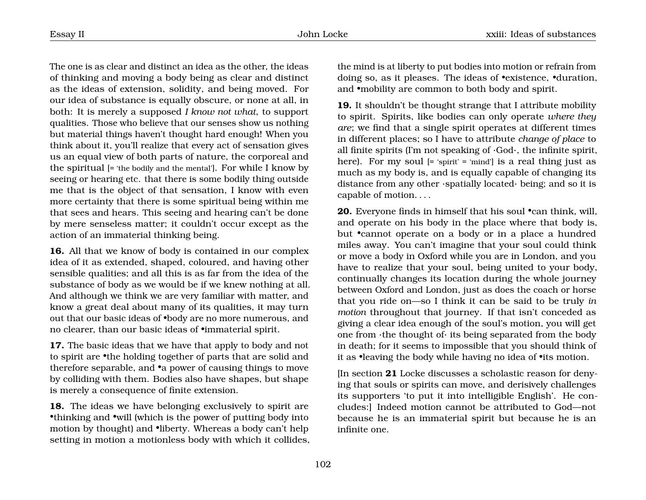The one is as clear and distinct an idea as the other, the ideas of thinking and moving a body being as clear and distinct as the ideas of extension, solidity, and being moved. For our idea of substance is equally obscure, or none at all, in both: It is merely a supposed *I know not what*, to support qualities. Those who believe that our senses show us nothing but material things haven't thought hard enough! When you think about it, you'll realize that every act of sensation gives us an equal view of both parts of nature, the corporeal and the spiritual  $\models$  the bodily and the mental'. For while I know by seeing or hearing etc. that there is some bodily thing outside me that is the object of that sensation, I know with even more certainty that there is some spiritual being within me that sees and hears. This seeing and hearing can't be done by mere senseless matter; it couldn't occur except as the action of an immaterial thinking being.

**16.** All that we know of body is contained in our complex idea of it as extended, shaped, coloured, and having other sensible qualities; and all this is as far from the idea of the substance of body as we would be if we knew nothing at all. And although we think we are very familiar with matter, and know a great deal about many of its qualities, it may turn out that our basic ideas of •body are no more numerous, and no clearer, than our basic ideas of •immaterial spirit.

**17.** The basic ideas that we have that apply to body and not to spirit are •the holding together of parts that are solid and therefore separable, and •a power of causing things to move by colliding with them. Bodies also have shapes, but shape is merely a consequence of finite extension.

**18.** The ideas we have belonging exclusively to spirit are •thinking and •will (which is the power of putting body into motion by thought) and •liberty. Whereas a body can't help setting in motion a motionless body with which it collides, the mind is at liberty to put bodies into motion or refrain from doing so, as it pleases. The ideas of •existence, •duration, and •mobility are common to both body and spirit.

**19.** It shouldn't be thought strange that I attribute mobility to spirit. Spirits, like bodies can only operate *where they are*; we find that a single spirit operates at different times in different places; so I have to attribute *change of place* to all finite spirits (I'm not speaking of ·God·, the infinite spirit, here). For my soul  $[=$  'spirit' = 'mind'] is a real thing just as much as my body is, and is equally capable of changing its distance from any other ·spatially located· being; and so it is capable of motion. . . .

**20.** Everyone finds in himself that his soul •can think, will, and operate on his body in the place where that body is, but •cannot operate on a body or in a place a hundred miles away. You can't imagine that your soul could think or move a body in Oxford while you are in London, and you have to realize that your soul, being united to your body, continually changes its location during the whole journey between Oxford and London, just as does the coach or horse that you ride on—so I think it can be said to be truly *in motion* throughout that journey. If that isn't conceded as giving a clear idea enough of the soul's motion, you will get one from ·the thought of· its being separated from the body in death; for it seems to impossible that you should think of it as •leaving the body while having no idea of •its motion.

[In section **21** Locke discusses a scholastic reason for denying that souls or spirits can move, and derisively challenges its supporters 'to put it into intelligible English'. He concludes:] Indeed motion cannot be attributed to God—not because he is an immaterial spirit but because he is an infinite one.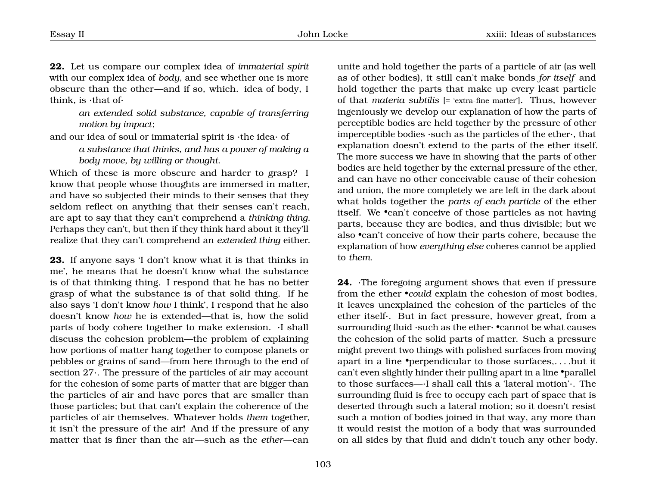**22.** Let us compare our complex idea of *immaterial spirit* with our complex idea of *body*, and see whether one is more obscure than the other—and if so, which. idea of body, I think, is ·that of·

> *an extended solid substance, capable of transferring motion by impact*;

and our idea of soul or immaterial spirit is ·the idea· of

*a substance that thinks, and has a power of making a body move, by willing or thought*.

Which of these is more obscure and harder to grasp? I know that people whose thoughts are immersed in matter, and have so subjected their minds to their senses that they seldom reflect on anything that their senses can't reach, are apt to say that they can't comprehend a *thinking thing*. Perhaps they can't, but then if they think hard about it they'll realize that they can't comprehend an *extended thing* either.

**23.** If anyone says 'I don't know what it is that thinks in me', he means that he doesn't know what the substance is of that thinking thing. I respond that he has no better grasp of what the substance is of that solid thing. If he also says 'I don't know *how* I think', I respond that he also doesn't know *how* he is extended—that is, how the solid parts of body cohere together to make extension. ·I shall discuss the cohesion problem—the problem of explaining how portions of matter hang together to compose planets or pebbles or grains of sand—from here through to the end of section 27·. The pressure of the particles of air may account for the cohesion of some parts of matter that are bigger than the particles of air and have pores that are smaller than those particles; but that can't explain the coherence of the particles of air themselves. Whatever holds *them* together, it isn't the pressure of the air! And if the pressure of any matter that is finer than the air—such as the *ether*—can

unite and hold together the parts of a particle of air (as well as of other bodies), it still can't make bonds *for itself* and hold together the parts that make up every least particle of that *materia subtilis* [= 'extra-fine matter']. Thus, however ingeniously we develop our explanation of how the parts of perceptible bodies are held together by the pressure of other imperceptible bodies ·such as the particles of the ether·, that explanation doesn't extend to the parts of the ether itself. The more success we have in showing that the parts of other bodies are held together by the external pressure of the ether, and can have no other conceivable cause of their cohesion and union, the more completely we are left in the dark about what holds together the *parts of each particle* of the ether itself. We •can't conceive of those particles as not having parts, because they are bodies, and thus divisible; but we also •can't conceive of how their parts cohere, because the explanation of how *everything else* coheres cannot be applied to *them*.

**24.** ·The foregoing argument shows that even if pressure from the ether •*could* explain the cohesion of most bodies, it leaves unexplained the cohesion of the particles of the ether itself·. But in fact pressure, however great, from a surrounding fluid ·such as the ether· •cannot be what causes the cohesion of the solid parts of matter. Such a pressure might prevent two things with polished surfaces from moving apart in a line •perpendicular to those surfaces,. . . .but it can't even slightly hinder their pulling apart in a line •parallel to those surfaces—·I shall call this a 'lateral motion'·. The surrounding fluid is free to occupy each part of space that is deserted through such a lateral motion; so it doesn't resist such a motion of bodies joined in that way, any more than it would resist the motion of a body that was surrounded on all sides by that fluid and didn't touch any other body.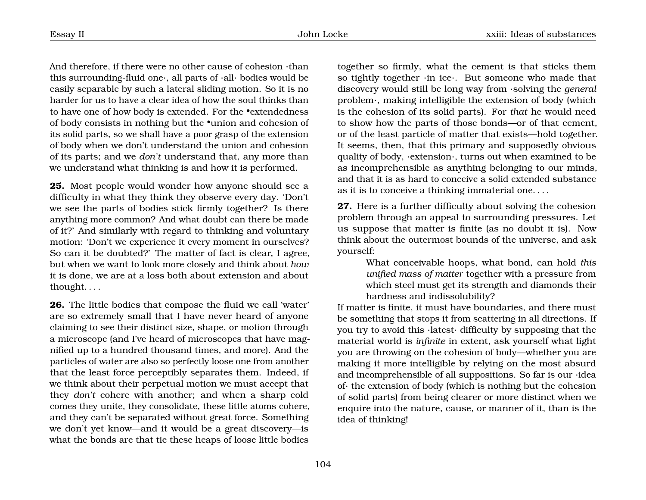And therefore, if there were no other cause of cohesion ·than this surrounding-fluid one·, all parts of ·all· bodies would be easily separable by such a lateral sliding motion. So it is no harder for us to have a clear idea of how the soul thinks than to have one of how body is extended. For the •extendedness of body consists in nothing but the •union and cohesion of its solid parts, so we shall have a poor grasp of the extension of body when we don't understand the union and cohesion of its parts; and we *don't* understand that, any more than we understand what thinking is and how it is performed.

**25.** Most people would wonder how anyone should see a difficulty in what they think they observe every day. 'Don't we see the parts of bodies stick firmly together? Is there anything more common? And what doubt can there be made of it?' And similarly with regard to thinking and voluntary motion: 'Don't we experience it every moment in ourselves? So can it be doubted?' The matter of fact is clear, I agree, but when we want to look more closely and think about *how* it is done, we are at a loss both about extension and about thought. . . .

**26.** The little bodies that compose the fluid we call 'water' are so extremely small that I have never heard of anyone claiming to see their distinct size, shape, or motion through a microscope (and I've heard of microscopes that have magnified up to a hundred thousand times, and more). And the particles of water are also so perfectly loose one from another that the least force perceptibly separates them. Indeed, if we think about their perpetual motion we must accept that they *don't* cohere with another; and when a sharp cold comes they unite, they consolidate, these little atoms cohere, and they can't be separated without great force. Something we don't yet know—and it would be a great discovery—is what the bonds are that tie these heaps of loose little bodies

together so firmly, what the cement is that sticks them so tightly together ·in ice·. But someone who made that discovery would still be long way from ·solving the *general* problem·, making intelligible the extension of body (which is the cohesion of its solid parts). For *that* he would need to show how the parts of those bonds—or of that cement, or of the least particle of matter that exists—hold together. It seems, then, that this primary and supposedly obvious quality of body, ·extension·, turns out when examined to be as incomprehensible as anything belonging to our minds, and that it is as hard to conceive a solid extended substance as it is to conceive a thinking immaterial one. . . .

**27.** Here is a further difficulty about solving the cohesion problem through an appeal to surrounding pressures. Let us suppose that matter is finite (as no doubt it is). Now think about the outermost bounds of the universe, and ask yourself:

> What conceivable hoops, what bond, can hold *this unified mass of matter* together with a pressure from which steel must get its strength and diamonds their hardness and indissolubility?

If matter is finite, it must have boundaries, and there must be something that stops it from scattering in all directions. If you try to avoid this ·latest· difficulty by supposing that the material world is *infinite* in extent, ask yourself what light you are throwing on the cohesion of body—whether you are making it more intelligible by relying on the most absurd and incomprehensible of all suppositions. So far is our ·idea of· the extension of body (which is nothing but the cohesion of solid parts) from being clearer or more distinct when we enquire into the nature, cause, or manner of it, than is the idea of thinking!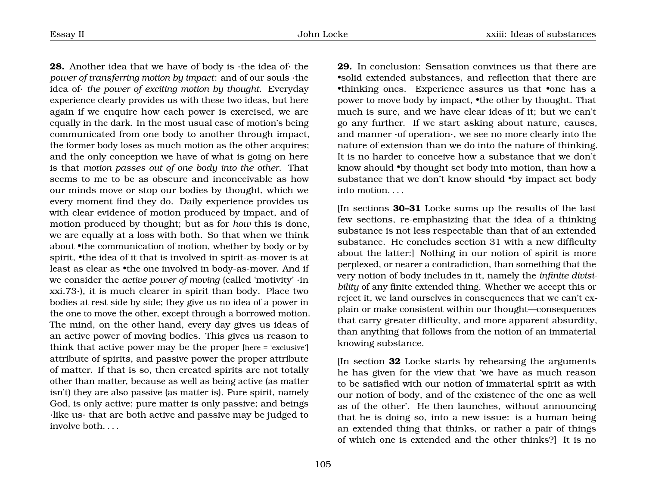**28.** Another idea that we have of body is ·the idea of· the *power of transferring motion by impact*: and of our souls ·the idea of· *the power of exciting motion by thought*. Everyday experience clearly provides us with these two ideas, but here again if we enquire how each power is exercised, we are equally in the dark. In the most usual case of motion's being communicated from one body to another through impact, the former body loses as much motion as the other acquires; and the only conception we have of what is going on here is that *motion passes out of one body into the other*. That seems to me to be as obscure and inconceivable as how our minds move or stop our bodies by thought, which we every moment find they do. Daily experience provides us with clear evidence of motion produced by impact, and of motion produced by thought; but as for *how* this is done, we are equally at a loss with both. So that when we think about •the communication of motion, whether by body or by spirit, •the idea of it that is involved in spirit-as-mover is at least as clear as •the one involved in body-as-mover. And if we consider the *active power of moving* (called 'motivity' ·in xxi.73·), it is much clearer in spirit than body. Place two bodies at rest side by side; they give us no idea of a power in the one to move the other, except through a borrowed motion. The mind, on the other hand, every day gives us ideas of an active power of moving bodies. This gives us reason to think that active power may be the proper [here = 'exclusive'] attribute of spirits, and passive power the proper attribute of matter. If that is so, then created spirits are not totally other than matter, because as well as being active (as matter isn't) they are also passive (as matter is). Pure spirit, namely God, is only active; pure matter is only passive; and beings ·like us· that are both active and passive may be judged to involve both. . . .

**29.** In conclusion: Sensation convinces us that there are •solid extended substances, and reflection that there are •thinking ones. Experience assures us that •one has a power to move body by impact, •the other by thought. That much is sure, and we have clear ideas of it; but we can't go any further. If we start asking about nature, causes, and manner ·of operation·, we see no more clearly into the nature of extension than we do into the nature of thinking. It is no harder to conceive how a substance that we don't know should •by thought set body into motion, than how a substance that we don't know should •by impact set body into motion. . . .

[In sections **30–31** Locke sums up the results of the last few sections, re-emphasizing that the idea of a thinking substance is not less respectable than that of an extended substance. He concludes section 31 with a new difficulty about the latter:] Nothing in our notion of spirit is more perplexed, or nearer a contradiction, than something that the very notion of body includes in it, namely the *infinite divisibility* of any finite extended thing. Whether we accept this or reject it, we land ourselves in consequences that we can't explain or make consistent within our thought—consequences that carry greater difficulty, and more apparent absurdity, than anything that follows from the notion of an immaterial knowing substance.

[In section **32** Locke starts by rehearsing the arguments he has given for the view that 'we have as much reason to be satisfied with our notion of immaterial spirit as with our notion of body, and of the existence of the one as well as of the other'. He then launches, without announcing that he is doing so, into a new issue: is a human being an extended thing that thinks, or rather a pair of things of which one is extended and the other thinks?] It is no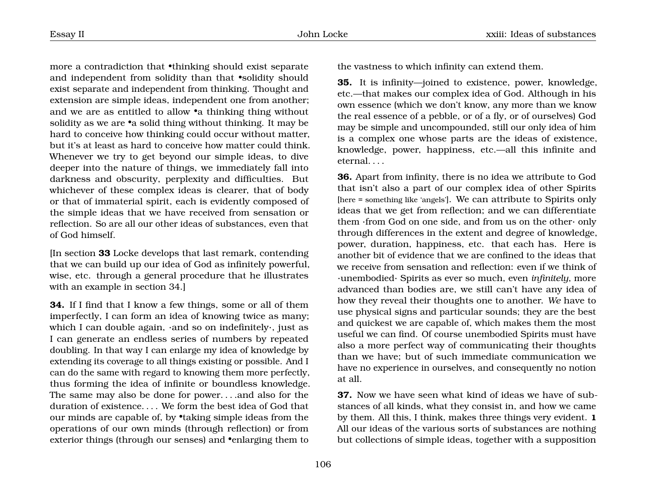more a contradiction that •thinking should exist separate and independent from solidity than that •solidity should exist separate and independent from thinking. Thought and extension are simple ideas, independent one from another; and we are as entitled to allow •a thinking thing without solidity as we are •a solid thing without thinking. It may be hard to conceive how thinking could occur without matter, but it's at least as hard to conceive how matter could think. Whenever we try to get beyond our simple ideas, to dive deeper into the nature of things, we immediately fall into darkness and obscurity, perplexity and difficulties. But whichever of these complex ideas is clearer, that of body or that of immaterial spirit, each is evidently composed of the simple ideas that we have received from sensation or reflection. So are all our other ideas of substances, even that of God himself.

[In section **33** Locke develops that last remark, contending that we can build up our idea of God as infinitely powerful, wise, etc. through a general procedure that he illustrates with an example in section 34.]

**34.** If I find that I know a few things, some or all of them imperfectly, I can form an idea of knowing twice as many; which I can double again, ·and so on indefinitely·, just as I can generate an endless series of numbers by repeated doubling. In that way I can enlarge my idea of knowledge by extending its coverage to all things existing or possible. And I can do the same with regard to knowing them more perfectly, thus forming the idea of infinite or boundless knowledge. The same may also be done for power. . . .and also for the duration of existence. . . . We form the best idea of God that our minds are capable of, by •taking simple ideas from the operations of our own minds (through reflection) or from exterior things (through our senses) and •enlarging them to

the vastness to which infinity can extend them.

**35.** It is infinity—joined to existence, power, knowledge, etc.—that makes our complex idea of God. Although in his own essence (which we don't know, any more than we know the real essence of a pebble, or of a fly, or of ourselves) God may be simple and uncompounded, still our only idea of him is a complex one whose parts are the ideas of existence, knowledge, power, happiness, etc.—all this infinite and eternal. . . .

**36.** Apart from infinity, there is no idea we attribute to God that isn't also a part of our complex idea of other Spirits [here = something like 'angels']. We can attribute to Spirits only ideas that we get from reflection; and we can differentiate them ·from God on one side, and from us on the other· only through differences in the extent and degree of knowledge, power, duration, happiness, etc. that each has. Here is another bit of evidence that we are confined to the ideas that we receive from sensation and reflection: even if we think of ·unembodied· Spirits as ever so much, even *infinitely*, more advanced than bodies are, we still can't have any idea of how they reveal their thoughts one to another. *We* have to use physical signs and particular sounds; they are the best and quickest we are capable of, which makes them the most useful we can find. Of course unembodied Spirits must have also a more perfect way of communicating their thoughts than we have; but of such immediate communication we have no experience in ourselves, and consequently no notion at all.

**37.** Now we have seen what kind of ideas we have of substances of all kinds, what they consist in, and how we came by them. All this, I think, makes three things very evident. **1** All our ideas of the various sorts of substances are nothing but collections of simple ideas, together with a supposition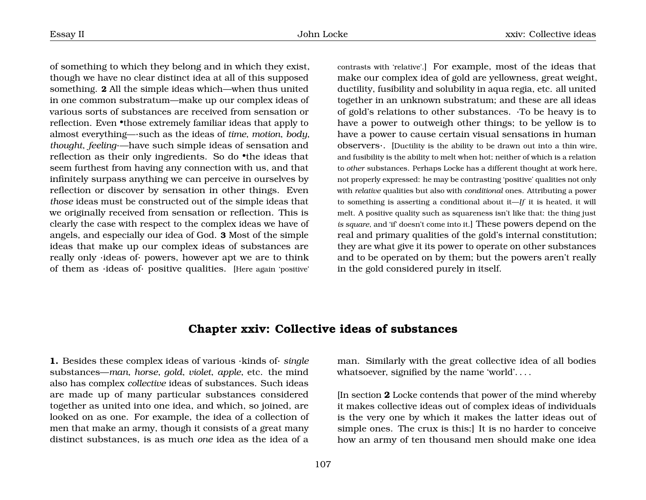of something to which they belong and in which they exist, though we have no clear distinct idea at all of this supposed something. **2** All the simple ideas which—when thus united in one common substratum—make up our complex ideas of various sorts of substances are received from sensation or reflection. Even •those extremely familiar ideas that apply to almost everything—·such as the ideas of *time*, *motion*, *body*, *thought*, *feeling*·—have such simple ideas of sensation and reflection as their only ingredients. So do •the ideas that seem furthest from having any connection with us, and that infinitely surpass anything we can perceive in ourselves by reflection or discover by sensation in other things. Even *those* ideas must be constructed out of the simple ideas that we originally received from sensation or reflection. This is clearly the case with respect to the complex ideas we have of angels, and especially our idea of God. **3** Most of the simple ideas that make up our complex ideas of substances are really only ·ideas of· powers, however apt we are to think of them as ·ideas of· positive qualities. [Here again 'positive'

contrasts with 'relative'.] For example, most of the ideas that make our complex idea of gold are yellowness, great weight, ductility, fusibility and solubility in aqua regia, etc. all united together in an unknown substratum; and these are all ideas of gold's relations to other substances. ·To be heavy is to have a power to outweigh other things; to be yellow is to have a power to cause certain visual sensations in human observers·. [Ductility is the ability to be drawn out into a thin wire, and fusibility is the ability to melt when hot; neither of which is a relation to *other* substances. Perhaps Locke has a different thought at work here, not properly expressed: he may be contrasting 'positive' qualities not only with *relative* qualities but also with *conditional* ones. Attributing a power to something is asserting a conditional about it—*If* it is heated, it will melt. A positive quality such as squareness isn't like that: the thing just *is square*, and 'if' doesn't come into it.] These powers depend on the real and primary qualities of the gold's internal constitution; they are what give it its power to operate on other substances and to be operated on by them; but the powers aren't really in the gold considered purely in itself.

#### **Chapter xxiv: Collective ideas of substances**

**1.** Besides these complex ideas of various ·kinds of· *single* substances—*man*, *horse*, *gold*, *violet*, *apple*, etc. the mind also has complex *collective* ideas of substances. Such ideas are made up of many particular substances considered together as united into one idea, and which, so joined, are looked on as one. For example, the idea of a collection of men that make an army, though it consists of a great many distinct substances, is as much *one* idea as the idea of a

man. Similarly with the great collective idea of all bodies whatsoever, signified by the name 'world'....

[In section **2** Locke contends that power of the mind whereby it makes collective ideas out of complex ideas of individuals is the very one by which it makes the latter ideas out of simple ones. The crux is this:] It is no harder to conceive how an army of ten thousand men should make one idea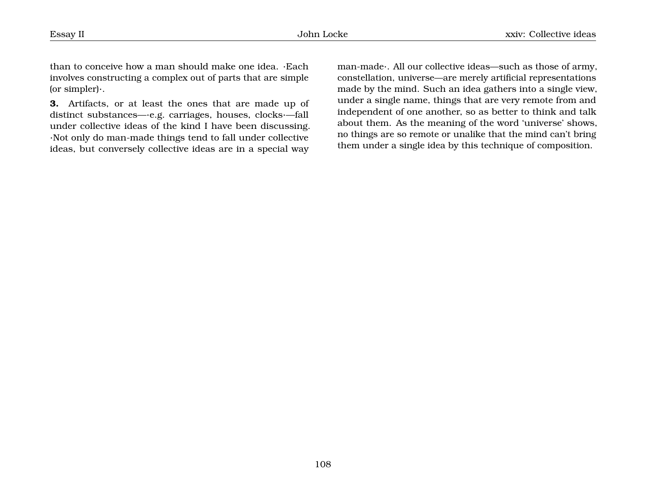than to conceive how a man should make one idea. ·Each involves constructing a complex out of parts that are simple (or simpler)·.

**3.** Artifacts, or at least the ones that are made up of distinct substances—·e.g. carriages, houses, clocks·—fall under collective ideas of the kind I have been discussing. ·Not only do man-made things tend to fall under collective ideas, but conversely collective ideas are in a special way

man-made·. All our collective ideas—such as those of army, constellation, universe—are merely artificial representations made by the mind. Such an idea gathers into a single view, under a single name, things that are very remote from and independent of one another, so as better to think and talk about them. As the meaning of the word 'universe' shows, no things are so remote or unalike that the mind can't bring them under a single idea by this technique of composition.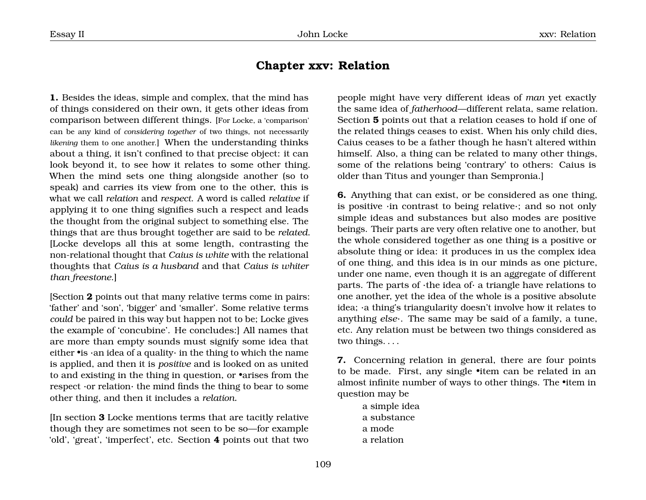## **Chapter xxv: Relation**

**1.** Besides the ideas, simple and complex, that the mind has of things considered on their own, it gets other ideas from comparison between different things. [For Locke, a 'comparison' can be any kind of *considering together* of two things, not necessarily *likening* them to one another.] When the understanding thinks about a thing, it isn't confined to that precise object: it can look beyond it, to see how it relates to some other thing. When the mind sets one thing alongside another (so to speak) and carries its view from one to the other, this is what we call *relation* and *respect*. A word is called *relative* if applying it to one thing signifies such a respect and leads the thought from the original subject to something else. The things that are thus brought together are said to be *related*. [Locke develops all this at some length, contrasting the non-relational thought that *Caius is white* with the relational thoughts that *Caius is a husband* and that *Caius is whiter than freestone*.]

[Section **2** points out that many relative terms come in pairs: 'father' and 'son', 'bigger' and 'smaller'. Some relative terms *could* be paired in this way but happen not to be; Locke gives the example of 'concubine'. He concludes:] All names that are more than empty sounds must signify some idea that either •is ·an idea of a quality· in the thing to which the name is applied, and then it is *positive* and is looked on as united to and existing in the thing in question, or •arises from the respect ·or relation· the mind finds the thing to bear to some other thing, and then it includes a *relation.*

[In section **3** Locke mentions terms that are tacitly relative though they are sometimes not seen to be so—for example 'old', 'great', 'imperfect', etc. Section **4** points out that two

people might have very different ideas of *man* yet exactly the same idea of *fatherhood*—different relata, same relation. Section **5** points out that a relation ceases to hold if one of the related things ceases to exist. When his only child dies, Caius ceases to be a father though he hasn't altered within himself. Also, a thing can be related to many other things, some of the relations being 'contrary' to others: Caius is older than Titus and younger than Sempronia.]

**6.** Anything that can exist, or be considered as one thing, is positive ·in contrast to being relative·; and so not only simple ideas and substances but also modes are positive beings. Their parts are very often relative one to another, but the whole considered together as one thing is a positive or absolute thing or idea: it produces in us the complex idea of one thing, and this idea is in our minds as one picture, under one name, even though it is an aggregate of different parts. The parts of ·the idea of· a triangle have relations to one another, yet the idea of the whole is a positive absolute idea; ·a thing's triangularity doesn't involve how it relates to anything *else*·. The same may be said of a family, a tune, etc. Any relation must be between two things considered as two things. . . .

**7.** Concerning relation in general, there are four points to be made. First, any single •item can be related in an almost infinite number of ways to other things. The •item in question may be

a simple idea a substance a mode a relation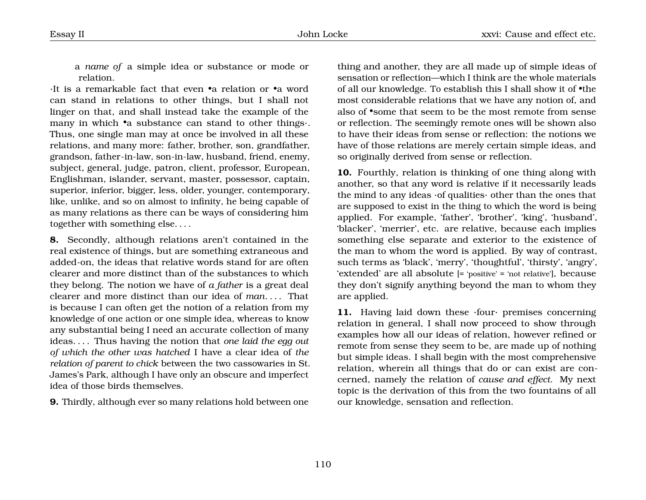a *name of* a simple idea or substance or mode or relation.

·It is a remarkable fact that even •a relation or •a word can stand in relations to other things, but I shall not linger on that, and shall instead take the example of the many in which •a substance can stand to other things·. Thus, one single man may at once be involved in all these relations, and many more: father, brother, son, grandfather, grandson, father-in-law, son-in-law, husband, friend, enemy, subject, general, judge, patron, client, professor, European, Englishman, islander, servant, master, possessor, captain, superior, inferior, bigger, less, older, younger, contemporary, like, unlike, and so on almost to infinity, he being capable of as many relations as there can be ways of considering him together with something else. . . .

**8.** Secondly, although relations aren't contained in the real existence of things, but are something extraneous and added-on, the ideas that relative words stand for are often clearer and more distinct than of the substances to which they belong. The notion we have of *a father* is a great deal clearer and more distinct than our idea of *man*. . . . That is because I can often get the notion of a relation from my knowledge of one action or one simple idea, whereas to know any substantial being I need an accurate collection of many ideas. . . . Thus having the notion that *one laid the egg out of which the other was hatched* I have a clear idea of *the relation of parent to chick* between the two cassowaries in St. James's Park, although I have only an obscure and imperfect idea of those birds themselves.

**9.** Thirdly, although ever so many relations hold between one

thing and another, they are all made up of simple ideas of sensation or reflection—which I think are the whole materials of all our knowledge. To establish this I shall show it of •the most considerable relations that we have any notion of, and also of •some that seem to be the most remote from sense or reflection. The seemingly remote ones will be shown also to have their ideas from sense or reflection: the notions we have of those relations are merely certain simple ideas, and so originally derived from sense or reflection.

**10.** Fourthly, relation is thinking of one thing along with another, so that any word is relative if it necessarily leads the mind to any ideas ·of qualities· other than the ones that are supposed to exist in the thing to which the word is being applied. For example, 'father', 'brother', 'king', 'husband', 'blacker', 'merrier', etc. are relative, because each implies something else separate and exterior to the existence of the man to whom the word is applied. By way of contrast, such terms as 'black', 'merry', 'thoughtful', 'thirsty', 'angry', 'extended' are all absolute [= 'positive' = 'not relative'], because they don't signify anything beyond the man to whom they are applied.

11. Having laid down these ·four· premises concerning relation in general, I shall now proceed to show through examples how all our ideas of relation, however refined or remote from sense they seem to be, are made up of nothing but simple ideas. I shall begin with the most comprehensive relation, wherein all things that do or can exist are concerned, namely the relation of *cause and effect*. My next topic is the derivation of this from the two fountains of all our knowledge, sensation and reflection.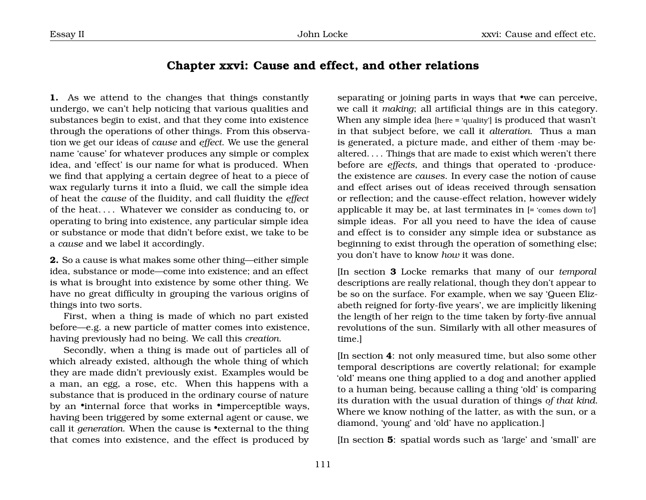## **Chapter xxvi: Cause and effect, and other relations**

**1.** As we attend to the changes that things constantly undergo, we can't help noticing that various qualities and substances begin to exist, and that they come into existence through the operations of other things. From this observation we get our ideas of *cause* and *effect*. We use the general name 'cause' for whatever produces any simple or complex idea, and 'effect' is our name for what is produced. When we find that applying a certain degree of heat to a piece of wax regularly turns it into a fluid, we call the simple idea of heat the *cause* of the fluidity, and call fluidity the *effect* of the heat. . . . Whatever we consider as conducing to, or operating to bring into existence, any particular simple idea or substance or mode that didn't before exist, we take to be a *cause* and we label it accordingly.

**2.** So a cause is what makes some other thing—either simple idea, substance or mode—come into existence; and an effect is what is brought into existence by some other thing. We have no great difficulty in grouping the various origins of things into two sorts.

First, when a thing is made of which no part existed before—e.g. a new particle of matter comes into existence, having previously had no being. We call this *creation*.

Secondly, when a thing is made out of particles all of which already existed, although the whole thing of which they are made didn't previously exist. Examples would be a man, an egg, a rose, etc. When this happens with a substance that is produced in the ordinary course of nature by an •internal force that works in •imperceptible ways, having been triggered by some external agent or cause, we call it *generation*. When the cause is •external to the thing that comes into existence, and the effect is produced by

separating or joining parts in ways that •we can perceive, we call it *making*; all artificial things are in this category. When any simple idea [here = 'quality'] is produced that wasn't in that subject before, we call it *alteration*. Thus a man is generated, a picture made, and either of them ·may be· altered. . . . Things that are made to exist which weren't there before are *effects*, and things that operated to ·produce· the existence are *causes*. In every case the notion of cause and effect arises out of ideas received through sensation or reflection; and the cause-effect relation, however widely applicable it may be, at last terminates in [= 'comes down to'] simple ideas. For all you need to have the idea of cause and effect is to consider any simple idea or substance as beginning to exist through the operation of something else; you don't have to know *how* it was done.

[In section **3** Locke remarks that many of our *temporal* descriptions are really relational, though they don't appear to be so on the surface. For example, when we say 'Queen Elizabeth reigned for forty-five years', we are implicitly likening the length of her reign to the time taken by forty-five annual revolutions of the sun. Similarly with all other measures of time.]

[In section **4**: not only measured time, but also some other temporal descriptions are covertly relational; for example 'old' means one thing applied to a dog and another applied to a human being, because calling a thing 'old' is comparing its duration with the usual duration of things *of that kind*. Where we know nothing of the latter, as with the sun, or a diamond, 'young' and 'old' have no application.]

[In section **5**: spatial words such as 'large' and 'small' are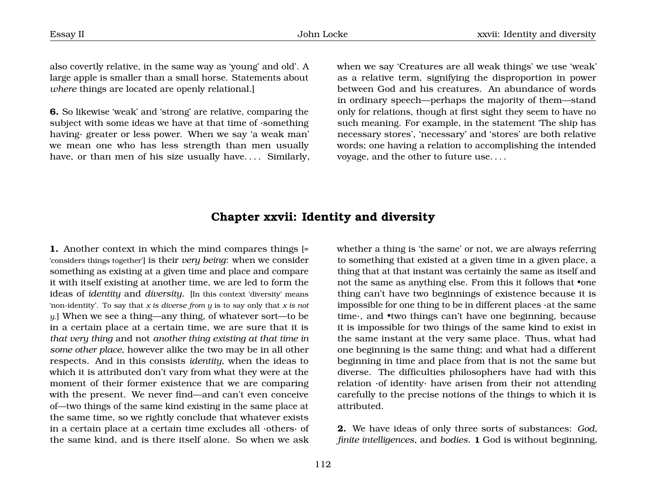also covertly relative, in the same way as 'young' and old'. A large apple is smaller than a small horse. Statements about *where* things are located are openly relational.]

**6.** So likewise 'weak' and 'strong' are relative, comparing the subject with some ideas we have at that time of ·something having· greater or less power. When we say 'a weak man' we mean one who has less strength than men usually have, or than men of his size usually have.... Similarly, when we say 'Creatures are all weak things' we use 'weak' as a relative term, signifying the disproportion in power between God and his creatures. An abundance of words in ordinary speech—perhaps the majority of them—stand only for relations, though at first sight they seem to have no such meaning. For example, in the statement 'The ship has necessary stores', 'necessary' and 'stores' are both relative words; one having a relation to accomplishing the intended voyage, and the other to future use. . . .

### **Chapter xxvii: Identity and diversity**

**1.** Another context in which the mind compares things [= 'considers things together'] is their *very being*: when we consider something as existing at a given time and place and compare it with itself existing at another time, we are led to form the ideas of *identity* and *diversity.* [In this context 'diversity' means 'non-identity'. To say that *x is diverse from y* is to say only that *x is not y*.] When we see a thing—any thing, of whatever sort—to be in a certain place at a certain time, we are sure that it is *that very thing* and not *another thing existing at that time in some other place*, however alike the two may be in all other respects. And in this consists *identity*, when the ideas to which it is attributed don't vary from what they were at the moment of their former existence that we are comparing with the present. We never find—and can't even conceive of—two things of the same kind existing in the same place at the same time, so we rightly conclude that whatever exists in a certain place at a certain time excludes all ·others· of the same kind, and is there itself alone. So when we ask whether a thing is 'the same' or not, we are always referring to something that existed at a given time in a given place, a thing that at that instant was certainly the same as itself and not the same as anything else. From this it follows that •one thing can't have two beginnings of existence because it is impossible for one thing to be in different places ·at the same time·, and •two things can't have one beginning, because it is impossible for two things of the same kind to exist in the same instant at the very same place. Thus, what had one beginning is the same thing; and what had a different beginning in time and place from that is not the same but diverse. The difficulties philosophers have had with this relation ·of identity· have arisen from their not attending carefully to the precise notions of the things to which it is attributed.

**2.** We have ideas of only three sorts of substances: *God*, *finite intelligences*, and *bodies*. **1** God is without beginning,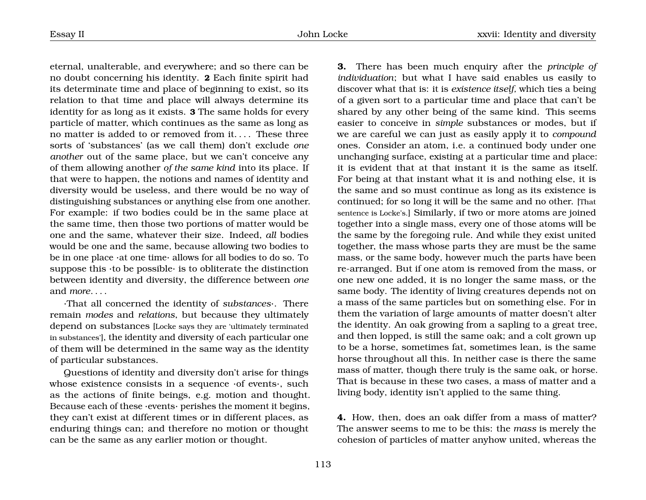eternal, unalterable, and everywhere; and so there can be no doubt concerning his identity. **2** Each finite spirit had its determinate time and place of beginning to exist, so its relation to that time and place will always determine its identity for as long as it exists. **3** The same holds for every particle of matter, which continues as the same as long as no matter is added to or removed from it. . . . These three sorts of 'substances' (as we call them) don't exclude *one another* out of the same place, but we can't conceive any of them allowing another *of the same kind* into its place. If that were to happen, the notions and names of identity and diversity would be useless, and there would be no way of distinguishing substances or anything else from one another. For example: if two bodies could be in the same place at the same time, then those two portions of matter would be one and the same, whatever their size. Indeed, *all* bodies would be one and the same, because allowing two bodies to be in one place ·at one time· allows for all bodies to do so. To suppose this ·to be possible· is to obliterate the distinction between identity and diversity, the difference between *one* and *more*. . . .

·That all concerned the identity of *substances*·. There remain *modes* and *relations*, but because they ultimately depend on substances [Locke says they are 'ultimately terminated in substances'], the identity and diversity of each particular one of them will be determined in the same way as the identity of particular substances.

Questions of identity and diversity don't arise for things whose existence consists in a sequence ·of events·, such as the actions of finite beings, e.g. motion and thought. Because each of these ·events· perishes the moment it begins, they can't exist at different times or in different places, as enduring things can; and therefore no motion or thought can be the same as any earlier motion or thought.

**3.** There has been much enquiry after the *principle of individuation*; but what I have said enables us easily to discover what that is: it is *existence itself,* which ties a being of a given sort to a particular time and place that can't be shared by any other being of the same kind. This seems easier to conceive in *simple* substances or modes, but if we are careful we can just as easily apply it to *compound* ones. Consider an atom, i.e. a continued body under one unchanging surface, existing at a particular time and place: it is evident that at that instant it is the same as itself. For being at that instant what it is and nothing else, it is the same and so must continue as long as its existence is continued; for so long it will be the same and no other. [That sentence is Locke's.] Similarly, if two or more atoms are joined together into a single mass, every one of those atoms will be the same by the foregoing rule. And while they exist united together, the mass whose parts they are must be the same mass, or the same body, however much the parts have been re-arranged. But if one atom is removed from the mass, or one new one added, it is no longer the same mass, or the same body. The identity of living creatures depends not on a mass of the same particles but on something else. For in them the variation of large amounts of matter doesn't alter the identity. An oak growing from a sapling to a great tree, and then lopped, is still the same oak; and a colt grown up to be a horse, sometimes fat, sometimes lean, is the same horse throughout all this. In neither case is there the same mass of matter, though there truly is the same oak, or horse. That is because in these two cases, a mass of matter and a living body, identity isn't applied to the same thing.

**4.** How, then, does an oak differ from a mass of matter? The answer seems to me to be this: the *mass* is merely the cohesion of particles of matter anyhow united, whereas the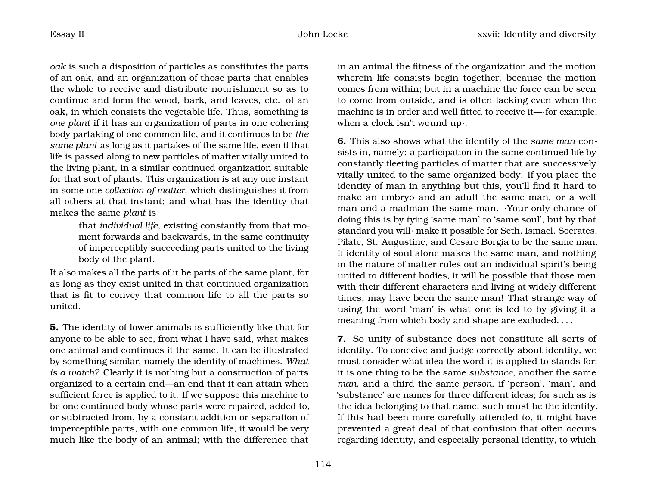*oak* is such a disposition of particles as constitutes the parts of an oak, and an organization of those parts that enables the whole to receive and distribute nourishment so as to continue and form the wood, bark, and leaves, etc. of an oak, in which consists the vegetable life. Thus, something is *one plant* if it has an organization of parts in one cohering body partaking of one common life, and it continues to be *the same plant* as long as it partakes of the same life, even if that life is passed along to new particles of matter vitally united to the living plant, in a similar continued organization suitable for that sort of plants. This organization is at any one instant in some one *collection of matter*, which distinguishes it from all others at that instant; and what has the identity that makes the same *plant* is

> that *individual life*, existing constantly from that moment forwards and backwards, in the same continuity of imperceptibly succeeding parts united to the living body of the plant.

It also makes all the parts of it be parts of the same plant, for as long as they exist united in that continued organization that is fit to convey that common life to all the parts so united.

**5.** The identity of lower animals is sufficiently like that for anyone to be able to see, from what I have said, what makes one animal and continues it the same. It can be illustrated by something similar, namely the identity of machines. *What is a watch?* Clearly it is nothing but a construction of parts organized to a certain end—an end that it can attain when sufficient force is applied to it. If we suppose this machine to be one continued body whose parts were repaired, added to, or subtracted from, by a constant addition or separation of imperceptible parts, with one common life, it would be very much like the body of an animal; with the difference that in an animal the fitness of the organization and the motion wherein life consists begin together, because the motion comes from within; but in a machine the force can be seen to come from outside, and is often lacking even when the machine is in order and well fitted to receive it—·for example, when a clock isn't wound up·.

**6.** This also shows what the identity of the *same man* consists in, namely: a participation in the same continued life by constantly fleeting particles of matter that are successively vitally united to the same organized body. If you place the identity of man in anything but this, you'll find it hard to make an embryo and an adult the same man, or a well man and a madman the same man. ·Your only chance of doing this is by tying 'same man' to 'same soul', but by that standard you will· make it possible for Seth, Ismael, Socrates, Pilate, St. Augustine, and Cesare Borgia to be the same man. If identity of soul alone makes the same man, and nothing in the nature of matter rules out an individual spirit's being united to different bodies, it will be possible that those men with their different characters and living at widely different times, may have been the same man! That strange way of using the word 'man' is what one is led to by giving it a meaning from which body and shape are excluded. . . .

**7.** So unity of substance does not constitute all sorts of identity. To conceive and judge correctly about identity, we must consider what idea the word it is applied to stands for: it is one thing to be the same *substance*, another the same *man*, and a third the same *person*, if 'person', 'man', and 'substance' are names for three different ideas; for such as is the idea belonging to that name, such must be the identity. If this had been more carefully attended to, it might have prevented a great deal of that confusion that often occurs regarding identity, and especially personal identity, to which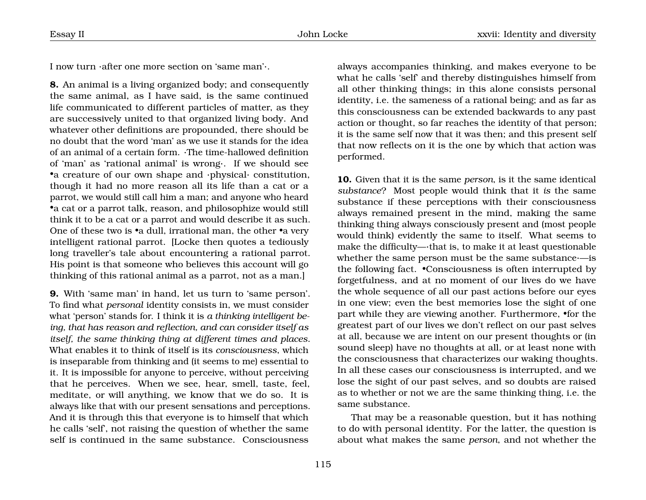I now turn ·after one more section on 'same man'·.

**8.** An animal is a living organized body; and consequently the same animal, as I have said, is the same continued life communicated to different particles of matter, as they are successively united to that organized living body. And whatever other definitions are propounded, there should be no doubt that the word 'man' as we use it stands for the idea of an animal of a certain form. ·The time-hallowed definition of 'man' as 'rational animal' is wrong·. If we should see •a creature of our own shape and ·physical· constitution, though it had no more reason all its life than a cat or a parrot, we would still call him a man; and anyone who heard •a cat or a parrot talk, reason, and philosophize would still think it to be a cat or a parrot and would describe it as such. One of these two is •a dull, irrational man, the other •a very intelligent rational parrot. [Locke then quotes a tediously long traveller's tale about encountering a rational parrot. His point is that someone who believes this account will go thinking of this rational animal as a parrot, not as a man.]

**9.** With 'same man' in hand, let us turn to 'same person'. To find what *personal* identity consists in, we must consider what 'person' stands for. I think it is *a thinking intelligent being, that has reason and reflection, and can consider itself as itself, the same thinking thing at different times and places*. What enables it to think of itself is its *consciousness*, which is inseparable from thinking and (it seems to me) essential to it. It is impossible for anyone to perceive, without perceiving that he perceives. When we see, hear, smell, taste, feel, meditate, or will anything, we know that we do so. It is always like that with our present sensations and perceptions. And it is through this that everyone is to himself that which he calls 'self', not raising the question of whether the same self is continued in the same substance. Consciousness

always accompanies thinking, and makes everyone to be what he calls 'self' and thereby distinguishes himself from all other thinking things; in this alone consists personal identity, i.e. the sameness of a rational being; and as far as this consciousness can be extended backwards to any past action or thought, so far reaches the identity of that person; it is the same self now that it was then; and this present self that now reflects on it is the one by which that action was performed.

**10.** Given that it is the same *person*, is it the same identical *substance*? Most people would think that it *is* the same substance if these perceptions with their consciousness always remained present in the mind, making the same thinking thing always consciously present and (most people would think) evidently the same to itself. What seems to make the difficulty—·that is, to make it at least questionable whether the same person must be the same substance·—is the following fact. •Consciousness is often interrupted by forgetfulness, and at no moment of our lives do we have the whole sequence of all our past actions before our eyes in one view; even the best memories lose the sight of one part while they are viewing another. Furthermore, •for the greatest part of our lives we don't reflect on our past selves at all, because we are intent on our present thoughts or (in sound sleep) have no thoughts at all, or at least none with the consciousness that characterizes our waking thoughts. In all these cases our consciousness is interrupted, and we lose the sight of our past selves, and so doubts are raised as to whether or not we are the same thinking thing, i.e. the same substance.

That may be a reasonable question, but it has nothing to do with personal identity. For the latter, the question is about what makes the same *person*, and not whether the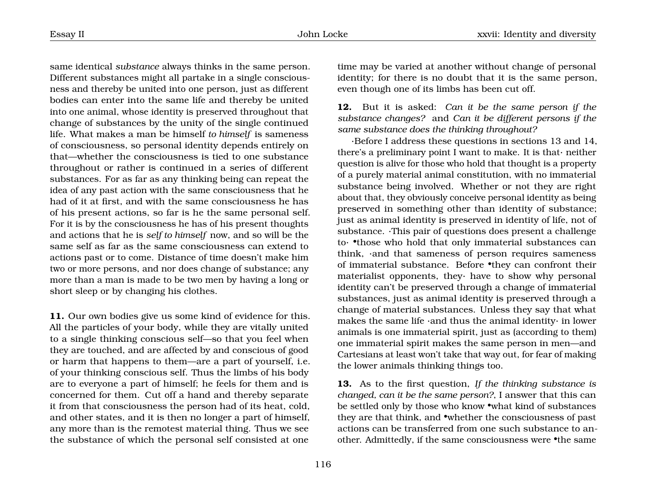same identical *substance* always thinks in the same person. Different substances might all partake in a single consciousness and thereby be united into one person, just as different bodies can enter into the same life and thereby be united into one animal, whose identity is preserved throughout that change of substances by the unity of the single continued life. What makes a man be himself *to himself* is sameness of consciousness, so personal identity depends entirely on that—whether the consciousness is tied to one substance throughout or rather is continued in a series of different substances. For as far as any thinking being can repeat the idea of any past action with the same consciousness that he had of it at first, and with the same consciousness he has of his present actions, so far is he the same personal self. For it is by the consciousness he has of his present thoughts and actions that he is *self to himself* now, and so will be the same self as far as the same consciousness can extend to actions past or to come. Distance of time doesn't make him two or more persons, and nor does change of substance; any more than a man is made to be two men by having a long or short sleep or by changing his clothes.

**11.** Our own bodies give us some kind of evidence for this. All the particles of your body, while they are vitally united to a single thinking conscious self—so that you feel when they are touched, and are affected by and conscious of good or harm that happens to them—are a part of yourself, i.e. of your thinking conscious self. Thus the limbs of his body are to everyone a part of himself; he feels for them and is concerned for them. Cut off a hand and thereby separate it from that consciousness the person had of its heat, cold, and other states, and it is then no longer a part of himself, any more than is the remotest material thing. Thus we see the substance of which the personal self consisted at one

time may be varied at another without change of personal identity; for there is no doubt that it is the same person, even though one of its limbs has been cut off.

**12.** But it is asked: *Can it be the same person if the substance changes?* and *Can it be different persons if the same substance does the thinking throughout?*

·Before I address these questions in sections 13 and 14, there's a preliminary point I want to make. It is that· neither question is alive for those who hold that thought is a property of a purely material animal constitution, with no immaterial substance being involved. Whether or not they are right about that, they obviously conceive personal identity as being preserved in something other than identity of substance; just as animal identity is preserved in identity of life, not of substance. ·This pair of questions does present a challenge to· •those who hold that only immaterial substances can think, ·and that sameness of person requires sameness of immaterial substance. Before •they can confront their materialist opponents, they· have to show why personal identity can't be preserved through a change of immaterial substances, just as animal identity is preserved through a change of material substances. Unless they say that what makes the same life ·and thus the animal identity· in lower animals is one immaterial spirit, just as (according to them) one immaterial spirit makes the same person in men—and Cartesians at least won't take that way out, for fear of making the lower animals thinking things too.

**13.** As to the first question, *If the thinking substance is changed, can it be the same person?*, I answer that this can be settled only by those who know •what kind of substances they are that think, and •whether the consciousness of past actions can be transferred from one such substance to another. Admittedly, if the same consciousness were •the same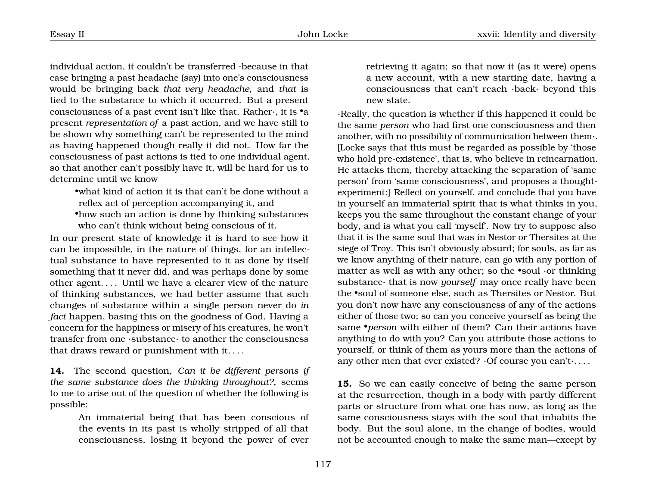individual action, it couldn't be transferred ·because in that case bringing a past headache (say) into one's consciousness would be bringing back *that very headache*, and *that* is tied to the substance to which it occurred. But a present consciousness of a past event isn't like that. Rather·, it is •a present *representation of* a past action, and we have still to be shown why something can't be represented to the mind as having happened though really it did not. How far the consciousness of past actions is tied to one individual agent, so that another can't possibly have it, will be hard for us to determine until we know

•what kind of action it is that can't be done without a reflex act of perception accompanying it, and •how such an action is done by thinking substances who can't think without being conscious of it.

In our present state of knowledge it is hard to see how it can be impossible, in the nature of things, for an intellectual substance to have represented to it as done by itself something that it never did, and was perhaps done by some other agent. . . . Until we have a clearer view of the nature of thinking substances, we had better assume that such changes of substance within a single person never do *in fact* happen, basing this on the goodness of God. Having a concern for the happiness or misery of his creatures, he won't transfer from one ·substance· to another the consciousness that draws reward or punishment with it. . . .

**14.** The second question, *Can it be different persons if the same substance does the thinking throughout?*, seems to me to arise out of the question of whether the following is possible:

> An immaterial being that has been conscious of the events in its past is wholly stripped of all that consciousness, losing it beyond the power of ever

retrieving it again; so that now it (as it were) opens a new account, with a new starting date, having a consciousness that can't reach ·back· beyond this new state.

·Really, the question is whether if this happened it could be the same *person* who had first one consciousness and then another, with no possibility of communication between them·. [Locke says that this must be regarded as possible by 'those who hold pre-existence', that is, who believe in reincarnation. He attacks them, thereby attacking the separation of 'same person' from 'same consciousness', and proposes a thoughtexperiment:] Reflect on yourself, and conclude that you have in yourself an immaterial spirit that is what thinks in you, keeps you the same throughout the constant change of your body, and is what you call 'myself'. Now try to suppose also that it is the same soul that was in Nestor or Thersites at the siege of Troy. This isn't obviously absurd; for souls, as far as we know anything of their nature, can go with any portion of matter as well as with any other; so the  $\bullet$ soul ·or thinking substance· that is now *yourself* may once really have been the •soul of someone else, such as Thersites or Nestor. But you don't now have any consciousness of any of the actions either of those two; so can you conceive yourself as being the same •*person* with either of them? Can their actions have anything to do with you? Can you attribute those actions to yourself, or think of them as yours more than the actions of any other men that ever existed?  $\cdot$  Of course you can't $\cdot \ldots$ .

**15.** So we can easily conceive of being the same person at the resurrection, though in a body with partly different parts or structure from what one has now, as long as the same consciousness stays with the soul that inhabits the body. But the soul alone, in the change of bodies, would not be accounted enough to make the same man—except by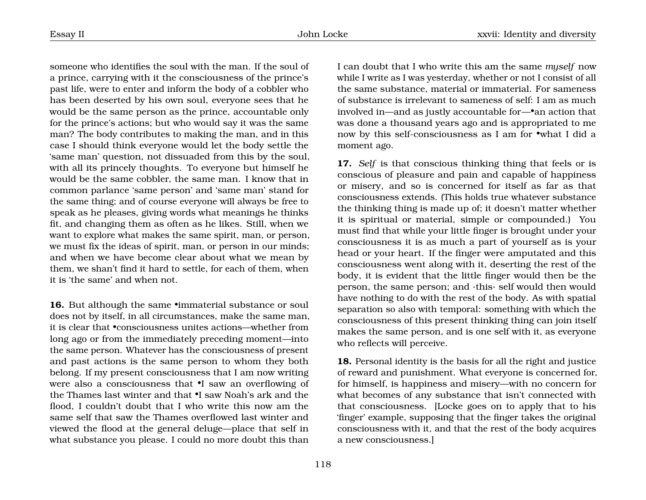someone who identifies the soul with the man. If the soul of a prince, carrying with it the consciousness of the prince's past life, were to enter and inform the body of a cobbler who has been deserted by his own soul, everyone sees that he would be the same person as the prince, accountable only for the prince's actions; but who would say it was the same man? The body contributes to making the man, and in this case I should think everyone would let the body settle the 'same man' question, not dissuaded from this by the soul, with all its princely thoughts. To everyone but himself he would be the same cobbler, the same man. I know that in common parlance 'same person' and 'same man' stand for the same thing; and of course everyone will always be free to speak as he pleases, giving words what meanings he thinks fit, and changing them as often as he likes. Still, when we want to explore what makes the same spirit, man, or person, we must fix the ideas of spirit, man, or person in our minds; and when we have become clear about what we mean by them, we shan't find it hard to settle, for each of them, when it is 'the same' and when not.

**16.** But although the same •immaterial substance or soul does not by itself, in all circumstances, make the same man, it is clear that •consciousness unites actions—whether from long ago or from the immediately preceding moment—into the same person. Whatever has the consciousness of present and past actions is the same person to whom they both belong. If my present consciousness that I am now writing were also a consciousness that •I saw an overflowing of the Thames last winter and that •I saw Noah's ark and the flood, I couldn't doubt that I who write this now am the same self that saw the Thames overflowed last winter and viewed the flood at the general deluge—place that self in what substance you please. I could no more doubt this than

I can doubt that I who write this am the same *myself* now while I write as I was yesterday, whether or not I consist of all the same substance, material or immaterial. For sameness of substance is irrelevant to sameness of self: I am as much involved in—and as justly accountable for—•an action that was done a thousand years ago and is appropriated to me now by this self-consciousness as I am for •what I did a moment ago.

**17.** *Self* is that conscious thinking thing that feels or is conscious of pleasure and pain and capable of happiness or misery, and so is concerned for itself as far as that consciousness extends. (This holds true whatever substance the thinking thing is made up of; it doesn't matter whether it is spiritual or material, simple or compounded.) You must find that while your little finger is brought under your consciousness it is as much a part of yourself as is your head or your heart. If the finger were amputated and this consciousness went along with it, deserting the rest of the body, it is evident that the little finger would then be the person, the same person; and ·this· self would then would have nothing to do with the rest of the body. As with spatial separation so also with temporal: something with which the consciousness of this present thinking thing can join itself makes the same person, and is one self with it, as everyone who reflects will perceive.

**18.** Personal identity is the basis for all the right and justice of reward and punishment. What everyone is concerned for, for himself, is happiness and misery—with no concern for what becomes of any substance that isn't connected with that consciousness. [Locke goes on to apply that to his 'finger' example, supposing that the finger takes the original consciousness with it, and that the rest of the body acquires a new consciousness.]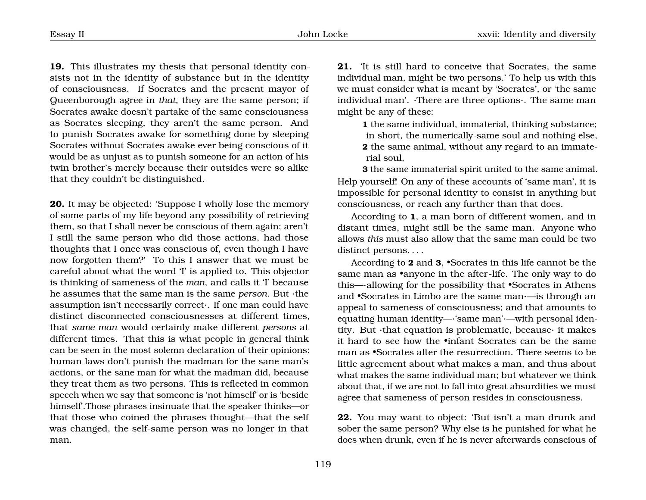**19.** This illustrates my thesis that personal identity consists not in the identity of substance but in the identity of consciousness. If Socrates and the present mayor of Queenborough agree in *that*, they are the same person; if Socrates awake doesn't partake of the same consciousness as Socrates sleeping, they aren't the same person. And to punish Socrates awake for something done by sleeping Socrates without Socrates awake ever being conscious of it would be as unjust as to punish someone for an action of his twin brother's merely because their outsides were so alike that they couldn't be distinguished.

**20.** It may be objected: 'Suppose I wholly lose the memory of some parts of my life beyond any possibility of retrieving them, so that I shall never be conscious of them again; aren't I still the same person who did those actions, had those thoughts that I once was conscious of, even though I have now forgotten them?' To this I answer that we must be careful about what the word 'I' is applied to. This objector is thinking of sameness of the *man*, and calls it 'I' because he assumes that the same man is the same *person*. But ·the assumption isn't necessarily correct·. If one man could have distinct disconnected consciousnesses at different times, that *same man* would certainly make different *persons* at different times. That this is what people in general think can be seen in the most solemn declaration of their opinions: human laws don't punish the madman for the sane man's actions, or the sane man for what the madman did, because they treat them as two persons. This is reflected in common speech when we say that someone is 'not himself' or is 'beside himself'.Those phrases insinuate that the speaker thinks—or that those who coined the phrases thought—that the self was changed, the self-same person was no longer in that man.

**21.** 'It is still hard to conceive that Socrates, the same individual man, might be two persons.' To help us with this we must consider what is meant by 'Socrates', or 'the same individual man'. ·There are three options·. The same man might be any of these:

**1** the same individual, immaterial, thinking substance; in short, the numerically-same soul and nothing else, **2** the same animal, without any regard to an immaterial soul,

**3** the same immaterial spirit united to the same animal. Help yourself! On any of these accounts of 'same man', it is impossible for personal identity to consist in anything but consciousness, or reach any further than that does.

According to **1**, a man born of different women, and in distant times, might still be the same man. Anyone who allows *this* must also allow that the same man could be two distinct persons. . . .

According to **2** and **3**, •Socrates in this life cannot be the same man as •anyone in the after-life. The only way to do this—·allowing for the possibility that •Socrates in Athens and •Socrates in Limbo are the same man·—is through an appeal to sameness of consciousness; and that amounts to equating human identity—·'same man'·—with personal identity. But ·that equation is problematic, because· it makes it hard to see how the •infant Socrates can be the same man as •Socrates after the resurrection. There seems to be little agreement about what makes a man, and thus about what makes the same individual man; but whatever we think about that, if we are not to fall into great absurdities we must agree that sameness of person resides in consciousness.

**22.** You may want to object: 'But isn't a man drunk and sober the same person? Why else is he punished for what he does when drunk, even if he is never afterwards conscious of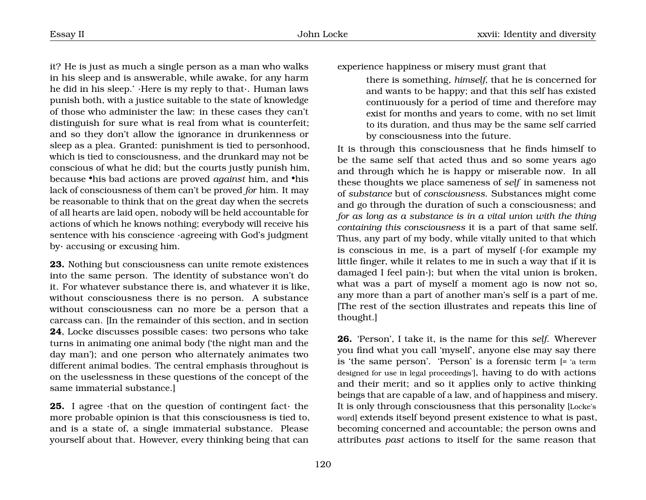it? He is just as much a single person as a man who walks in his sleep and is answerable, while awake, for any harm he did in his sleep.' ·Here is my reply to that·. Human laws punish both, with a justice suitable to the state of knowledge of those who administer the law: in these cases they can't distinguish for sure what is real from what is counterfeit; and so they don't allow the ignorance in drunkenness or sleep as a plea. Granted: punishment is tied to personhood, which is tied to consciousness, and the drunkard may not be conscious of what he did; but the courts justly punish him, because •his bad actions are proved *against* him, and •his lack of consciousness of them can't be proved *for* him. It may be reasonable to think that on the great day when the secrets of all hearts are laid open, nobody will be held accountable for actions of which he knows nothing; everybody will receive his sentence with his conscience ·agreeing with God's judgment by· accusing or excusing him.

**23.** Nothing but consciousness can unite remote existences into the same person. The identity of substance won't do it. For whatever substance there is, and whatever it is like, without consciousness there is no person. A substance without consciousness can no more be a person that a carcass can. [In the remainder of this section, and in section **24**, Locke discusses possible cases: two persons who take turns in animating one animal body ('the night man and the day man'); and one person who alternately animates two different animal bodies. The central emphasis throughout is on the uselessness in these questions of the concept of the same immaterial substance.]

**25.** I agree ·that on the question of contingent fact· the more probable opinion is that this consciousness is tied to, and is a state of, a single immaterial substance. Please yourself about that. However, every thinking being that can experience happiness or misery must grant that

there is something, *himself*, that he is concerned for and wants to be happy; and that this self has existed continuously for a period of time and therefore may exist for months and years to come, with no set limit to its duration, and thus may be the same self carried by consciousness into the future.

It is through this consciousness that he finds himself to be the same self that acted thus and so some years ago and through which he is happy or miserable now. In all these thoughts we place sameness of *self* in sameness not of *substance* but of *consciousness*. Substances might come and go through the duration of such a consciousness; and *for as long as a substance is in a vital union with the thing containing this consciousness* it is a part of that same self. Thus, any part of my body, while vitally united to that which is conscious in me, is a part of myself (·for example my little finger, while it relates to me in such a way that if it is damaged I feel pain·); but when the vital union is broken, what was a part of myself a moment ago is now not so, any more than a part of another man's self is a part of me. [The rest of the section illustrates and repeats this line of thought.]

**26.** 'Person', I take it, is the name for this *self*. Wherever you find what you call 'myself', anyone else may say there is 'the same person'. 'Person' is a forensic term [= 'a term designed for use in legal proceedings'], having to do with actions and their merit; and so it applies only to active thinking beings that are capable of a law, and of happiness and misery. It is only through consciousness that this personality [Locke's word] extends itself beyond present existence to what is past, becoming concerned and accountable; the person owns and attributes *past* actions to itself for the same reason that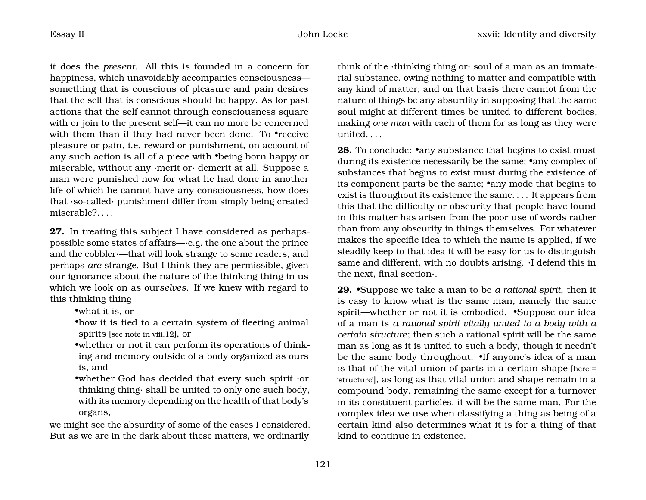it does the *present*. All this is founded in a concern for happiness, which unavoidably accompanies consciousness something that is conscious of pleasure and pain desires that the self that is conscious should be happy. As for past actions that the self cannot through consciousness square with or join to the present self—it can no more be concerned with them than if they had never been done. To **•receive** pleasure or pain, i.e. reward or punishment, on account of any such action is all of a piece with •being born happy or miserable, without any ·merit or· demerit at all. Suppose a man were punished now for what he had done in another life of which he cannot have any consciousness, how does that ·so-called· punishment differ from simply being created miserable?. . . .

**27.** In treating this subject I have considered as perhapspossible some states of affairs—·e.g. the one about the prince and the cobbler·—that will look strange to some readers, and perhaps *are* strange. But I think they are permissible, given our ignorance about the nature of the thinking thing in us which we look on as our*selves*. If we knew with regard to this thinking thing

- •what it is, or
- •how it is tied to a certain system of fleeting animal spirits [see note in viii.12], or
- •whether or not it can perform its operations of thinking and memory outside of a body organized as ours is, and
- •whether God has decided that every such spirit ·or thinking thing· shall be united to only one such body, with its memory depending on the health of that body's organs,

we might see the absurdity of some of the cases I considered. But as we are in the dark about these matters, we ordinarily

think of the  $\cdot$ thinking thing or $\cdot$  soul of a man as an immaterial substance, owing nothing to matter and compatible with any kind of matter; and on that basis there cannot from the nature of things be any absurdity in supposing that the same soul might at different times be united to different bodies, making *one man* with each of them for as long as they were united. . . .

**28.** To conclude: •any substance that begins to exist must during its existence necessarily be the same; •any complex of substances that begins to exist must during the existence of its component parts be the same; •any mode that begins to exist is throughout its existence the same. . . . It appears from this that the difficulty or obscurity that people have found in this matter has arisen from the poor use of words rather than from any obscurity in things themselves. For whatever makes the specific idea to which the name is applied, if we steadily keep to that idea it will be easy for us to distinguish same and different, with no doubts arising. ·I defend this in the next, final section·.

**29.** •Suppose we take a man to be *a rational spirit*, then it is easy to know what is the same man, namely the same spirit—whether or not it is embodied. •Suppose our idea of a man is *a rational spirit vitally united to a body with a certain structure*; then such a rational spirit will be the same man as long as it is united to such a body, though it needn't be the same body throughout. •If anyone's idea of a man is that of the vital union of parts in a certain shape [here = 'structure'], as long as that vital union and shape remain in a compound body, remaining the same except for a turnover in its constituent particles, it will be the same man. For the complex idea we use when classifying a thing as being of a certain kind also determines what it is for a thing of that kind to continue in existence.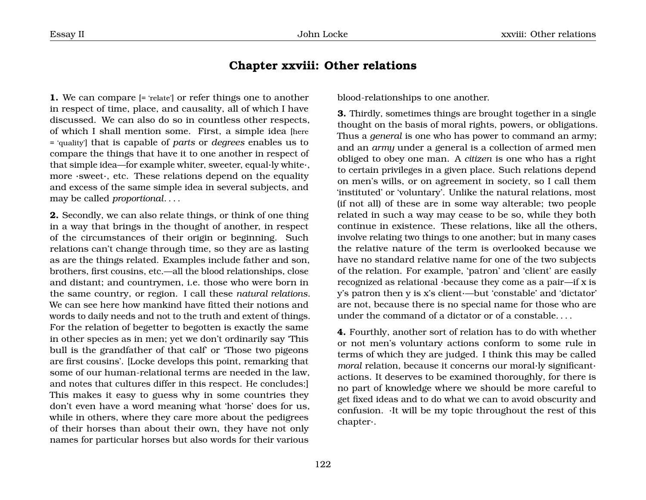#### **Chapter xxviii: Other relations**

**1.** We can compare [= 'relate'] or refer things one to another in respect of time, place, and causality, all of which I have discussed. We can also do so in countless other respects, of which I shall mention some. First, a simple idea [here = 'quality'] that is capable of *parts* or *degrees* enables us to compare the things that have it to one another in respect of that simple idea—for example whiter, sweeter, equal·ly white·, more ·sweet·, etc. These relations depend on the equality and excess of the same simple idea in several subjects, and may be called *proportional*. . . .

**2.** Secondly, we can also relate things, or think of one thing in a way that brings in the thought of another, in respect of the circumstances of their origin or beginning. Such relations can't change through time, so they are as lasting as are the things related. Examples include father and son, brothers, first cousins, etc.—all the blood relationships, close and distant; and countrymen, i.e. those who were born in the same country, or region. I call these *natural relations*. We can see here how mankind have fitted their notions and words to daily needs and not to the truth and extent of things. For the relation of begetter to begotten is exactly the same in other species as in men; yet we don't ordinarily say 'This bull is the grandfather of that calf' or 'Those two pigeons are first cousins'. [Locke develops this point, remarking that some of our human-relational terms are needed in the law, and notes that cultures differ in this respect. He concludes:] This makes it easy to guess why in some countries they don't even have a word meaning what 'horse' does for us, while in others, where they care more about the pedigrees of their horses than about their own, they have not only names for particular horses but also words for their various

blood-relationships to one another.

**3.** Thirdly, sometimes things are brought together in a single thought on the basis of moral rights, powers, or obligations. Thus a *general* is one who has power to command an army; and an *army* under a general is a collection of armed men obliged to obey one man. A *citizen* is one who has a right to certain privileges in a given place. Such relations depend on men's wills, or on agreement in society, so I call them 'instituted' or 'voluntary'. Unlike the natural relations, most (if not all) of these are in some way alterable; two people related in such a way may cease to be so, while they both continue in existence. These relations, like all the others, involve relating two things to one another; but in many cases the relative nature of the term is overlooked because we have no standard relative name for one of the two subjects of the relation. For example, 'patron' and 'client' are easily recognized as relational ·because they come as a pair—if x is y's patron then y is x's client·—but 'constable' and 'dictator' are not, because there is no special name for those who are under the command of a dictator or of a constable. . . .

**4.** Fourthly, another sort of relation has to do with whether or not men's voluntary actions conform to some rule in terms of which they are judged. I think this may be called *moral* relation, because it concerns our moral·ly significant· actions. It deserves to be examined thoroughly, for there is no part of knowledge where we should be more careful to get fixed ideas and to do what we can to avoid obscurity and confusion. ·It will be my topic throughout the rest of this chapter·.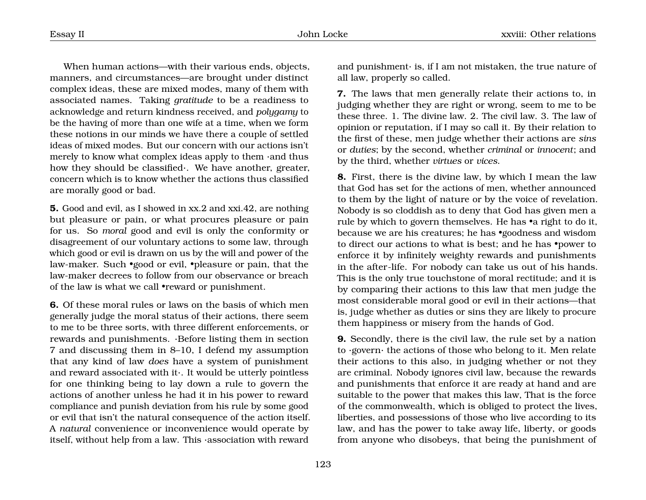When human actions—with their various ends, objects, manners, and circumstances—are brought under distinct complex ideas, these are mixed modes, many of them with associated names. Taking *gratitude* to be a readiness to acknowledge and return kindness received, and *polygamy* to be the having of more than one wife at a time, when we form these notions in our minds we have there a couple of settled ideas of mixed modes. But our concern with our actions isn't merely to know what complex ideas apply to them ·and thus how they should be classified·. We have another, greater, concern which is to know whether the actions thus classified are morally good or bad.

**5.** Good and evil, as I showed in xx.2 and xxi.42, are nothing but pleasure or pain, or what procures pleasure or pain for us. So *moral* good and evil is only the conformity or disagreement of our voluntary actions to some law, through which good or evil is drawn on us by the will and power of the law-maker. Such •good or evil, •pleasure or pain, that the law-maker decrees to follow from our observance or breach of the law is what we call •reward or punishment.

**6.** Of these moral rules or laws on the basis of which men generally judge the moral status of their actions, there seem to me to be three sorts, with three different enforcements, or rewards and punishments. ·Before listing them in section 7 and discussing them in 8–10, I defend my assumption that any kind of law *does* have a system of punishment and reward associated with it·. It would be utterly pointless for one thinking being to lay down a rule to govern the actions of another unless he had it in his power to reward compliance and punish deviation from his rule by some good or evil that isn't the natural consequence of the action itself. A *natural* convenience or inconvenience would operate by itself, without help from a law. This ·association with reward

and punishment· is, if I am not mistaken, the true nature of all law, properly so called.

**7.** The laws that men generally relate their actions to, in judging whether they are right or wrong, seem to me to be these three. 1. The divine law. 2. The civil law. 3. The law of opinion or reputation, if I may so call it. By their relation to the first of these, men judge whether their actions are *sins* or *duties*; by the second, whether *criminal* or *innocent*; and by the third, whether *virtues* or *vices*.

**8.** First, there is the divine law, by which I mean the law that God has set for the actions of men, whether announced to them by the light of nature or by the voice of revelation. Nobody is so cloddish as to deny that God has given men a rule by which to govern themselves. He has •a right to do it, because we are his creatures; he has •goodness and wisdom to direct our actions to what is best; and he has •power to enforce it by infinitely weighty rewards and punishments in the after-life. For nobody can take us out of his hands. This is the only true touchstone of moral rectitude; and it is by comparing their actions to this law that men judge the most considerable moral good or evil in their actions—that is, judge whether as duties or sins they are likely to procure them happiness or misery from the hands of God.

**9.** Secondly, there is the civil law, the rule set by a nation to ·govern· the actions of those who belong to it. Men relate their actions to this also, in judging whether or not they are criminal. Nobody ignores civil law, because the rewards and punishments that enforce it are ready at hand and are suitable to the power that makes this law, That is the force of the commonwealth, which is obliged to protect the lives, liberties, and possessions of those who live according to its law, and has the power to take away life, liberty, or goods from anyone who disobeys, that being the punishment of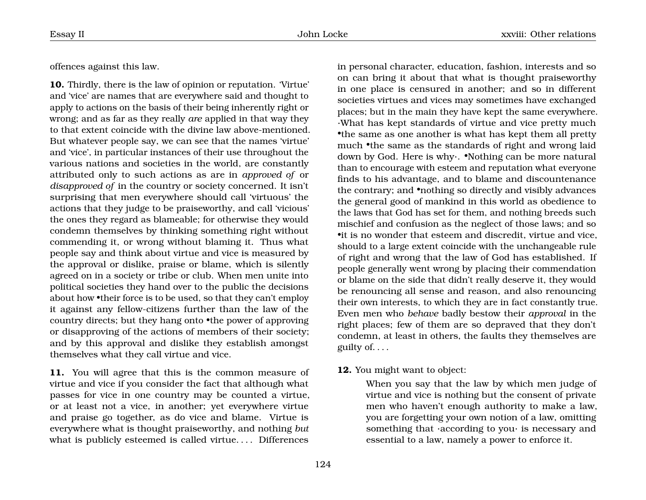offences against this law.

**10.** Thirdly, there is the law of opinion or reputation. 'Virtue' and 'vice' are names that are everywhere said and thought to apply to actions on the basis of their being inherently right or wrong; and as far as they really *are* applied in that way they to that extent coincide with the divine law above-mentioned. But whatever people say, we can see that the names 'virtue' and 'vice', in particular instances of their use throughout the various nations and societies in the world, are constantly attributed only to such actions as are in *approved of* or *disapproved of* in the country or society concerned. It isn't surprising that men everywhere should call 'virtuous' the actions that they judge to be praiseworthy, and call 'vicious' the ones they regard as blameable; for otherwise they would condemn themselves by thinking something right without commending it, or wrong without blaming it. Thus what people say and think about virtue and vice is measured by the approval or dislike, praise or blame, which is silently agreed on in a society or tribe or club. When men unite into political societies they hand over to the public the decisions about how •their force is to be used, so that they can't employ it against any fellow-citizens further than the law of the country directs; but they hang onto •the power of approving or disapproving of the actions of members of their society; and by this approval and dislike they establish amongst themselves what they call virtue and vice.

**11.** You will agree that this is the common measure of virtue and vice if you consider the fact that although what passes for vice in one country may be counted a virtue, or at least not a vice, in another; yet everywhere virtue and praise go together, as do vice and blame. Virtue is everywhere what is thought praiseworthy, and nothing *but* what is publicly esteemed is called virtue.... Differences

in personal character, education, fashion, interests and so on can bring it about that what is thought praiseworthy in one place is censured in another; and so in different societies virtues and vices may sometimes have exchanged places; but in the main they have kept the same everywhere. ·What has kept standards of virtue and vice pretty much •the same as one another is what has kept them all pretty much •the same as the standards of right and wrong laid down by God. Here is why·. •Nothing can be more natural than to encourage with esteem and reputation what everyone finds to his advantage, and to blame and discountenance the contrary; and •nothing so directly and visibly advances the general good of mankind in this world as obedience to the laws that God has set for them, and nothing breeds such mischief and confusion as the neglect of those laws; and so •it is no wonder that esteem and discredit, virtue and vice, should to a large extent coincide with the unchangeable rule of right and wrong that the law of God has established. If people generally went wrong by placing their commendation or blame on the side that didn't really deserve it, they would be renouncing all sense and reason, and also renouncing their own interests, to which they are in fact constantly true. Even men who *behave* badly bestow their *approval* in the right places; few of them are so depraved that they don't condemn, at least in others, the faults they themselves are guilty of. . . .

#### **12.** You might want to object:

When you say that the law by which men judge of virtue and vice is nothing but the consent of private men who haven't enough authority to make a law, you are forgetting your own notion of a law, omitting something that ·according to you· is necessary and essential to a law, namely a power to enforce it.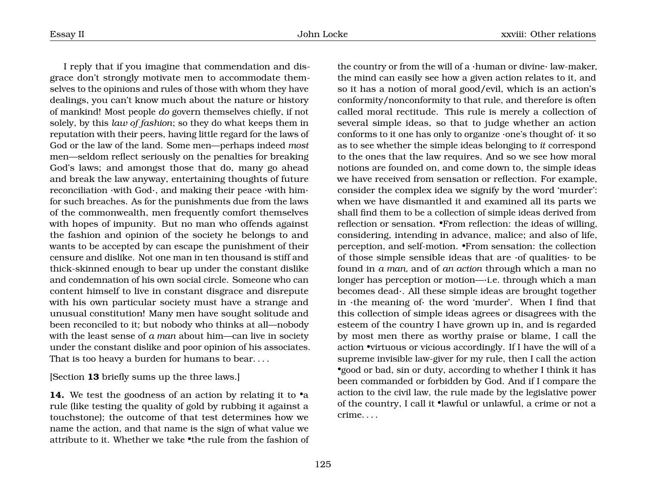I reply that if you imagine that commendation and disgrace don't strongly motivate men to accommodate themselves to the opinions and rules of those with whom they have dealings, you can't know much about the nature or history of mankind! Most people *do* govern themselves chiefly, if not solely, by this *law of fashion*; so they do what keeps them in reputation with their peers, having little regard for the laws of God or the law of the land. Some men—perhaps indeed *most* men—seldom reflect seriously on the penalties for breaking God's laws; and amongst those that do, many go ahead and break the law anyway, entertaining thoughts of future reconciliation ·with God·, and making their peace ·with him· for such breaches. As for the punishments due from the laws of the commonwealth, men frequently comfort themselves with hopes of impunity. But no man who offends against the fashion and opinion of the society he belongs to and wants to be accepted by can escape the punishment of their censure and dislike. Not one man in ten thousand is stiff and thick-skinned enough to bear up under the constant dislike and condemnation of his own social circle. Someone who can content himself to live in constant disgrace and disrepute with his own particular society must have a strange and unusual constitution! Many men have sought solitude and been reconciled to it; but nobody who thinks at all—nobody with the least sense of *a man* about him—can live in society under the constant dislike and poor opinion of his associates. That is too heavy a burden for humans to bear. . . .

[Section **13** briefly sums up the three laws.]

**14.** We test the goodness of an action by relating it to •a rule (like testing the quality of gold by rubbing it against a touchstone); the outcome of that test determines how we name the action, and that name is the sign of what value we attribute to it. Whether we take •the rule from the fashion of the country or from the will of a ·human or divine· law-maker, the mind can easily see how a given action relates to it, and so it has a notion of moral good/evil, which is an action's conformity/nonconformity to that rule, and therefore is often called moral rectitude. This rule is merely a collection of several simple ideas, so that to judge whether an action conforms to it one has only to organize ·one's thought of· it so as to see whether the simple ideas belonging to *it* correspond to the ones that the law requires. And so we see how moral notions are founded on, and come down to, the simple ideas we have received from sensation or reflection. For example, consider the complex idea we signify by the word 'murder': when we have dismantled it and examined all its parts we shall find them to be a collection of simple ideas derived from reflection or sensation. •From reflection: the ideas of willing, considering, intending in advance, malice; and also of life, perception, and self-motion. •From sensation: the collection of those simple sensible ideas that are ·of qualities· to be found in *a man,* and of *an action* through which a man no longer has perception or motion—·i.e. through which a man becomes dead·. All these simple ideas are brought together in ·the meaning of· the word 'murder'. When I find that this collection of simple ideas agrees or disagrees with the esteem of the country I have grown up in, and is regarded by most men there as worthy praise or blame, I call the action •virtuous or vicious accordingly. If I have the will of a supreme invisible law-giver for my rule, then I call the action •good or bad, sin or duty, according to whether I think it has been commanded or forbidden by God. And if I compare the action to the civil law, the rule made by the legislative power of the country, I call it •lawful or unlawful, a crime or not a crime. . . .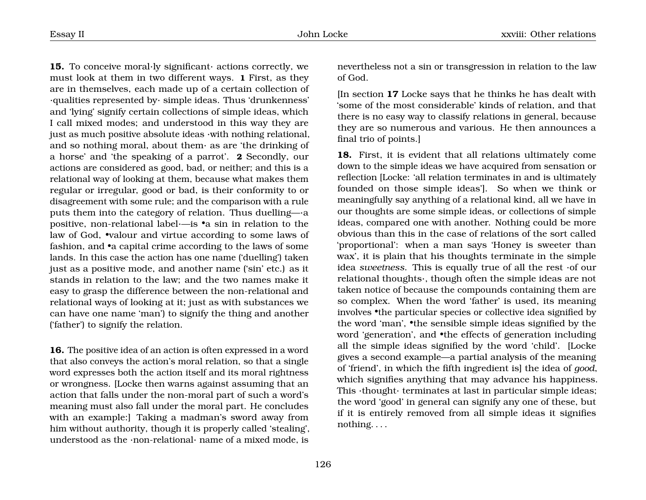**15.** To conceive moral·ly significant· actions correctly, we must look at them in two different ways. **1** First, as they are in themselves, each made up of a certain collection of ·qualities represented by· simple ideas. Thus 'drunkenness' and 'lying' signify certain collections of simple ideas, which I call mixed modes; and understood in this way they are just as much positive absolute ideas ·with nothing relational, and so nothing moral, about them· as are 'the drinking of a horse' and 'the speaking of a parrot'. **2** Secondly, our actions are considered as good, bad, or neither; and this is a relational way of looking at them, because what makes them regular or irregular, good or bad, is their conformity to or disagreement with some rule; and the comparison with a rule puts them into the category of relation. Thus duelling—·a positive, non-relational label·—is •a sin in relation to the law of God, •valour and virtue according to some laws of fashion, and •a capital crime according to the laws of some lands. In this case the action has one name ('duelling') taken just as a positive mode, and another name ('sin' etc.) as it stands in relation to the law; and the two names make it easy to grasp the difference between the non-relational and relational ways of looking at it; just as with substances we can have one name 'man') to signify the thing and another ('father') to signify the relation.

**16.** The positive idea of an action is often expressed in a word that also conveys the action's moral relation, so that a single word expresses both the action itself and its moral rightness or wrongness. [Locke then warns against assuming that an action that falls under the non-moral part of such a word's meaning must also fall under the moral part. He concludes with an example:] Taking a madman's sword away from him without authority, though it is properly called 'stealing', understood as the ·non-relational· name of a mixed mode, is

nevertheless not a sin or transgression in relation to the law of God.

[In section **17** Locke says that he thinks he has dealt with 'some of the most considerable' kinds of relation, and that there is no easy way to classify relations in general, because they are so numerous and various. He then announces a final trio of points.]

**18.** First, it is evident that all relations ultimately come down to the simple ideas we have acquired from sensation or reflection [Locke: 'all relation terminates in and is ultimately founded on those simple ideas']. So when we think or meaningfully say anything of a relational kind, all we have in our thoughts are some simple ideas, or collections of simple ideas, compared one with another. Nothing could be more obvious than this in the case of relations of the sort called 'proportional': when a man says 'Honey is sweeter than wax', it is plain that his thoughts terminate in the simple idea *sweetness*. This is equally true of all the rest ·of our relational thoughts·, though often the simple ideas are not taken notice of because the compounds containing them are so complex. When the word 'father' is used, its meaning involves •the particular species or collective idea signified by the word 'man', •the sensible simple ideas signified by the word 'generation', and •the effects of generation including all the simple ideas signified by the word 'child'. [Locke gives a second example—a partial analysis of the meaning of 'friend', in which the fifth ingredient is] the idea of *good*, which signifies anything that may advance his happiness. This ·thought· terminates at last in particular simple ideas; the word 'good' in general can signify any one of these, but if it is entirely removed from all simple ideas it signifies nothing. . . .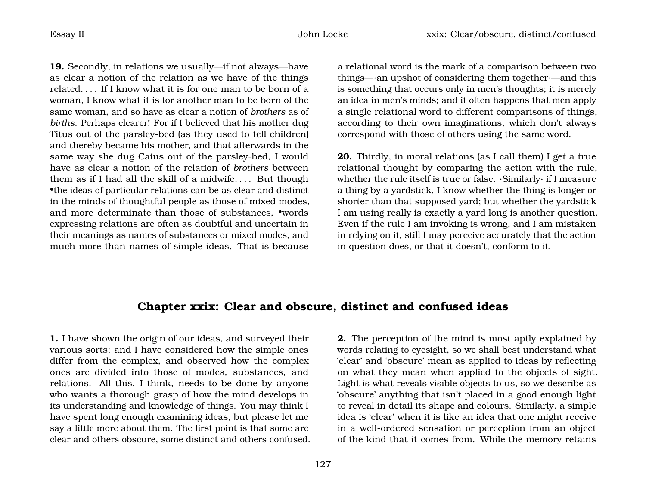**19.** Secondly, in relations we usually—if not always—have as clear a notion of the relation as we have of the things related. . . . If I know what it is for one man to be born of a woman, I know what it is for another man to be born of the same woman, and so have as clear a notion of *brothers* as of *births*. Perhaps clearer! For if I believed that his mother dug Titus out of the parsley-bed (as they used to tell children) and thereby became his mother, and that afterwards in the same way she dug Caius out of the parsley-bed, I would have as clear a notion of the relation of *brothers* between them as if I had all the skill of a midwife. . . . But though •the ideas of particular relations can be as clear and distinct in the minds of thoughtful people as those of mixed modes, and more determinate than those of substances, •words expressing relations are often as doubtful and uncertain in their meanings as names of substances or mixed modes, and much more than names of simple ideas. That is because

a relational word is the mark of a comparison between two things—·an upshot of considering them together·—and this is something that occurs only in men's thoughts; it is merely an idea in men's minds; and it often happens that men apply a single relational word to different comparisons of things, according to their own imaginations, which don't always correspond with those of others using the same word.

**20.** Thirdly, in moral relations (as I call them) I get a true relational thought by comparing the action with the rule, whether the rule itself is true or false. ·Similarly· if I measure a thing by a yardstick, I know whether the thing is longer or shorter than that supposed yard; but whether the yardstick I am using really is exactly a yard long is another question. Even if the rule I am invoking is wrong, and I am mistaken in relying on it, still I may perceive accurately that the action in question does, or that it doesn't, conform to it.

# **Chapter xxix: Clear and obscure, distinct and confused ideas**

**1.** I have shown the origin of our ideas, and surveyed their various sorts; and I have considered how the simple ones differ from the complex, and observed how the complex ones are divided into those of modes, substances, and relations. All this, I think, needs to be done by anyone who wants a thorough grasp of how the mind develops in its understanding and knowledge of things. You may think I have spent long enough examining ideas, but please let me say a little more about them. The first point is that some are clear and others obscure, some distinct and others confused.

**2.** The perception of the mind is most aptly explained by words relating to eyesight, so we shall best understand what 'clear' and 'obscure' mean as applied to ideas by reflecting on what they mean when applied to the objects of sight. Light is what reveals visible objects to us, so we describe as 'obscure' anything that isn't placed in a good enough light to reveal in detail its shape and colours. Similarly, a simple idea is 'clear' when it is like an idea that one might receive in a well-ordered sensation or perception from an object of the kind that it comes from. While the memory retains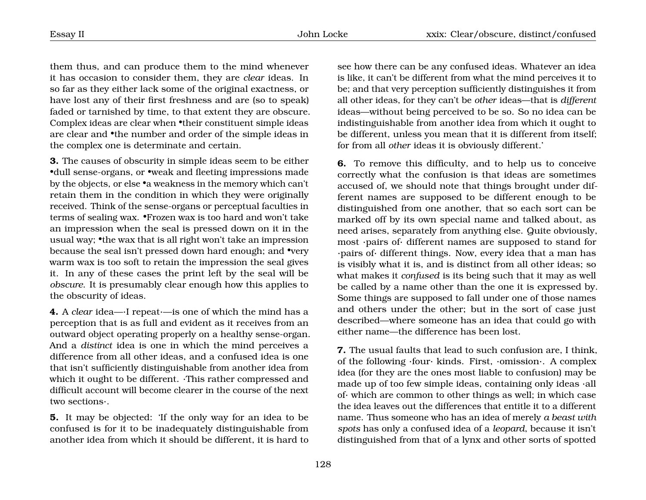them thus, and can produce them to the mind whenever it has occasion to consider them, they are *clear* ideas. In so far as they either lack some of the original exactness, or have lost any of their first freshness and are (so to speak) faded or tarnished by time, to that extent they are obscure. Complex ideas are clear when •their constituent simple ideas are clear and •the number and order of the simple ideas in the complex one is determinate and certain.

**3.** The causes of obscurity in simple ideas seem to be either •dull sense-organs, or •weak and fleeting impressions made by the objects, or else •a weakness in the memory which can't retain them in the condition in which they were originally received. Think of the sense-organs or perceptual faculties in terms of sealing wax. •Frozen wax is too hard and won't take an impression when the seal is pressed down on it in the usual way; •the wax that is all right won't take an impression because the seal isn't pressed down hard enough; and •very warm wax is too soft to retain the impression the seal gives it. In any of these cases the print left by the seal will be *obscure*. It is presumably clear enough how this applies to the obscurity of ideas.

**4.** A *clear* idea—·I repeat·—is one of which the mind has a perception that is as full and evident as it receives from an outward object operating properly on a healthy sense-organ. And a *distinct* idea is one in which the mind perceives a difference from all other ideas, and a confused idea is one that isn't sufficiently distinguishable from another idea from which it ought to be different. ·This rather compressed and difficult account will become clearer in the course of the next two sections·.

**5.** It may be objected: 'If the only way for an idea to be confused is for it to be inadequately distinguishable from another idea from which it should be different, it is hard to

see how there can be any confused ideas. Whatever an idea is like, it can't be different from what the mind perceives it to be; and that very perception sufficiently distinguishes it from all other ideas, for they can't be *other* ideas—that is *different* ideas—without being perceived to be so. So no idea can be indistinguishable from another idea from which it ought to be different, unless you mean that it is different from itself; for from all *other* ideas it is obviously different.'

**6.** To remove this difficulty, and to help us to conceive correctly what the confusion is that ideas are sometimes accused of, we should note that things brought under different names are supposed to be different enough to be distinguished from one another, that so each sort can be marked off by its own special name and talked about, as need arises, separately from anything else. Quite obviously, most ·pairs of· different names are supposed to stand for ·pairs of· different things. Now, every idea that a man has is visibly what it is, and is distinct from all other ideas; so what makes it *confused* is its being such that it may as well be called by a name other than the one it is expressed by. Some things are supposed to fall under one of those names and others under the other; but in the sort of case just described—where someone has an idea that could go with either name—the difference has been lost.

**7.** The usual faults that lead to such confusion are, I think, of the following ·four· kinds. First, ·omission·. A complex idea (for they are the ones most liable to confusion) may be made up of too few simple ideas, containing only ideas ·all of· which are common to other things as well; in which case the idea leaves out the differences that entitle it to a different name. Thus someone who has an idea of merely *a beast with spots* has only a confused idea of a *leopard*, because it isn't distinguished from that of a lynx and other sorts of spotted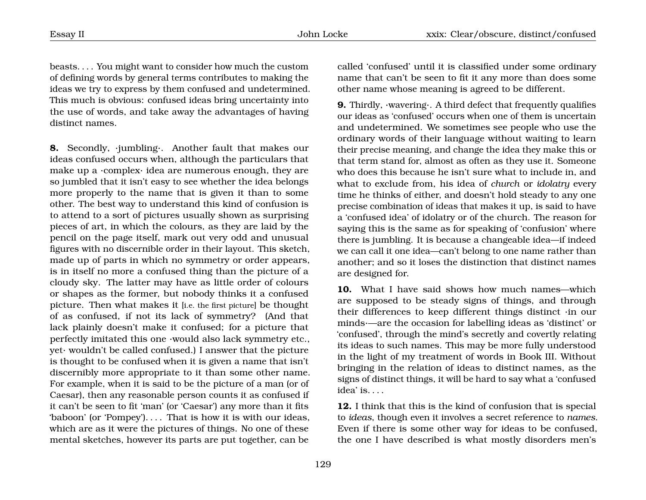beasts. . . . You might want to consider how much the custom of defining words by general terms contributes to making the ideas we try to express by them confused and undetermined. This much is obvious: confused ideas bring uncertainty into the use of words, and take away the advantages of having distinct names.

**8.** Secondly, ·jumbling·. Another fault that makes our ideas confused occurs when, although the particulars that make up a ·complex· idea are numerous enough, they are so jumbled that it isn't easy to see whether the idea belongs more properly to the name that is given it than to some other. The best way to understand this kind of confusion is to attend to a sort of pictures usually shown as surprising pieces of art, in which the colours, as they are laid by the pencil on the page itself, mark out very odd and unusual figures with no discernible order in their layout. This sketch, made up of parts in which no symmetry or order appears, is in itself no more a confused thing than the picture of a cloudy sky. The latter may have as little order of colours or shapes as the former, but nobody thinks it a confused picture. Then what makes it [i.e. the first picture] be thought of as confused, if not its lack of symmetry? (And that lack plainly doesn't make it confused; for a picture that perfectly imitated this one ·would also lack symmetry etc., yet· wouldn't be called confused.) I answer that the picture is thought to be confused when it is given a name that isn't discernibly more appropriate to it than some other name. For example, when it is said to be the picture of a man (or of Caesar), then any reasonable person counts it as confused if it can't be seen to fit 'man' (or 'Caesar') any more than it fits 'baboon' (or 'Pompey'). . . . That is how it is with our ideas, which are as it were the pictures of things. No one of these mental sketches, however its parts are put together, can be

called 'confused' until it is classified under some ordinary name that can't be seen to fit it any more than does some other name whose meaning is agreed to be different.

**9.** Thirdly, ·wavering·. A third defect that frequently qualifies our ideas as 'confused' occurs when one of them is uncertain and undetermined. We sometimes see people who use the ordinary words of their language without waiting to learn their precise meaning, and change the idea they make this or that term stand for, almost as often as they use it. Someone who does this because he isn't sure what to include in, and what to exclude from, his idea of *church* or *idolatry* every time he thinks of either, and doesn't hold steady to any one precise combination of ideas that makes it up, is said to have a 'confused idea' of idolatry or of the church. The reason for saying this is the same as for speaking of 'confusion' where there is jumbling. It is because a changeable idea—if indeed we can call it one idea—can't belong to one name rather than another; and so it loses the distinction that distinct names are designed for.

**10.** What I have said shows how much names—which are supposed to be steady signs of things, and through their differences to keep different things distinct ·in our minds·—are the occasion for labelling ideas as 'distinct' or 'confused', through the mind's secretly and covertly relating its ideas to such names. This may be more fully understood in the light of my treatment of words in Book III. Without bringing in the relation of ideas to distinct names, as the signs of distinct things, it will be hard to say what a 'confused idea' is. . . .

**12.** I think that this is the kind of confusion that is special to *ideas*, though even it involves a secret reference to *names*. Even if there is some other way for ideas to be confused, the one I have described is what mostly disorders men's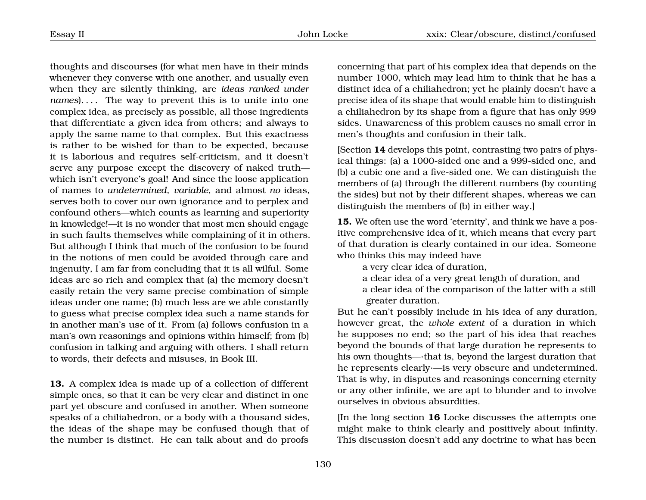thoughts and discourses (for what men have in their minds whenever they converse with one another, and usually even when they are silently thinking, are *ideas ranked under names*).... The way to prevent this is to unite into one complex idea, as precisely as possible, all those ingredients that differentiate a given idea from others; and always to apply the same name to that complex. But this exactness is rather to be wished for than to be expected, because it is laborious and requires self-criticism, and it doesn't serve any purpose except the discovery of naked truth which isn't everyone's goal! And since the loose application of names to *undetermined*, *variable*, and almost *no* ideas, serves both to cover our own ignorance and to perplex and confound others—which counts as learning and superiority in knowledge!—it is no wonder that most men should engage in such faults themselves while complaining of it in others. But although I think that much of the confusion to be found in the notions of men could be avoided through care and ingenuity, I am far from concluding that it is all wilful. Some ideas are so rich and complex that (a) the memory doesn't easily retain the very same precise combination of simple ideas under one name; (b) much less are we able constantly to guess what precise complex idea such a name stands for in another man's use of it. From (a) follows confusion in a man's own reasonings and opinions within himself; from (b) confusion in talking and arguing with others. I shall return to words, their defects and misuses, in Book III.

**13.** A complex idea is made up of a collection of different simple ones, so that it can be very clear and distinct in one part yet obscure and confused in another. When someone speaks of a chiliahedron, or a body with a thousand sides, the ideas of the shape may be confused though that of the number is distinct. He can talk about and do proofs

concerning that part of his complex idea that depends on the number 1000, which may lead him to think that he has a distinct idea of a chiliahedron; yet he plainly doesn't have a precise idea of its shape that would enable him to distinguish a chiliahedron by its shape from a figure that has only 999 sides. Unawareness of this problem causes no small error in men's thoughts and confusion in their talk.

[Section **14** develops this point, contrasting two pairs of physical things: (a) a 1000-sided one and a 999-sided one, and (b) a cubic one and a five-sided one. We can distinguish the members of (a) through the different numbers (by counting the sides) but not by their different shapes, whereas we can distinguish the members of (b) in either way.]

**15.** We often use the word 'eternity', and think we have a positive comprehensive idea of it, which means that every part of that duration is clearly contained in our idea. Someone who thinks this may indeed have

a very clear idea of duration,

- a clear idea of a very great length of duration, and
- a clear idea of the comparison of the latter with a still greater duration.

But he can't possibly include in his idea of any duration, however great, the *whole extent* of a duration in which he supposes no end; so the part of his idea that reaches beyond the bounds of that large duration he represents to his own thoughts—·that is, beyond the largest duration that he represents clearly·—is very obscure and undetermined. That is why, in disputes and reasonings concerning eternity or any other infinite, we are apt to blunder and to involve ourselves in obvious absurdities.

[In the long section **16** Locke discusses the attempts one might make to think clearly and positively about infinity. This discussion doesn't add any doctrine to what has been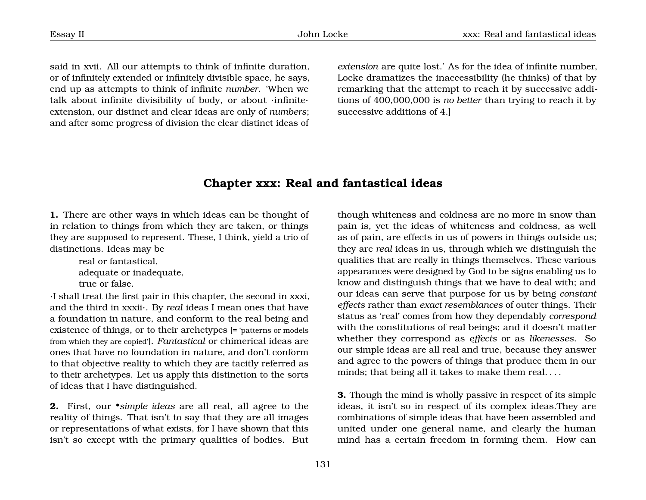said in xvii. All our attempts to think of infinite duration, or of infinitely extended or infinitely divisible space, he says, end up as attempts to think of infinite *number*. 'When we talk about infinite divisibility of body, or about ·infinite· extension, our distinct and clear ideas are only of *numbers*; and after some progress of division the clear distinct ideas of

*extension* are quite lost.' As for the idea of infinite number, Locke dramatizes the inaccessibility (he thinks) of that by remarking that the attempt to reach it by successive additions of 400,000,000 is *no better* than trying to reach it by successive additions of 4.]

## **Chapter xxx: Real and fantastical ideas**

**1.** There are other ways in which ideas can be thought of in relation to things from which they are taken, or things they are supposed to represent. These, I think, yield a trio of distinctions. Ideas may be

> real or fantastical, adequate or inadequate, true or false.

·I shall treat the first pair in this chapter, the second in xxxi, and the third in xxxii·. By *real* ideas I mean ones that have a foundation in nature, and conform to the real being and existence of things, or to their archetypes [= 'patterns or models from which they are copied']. *Fantastical* or chimerical ideas are ones that have no foundation in nature, and don't conform to that objective reality to which they are tacitly referred as to their archetypes. Let us apply this distinction to the sorts of ideas that I have distinguished.

**2.** First, our •*simple ideas* are all real, all agree to the reality of things. That isn't to say that they are all images or representations of what exists, for I have shown that this isn't so except with the primary qualities of bodies. But

though whiteness and coldness are no more in snow than pain is, yet the ideas of whiteness and coldness, as well as of pain, are effects in us of powers in things outside us; they are *real* ideas in us, through which we distinguish the qualities that are really in things themselves. These various appearances were designed by God to be signs enabling us to know and distinguish things that we have to deal with; and our ideas can serve that purpose for us by being *constant effects* rather than *exact resemblances* of outer things. Their status as 'real' comes from how they dependably *correspond* with the constitutions of real beings; and it doesn't matter whether they correspond as *effects* or as *likenesses*. So our simple ideas are all real and true, because they answer and agree to the powers of things that produce them in our minds; that being all it takes to make them real. . . .

**3.** Though the mind is wholly passive in respect of its simple ideas, it isn't so in respect of its complex ideas.They are combinations of simple ideas that have been assembled and united under one general name, and clearly the human mind has a certain freedom in forming them. How can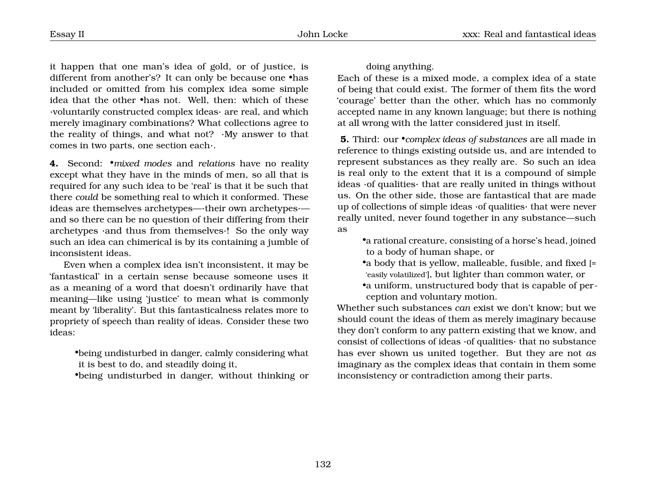it happen that one man's idea of gold, or of justice, is different from another's? It can only be because one •has included or omitted from his complex idea some simple idea that the other •has not. Well, then: which of these ·voluntarily constructed complex ideas· are real, and which merely imaginary combinations? What collections agree to the reality of things, and what not? ·My answer to that comes in two parts, one section each·.

**4.** Second: •*mixed modes* and *relations* have no reality except what they have in the minds of men, so all that is required for any such idea to be 'real' is that it be such that there *could* be something real to which it conformed. These ideas are themselves archetypes—·their own archetypes· and so there can be no question of their differing from their archetypes ·and thus from themselves·! So the only way such an idea can chimerical is by its containing a jumble of inconsistent ideas.

Even when a complex idea isn't inconsistent, it may be 'fantastical' in a certain sense because someone uses it as a meaning of a word that doesn't ordinarily have that meaning—like using 'justice' to mean what is commonly meant by 'liberality'. But this fantasticalness relates more to propriety of speech than reality of ideas. Consider these two ideas:

•being undisturbed in danger, calmly considering what it is best to do, and steadily doing it,

•being undisturbed in danger, without thinking or

doing anything.

Each of these is a mixed mode, a complex idea of a state of being that could exist. The former of them fits the word 'courage' better than the other, which has no commonly accepted name in any known language; but there is nothing at all wrong with the latter considered just in itself.

**5.** Third: our •*complex ideas of substances* are all made in reference to things existing outside us, and are intended to represent substances as they really are. So such an idea is real only to the extent that it is a compound of simple ideas ·of qualities· that are really united in things without us. On the other side, those are fantastical that are made up of collections of simple ideas ·of qualities· that were never really united, never found together in any substance—such as

•a rational creature, consisting of a horse's head, joined to a body of human shape, or

•a body that is yellow, malleable, fusible, and fixed [= 'easily volatilized'], but lighter than common water, or •a uniform, unstructured body that is capable of perception and voluntary motion.

Whether such substances *can* exist we don't know; but we should count the ideas of them as merely imaginary because they don't conform to any pattern existing that we know, and consist of collections of ideas ·of qualities· that no substance has ever shown us united together. But they are not *as* imaginary as the complex ideas that contain in them some inconsistency or contradiction among their parts.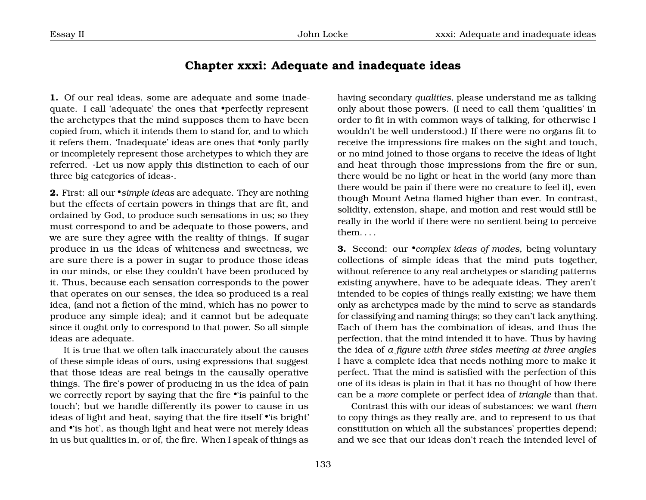# **Chapter xxxi: Adequate and inadequate ideas**

**1.** Of our real ideas, some are adequate and some inadequate. I call 'adequate' the ones that •perfectly represent the archetypes that the mind supposes them to have been copied from, which it intends them to stand for, and to which it refers them. 'Inadequate' ideas are ones that •only partly or incompletely represent those archetypes to which they are referred. ·Let us now apply this distinction to each of our three big categories of ideas·.

**2.** First: all our •*simple ideas* are adequate. They are nothing but the effects of certain powers in things that are fit, and ordained by God, to produce such sensations in us; so they must correspond to and be adequate to those powers, and we are sure they agree with the reality of things. If sugar produce in us the ideas of whiteness and sweetness, we are sure there is a power in sugar to produce those ideas in our minds, or else they couldn't have been produced by it. Thus, because each sensation corresponds to the power that operates on our senses, the idea so produced is a real idea, (and not a fiction of the mind, which has no power to produce any simple idea); and it cannot but be adequate since it ought only to correspond to that power. So all simple ideas are adequate.

It is true that we often talk inaccurately about the causes of these simple ideas of ours, using expressions that suggest that those ideas are real beings in the causally operative things. The fire's power of producing in us the idea of pain we correctly report by saying that the fire •'is painful to the touch'; but we handle differently its power to cause in us ideas of light and heat, saying that the fire itself •'is bright' and •'is hot', as though light and heat were not merely ideas in us but qualities in, or of, the fire. When I speak of things as

having secondary *qualities*, please understand me as talking only about those powers. (I need to call them 'qualities' in order to fit in with common ways of talking, for otherwise I wouldn't be well understood.) If there were no organs fit to receive the impressions fire makes on the sight and touch, or no mind joined to those organs to receive the ideas of light and heat through those impressions from the fire or sun, there would be no light or heat in the world (any more than there would be pain if there were no creature to feel it), even though Mount Aetna flamed higher than ever. In contrast, solidity, extension, shape, and motion and rest would still be really in the world if there were no sentient being to perceive them. . . .

**3.** Second: our •*complex ideas of modes*, being voluntary collections of simple ideas that the mind puts together, without reference to any real archetypes or standing patterns existing anywhere, have to be adequate ideas. They aren't intended to be copies of things really existing; we have them only as archetypes made by the mind to serve as standards for classifying and naming things; so they can't lack anything. Each of them has the combination of ideas, and thus the perfection, that the mind intended it to have. Thus by having the idea of *a figure with three sides meeting at three angles* I have a complete idea that needs nothing more to make it perfect. That the mind is satisfied with the perfection of this one of its ideas is plain in that it has no thought of how there can be a *more* complete or perfect idea of *triangle* than that.

Contrast this with our ideas of substances: we want *them* to copy things as they really are, and to represent to us that constitution on which all the substances' properties depend; and we see that our ideas don't reach the intended level of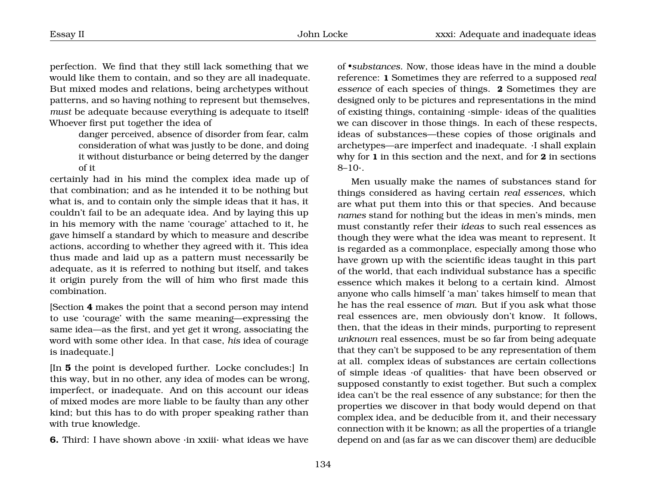perfection. We find that they still lack something that we would like them to contain, and so they are all inadequate. But mixed modes and relations, being archetypes without patterns, and so having nothing to represent but themselves, *must* be adequate because everything is adequate to itself! Whoever first put together the idea of

> danger perceived, absence of disorder from fear, calm consideration of what was justly to be done, and doing it without disturbance or being deterred by the danger of it

certainly had in his mind the complex idea made up of that combination; and as he intended it to be nothing but what is, and to contain only the simple ideas that it has, it couldn't fail to be an adequate idea. And by laying this up in his memory with the name 'courage' attached to it, he gave himself a standard by which to measure and describe actions, according to whether they agreed with it. This idea thus made and laid up as a pattern must necessarily be adequate, as it is referred to nothing but itself, and takes it origin purely from the will of him who first made this combination.

[Section **4** makes the point that a second person may intend to use 'courage' with the same meaning—expressing the same idea—as the first, and yet get it wrong, associating the word with some other idea. In that case, *his* idea of courage is inadequate.]

[In **5** the point is developed further. Locke concludes:] In this way, but in no other, any idea of modes can be wrong, imperfect, or inadequate. And on this account our ideas of mixed modes are more liable to be faulty than any other kind; but this has to do with proper speaking rather than with true knowledge.

**6.** Third: I have shown above ·in xxiii· what ideas we have

of •*substances*. Now, those ideas have in the mind a double reference: **1** Sometimes they are referred to a supposed *real essence* of each species of things. **2** Sometimes they are designed only to be pictures and representations in the mind of existing things, containing ·simple· ideas of the qualities we can discover in those things. In each of these respects, ideas of substances—these copies of those originals and archetypes—are imperfect and inadequate. ·I shall explain why for **1** in this section and the next, and for **2** in sections  $8-10$ .

Men usually make the names of substances stand for things considered as having certain *real essences*, which are what put them into this or that species. And because *names* stand for nothing but the ideas in men's minds, men must constantly refer their *ideas* to such real essences as though they were what the idea was meant to represent. It is regarded as a commonplace, especially among those who have grown up with the scientific ideas taught in this part of the world, that each individual substance has a specific essence which makes it belong to a certain kind. Almost anyone who calls himself 'a man' takes himself to mean that he has the real essence of *man*. But if you ask what those real essences are, men obviously don't know. It follows, then, that the ideas in their minds, purporting to represent *unknown* real essences, must be so far from being adequate that they can't be supposed to be any representation of them at all. complex ideas of substances are certain collections of simple ideas ·of qualities· that have been observed or supposed constantly to exist together. But such a complex idea can't be the real essence of any substance; for then the properties we discover in that body would depend on that complex idea, and be deducible from it, and their necessary connection with it be known; as all the properties of a triangle depend on and (as far as we can discover them) are deducible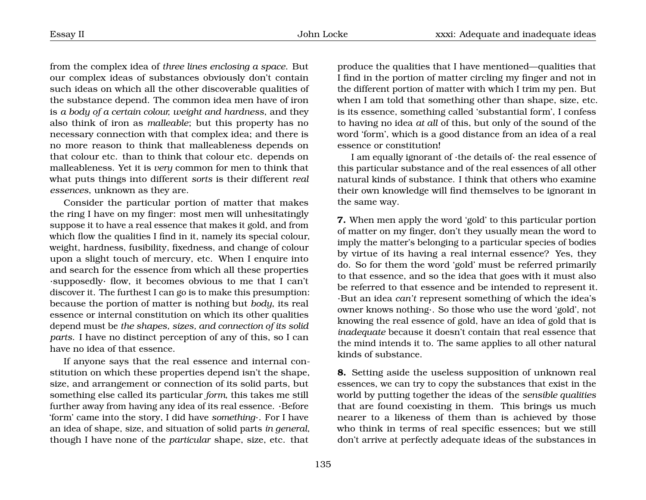from the complex idea of *three lines enclosing a space*. But our complex ideas of substances obviously don't contain such ideas on which all the other discoverable qualities of the substance depend. The common idea men have of iron is *a body of a certain colour, weight and hardness*, and they also think of iron as *malleable*; but this property has no necessary connection with that complex idea; and there is no more reason to think that malleableness depends on that colour etc. than to think that colour etc. depends on malleableness. Yet it is *very* common for men to think that what puts things into different *sorts* is their different *real essences*, unknown as they are.

Consider the particular portion of matter that makes the ring I have on my finger: most men will unhesitatingly suppose it to have a real essence that makes it gold, and from which flow the qualities I find in it, namely its special colour, weight, hardness, fusibility, fixedness, and change of colour upon a slight touch of mercury, etc. When I enquire into and search for the essence from which all these properties ·supposedly· flow, it becomes obvious to me that I can't discover it. The furthest I can go is to make this presumption: because the portion of matter is nothing but *body*, its real essence or internal constitution on which its other qualities depend must be *the shapes, sizes, and connection of its solid parts*. I have no distinct perception of any of this, so I can have no idea of that essence.

If anyone says that the real essence and internal constitution on which these properties depend isn't the shape, size, and arrangement or connection of its solid parts, but something else called its particular *form*, this takes me still further away from having any idea of its real essence. ·Before 'form' came into the story, I did have *something*·. For I have an idea of shape, size, and situation of solid parts *in general*, though I have none of the *particular* shape, size, etc. that

produce the qualities that I have mentioned—qualities that I find in the portion of matter circling my finger and not in the different portion of matter with which I trim my pen. But when I am told that something other than shape, size, etc. is its essence, something called 'substantial form', I confess to having no idea *at all* of this, but only of the sound of the word 'form', which is a good distance from an idea of a real essence or constitution!

I am equally ignorant of ·the details of· the real essence of this particular substance and of the real essences of all other natural kinds of substance. I think that others who examine their own knowledge will find themselves to be ignorant in the same way.

**7.** When men apply the word 'gold' to this particular portion of matter on my finger, don't they usually mean the word to imply the matter's belonging to a particular species of bodies by virtue of its having a real internal essence? Yes, they do. So for them the word 'gold' must be referred primarily to that essence, and so the idea that goes with it must also be referred to that essence and be intended to represent it. ·But an idea *can't* represent something of which the idea's owner knows nothing·. So those who use the word 'gold', not knowing the real essence of gold, have an idea of gold that is *inadequate* because it doesn't contain that real essence that the mind intends it to. The same applies to all other natural kinds of substance.

**8.** Setting aside the useless supposition of unknown real essences, we can try to copy the substances that exist in the world by putting together the ideas of the *sensible qualities* that are found coexisting in them. This brings us much nearer to a likeness of them than is achieved by those who think in terms of real specific essences; but we still don't arrive at perfectly adequate ideas of the substances in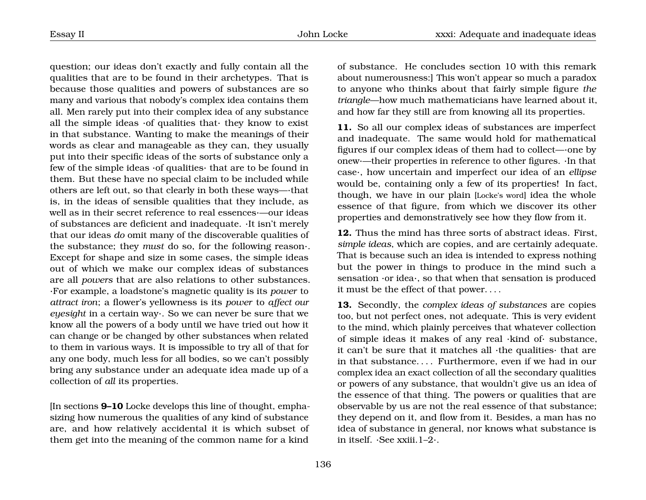question; our ideas don't exactly and fully contain all the qualities that are to be found in their archetypes. That is because those qualities and powers of substances are so many and various that nobody's complex idea contains them all. Men rarely put into their complex idea of any substance all the simple ideas ·of qualities that· they know to exist in that substance. Wanting to make the meanings of their words as clear and manageable as they can, they usually put into their specific ideas of the sorts of substance only a few of the simple ideas ·of qualities· that are to be found in them. But these have no special claim to be included while others are left out, so that clearly in both these ways—·that is, in the ideas of sensible qualities that they include, as well as in their secret reference to real essences·—our ideas of substances are deficient and inadequate. ·It isn't merely that our ideas *do* omit many of the discoverable qualities of the substance; they *must* do so, for the following reason·. Except for shape and size in some cases, the simple ideas out of which we make our complex ideas of substances are all *powers* that are also relations to other substances. ·For example, a loadstone's magnetic quality is its *power* to *attract iron*; a flower's yellowness is its *power* to *affect our eyesight* in a certain way·. So we can never be sure that we know all the powers of a body until we have tried out how it can change or be changed by other substances when related to them in various ways. It is impossible to try all of that for any one body, much less for all bodies, so we can't possibly bring any substance under an adequate idea made up of a collection of *all* its properties.

[In sections **9–10** Locke develops this line of thought, emphasizing how numerous the qualities of any kind of substance are, and how relatively accidental it is which subset of them get into the meaning of the common name for a kind

of substance. He concludes section 10 with this remark about numerousness:] This won't appear so much a paradox to anyone who thinks about that fairly simple figure *the triangle*—how much mathematicians have learned about it, and how far they still are from knowing all its properties.

**11.** So all our complex ideas of substances are imperfect and inadequate. The same would hold for mathematical figures if our complex ideas of them had to collect—·one by onew·—their properties in reference to other figures. ·In that case·, how uncertain and imperfect our idea of an *ellipse* would be, containing only a few of its properties! In fact, though, we have in our plain [Locke's word] idea the whole essence of that figure, from which we discover its other properties and demonstratively see how they flow from it.

**12.** Thus the mind has three sorts of abstract ideas. First, *simple ideas*, which are copies, and are certainly adequate. That is because such an idea is intended to express nothing but the power in things to produce in the mind such a sensation ·or idea·, so that when that sensation is produced it must be the effect of that power. . . .

**13.** Secondly, the *complex ideas of substances* are copies too, but not perfect ones, not adequate. This is very evident to the mind, which plainly perceives that whatever collection of simple ideas it makes of any real ·kind of· substance, it can't be sure that it matches all ·the qualities· that are in that substance. . . . Furthermore, even if we had in our complex idea an exact collection of all the secondary qualities or powers of any substance, that wouldn't give us an idea of the essence of that thing. The powers or qualities that are observable by us are not the real essence of that substance; they depend on it, and flow from it. Besides, a man has no idea of substance in general, nor knows what substance is in itself. ·See xxiii.1–2·.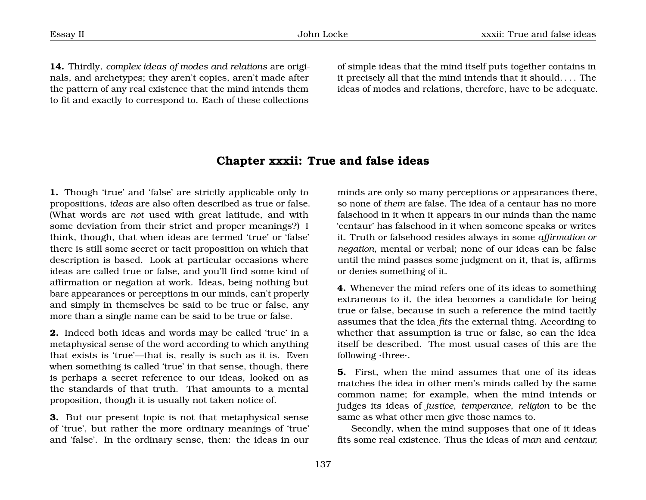**14.** Thirdly, *complex ideas of modes and relations* are originals, and archetypes; they aren't copies, aren't made after the pattern of any real existence that the mind intends them to fit and exactly to correspond to. Each of these collections

of simple ideas that the mind itself puts together contains in it precisely all that the mind intends that it should. . . . The ideas of modes and relations, therefore, have to be adequate.

#### **Chapter xxxii: True and false ideas**

**1.** Though 'true' and 'false' are strictly applicable only to propositions, *ideas* are also often described as true or false. (What words are *not* used with great latitude, and with some deviation from their strict and proper meanings?) I think, though, that when ideas are termed 'true' or 'false' there is still some secret or tacit proposition on which that description is based. Look at particular occasions where ideas are called true or false, and you'll find some kind of affirmation or negation at work. Ideas, being nothing but bare appearances or perceptions in our minds, can't properly and simply in themselves be said to be true or false, any more than a single name can be said to be true or false.

**2.** Indeed both ideas and words may be called 'true' in a metaphysical sense of the word according to which anything that exists is 'true'—that is, really is such as it is. Even when something is called 'true' in that sense, though, there is perhaps a secret reference to our ideas, looked on as the standards of that truth. That amounts to a mental proposition, though it is usually not taken notice of.

**3.** But our present topic is not that metaphysical sense of 'true', but rather the more ordinary meanings of 'true' and 'false'. In the ordinary sense, then: the ideas in our

minds are only so many perceptions or appearances there, so none of *them* are false. The idea of a centaur has no more falsehood in it when it appears in our minds than the name 'centaur' has falsehood in it when someone speaks or writes it. Truth or falsehood resides always in some *affirmation or negation*, mental or verbal; none of our ideas can be false until the mind passes some judgment on it, that is, affirms or denies something of it.

**4.** Whenever the mind refers one of its ideas to something extraneous to it, the idea becomes a candidate for being true or false, because in such a reference the mind tacitly assumes that the idea *fits* the external thing. According to whether that assumption is true or false, so can the idea itself be described. The most usual cases of this are the following ·three·.

**5.** First, when the mind assumes that one of its ideas matches the idea in other men's minds called by the same common name; for example, when the mind intends or judges its ideas of *justice*, *temperance*, *religion* to be the same as what other men give those names to.

Secondly, when the mind supposes that one of it ideas fits some real existence. Thus the ideas of *man* and *centaur,*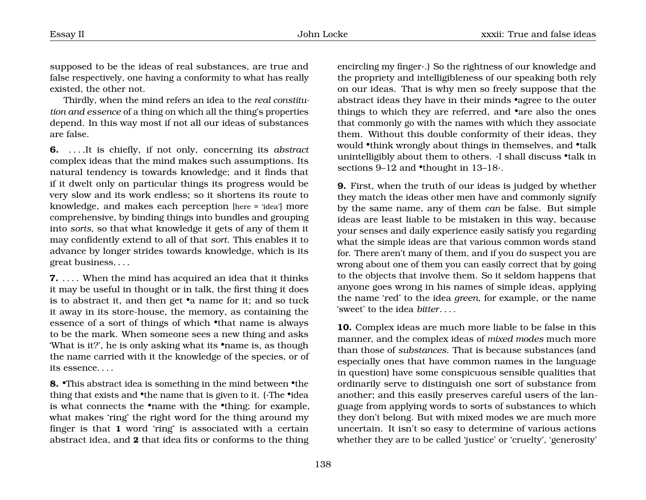supposed to be the ideas of real substances, are true and

false respectively, one having a conformity to what has really existed, the other not.

Thirdly, when the mind refers an idea to the *real constitution and essence* of a thing on which all the thing's properties depend. In this way most if not all our ideas of substances are false.

**6.** . . . .It is chiefly, if not only, concerning its *abstract* complex ideas that the mind makes such assumptions. Its natural tendency is towards knowledge; and it finds that if it dwelt only on particular things its progress would be very slow and its work endless; so it shortens its route to knowledge, and makes each perception [here = 'idea'] more comprehensive, by binding things into bundles and grouping into *sorts*, so that what knowledge it gets of any of them it may confidently extend to all of that *sort*. This enables it to advance by longer strides towards knowledge, which is its great business. . . .

**7.** . . . . When the mind has acquired an idea that it thinks it may be useful in thought or in talk, the first thing it does is to abstract it, and then get •a name for it; and so tuck it away in its store-house, the memory, as containing the essence of a sort of things of which •that name is always to be the mark. When someone sees a new thing and asks 'What is it?', he is only asking what its •name is, as though the name carried with it the knowledge of the species, or of its essence. . . .

**8.** •This abstract idea is something in the mind between •the thing that exists and •the name that is given to it. (·The •idea is what connects the •name with the •thing; for example, what makes 'ring' the right word for the thing around my finger is that **1** word 'ring' is associated with a certain abstract idea, and **2** that idea fits or conforms to the thing encircling my finger·.) So the rightness of our knowledge and the propriety and intelligibleness of our speaking both rely on our ideas. That is why men so freely suppose that the abstract ideas they have in their minds •agree to the outer things to which they are referred, and **•**are also the ones that commonly go with the names with which they associate them. Without this double conformity of their ideas, they would •think wrongly about things in themselves, and •talk unintelligibly about them to others.  $\cdot$ I shall discuss •talk in sections 9–12 and •thought in 13–18·.

**9.** First, when the truth of our ideas is judged by whether they match the ideas other men have and commonly signify by the same name, any of them *can* be false. But simple ideas are least liable to be mistaken in this way, because your senses and daily experience easily satisfy you regarding what the simple ideas are that various common words stand for. There aren't many of them, and if you do suspect you are wrong about one of them you can easily correct that by going to the objects that involve them. So it seldom happens that anyone goes wrong in his names of simple ideas, applying the name 'red' to the idea *green*, for example, or the name 'sweet' to the idea *bitter*. . . .

**10.** Complex ideas are much more liable to be false in this manner, and the complex ideas of *mixed modes* much more than those of *substances*. That is because substances (and especially ones that have common names in the language in question) have some conspicuous sensible qualities that ordinarily serve to distinguish one sort of substance from another; and this easily preserves careful users of the language from applying words to sorts of substances to which they don't belong. But with mixed modes we are much more uncertain. It isn't so easy to determine of various actions whether they are to be called 'justice' or 'cruelty', 'generosity'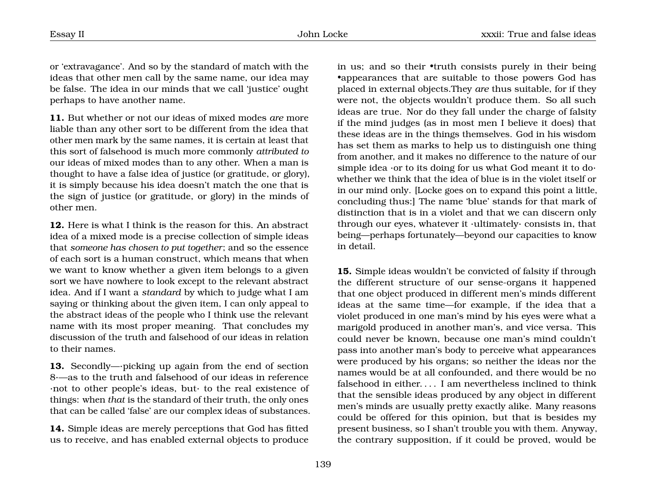or 'extravagance'. And so by the standard of match with the ideas that other men call by the same name, our idea may be false. The idea in our minds that we call 'justice' ought perhaps to have another name.

**11.** But whether or not our ideas of mixed modes *are* more liable than any other sort to be different from the idea that other men mark by the same names, it is certain at least that this sort of falsehood is much more commonly *attributed to* our ideas of mixed modes than to any other. When a man is thought to have a false idea of justice (or gratitude, or glory), it is simply because his idea doesn't match the one that is the sign of justice (or gratitude, or glory) in the minds of other men.

**12.** Here is what I think is the reason for this. An abstract idea of a mixed mode is a precise collection of simple ideas that *someone has chosen to put together*; and so the essence of each sort is a human construct, which means that when we want to know whether a given item belongs to a given sort we have nowhere to look except to the relevant abstract idea. And if I want a *standard* by which to judge what I am saying or thinking about the given item, I can only appeal to the abstract ideas of the people who I think use the relevant name with its most proper meaning. That concludes my discussion of the truth and falsehood of our ideas in relation to their names.

**13.** Secondly—·picking up again from the end of section 8·—as to the truth and falsehood of our ideas in reference ·not to other people's ideas, but· to the real existence of things: when *that* is the standard of their truth, the only ones that can be called 'false' are our complex ideas of substances.

**14.** Simple ideas are merely perceptions that God has fitted us to receive, and has enabled external objects to produce in us; and so their •truth consists purely in their being •appearances that are suitable to those powers God has placed in external objects.They *are* thus suitable, for if they were not, the objects wouldn't produce them. So all such ideas are true. Nor do they fall under the charge of falsity if the mind judges (as in most men I believe it does) that these ideas are in the things themselves. God in his wisdom has set them as marks to help us to distinguish one thing from another, and it makes no difference to the nature of our simple idea ·or to its doing for us what God meant it to do· whether we think that the idea of blue is in the violet itself or in our mind only. [Locke goes on to expand this point a little, concluding thus:] The name 'blue' stands for that mark of distinction that is in a violet and that we can discern only through our eyes, whatever it ·ultimately· consists in, that being—perhaps fortunately—beyond our capacities to know in detail.

**15.** Simple ideas wouldn't be convicted of falsity if through the different structure of our sense-organs it happened that one object produced in different men's minds different ideas at the same time—for example, if the idea that a violet produced in one man's mind by his eyes were what a marigold produced in another man's, and vice versa. This could never be known, because one man's mind couldn't pass into another man's body to perceive what appearances were produced by his organs; so neither the ideas nor the names would be at all confounded, and there would be no falsehood in either. . . . I am nevertheless inclined to think that the sensible ideas produced by any object in different men's minds are usually pretty exactly alike. Many reasons could be offered for this opinion, but that is besides my present business, so I shan't trouble you with them. Anyway, the contrary supposition, if it could be proved, would be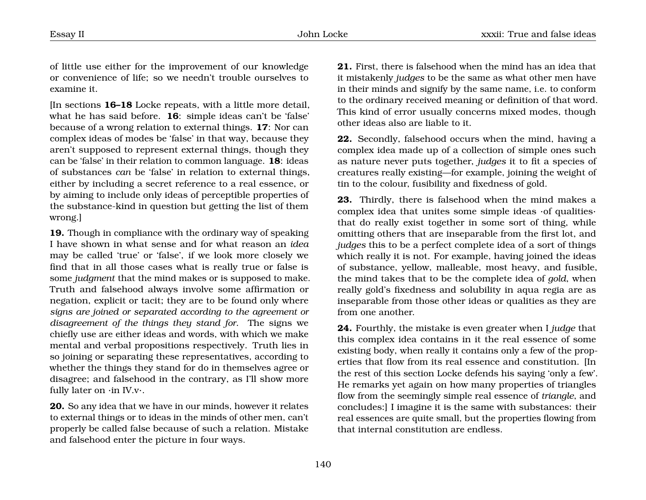of little use either for the improvement of our knowledge or convenience of life; so we needn't trouble ourselves to examine it.

[In sections **16–18** Locke repeats, with a little more detail, what he has said before. **16**: simple ideas can't be 'false' because of a wrong relation to external things. **17**: Nor can complex ideas of modes be 'false' in that way, because they aren't supposed to represent external things, though they can be 'false' in their relation to common language. **18**: ideas of substances *can* be 'false' in relation to external things, either by including a secret reference to a real essence, or by aiming to include only ideas of perceptible properties of the substance-kind in question but getting the list of them wrong.]

**19.** Though in compliance with the ordinary way of speaking I have shown in what sense and for what reason an *idea* may be called 'true' or 'false', if we look more closely we find that in all those cases what is really true or false is some *judgment* that the mind makes or is supposed to make. Truth and falsehood always involve some affirmation or negation, explicit or tacit; they are to be found only where *signs are joined or separated according to the agreement or disagreement of the things they stand for*. The signs we chiefly use are either ideas and words, with which we make mental and verbal propositions respectively. Truth lies in so joining or separating these representatives, according to whether the things they stand for do in themselves agree or disagree; and falsehood in the contrary, as I'll show more fully later on ·in IV.v·.

**20.** So any idea that we have in our minds, however it relates to external things or to ideas in the minds of other men, can't properly be called false because of such a relation. Mistake and falsehood enter the picture in four ways.

**21.** First, there is falsehood when the mind has an idea that it mistakenly *judges* to be the same as what other men have in their minds and signify by the same name, i.e. to conform to the ordinary received meaning or definition of that word. This kind of error usually concerns mixed modes, though other ideas also are liable to it.

**22.** Secondly, falsehood occurs when the mind, having a complex idea made up of a collection of simple ones such as nature never puts together, *judges* it to fit a species of creatures really existing—for example, joining the weight of tin to the colour, fusibility and fixedness of gold.

**23.** Thirdly, there is falsehood when the mind makes a complex idea that unites some simple ideas ·of qualities· that do really exist together in some sort of thing, while omitting others that are inseparable from the first lot, and *judges* this to be a perfect complete idea of a sort of things which really it is not. For example, having joined the ideas of substance, yellow, malleable, most heavy, and fusible, the mind takes that to be the complete idea of *gold*, when really gold's fixedness and solubility in aqua regia are as inseparable from those other ideas or qualities as they are from one another.

**24.** Fourthly, the mistake is even greater when I *judge* that this complex idea contains in it the real essence of some existing body, when really it contains only a few of the properties that flow from its real essence and constitution. [In the rest of this section Locke defends his saying 'only a few'. He remarks yet again on how many properties of triangles flow from the seemingly simple real essence of *triangle*, and concludes:] I imagine it is the same with substances: their real essences are quite small, but the properties flowing from that internal constitution are endless.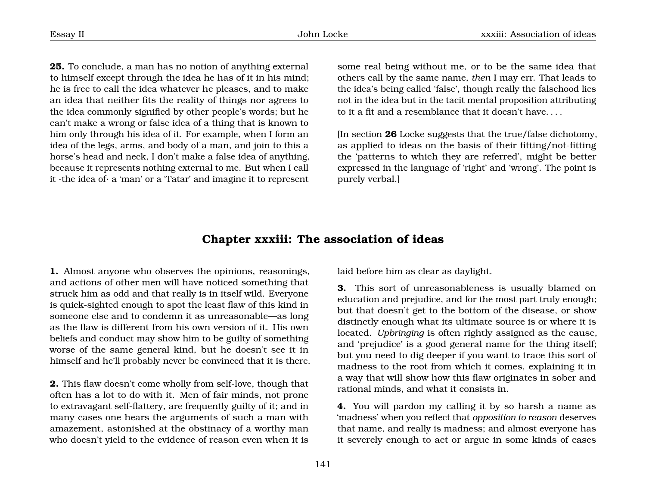**25.** To conclude, a man has no notion of anything external to himself except through the idea he has of it in his mind; he is free to call the idea whatever he pleases, and to make an idea that neither fits the reality of things nor agrees to the idea commonly signified by other people's words; but he can't make a wrong or false idea of a thing that is known to him only through his idea of it. For example, when I form an idea of the legs, arms, and body of a man, and join to this a horse's head and neck, I don't make a false idea of anything, because it represents nothing external to me. But when I call it ·the idea of· a 'man' or a 'Tatar' and imagine it to represent

some real being without me, or to be the same idea that others call by the same name, *then* I may err. That leads to the idea's being called 'false', though really the falsehood lies not in the idea but in the tacit mental proposition attributing to it a fit and a resemblance that it doesn't have. . . .

[In section **26** Locke suggests that the true/false dichotomy, as applied to ideas on the basis of their fitting/not-fitting the 'patterns to which they are referred', might be better expressed in the language of 'right' and 'wrong'. The point is purely verbal.]

### **Chapter xxxiii: The association of ideas**

**1.** Almost anyone who observes the opinions, reasonings, and actions of other men will have noticed something that struck him as odd and that really is in itself wild. Everyone is quick-sighted enough to spot the least flaw of this kind in someone else and to condemn it as unreasonable—as long as the flaw is different from his own version of it. His own beliefs and conduct may show him to be guilty of something worse of the same general kind, but he doesn't see it in himself and he'll probably never be convinced that it is there.

**2.** This flaw doesn't come wholly from self-love, though that often has a lot to do with it. Men of fair minds, not prone to extravagant self-flattery, are frequently guilty of it; and in many cases one hears the arguments of such a man with amazement, astonished at the obstinacy of a worthy man who doesn't yield to the evidence of reason even when it is

laid before him as clear as daylight.

**3.** This sort of unreasonableness is usually blamed on education and prejudice, and for the most part truly enough; but that doesn't get to the bottom of the disease, or show distinctly enough what its ultimate source is or where it is located. *Upbringing* is often rightly assigned as the cause, and 'prejudice' is a good general name for the thing itself; but you need to dig deeper if you want to trace this sort of madness to the root from which it comes, explaining it in a way that will show how this flaw originates in sober and rational minds, and what it consists in.

**4.** You will pardon my calling it by so harsh a name as 'madness' when you reflect that *opposition to reason* deserves that name, and really is madness; and almost everyone has it severely enough to act or argue in some kinds of cases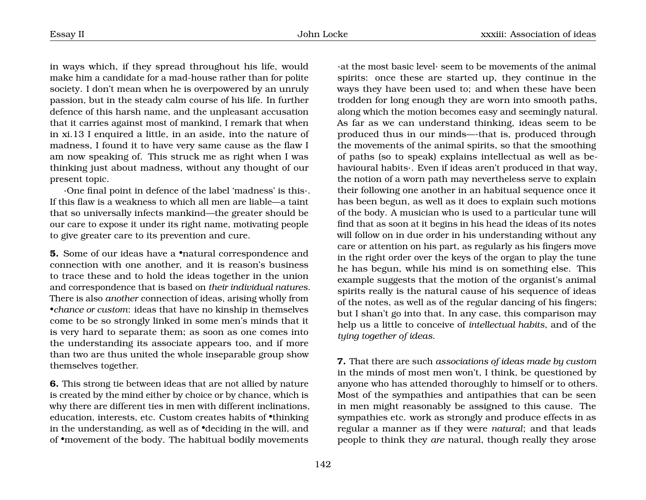in ways which, if they spread throughout his life, would make him a candidate for a mad-house rather than for polite society. I don't mean when he is overpowered by an unruly passion, but in the steady calm course of his life. In further defence of this harsh name, and the unpleasant accusation that it carries against most of mankind, I remark that when in xi.13 I enquired a little, in an aside, into the nature of madness, I found it to have very same cause as the flaw I am now speaking of. This struck me as right when I was thinking just about madness, without any thought of our present topic.

·One final point in defence of the label 'madness' is this·. If this flaw is a weakness to which all men are liable—a taint that so universally infects mankind—the greater should be our care to expose it under its right name, motivating people to give greater care to its prevention and cure.

**5.** Some of our ideas have a •natural correspondence and connection with one another, and it is reason's business to trace these and to hold the ideas together in the union and correspondence that is based on *their individual natures*. There is also *another* connection of ideas, arising wholly from •*chance or custom*: ideas that have no kinship in themselves come to be so strongly linked in some men's minds that it is very hard to separate them; as soon as one comes into the understanding its associate appears too, and if more than two are thus united the whole inseparable group show themselves together.

**6.** This strong tie between ideas that are not allied by nature is created by the mind either by choice or by chance, which is why there are different ties in men with different inclinations, education, interests, etc. Custom creates habits of •thinking in the understanding, as well as of •deciding in the will, and of •movement of the body. The habitual bodily movements

·at the most basic level· seem to be movements of the animal spirits: once these are started up, they continue in the ways they have been used to; and when these have been trodden for long enough they are worn into smooth paths, along which the motion becomes easy and seemingly natural. As far as we can understand thinking, ideas seem to be produced thus in our minds—·that is, produced through the movements of the animal spirits, so that the smoothing of paths (so to speak) explains intellectual as well as behavioural habits·. Even if ideas aren't produced in that way, the notion of a worn path may nevertheless serve to explain their following one another in an habitual sequence once it has been begun, as well as it does to explain such motions of the body. A musician who is used to a particular tune will find that as soon at it begins in his head the ideas of its notes will follow on in due order in his understanding without any care or attention on his part, as regularly as his fingers move in the right order over the keys of the organ to play the tune he has begun, while his mind is on something else. This example suggests that the motion of the organist's animal spirits really is the natural cause of his sequence of ideas of the notes, as well as of the regular dancing of his fingers; but I shan't go into that. In any case, this comparison may help us a little to conceive of *intellectual habits*, and of the *tying together of ideas*.

**7.** That there are such *associations of ideas made by custom* in the minds of most men won't, I think, be questioned by anyone who has attended thoroughly to himself or to others. Most of the sympathies and antipathies that can be seen in men might reasonably be assigned to this cause. The sympathies etc. work as strongly and produce effects in as regular a manner as if they were *natural*; and that leads people to think they *are* natural, though really they arose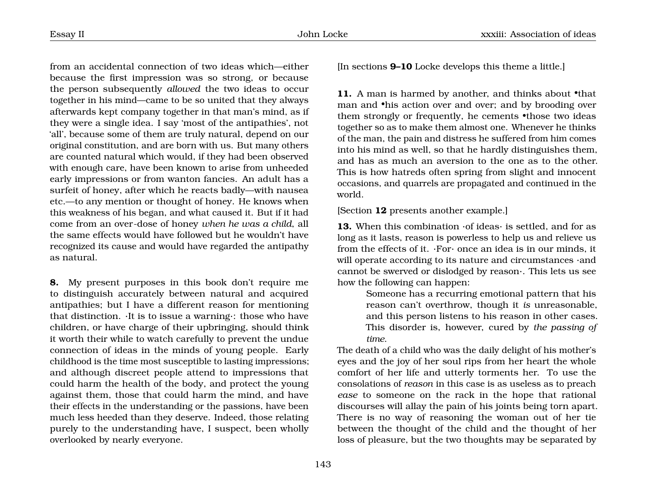from an accidental connection of two ideas which—either because the first impression was so strong, or because the person subsequently *allowed* the two ideas to occur together in his mind—came to be so united that they always afterwards kept company together in that man's mind, as if they were a single idea. I say 'most of the antipathies', not 'all', because some of them are truly natural, depend on our original constitution, and are born with us. But many others are counted natural which would, if they had been observed with enough care, have been known to arise from unheeded early impressions or from wanton fancies. An adult has a surfeit of honey, after which he reacts badly—with nausea etc.—to any mention or thought of honey. He knows when this weakness of his began, and what caused it. But if it had come from an over-dose of honey *when he was a child*, all the same effects would have followed but he wouldn't have recognized its cause and would have regarded the antipathy as natural.

**8.** My present purposes in this book don't require me to distinguish accurately between natural and acquired antipathies; but I have a different reason for mentioning that distinction. ·It is to issue a warning·: those who have children, or have charge of their upbringing, should think it worth their while to watch carefully to prevent the undue connection of ideas in the minds of young people. Early childhood is the time most susceptible to lasting impressions; and although discreet people attend to impressions that could harm the health of the body, and protect the young against them, those that could harm the mind, and have their effects in the understanding or the passions, have been much less heeded than they deserve. Indeed, those relating purely to the understanding have, I suspect, been wholly overlooked by nearly everyone.

[In sections **9–10** Locke develops this theme a little.]

11. A man is harmed by another, and thinks about •that man and •his action over and over; and by brooding over them strongly or frequently, he cements •those two ideas together so as to make them almost one. Whenever he thinks of the man, the pain and distress he suffered from him comes into his mind as well, so that he hardly distinguishes them, and has as much an aversion to the one as to the other. This is how hatreds often spring from slight and innocent occasions, and quarrels are propagated and continued in the world.

[Section **12** presents another example.]

13. When this combination  $\cdot$  of ideas is settled, and for as long as it lasts, reason is powerless to help us and relieve us from the effects of it. ·For· once an idea is in our minds, it will operate according to its nature and circumstances ·and cannot be swerved or dislodged by reason·. This lets us see how the following can happen:

> Someone has a recurring emotional pattern that his reason can't overthrow, though it *is* unreasonable, and this person listens to his reason in other cases. This disorder is, however, cured by *the passing of time*.

The death of a child who was the daily delight of his mother's eyes and the joy of her soul rips from her heart the whole comfort of her life and utterly torments her. To use the consolations of *reason* in this case is as useless as to preach *ease* to someone on the rack in the hope that rational discourses will allay the pain of his joints being torn apart. There is no way of reasoning the woman out of her tie between the thought of the child and the thought of her loss of pleasure, but the two thoughts may be separated by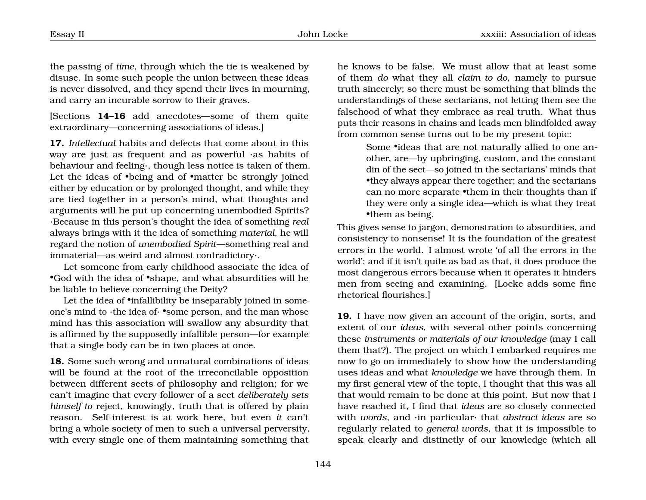the passing of *time*, through which the tie is weakened by disuse. In some such people the union between these ideas is never dissolved, and they spend their lives in mourning, and carry an incurable sorrow to their graves.

[Sections **14–16** add anecdotes—some of them quite extraordinary—concerning associations of ideas.]

**17.** *Intellectual* habits and defects that come about in this way are just as frequent and as powerful ·as habits of behaviour and feeling·, though less notice is taken of them. Let the ideas of •being and of •matter be strongly joined either by education or by prolonged thought, and while they are tied together in a person's mind, what thoughts and arguments will he put up concerning unembodied Spirits? ·Because in this person's thought the idea of something *real* always brings with it the idea of something *material*, he will regard the notion of *unembodied Spirit*—something real and immaterial—as weird and almost contradictory·.

Let someone from early childhood associate the idea of •God with the idea of •shape, and what absurdities will he be liable to believe concerning the Deity?

Let the idea of •infallibility be inseparably joined in someone's mind to ·the idea of· •some person, and the man whose mind has this association will swallow any absurdity that is affirmed by the supposedly infallible person—for example that a single body can be in two places at once.

**18.** Some such wrong and unnatural combinations of ideas will be found at the root of the irreconcilable opposition between different sects of philosophy and religion; for we can't imagine that every follower of a sect *deliberately sets himself to* reject, knowingly, truth that is offered by plain reason. Self-interest is at work here, but even *it* can't bring a whole society of men to such a universal perversity, with every single one of them maintaining something that

he knows to be false. We must allow that at least some of them *do* what they all *claim to do*, namely to pursue truth sincerely; so there must be something that blinds the understandings of these sectarians, not letting them see the falsehood of what they embrace as real truth. What thus puts their reasons in chains and leads men blindfolded away from common sense turns out to be my present topic:

> Some •ideas that are not naturally allied to one another, are—by upbringing, custom, and the constant din of the sect—so joined in the sectarians' minds that •they always appear there together; and the sectarians can no more separate •them in their thoughts than if they were only a single idea—which is what they treat •them as being.

This gives sense to jargon, demonstration to absurdities, and consistency to nonsense! It is the foundation of the greatest errors in the world. I almost wrote 'of all the errors in the world'; and if it isn't quite as bad as that, it does produce the most dangerous errors because when it operates it hinders men from seeing and examining. [Locke adds some fine rhetorical flourishes.]

**19.** I have now given an account of the origin, sorts, and extent of our *ideas*, with several other points concerning these *instruments or materials of our knowledge* (may I call them that?). The project on which I embarked requires me now to go on immediately to show how the understanding uses ideas and what *knowledge* we have through them. In my first general view of the topic, I thought that this was all that would remain to be done at this point. But now that I have reached it, I find that *ideas* are so closely connected with *words*, and ·in particular· that *abstract ideas* are so regularly related to *general words*, that it is impossible to speak clearly and distinctly of our knowledge (which all